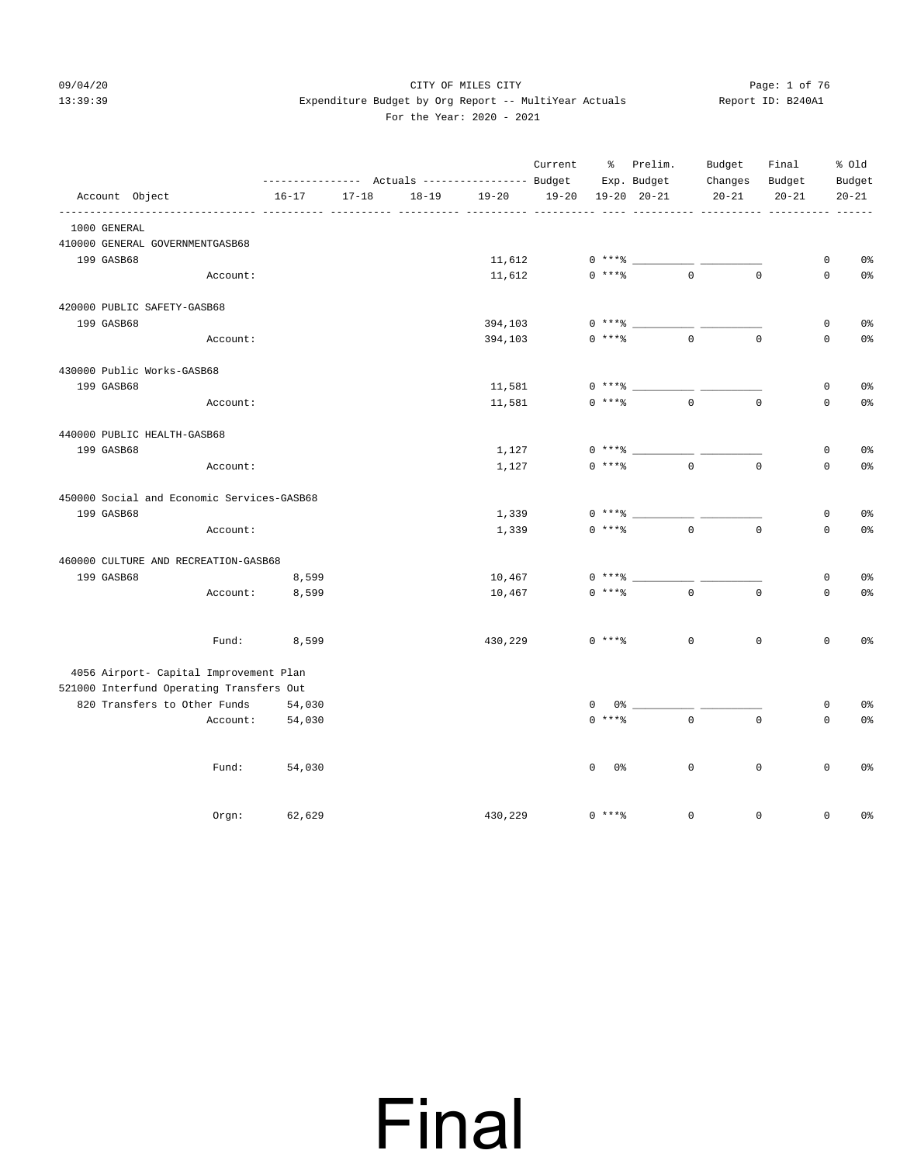#### 09/04/20 Page: 1 of 76 CITY OF MILES CITY CONTROL Page: 1 of 76 13:39:39 Expenditure Budget by Org Report -- MultiYear Actuals Report ID: B240A1 For the Year: 2020 - 2021

|                |                                            |           |           |           | --------------- Actuals ---------------- Budget | Current           |                    | % Prelim.<br>Exp. Budget | Budget<br>Changes | Final<br>Budget |                     | % Old<br>Budget |
|----------------|--------------------------------------------|-----------|-----------|-----------|-------------------------------------------------|-------------------|--------------------|--------------------------|-------------------|-----------------|---------------------|-----------------|
| Account Object |                                            | $16 - 17$ | $17 - 18$ | $18 - 19$ | $19 - 20$                                       | $19 - 20$         |                    | $19 - 20$ $20 - 21$      | $20 - 21$         | $20 - 21$       |                     | $20 - 21$       |
| 1000 GENERAL   | ----------                                 |           |           |           | ----- -----                                     | _________________ |                    |                          | -----------       |                 |                     |                 |
|                | 410000 GENERAL GOVERNMENTGASB68            |           |           |           |                                                 |                   |                    |                          |                   |                 |                     |                 |
| 199 GASB68     |                                            |           |           |           | 11,612                                          |                   | $0***$ =           |                          |                   |                 | $\mathsf 0$         | 0 <sup>°</sup>  |
|                | Account:                                   |           |           |           | 11,612                                          |                   | $0$ ****           | $\Omega$                 |                   | $\Omega$        | $\mathbf 0$         | 0 <sup>°</sup>  |
|                | 420000 PUBLIC SAFETY-GASB68                |           |           |           |                                                 |                   |                    |                          |                   |                 |                     |                 |
| 199 GASB68     |                                            |           |           |           | 394,103                                         |                   | $0***$             |                          |                   |                 | $\mathsf 0$         | 0 <sup>°</sup>  |
|                | Account:                                   |           |           |           | 394,103                                         |                   | $0***8$            | $\mathbf{0}$             |                   | $\mathbf 0$     | $\mathbf 0$         | 0 <sup>°</sup>  |
|                | 430000 Public Works-GASB68                 |           |           |           |                                                 |                   |                    |                          |                   |                 |                     |                 |
| 199 GASB68     |                                            |           |           |           | 11,581                                          |                   | $0***$ $*$         |                          |                   |                 | $\mathbf 0$         | 0 <sup>8</sup>  |
|                | Account:                                   |           |           |           | 11,581                                          |                   | $0***8$            | $\mathbf{0}$             |                   | $\mathbf 0$     | $\mathbf 0$         | 0 <sup>°</sup>  |
|                | 440000 PUBLIC HEALTH-GASB68                |           |           |           |                                                 |                   |                    |                          |                   |                 |                     |                 |
| 199 GASB68     |                                            |           |           |           | 1,127                                           |                   | $0***$ $*$         |                          |                   |                 | 0                   | 0%              |
|                | Account:                                   |           |           |           | 1,127                                           |                   | $0$ ****           | $\Omega$                 |                   | $\Omega$        | $\Omega$            | 0 <sup>°</sup>  |
|                | 450000 Social and Economic Services-GASB68 |           |           |           |                                                 |                   |                    |                          |                   |                 |                     |                 |
| 199 GASB68     |                                            |           |           |           | 1,339                                           |                   | $0***$ $*$         |                          |                   |                 | $\mathsf 0$         | 0 <sup>°</sup>  |
|                | Account:                                   |           |           |           | 1,339                                           |                   | $0$ ****           | $\circ$                  |                   | $\mathbf 0$     | $\mathsf 0$         | 0 <sup>°</sup>  |
|                | 460000 CULTURE AND RECREATION-GASB68       |           |           |           |                                                 |                   |                    |                          |                   |                 |                     |                 |
| 199 GASB68     |                                            | 8,599     |           |           | 10,467                                          |                   | $0***$ $*$         |                          |                   |                 | $\mathsf 0$         | 0 <sup>o</sup>  |
|                | Account:                                   | 8,599     |           |           | 10,467                                          |                   | $0***8$            | $\mathbf{0}$             |                   | $\mathbf 0$     | $\mathbf 0$         | 0 <sup>°</sup>  |
|                | Fund:                                      | 8,599     |           |           | 430,229                                         |                   | $0***8$            | $\mathbb O$              |                   | $\mathsf 0$     | $\mathsf{O}$        | 0%              |
|                | 4056 Airport- Capital Improvement Plan     |           |           |           |                                                 |                   |                    |                          |                   |                 |                     |                 |
|                | 521000 Interfund Operating Transfers Out   |           |           |           |                                                 |                   |                    |                          |                   |                 |                     |                 |
|                | 820 Transfers to Other Funds               | 54,030    |           |           |                                                 |                   | $\mathbf 0$<br>0 % |                          |                   |                 | $\mathsf 0$         | 0%              |
|                | Account:                                   | 54,030    |           |           |                                                 |                   | $0$ ****           | $\mathbf{0}$             |                   | $\mathbf 0$     | $\mathbf 0$         | 0 <sup>°</sup>  |
|                | Fund:                                      | 54,030    |           |           |                                                 |                   | $\mathbf 0$<br>0%  | $\mathbb O$              |                   | $\mathsf 0$     | $\mathsf{O}\xspace$ | 0 <sup>°</sup>  |
|                | Orgn:                                      | 62,629    |           |           | 430,229                                         |                   | $0$ ****           | $\Omega$                 |                   | $\Omega$        | $\mathbf 0$         | 0 <sup>°</sup>  |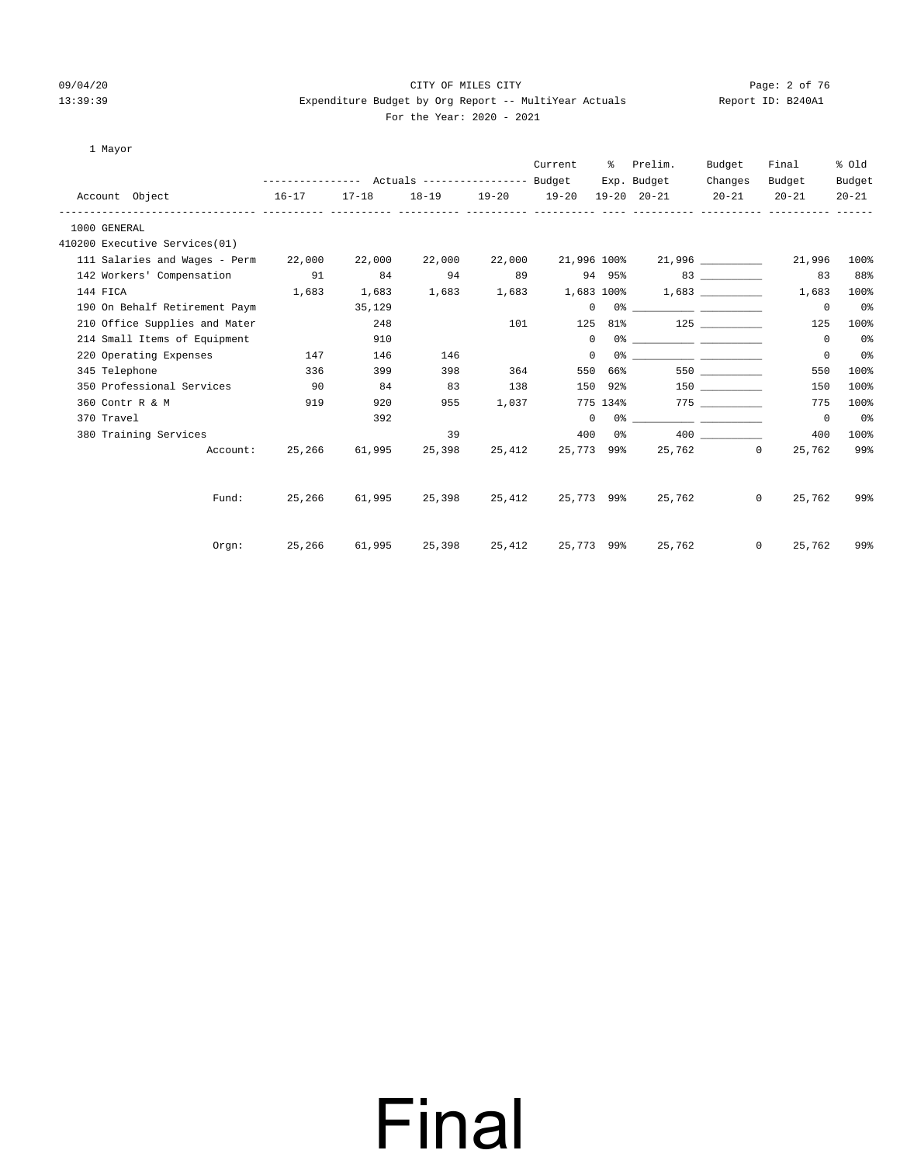#### 09/04/20 Page: 2 of 76 CITY OF MILES CITY CONTROL Page: 2 of 76 13:39:39 Expenditure Budget by Org Report -- MultiYear Actuals Report ID: B240A1 For the Year: 2020 - 2021

| 1 Mayor                              |           |           |        |        |                   |              |                                                                                                                                                                                                                                                                                                                                                                    |           |                          |           |
|--------------------------------------|-----------|-----------|--------|--------|-------------------|--------------|--------------------------------------------------------------------------------------------------------------------------------------------------------------------------------------------------------------------------------------------------------------------------------------------------------------------------------------------------------------------|-----------|--------------------------|-----------|
|                                      |           |           |        |        | Current           |              | % Prelim.                                                                                                                                                                                                                                                                                                                                                          | Budget    | Final                    | % Old     |
|                                      |           |           |        |        |                   |              | Exp. Budget                                                                                                                                                                                                                                                                                                                                                        | Changes   | Budget                   | Budget    |
| Account Object                       | $16 - 17$ | $17 - 18$ |        |        | 18-19 19-20 19-20 |              | 19-20 20-21                                                                                                                                                                                                                                                                                                                                                        | $20 - 21$ | $20 - 21$                | $20 - 21$ |
| 1000 GENERAL                         |           |           |        |        |                   |              |                                                                                                                                                                                                                                                                                                                                                                    |           |                          |           |
| 410200 Executive Services(01)        |           |           |        |        |                   |              |                                                                                                                                                                                                                                                                                                                                                                    |           |                          |           |
| 111 Salaries and Wages - Perm 22,000 |           | 22,000    | 22,000 |        |                   |              | 22,000 21,996 100% 21,996                                                                                                                                                                                                                                                                                                                                          |           | 21,996                   | 100%      |
| 142 Workers' Compensation            | 91        | 84        | 94     | 89     |                   |              | 94 95%                                                                                                                                                                                                                                                                                                                                                             |           | 83                       | 88%       |
| 144 FICA                             | 1,683     | 1,683     | 1,683  |        | 1,683 1,683 100%  |              |                                                                                                                                                                                                                                                                                                                                                                    | 1,683     | 1,683                    | 100%      |
| 190 On Behalf Retirement Paym        |           | 35,129    |        |        |                   |              | $\begin{picture}(150,10) \put(0,0){\vector(1,0){100}} \put(15,0){\vector(1,0){100}} \put(15,0){\vector(1,0){100}} \put(15,0){\vector(1,0){100}} \put(15,0){\vector(1,0){100}} \put(15,0){\vector(1,0){100}} \put(15,0){\vector(1,0){100}} \put(15,0){\vector(1,0){100}} \put(15,0){\vector(1,0){100}} \put(15,0){\vector(1,0){100}} \put(15,0){\vector(1,0){100}}$ |           | $^{\circ}$               | 0%        |
| 210 Office Supplies and Mater        |           | 248       |        |        | 101 7             |              | 125 81% 125                                                                                                                                                                                                                                                                                                                                                        |           | 125                      | 100%      |
| 214 Small Items of Equipment         |           | 910       |        |        |                   | $\mathbf{0}$ |                                                                                                                                                                                                                                                                                                                                                                    |           | $\circ$                  | 0%        |
| 220 Operating Expenses 147           |           | 146       | 146    |        | $^{\circ}$        |              | 0.왕 - 대한민국의 대학 대학 대학 대학 대학 대학 대학                                                                                                                                                                                                                                                                                                                                   |           | $^{\circ}$               | 0%        |
| 345 Telephone                        | 336       | 399       | 398    |        | 364<br>550        | 66%          |                                                                                                                                                                                                                                                                                                                                                                    |           | 550                      | 100%      |
| 350 Professional Services            | $\sim$ 90 | 84        | 83     | 138    |                   |              | 150 92%                                                                                                                                                                                                                                                                                                                                                            |           | 150                      | 100%      |
| 360 Contr R & M                      | 919       | 920       | 955    | 1,037  |                   |              | 775 134% 775                                                                                                                                                                                                                                                                                                                                                       |           | 775                      | 100%      |
| 370 Travel                           |           | 392       |        |        |                   | $\Omega$     |                                                                                                                                                                                                                                                                                                                                                                    |           | $\circ$                  | 0%        |
| 380 Training Services                |           |           | 39     |        |                   |              | $400 \t 0$ %                                                                                                                                                                                                                                                                                                                                                       | 400 000   | 400                      | 100%      |
| Account:                             | 25,266    | 61,995    | 25,398 | 25,412 |                   |              | 25,773 99% 25,762 0                                                                                                                                                                                                                                                                                                                                                |           | 25,762                   | 99%       |
| Fund:                                | 25,266    | 61,995    | 25,398 | 25,412 | 25,773 99%        |              |                                                                                                                                                                                                                                                                                                                                                                    | 25,762    | 25,762<br>$\Omega$       | 99%       |
|                                      |           |           |        |        |                   |              |                                                                                                                                                                                                                                                                                                                                                                    |           |                          |           |
| Orem:                                |           |           |        |        |                   |              | 25,266 61,995 25,398 25,412 25,773 99% 25,762                                                                                                                                                                                                                                                                                                                      |           | $\overline{0}$<br>25,762 | 99%       |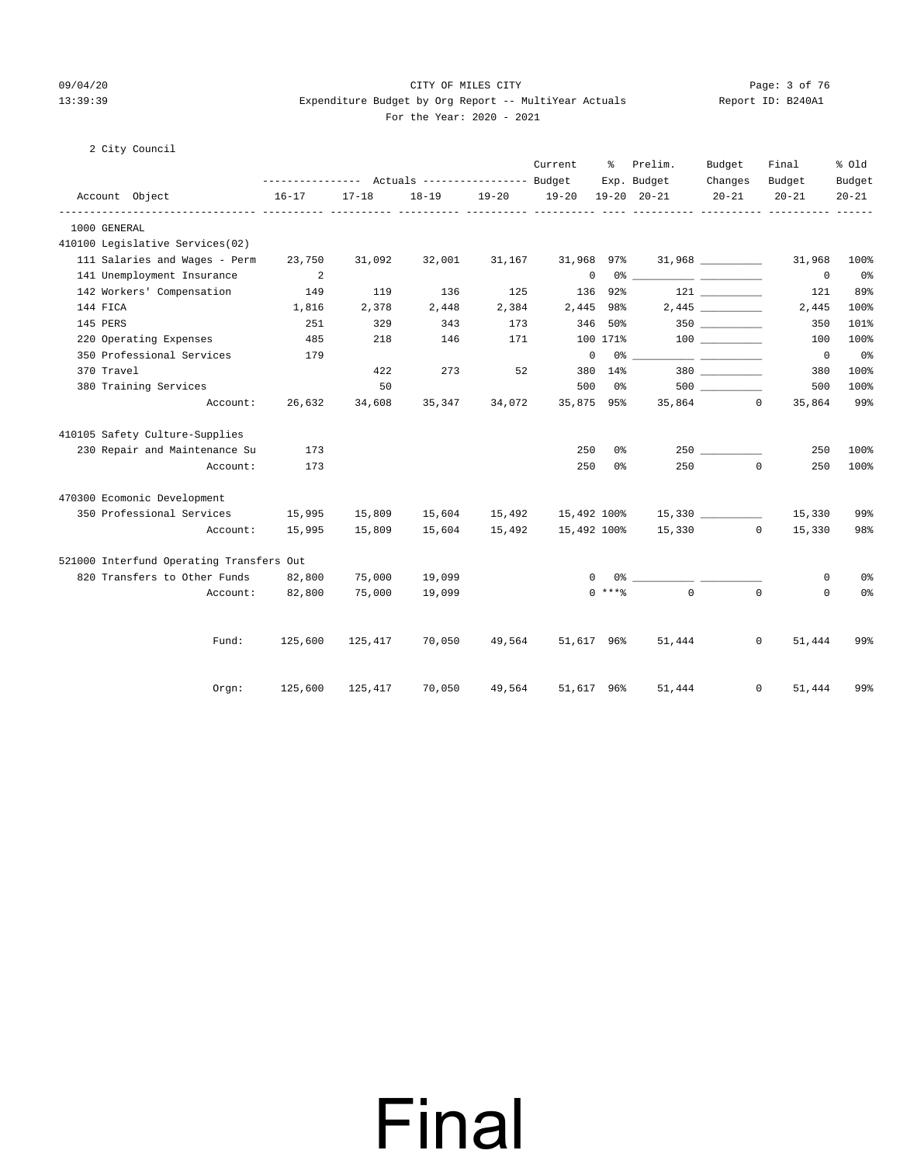#### 09/04/20 Page: 3 of 76 13:39:39 Expenditure Budget by Org Report -- MultiYear Actuals Report ID: B240A1 For the Year: 2020 - 2021

#### 2 City Council

|                                          |                                                          |           |               |           | Current      | ະ              | Prelim.                            | Budget               | Final                            | % old               |
|------------------------------------------|----------------------------------------------------------|-----------|---------------|-----------|--------------|----------------|------------------------------------|----------------------|----------------------------------|---------------------|
| Account Object                           | --------------- Actuals ---------------- Budget<br>16-17 | $17 - 18$ | $18 - 19$     | $19 - 20$ | $19 - 20$    |                | Exp. Budget<br>$19 - 20$ $20 - 21$ | Changes<br>$20 - 21$ | Budget<br>$20 - 21$              | Budget<br>$20 - 21$ |
| 1000 GENERAL                             |                                                          |           |               |           |              |                |                                    |                      | ----------- ---------- --------- |                     |
| 410100 Legislative Services(02)          |                                                          |           |               |           |              |                |                                    |                      |                                  |                     |
| 111 Salaries and Wages - Perm            | 23,750                                                   | 31,092    | 32,001        | 31,167    | 31,968 97%   |                |                                    |                      | 31,968                           | 100%                |
| 141 Unemployment Insurance               | $\overline{\phantom{0}}^2$                               |           |               |           | $\mathbf{0}$ |                |                                    |                      | $\mathbf 0$                      | 0%                  |
| 142 Workers' Compensation                | 149                                                      | 119       | 136           | 125       |              | 136 92%        |                                    | 121                  | 121                              | 89%                 |
| 144 FICA                                 | 1,816                                                    | 2,378     | 2,448         | 2,384     |              | 2,445 98%      |                                    | 2,445                | 2,445                            | 100%                |
| 145 PERS                                 | 251                                                      | 329       | 343           | 173       |              | 346 50%        |                                    | $350$ __________     | 350                              | 101%                |
| 220 Operating Expenses                   | 485                                                      | 218       | 146           | 171       |              | 100 171%       |                                    |                      | 100                              | 100%                |
| 350 Professional Services                | 179                                                      |           |               |           | $\circ$      |                | $0\,$ %                            |                      | $\overline{\phantom{0}}$         | $0\,$ s             |
| 370 Travel                               |                                                          | 422       | 273           | 52        |              | 380 14%        |                                    | 380 380              | 380                              | 100%                |
| 380 Training Services                    |                                                          | 50        |               |           | 500          | 0%             |                                    |                      | 500                              | 100%                |
| Account:                                 | 26,632                                                   | 34,608    | 35,347        | 34,072    | 35,875 95%   |                |                                    | 35,864 0             | 35,864                           | 99%                 |
| 410105 Safety Culture-Supplies           |                                                          |           |               |           |              |                |                                    |                      |                                  |                     |
| 230 Repair and Maintenance Su            | 173                                                      |           |               |           | 250          | 0%             |                                    |                      | 250                              | 100%                |
| Account:                                 | 173                                                      |           |               |           | 250          | 0 <sup>°</sup> | 250                                |                      | $\Omega$<br>250                  | 100%                |
| 470300 Ecomonic Development              |                                                          |           |               |           |              |                |                                    |                      |                                  |                     |
| 350 Professional Services                | 15,995                                                   | 15,809    | 15,604 15,492 |           | 15,492 100%  |                |                                    | 15,330               | 15,330                           | 99%                 |
| Account:                                 | 15,995                                                   | 15,809    | 15,604        | 15,492    | 15,492 100%  |                |                                    | 15,330 0             | 15,330                           | 98%                 |
| 521000 Interfund Operating Transfers Out |                                                          |           |               |           |              |                |                                    |                      |                                  |                     |
| 820 Transfers to Other Funds             | 82,800                                                   | 75,000    | 19,099        |           | $\Omega$     |                |                                    |                      | 0                                | 0%                  |
| Account:                                 | 82,800                                                   | 75,000    | 19,099        |           |              | $0$ ****       | $\Omega$                           |                      | $\Omega$<br>$\Omega$             | 0%                  |
| Fund:                                    | 125,600                                                  | 125,417   | 70,050        | 49,564    | 51,617 96%   |                | 51,444                             |                      | $\mathbf{0}$<br>51,444           | 99%                 |
| $0$ rgn:                                 | 125,600                                                  | 125,417   | 70,050        | 49,564    | 51,617 96%   |                | 51,444                             |                      | $\mathbf{0}$<br>51,444           | 99%                 |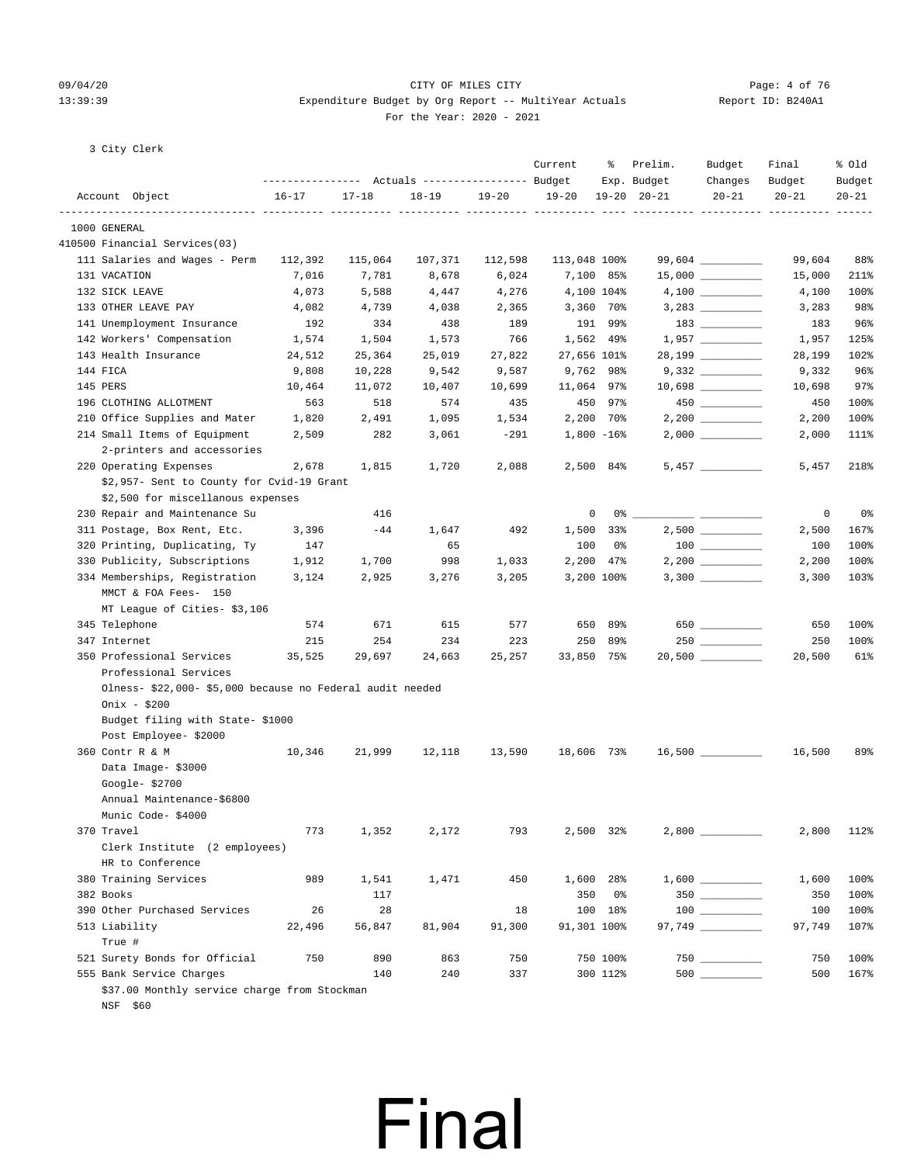#### 09/04/20 Page: 4 of 76 13:39:39 Expenditure Budget by Org Report -- MultiYear Actuals Report ID: B240A1 For the Year: 2020 - 2021

3 City Clerk

|                                                           | --------------- Actuals ---------------- Budget |           |           |           | Current      | ိ              | Prelim.<br>Exp. Budget | Budget<br>Changes                       | Final<br>Budget | % Old<br>Budget |
|-----------------------------------------------------------|-------------------------------------------------|-----------|-----------|-----------|--------------|----------------|------------------------|-----------------------------------------|-----------------|-----------------|
| Account Object                                            | $16 - 17$                                       | $17 - 18$ | $18 - 19$ | $19 - 20$ | $19 - 20$    |                | $19 - 20$ $20 - 21$    | $20 - 21$                               | $20 - 21$       | $20 - 21$       |
| 1000 GENERAL                                              |                                                 |           |           |           |              |                |                        |                                         |                 |                 |
| 410500 Financial Services(03)                             |                                                 |           |           |           |              |                |                        |                                         |                 |                 |
| 111 Salaries and Wages - Perm                             | 112,392                                         | 115,064   | 107,371   | 112,598   | 113,048 100% |                |                        | 99,604 _________                        | 99,604          | 88%             |
| 131 VACATION                                              | 7,016                                           | 7,781     | 8,678     | 6,024     |              | 7,100 85%      |                        |                                         | 15,000          | 211%            |
| 132 SICK LEAVE                                            | 4,073                                           | 5,588     | 4,447     | 4,276     | 4,100 104%   |                |                        |                                         | 4,100           | 100%            |
| 133 OTHER LEAVE PAY                                       | 4,082                                           | 4,739     | 4,038     | 2,365     |              | 3,360 70%      |                        |                                         | 3,283           | 98%             |
| 141 Unemployment Insurance                                | 192                                             | 334       | 438       | 189       |              | 191 99%        |                        |                                         | 183             | 96%             |
| 142 Workers' Compensation                                 | 1,574                                           | 1,504     | 1,573     | 766       |              | 1,562 49%      |                        | 1,957                                   | 1,957           | 125%            |
| 143 Health Insurance                                      | 24,512                                          | 25,364    | 25,019    | 27,822    | 27,656 101%  |                |                        | 28,199                                  | 28,199          | 102%            |
| 144 FICA                                                  | 9,808                                           | 10,228    | 9,542     | 9,587     |              | 9,762 98%      |                        |                                         | 9,332           | 96%             |
| 145 PERS                                                  | 10,464                                          | 11,072    | 10,407    | 10,699    | 11,064 97%   |                |                        | 10,698 __________                       | 10,698          | 97%             |
| 196 CLOTHING ALLOTMENT                                    | 563                                             | 518       | 574       | 435       |              | 450 97%        |                        |                                         | 450             | 100%            |
| 210 Office Supplies and Mater                             | 1,820                                           | 2,491     | 1,095     | 1,534     |              | $2,200$ 70%    |                        |                                         | 2,200           | 100%            |
| 214 Small Items of Equipment                              | 2,509                                           | 282       | 3,061     | -291      |              | $1,800 - 16$ % |                        |                                         | 2,000           | 111%            |
| 2-printers and accessories                                |                                                 |           |           |           |              |                |                        |                                         |                 |                 |
| 220 Operating Expenses                                    | 2,678                                           | 1,815     | 1,720     | 2,088     |              | 2,500 84%      |                        |                                         | 5,457           | 218%            |
| \$2,957- Sent to County for Cvid-19 Grant                 |                                                 |           |           |           |              |                |                        |                                         |                 |                 |
| \$2,500 for miscellanous expenses                         |                                                 |           |           |           |              |                |                        |                                         |                 |                 |
| 230 Repair and Maintenance Su                             |                                                 | 416       |           |           | 0            |                |                        |                                         | 0               | 0%              |
| 311 Postage, Box Rent, Etc.                               | 3,396                                           | -44       | 1,647     | 492       | 1,500        | 33%            |                        | $2,500$ __________                      | 2,500           | 167%            |
| 320 Printing, Duplicating, Ty                             | 147                                             |           | 65        |           | 100          | 0%             |                        | $\begin{tabular}{c} 100 \end{tabular}$  | 100             | 100%            |
| 330 Publicity, Subscriptions                              | 1,912                                           | 1,700     | 998       | 1,033     |              | 2,200 47%      |                        |                                         | 2,200           | 100%            |
| 334 Memberships, Registration                             | 3,124                                           | 2,925     | 3,276     | 3,205     |              | 3,200 100%     |                        |                                         | 3,300           | 103%            |
| MMCT & FOA Fees- 150                                      |                                                 |           |           |           |              |                |                        |                                         |                 |                 |
| MT League of Cities- \$3,106                              |                                                 |           |           |           |              |                |                        |                                         |                 |                 |
| 345 Telephone                                             | 574                                             | 671       | 615       | 577       |              | 650 89%        |                        | $650$ ________                          | 650             | 100%            |
| 347 Internet                                              | 215                                             | 254       | 234       | 223       |              | 250 89%        |                        |                                         | 250             | 100%            |
| 350 Professional Services                                 | 35,525                                          | 29,697    | 24,663    | 25,257    | 33,850 75%   |                |                        | $20,500$ ___________                    | 20,500          | 61%             |
| Professional Services                                     |                                                 |           |           |           |              |                |                        |                                         |                 |                 |
| Olness- \$22,000- \$5,000 because no Federal audit needed |                                                 |           |           |           |              |                |                        |                                         |                 |                 |
| Onix - $$200$                                             |                                                 |           |           |           |              |                |                        |                                         |                 |                 |
| Budget filing with State-\$1000                           |                                                 |           |           |           |              |                |                        |                                         |                 |                 |
| Post Employee- \$2000                                     |                                                 |           |           |           |              |                |                        |                                         |                 |                 |
| 360 Contr R & M                                           | 10,346                                          | 21,999    | 12,118    | 13,590    | 18,606 73%   |                |                        |                                         | 16,500          | 89%             |
| Data Image- \$3000                                        |                                                 |           |           |           |              |                |                        |                                         |                 |                 |
| Google-\$2700                                             |                                                 |           |           |           |              |                |                        |                                         |                 |                 |
| Annual Maintenance-\$6800                                 |                                                 |           |           |           |              |                |                        |                                         |                 |                 |
| Munic Code- \$4000                                        |                                                 |           |           |           |              |                |                        |                                         |                 |                 |
| 370 Travel                                                | 773                                             | 1,352     | 2,172     | 793       |              | 2,500 32%      |                        |                                         | 2,800           | 112%            |
| Clerk Institute (2 employees)                             |                                                 |           |           |           |              |                |                        |                                         |                 |                 |
| HR to Conference                                          |                                                 |           |           |           |              |                |                        |                                         |                 |                 |
| 380 Training Services                                     | 989                                             | 1,541     | 1,471     | 450       |              | 1,600 28%      |                        |                                         | 1,600           | 100%            |
| 382 Books                                                 |                                                 | 117       |           |           | 350          | 0%             |                        |                                         | 350             | 100%            |
| 390 Other Purchased Services                              | 26                                              | 28        |           | 18        |              | 100 18%        |                        | $\begin{array}{c} 100 \\ - \end{array}$ | 100             | 100%            |
| 513 Liability                                             | 22,496                                          | 56,847    | 81,904    | 91,300    | 91,301 100%  |                |                        | 97,749 _________                        | 97,749          | 107%            |
| True #                                                    |                                                 |           |           |           |              |                |                        |                                         |                 |                 |
| 521 Surety Bonds for Official                             | 750                                             | 890       | 863       | 750       |              | 750 100%       |                        |                                         | 750             | 100%            |
| 555 Bank Service Charges                                  |                                                 | 140       | 240       | 337       |              | 300 112%       |                        |                                         | 500             | 167%            |
| \$37.00 Monthly service charge from Stockman              |                                                 |           |           |           |              |                |                        |                                         |                 |                 |

Final

NSF \$60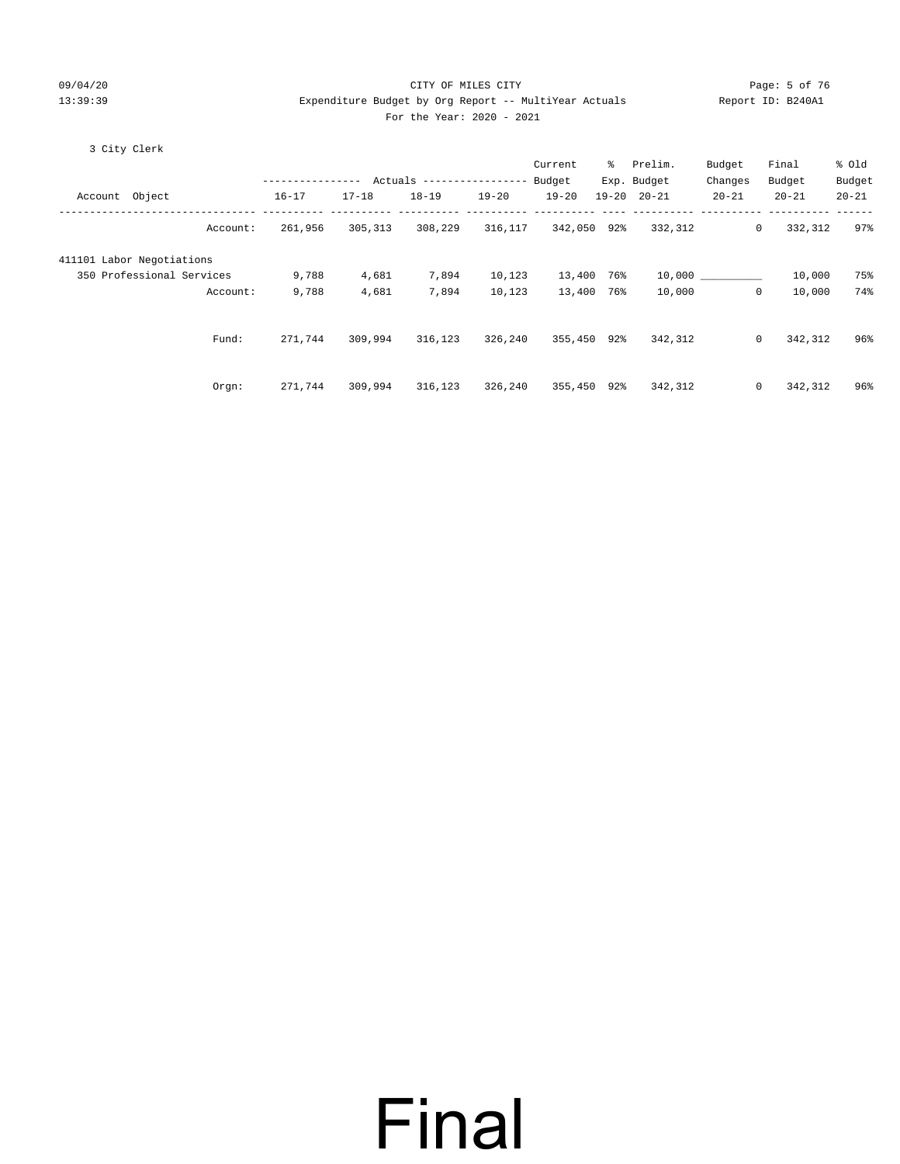#### 09/04/20 Page: 5 of 76 CITY OF MILES CITY CONTROL Page: 5 of 76 13:39:39 Expenditure Budget by Org Report -- MultiYear Actuals Report ID: B240A1 For the Year: 2020 - 2021

#### 3 City Clerk

|                           |          |           |           |            |           | Current     | န္ခ  | Prelim.             | Budget    | Final                   | % old     |
|---------------------------|----------|-----------|-----------|------------|-----------|-------------|------|---------------------|-----------|-------------------------|-----------|
|                           |          |           |           | Actuals -- | --------- | Budget      |      | Exp. Budget         | Changes   | Budget                  | Budget    |
| Account Object            |          | $16 - 17$ | $17 - 18$ | $18 - 19$  | $19 - 20$ | $19 - 20$   |      | $19 - 20$ $20 - 21$ | $20 - 21$ | $20 - 21$               | $20 - 21$ |
|                           | Account: | 261,956   | 305,313   | 308,229    | 316,117   | 342,050 92% |      | 332,312             |           | $\mathbf{0}$<br>332,312 | 97%       |
| 411101 Labor Negotiations |          |           |           |            |           |             |      |                     |           |                         |           |
| 350 Professional Services |          | 9,788     | 4,681     | 7,894      | 10,123    | 13,400      | 76%  |                     | 10,000    | 10,000                  | 75%       |
|                           | Account: | 9,788     | 4,681     | 7,894      | 10,123    | 13,400      | 76%ะ | 10,000              |           | $\mathbf{0}$<br>10,000  | 74%       |
|                           | Fund:    | 271,744   | 309,994   | 316,123    | 326,240   | 355,450 92% |      | 342,312             |           | $\mathbf{0}$<br>342,312 | 96%       |
|                           | Orgn:    | 271,744   | 309,994   | 316,123    | 326,240   | 355,450 92% |      | 342,312             |           | $\mathbf{0}$<br>342,312 | 96%       |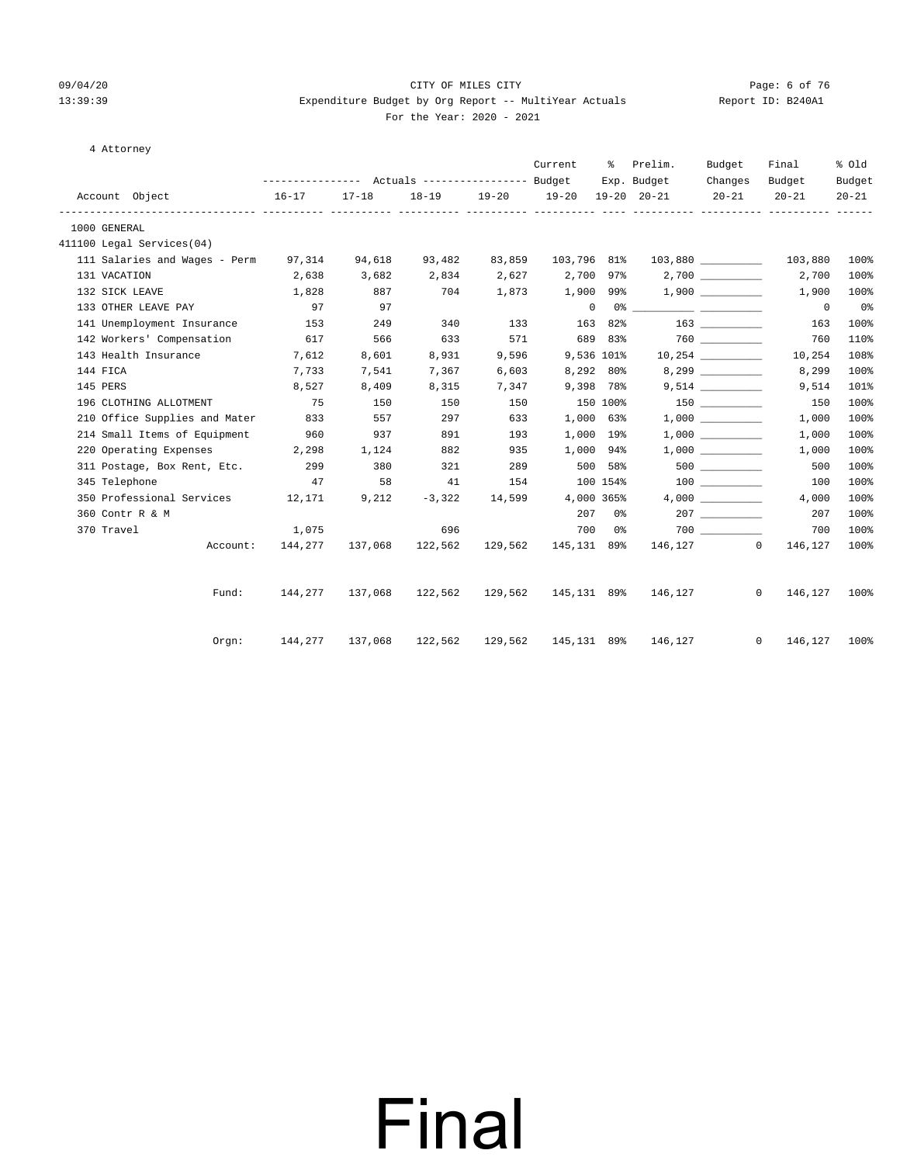#### 09/04/20 Page: 6 of 76 CITY OF MILES CITY CONTROL Page: 6 of 76 13:39:39 Expenditure Budget by Org Report -- MultiYear Actuals Report ID: B240A1 For the Year: 2020 - 2021

### 4 Attorney

|                                                          | --------------- Actuals ---------------- Budget Exp. Budget |           |                                 |       | Current                       | ႜႜၟ      | Prelim.                                                                                                                                                                                                                                                                                                                                                            | Budget<br>Changes | Final<br>Budget           | % old               |
|----------------------------------------------------------|-------------------------------------------------------------|-----------|---------------------------------|-------|-------------------------------|----------|--------------------------------------------------------------------------------------------------------------------------------------------------------------------------------------------------------------------------------------------------------------------------------------------------------------------------------------------------------------------|-------------------|---------------------------|---------------------|
| Account Object                                           | $16 - 17$                                                   | $17 - 18$ |                                 |       | 18-19 19-20 19-20 19-20 20-21 |          |                                                                                                                                                                                                                                                                                                                                                                    | $20 - 21$         | $20 - 21$                 | Budget<br>$20 - 21$ |
| 1000 GENERAL                                             |                                                             |           |                                 |       |                               |          |                                                                                                                                                                                                                                                                                                                                                                    |                   |                           |                     |
| 411100 Legal Services(04)                                |                                                             |           |                                 |       |                               |          |                                                                                                                                                                                                                                                                                                                                                                    |                   |                           |                     |
| 111 Salaries and Wages - Perm $97,314$ $94,618$ $93,482$ |                                                             |           |                                 |       | 83,859 103,796 81%            |          |                                                                                                                                                                                                                                                                                                                                                                    |                   | 103,880                   | 100%                |
| 131 VACATION                                             | 2,638                                                       | 3,682     | 2,834 2,627 2,700 97%           |       |                               |          |                                                                                                                                                                                                                                                                                                                                                                    |                   | 2,700                     | 100%                |
| 132 SICK LEAVE                                           | 1,828                                                       | 887       | 704                             | 1,873 | 1,900 99%                     |          |                                                                                                                                                                                                                                                                                                                                                                    | 1,900             | 1,900                     | 100%                |
| 133 OTHER LEAVE PAY                                      | 97                                                          | 97        |                                 |       |                               |          | $\begin{picture}(180,10) \put(0,0){\vector(1,0){100}} \put(10,0){\vector(1,0){100}} \put(10,0){\vector(1,0){100}} \put(10,0){\vector(1,0){100}} \put(10,0){\vector(1,0){100}} \put(10,0){\vector(1,0){100}} \put(10,0){\vector(1,0){100}} \put(10,0){\vector(1,0){100}} \put(10,0){\vector(1,0){100}} \put(10,0){\vector(1,0){100}} \put(10,0){\vector(1,0){100}}$ |                   | $\overline{0}$            | 0 <sup>°</sup>      |
| 141 Unemployment Insurance                               | 153                                                         | 249       | 340                             | 133   |                               | 163 82%  |                                                                                                                                                                                                                                                                                                                                                                    |                   | 163                       | 100%                |
| 142 Workers' Compensation 617                            |                                                             | 566       | 633                             |       |                               |          | 571 689 83% 760                                                                                                                                                                                                                                                                                                                                                    |                   | 760                       | 110%                |
| 143 Health Insurance                                     | 7,612                                                       | 8,601     | 8,931                           | 9,596 | 9,536 101%                    |          |                                                                                                                                                                                                                                                                                                                                                                    |                   | 10,254                    | 108%                |
| 144 FICA                                                 | 7,733                                                       | 7,541     | 7,367                           | 6,603 | 8,292 80%                     |          |                                                                                                                                                                                                                                                                                                                                                                    |                   | 8,299                     | 100%                |
| 145 PERS                                                 | 8,527                                                       | 8,409     | 8,315                           | 7,347 | 9,398 78%                     |          |                                                                                                                                                                                                                                                                                                                                                                    |                   | 9,514                     | 101%                |
| 196 CLOTHING ALLOTMENT                                   | 75                                                          | 150       | 150                             | 150   | 150 100%                      |          |                                                                                                                                                                                                                                                                                                                                                                    |                   | 150                       | 100%                |
| 210 Office Supplies and Mater 833                        |                                                             | 557       | 297                             | 633   | 1,000 63%                     |          |                                                                                                                                                                                                                                                                                                                                                                    | 1,000             | 1,000                     | 100%                |
| 214 Small Items of Equipment                             | 960                                                         | 937       | 891                             | 193   | 1,000 19%                     |          |                                                                                                                                                                                                                                                                                                                                                                    | 1,000             | 1,000                     | 100%                |
| 220 Operating Expenses 2,298                             |                                                             | 1,124     | 882                             | 935   | 1,000 94%                     |          |                                                                                                                                                                                                                                                                                                                                                                    |                   | 1,000                     | 100%                |
| 311 Postage, Box Rent, Etc. 299                          |                                                             | 380       | 321                             | 289   | 500 58%                       |          |                                                                                                                                                                                                                                                                                                                                                                    | 500 000           | 500                       | 100%                |
| 345 Telephone                                            | 47                                                          | 58        | 41                              |       | 154                           | 100 154% |                                                                                                                                                                                                                                                                                                                                                                    |                   | 100                       | 100%                |
| 350 Professional Services 12,171                         |                                                             | 9,212     |                                 |       | $-3,322$ 14,599 4,000 365%    |          |                                                                                                                                                                                                                                                                                                                                                                    | 4,000             | 4,000                     | 100%                |
| 360 Contr R & M                                          |                                                             |           |                                 |       |                               | 207 0%   |                                                                                                                                                                                                                                                                                                                                                                    |                   | 207                       | 100%                |
| 370 Travel                                               | 1,075                                                       |           | 696                             |       |                               | 700 0%   |                                                                                                                                                                                                                                                                                                                                                                    |                   | 700                       | 100%                |
|                                                          | Account: 144,277                                            | 137,068   | 122,562                         |       | 129,562 145,131 89%           |          |                                                                                                                                                                                                                                                                                                                                                                    | 146,127 0         | 146,127                   | 100%                |
|                                                          |                                                             |           | 137,068 122,562 129,562         |       |                               |          | 145,131 89% 146,127                                                                                                                                                                                                                                                                                                                                                |                   | $\circ$                   | 100%                |
| Fund:                                                    | 144,277                                                     |           |                                 |       |                               |          |                                                                                                                                                                                                                                                                                                                                                                    |                   | 146,127                   |                     |
| Orgn:                                                    |                                                             |           | 144,277 137,068 122,562 129,562 |       |                               |          | 145,131 89% 146,127                                                                                                                                                                                                                                                                                                                                                |                   | $\overline{0}$<br>146,127 | 100%                |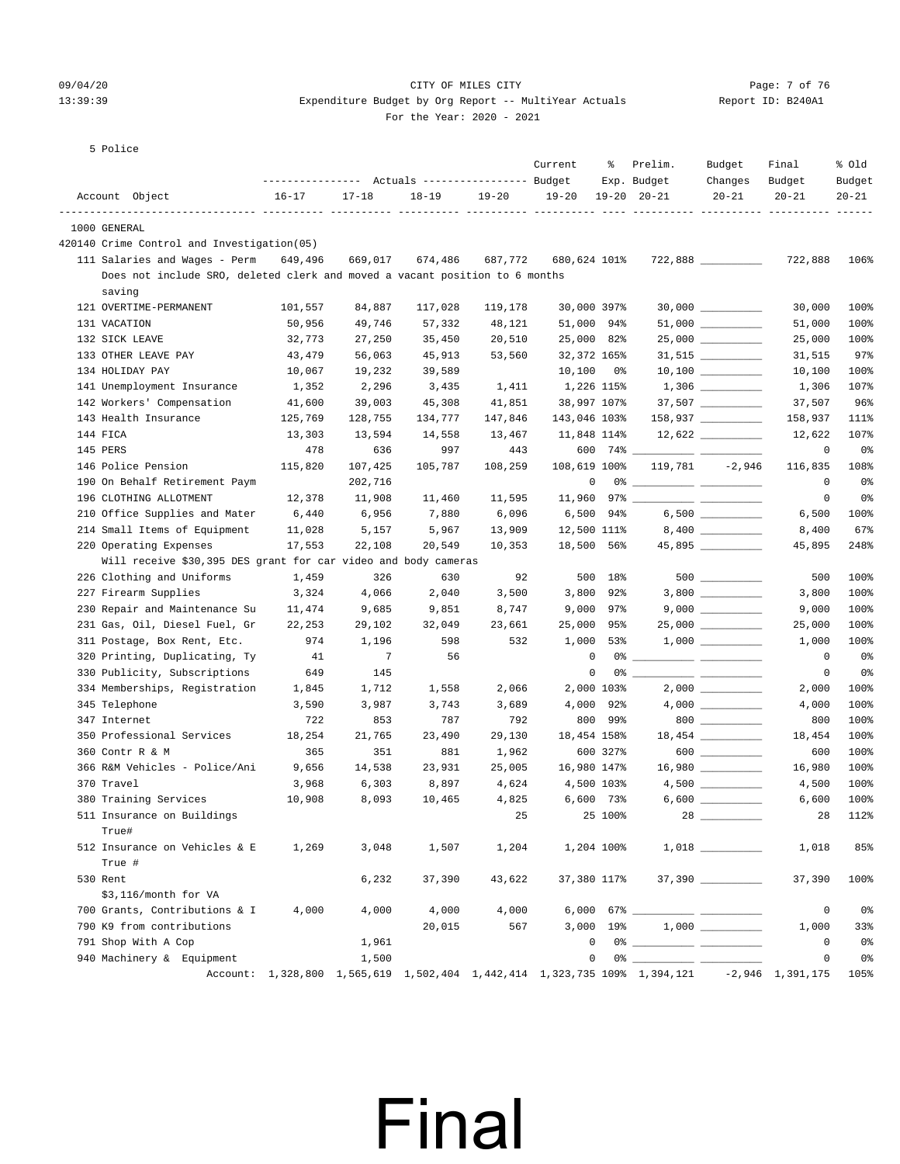### 09/04/20 Page: 7 of 76 CITY OF MILES CITY CONTROL PAGE: 7 of 76 13:39:39 Expenditure Budget by Org Report -- MultiYear Actuals Report ID: B240A1

For the Year: 2020 - 2021

5 Police

|          |                                                                             |           |                 | --------------- Actuals ---------------- Budget |         | Current      | ႜ           | Prelim.<br>Exp. Budget                                                                     | Budget<br>Changes    | Final<br>Budget | % Old<br>Budget |
|----------|-----------------------------------------------------------------------------|-----------|-----------------|-------------------------------------------------|---------|--------------|-------------|--------------------------------------------------------------------------------------------|----------------------|-----------------|-----------------|
|          | Account Object                                                              | $16 - 17$ | $17 - 18$       | $18 - 19$                                       | 19-20   | $19 - 20$    |             | $19 - 20$ $20 - 21$                                                                        | $20 - 21$            | $20 - 21$       | $20 - 21$       |
|          |                                                                             |           |                 |                                                 |         |              |             |                                                                                            |                      |                 |                 |
|          | 1000 GENERAL                                                                |           |                 |                                                 |         |              |             |                                                                                            |                      |                 |                 |
|          | 420140 Crime Control and Investigation(05)                                  |           |                 |                                                 |         |              |             |                                                                                            |                      |                 |                 |
|          | 111 Salaries and Wages - Perm                                               | 649,496   | 669,017         | 674,486                                         | 687,772 | 680,624 101% |             |                                                                                            | $722,888$ __________ | 722,888         | 106%            |
|          | Does not include SRO, deleted clerk and moved a vacant position to 6 months |           |                 |                                                 |         |              |             |                                                                                            |                      |                 |                 |
|          | saving                                                                      |           |                 |                                                 |         |              |             |                                                                                            |                      |                 |                 |
|          | 121 OVERTIME-PERMANENT                                                      | 101,557   | 84,887          | 117,028                                         | 119,178 | 30,000 397%  |             |                                                                                            | $30,000$ __________  | 30,000          | 100%            |
|          | 131 VACATION                                                                | 50,956    | 49,746          | 57,332                                          | 48,121  | 51,000 94%   |             |                                                                                            | $51,000$ __________  | 51,000          | 100%            |
|          | 132 SICK LEAVE                                                              | 32,773    | 27,250          | 35,450                                          | 20,510  | 25,000 82%   |             |                                                                                            | 25,000 _________     | 25,000          | 100%            |
|          | 133 OTHER LEAVE PAY                                                         | 43,479    | 56,063          | 45,913                                          | 53,560  | 32,372 165%  |             |                                                                                            | $31,515$ _________   | 31,515          | 97%             |
|          | 134 HOLIDAY PAY                                                             | 10,067    | 19,232          | 39,589                                          |         | 10,100 0%    |             |                                                                                            |                      | 10,100          | 100%            |
|          | 141 Unemployment Insurance                                                  | 1,352     | 2,296           | 3,435                                           | 1,411   | 1,226 115%   |             |                                                                                            |                      | 1,306           | 107%            |
|          | 142 Workers' Compensation                                                   | 41,600    | 39,003          | 45,308                                          | 41,851  | 38,997 107%  |             |                                                                                            |                      | 37,507          | 96%             |
|          | 143 Health Insurance                                                        | 125,769   | 128,755         | 134,777                                         | 147,846 | 143,046 103% |             |                                                                                            | 158,937 __________   | 158,937         | 111%            |
| 144 FICA |                                                                             | 13,303    | 13,594          | 14,558                                          | 13,467  | 11,848 114%  |             |                                                                                            |                      | 12,622          | 107%            |
| 145 PERS |                                                                             | 478       | 636             | 997                                             | 443     |              |             | 600 74% _____________ ____                                                                 |                      | $\mathbf 0$     | 0%              |
|          | 146 Police Pension                                                          | 115,820   | 107,425         | 105,787                                         | 108,259 | 108,619 100% |             |                                                                                            | $119,781 -2,946$     | 116,835         | 108%            |
|          | 190 On Behalf Retirement Paym                                               |           | 202,716         |                                                 |         | 0            |             |                                                                                            |                      | $\overline{0}$  | 0%              |
|          | 196 CLOTHING ALLOTMENT                                                      | 12,378    | 11,908          | 11,460                                          | 11,595  |              |             |                                                                                            |                      | $\mathbf 0$     | 0 <sub>8</sub>  |
|          | 210 Office Supplies and Mater                                               | 6,440     | 6,956           | 7,880                                           | 6,096   | 6,500 94%    |             |                                                                                            |                      | 6,500           | 100%            |
|          | 214 Small Items of Equipment                                                | 11,028    | 5,157           | 5,967                                           | 13,909  | 12,500 111%  |             |                                                                                            | $8,400$ __________   | 8,400           | 67%             |
|          | 220 Operating Expenses                                                      | 17,553    | 22,108          | 20,549                                          | 10,353  | 18,500 56%   |             |                                                                                            | 45,895               | 45,895          | 248%            |
|          | Will receive \$30,395 DES grant for car video and body cameras              |           |                 |                                                 |         |              |             |                                                                                            |                      |                 |                 |
|          | 226 Clothing and Uniforms                                                   | 1,459     | 326             | 630                                             | 92      |              | 500 18%     |                                                                                            |                      | 500             | 100%            |
|          | 227 Firearm Supplies                                                        | 3,324     | 4,066           | 2,040                                           | 3,500   | 3,800 92%    |             |                                                                                            | $3,800$ __________   | 3,800           | 100%            |
|          | 230 Repair and Maintenance Su                                               | 11,474    | 9,685           | 9,851                                           | 8,747   | 9,000 97%    |             |                                                                                            |                      | 9,000           | 100%            |
|          | 231 Gas, Oil, Diesel Fuel, Gr                                               | 22,253    | 29,102          | 32,049                                          | 23,661  | 25,000 95%   |             |                                                                                            | $25,000$ __________  | 25,000          | 100%            |
|          | 311 Postage, Box Rent, Etc.                                                 | 974       | 1,196           | 598                                             | 532     | 1,000 53%    |             |                                                                                            |                      | 1,000           | 100%            |
|          | 320 Printing, Duplicating, Ty                                               | 41        | $7\phantom{.0}$ | 56                                              |         | $\mathbf 0$  |             |                                                                                            |                      | $\overline{0}$  | 0 <sub>8</sub>  |
|          | 330 Publicity, Subscriptions                                                | 649       | 145             |                                                 |         | 0            |             |                                                                                            |                      | 0               | 0%              |
|          | 334 Memberships, Registration                                               | 1,845     | 1,712           | 1,558                                           | 2,066   | 2,000 103%   |             |                                                                                            | $2,000$ __________   | 2,000           | 100%            |
|          | 345 Telephone                                                               | 3,590     | 3,987           | 3,743                                           | 3,689   | 4,000 92%    |             |                                                                                            |                      | 4,000           | 100%            |
|          | 347 Internet                                                                | 722       | 853             | 787                                             | 792     |              | 800 99%     |                                                                                            | 800                  | 800             | 100%            |
|          | 350 Professional Services                                                   | 18,254    | 21,765          | 23,490                                          | 29,130  | 18,454 158%  |             |                                                                                            | 18,454 _________     | 18,454          | 100%            |
|          | 360 Contr R & M                                                             | 365       | 351             | 881                                             | 1,962   |              | 600 327%    |                                                                                            | $600$                | 600             | 100%            |
|          | 366 R&M Vehicles - Police/Ani                                               | 9,656     | 14,538          | 23,931                                          | 25,005  | 16,980 147%  |             |                                                                                            |                      | 16,980          | 100%            |
|          | 370 Travel                                                                  | 3,968     | 6,303           | 8,897                                           | 4,624   | 4,500 103%   |             |                                                                                            | $4,500$ __________   | 4,500           | 100%            |
|          | 380 Training Services                                                       | 10,908    | 8,093           | 10,465                                          | 4,825   | 6,600 73%    |             |                                                                                            | $6,600$ __________   | 6,600           | 100%            |
|          | 511 Insurance on Buildings                                                  |           |                 |                                                 | 25      |              | 25 100%     |                                                                                            |                      | 28              | 112%            |
|          | True#                                                                       |           |                 |                                                 |         |              |             |                                                                                            |                      |                 |                 |
|          | 512 Insurance on Vehicles & E                                               | 1,269     | 3,048           | 1,507                                           | 1,204   | 1,204 100%   |             |                                                                                            |                      | 1,018           | 85%             |
|          | True #                                                                      |           |                 |                                                 |         |              |             |                                                                                            |                      |                 |                 |
| 530 Rent |                                                                             |           | 6,232           | 37,390                                          | 43,622  | 37,380 117%  |             |                                                                                            | 37,390               | 37,390          | 100%            |
|          | \$3,116/month for VA                                                        |           |                 |                                                 |         |              |             |                                                                                            |                      |                 |                 |
|          | 700 Grants, Contributions & I                                               | 4,000     | 4,000           | 4,000                                           | 4,000   |              |             |                                                                                            |                      | 0               | 0 <sub>8</sub>  |
|          | 790 K9 from contributions                                                   |           |                 | 20,015                                          | 567     |              | $3,000$ 19% |                                                                                            |                      | 1,000           | 33%             |
|          | 791 Shop With A Cop                                                         |           | 1,961           |                                                 |         | 0            |             |                                                                                            |                      | 0               | 0%              |
|          | 940 Machinery & Equipment                                                   |           | 1,500           |                                                 |         | 0            |             |                                                                                            |                      | 0               | 0%              |
|          |                                                                             |           |                 |                                                 |         |              |             | Account: 1,328,800 1,565,619 1,502,404 1,442,414 1,323,735 109% 1,394,121 -2,946 1,391,175 |                      |                 | 105%            |
|          |                                                                             |           |                 |                                                 |         |              |             |                                                                                            |                      |                 |                 |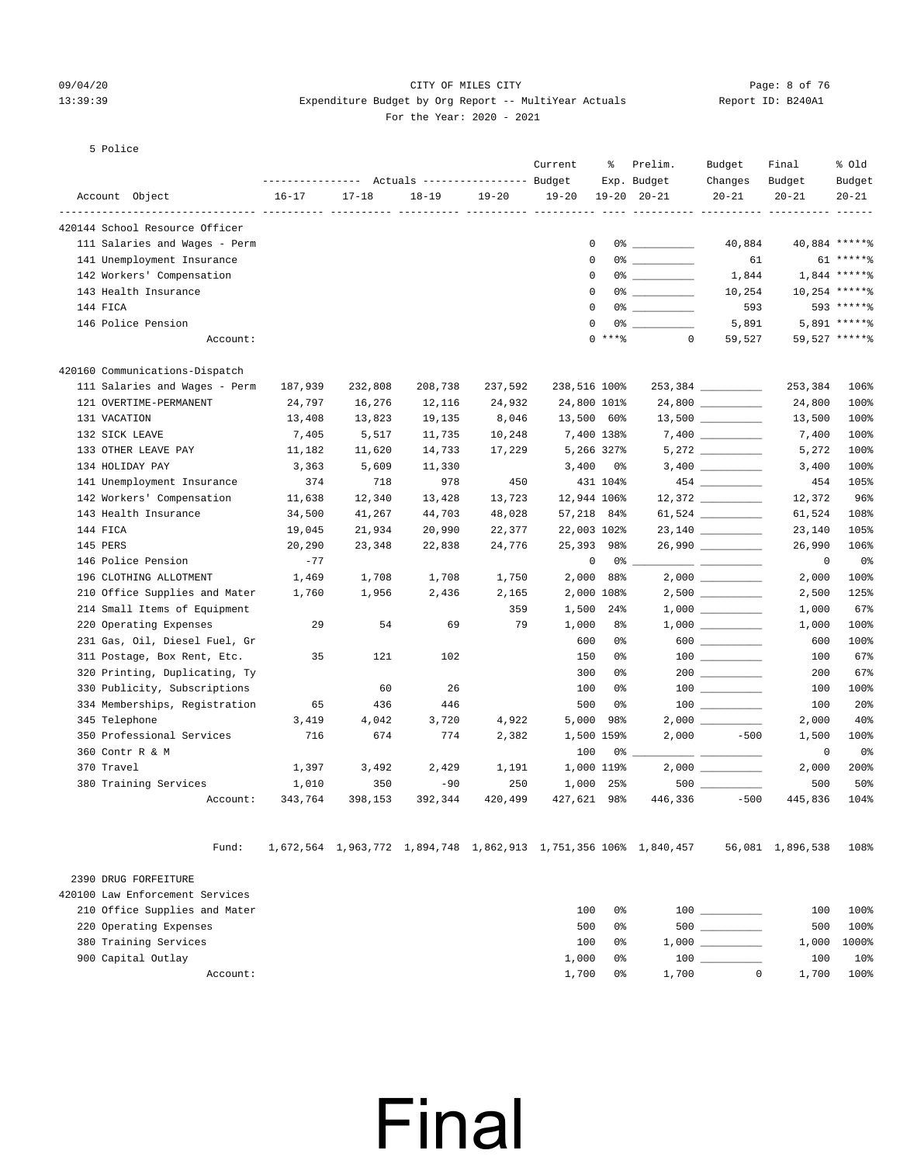#### 09/04/20 Page: 8 of 76 CITY OF MILES CITY CONTROL Page: 8 of 76 13:39:39 Expenditure Budget by Org Report -- MultiYear Actuals Report ID: B240A1 For the Year: 2020 - 2021

#### 5 Police

|                                                                    | ------------- |           | Actuals ----------------- Budget |           | Current      | နွ         | Prelim.                            | Budget                                 | Final               | % old               |
|--------------------------------------------------------------------|---------------|-----------|----------------------------------|-----------|--------------|------------|------------------------------------|----------------------------------------|---------------------|---------------------|
| Account Object                                                     | $16 - 17$     | $17 - 18$ | $18 - 19$                        | $19 - 20$ | $19 - 20$    |            | Exp. Budget<br>$19 - 20$ $20 - 21$ | Changes<br>$20 - 21$                   | Budget<br>$20 - 21$ | Budget<br>$20 - 21$ |
| --------------------- ----------<br>420144 School Resource Officer |               |           |                                  |           |              |            |                                    |                                        |                     |                     |
| 111 Salaries and Wages - Perm                                      |               |           |                                  |           |              | 0          | $0$ % 이 아이에 이 어디에 있어요.             | 40,884                                 |                     | 40,884 ******       |
| 141 Unemployment Insurance                                         |               |           |                                  |           |              | 0          | $0$ % and an analysis of $\sim$    | 61                                     |                     | $61*****$           |
| 142 Workers' Compensation                                          |               |           |                                  |           |              | 0          |                                    | 1,844                                  |                     | $1,844$ ******      |
| 143 Health Insurance                                               |               |           |                                  |           |              | $\Omega$   |                                    | 10,254                                 |                     | $10,254$ *****%     |
| 144 FICA                                                           |               |           |                                  |           |              | $\Omega$   |                                    | 593                                    |                     | 593 ******          |
| 146 Police Pension                                                 |               |           |                                  |           |              | $\Omega$   | $0$ % and an analysis of $\sim$    | 5,891                                  |                     | $5.891$ ***** %     |
| Account:                                                           |               |           |                                  |           |              | $0$ ****   | $\Omega$                           | 59,527                                 |                     | 59,527 ******       |
| 420160 Communications-Dispatch                                     |               |           |                                  |           |              |            |                                    |                                        |                     |                     |
| 111 Salaries and Wages - Perm                                      | 187,939       | 232,808   | 208,738                          | 237,592   | 238,516 100% |            |                                    | 253,384                                | 253,384             | 106%                |
| 121 OVERTIME-PERMANENT                                             | 24,797        | 16,276    | 12,116                           | 24,932    | 24,800 101%  |            |                                    |                                        | 24,800              | 100%                |
| 131 VACATION                                                       | 13,408        | 13,823    | 19,135                           | 8,046     | 13,500 60%   |            |                                    |                                        | 13,500              | 100%                |
| 132 SICK LEAVE                                                     | 7,405         | 5,517     | 11,735                           | 10,248    |              | 7,400 138% |                                    |                                        | 7,400               | 100%                |
| 133 OTHER LEAVE PAY                                                | 11,182        | 11,620    | 14,733                           | 17,229    |              | 5,266 327% |                                    |                                        | 5,272               | 100%                |
| 134 HOLIDAY PAY                                                    | 3,363         | 5,609     | 11,330                           |           | 3,400        | 0 %        |                                    | $3,400$ __________                     | 3,400               | 100%                |
| 141 Unemployment Insurance                                         | 374           | 718       | 978                              | 450       |              | 431 104%   |                                    |                                        | 454                 | 105%                |
| 142 Workers' Compensation                                          | 11,638        | 12,340    | 13,428                           | 13,723    | 12,944 106%  |            |                                    |                                        | 12,372              | 96%                 |
| 143 Health Insurance                                               | 34,500        | 41,267    | 44,703                           | 48,028    | 57,218 84%   |            |                                    | 61,524 __________                      | 61,524              | 108%                |
| 144 FICA                                                           | 19,045        | 21,934    | 20,990                           | 22,377    | 22,003 102%  |            |                                    | 23,140                                 | 23,140              | 105%                |
| 145 PERS                                                           | 20,290        | 23,348    | 22,838                           | 24,776    | 25,393 98%   |            |                                    | 26,990 ________                        | 26,990              | 106%                |
| 146 Police Pension                                                 | $-77$         |           |                                  |           |              | 0          | 0 %                                |                                        | 0                   | 0%                  |
| 196 CLOTHING ALLOTMENT                                             | 1,469         | 1,708     | 1,708                            | 1,750     |              | 2,000 88%  |                                    |                                        | 2,000               | 100%                |
| 210 Office Supplies and Mater                                      | 1,760         | 1,956     | 2,436                            | 2,165     |              | 2,000 108% |                                    |                                        | 2,500               | 125%                |
| 214 Small Items of Equipment                                       |               |           |                                  | 359       | 1,500        | $24\%$     |                                    |                                        | 1,000               | 67%                 |
| 220 Operating Expenses                                             | 29            | 54        | 69                               | 79        | 1,000        | 8%         |                                    | $1,000$ _________                      | 1,000               | 100%                |
| 231 Gas, Oil, Diesel Fuel, Gr                                      |               |           |                                  |           | 600          | 0%         |                                    |                                        | 600                 | 100%                |
| 311 Postage, Box Rent, Etc.                                        | 35            | 121       | 102                              |           | 150          | 0%         |                                    |                                        | 100                 | 67%                 |
| 320 Printing, Duplicating, Ty                                      |               |           |                                  |           | 300          | 0%         |                                    |                                        | 200                 | 67%                 |
| 330 Publicity, Subscriptions                                       |               | 60        | 26                               |           | 100          | 0%         |                                    |                                        | 100                 | 100%                |
| 334 Memberships, Registration                                      | 65            | 436       | 446                              |           | 500          | 0%         |                                    | $\begin{tabular}{c} 100 \end{tabular}$ | 100                 | 20%                 |
| 345 Telephone                                                      | 3,419         | 4,042     | 3,720                            | 4,922     | 5,000        | 98%        |                                    |                                        | 2,000               | 40%                 |
| 350 Professional Services                                          | 716           | 674       | 774                              | 2,382     |              | 1,500 159% | 2,000                              | $-500$                                 | 1,500               | 100%                |
| 360 Contr R & M                                                    |               |           |                                  |           | 100          | 0%         |                                    |                                        | 0                   | 0%                  |
| 370 Travel                                                         | 1,397         | 3,492     | 2,429                            | 1,191     |              | 1,000 119% |                                    |                                        | 2,000               | 200%                |
| 380 Training Services                                              | 1,010         | 350       | $-90$                            | 250       | 1,000        | 25%        |                                    |                                        | 500                 | 50%                 |
| Account:                                                           | 343,764       | 398,153   | 392,344                          | 420,499   | 427,621 98%  |            | 446,336                            | $-500$                                 | 445,836             | 104%                |

Fund: 1,672,564 1,963,772 1,894,748 1,862,913 1,751,356 106% 1,840,457 56,081 1,896,538 108%

 2390 DRUG FORFEITURE 420100 Law Enforcement Services 210 Office Supplies and Mater 100 0% 100 \_\_\_\_\_\_\_\_\_\_ 100 100% 220 Operating Expenses 500 0% 500 \_\_\_\_\_\_\_\_\_\_ 500 100% 380 Training Services 100 0% 1,000 \_\_\_\_\_\_\_\_\_\_ 1,000 1000% 900 Capital Outlay 1,000 0% 100 \_\_\_\_\_\_\_\_\_\_ 100 10% Account: 1,700 0% 1,700 0 1,700 0 1,700 100%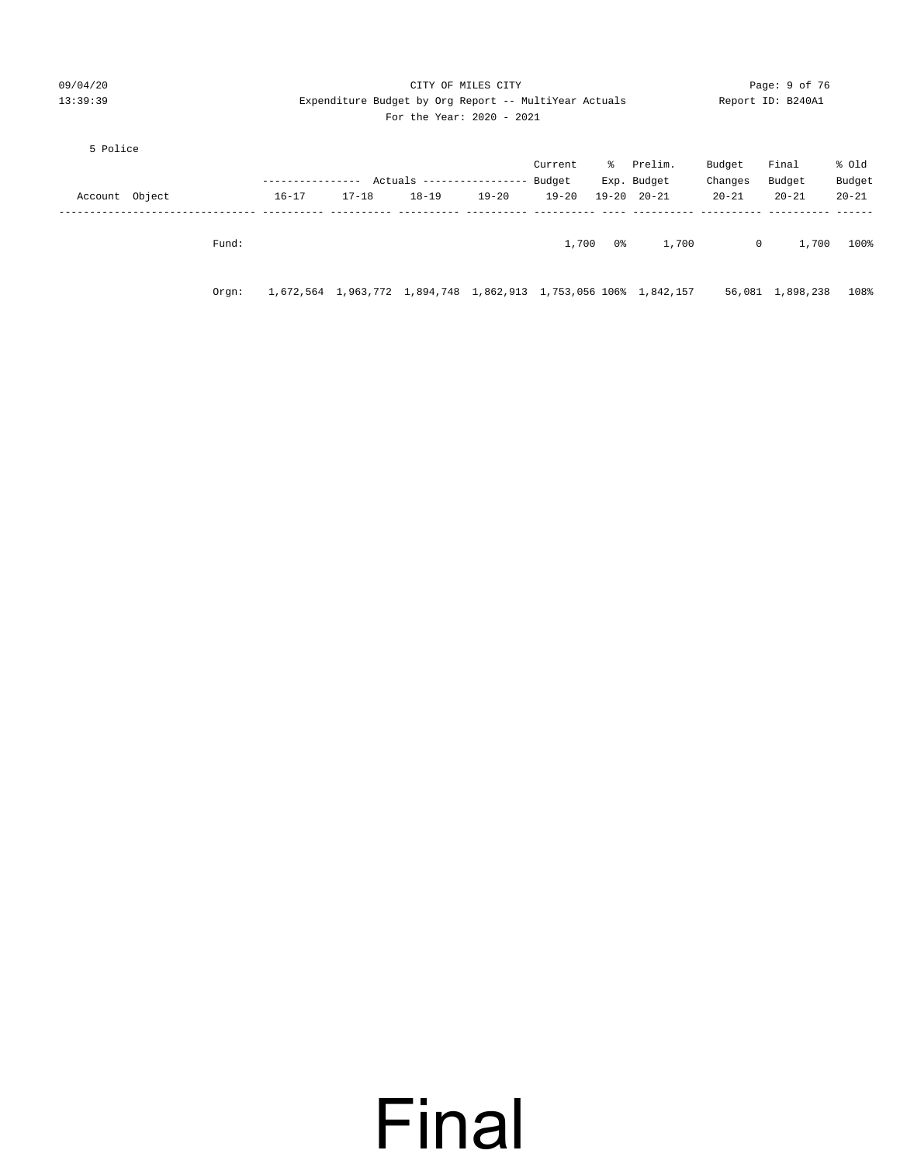| 09/04/20          | CITY OF MILES CITY |               |                                                       |                                  |           |           |     |                                                                  | Page: 9 of 76 |                   |           |  |
|-------------------|--------------------|---------------|-------------------------------------------------------|----------------------------------|-----------|-----------|-----|------------------------------------------------------------------|---------------|-------------------|-----------|--|
| 13:39:39          |                    |               | Expenditure Budget by Org Report -- MultiYear Actuals |                                  |           |           |     |                                                                  |               | Report ID: B240A1 |           |  |
|                   |                    |               |                                                       | For the Year: 2020 - 2021        |           |           |     |                                                                  |               |                   |           |  |
| 5 Police          |                    |               |                                                       |                                  |           |           |     |                                                                  |               |                   |           |  |
|                   |                    |               |                                                       |                                  |           | Current   |     | % Prelim.                                                        | Budget        | Final             | % old     |  |
|                   |                    | ------------- |                                                       | Actuals ----------------- Budget |           |           |     | Exp. Budget                                                      | Changes       | Budget            | Budget    |  |
| Object<br>Account |                    | $16 - 17$     | $17 - 18$                                             | $18 - 19$                        | $19 - 20$ | $19 - 20$ |     | $19 - 20$ $20 - 21$                                              | $20 - 21$     | $20 - 21$         | $20 - 21$ |  |
|                   |                    |               |                                                       |                                  |           |           |     |                                                                  |               |                   |           |  |
|                   | Fund:              |               |                                                       |                                  |           | 1,700     | 0 % | 1,700                                                            | $\mathbf{0}$  | 1,700             | 100%      |  |
|                   |                    |               |                                                       |                                  |           |           |     |                                                                  |               |                   |           |  |
|                   | Orqn:              |               |                                                       |                                  |           |           |     | 1,672,564 1,963,772 1,894,748 1,862,913 1,753,056 106% 1,842,157 |               | 56,081 1,898,238  | 108%      |  |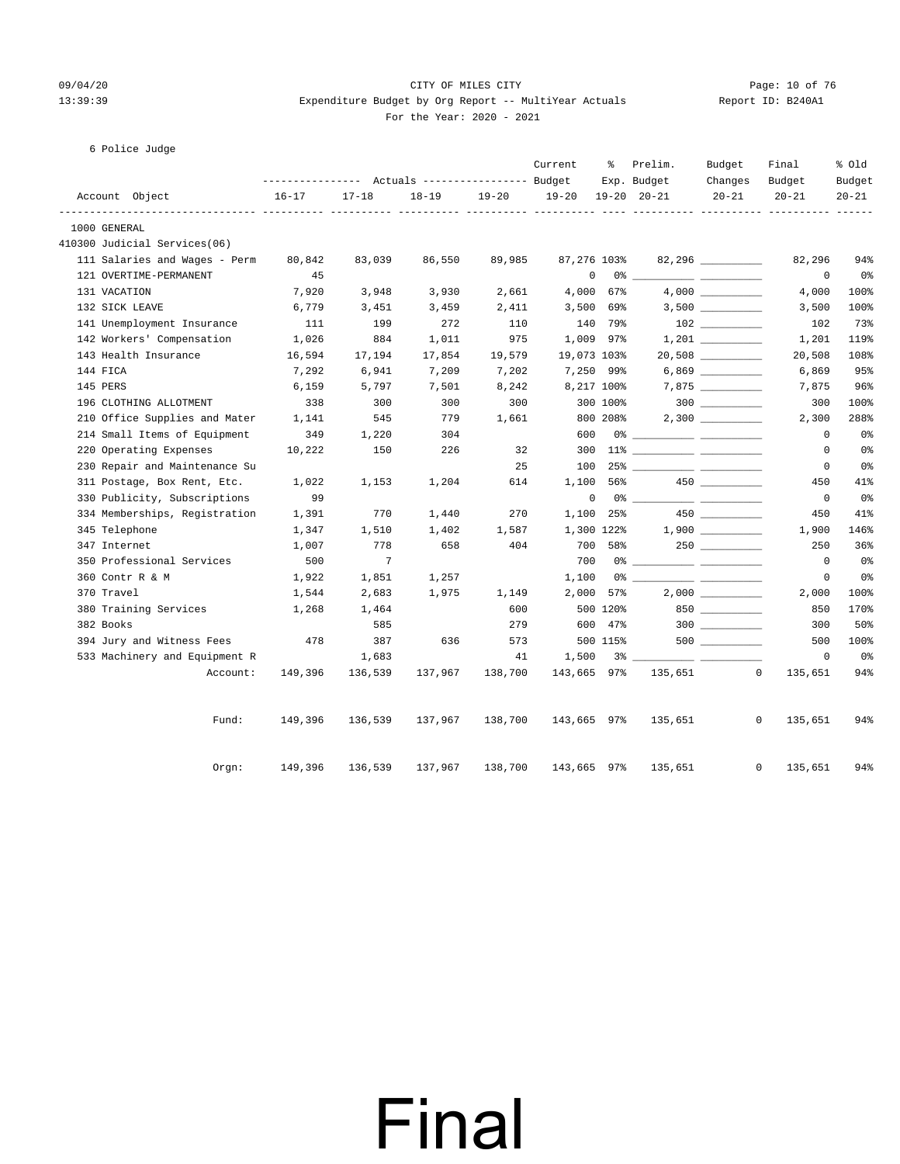#### 09/04/20 Page: 10 of 76 CITY OF MILES CITY CONTROL PAGE: 10 of 76 13:39:39 Expenditure Budget by Org Report -- MultiYear Actuals Report ID: B240A1 For the Year: 2020 - 2021

#### 6 Police Judge

|              |                               |                   |                 |                                  |           | Current     | ៖        | Prelim.             | Budget                 | Final        | % old          |
|--------------|-------------------------------|-------------------|-----------------|----------------------------------|-----------|-------------|----------|---------------------|------------------------|--------------|----------------|
|              |                               | ----------------- |                 | Actuals ----------------- Budget |           |             |          | Exp. Budget         | Changes                | Budget       | Budget         |
| ----------   | Account Object                | $16 - 17$         | $17 - 18$       | $18 - 19$                        | $19 - 20$ | $19 - 20$   |          | $19 - 20$ $20 - 21$ | $20 - 21$              | $20 - 21$    | $20 - 21$      |
| 1000 GENERAL |                               |                   |                 |                                  |           |             |          |                     |                        |              |                |
|              | 410300 Judicial Services(06)  |                   |                 |                                  |           |             |          |                     |                        |              |                |
|              | 111 Salaries and Wages - Perm | 80,842            | 83,039          | 86,550                           | 89,985    | 87,276 103% |          |                     | $82,296$ _____________ | 82,296       | 94%            |
|              | 121 OVERTIME-PERMANENT        | 45                |                 |                                  |           | 0           |          | 0 %                 |                        | 0            | 0%             |
| 131 VACATION |                               | 7,920             | 3,948           | 3,930                            | 2,661     | 4,000       | 67%      |                     |                        | 4,000        | 100%           |
|              | 132 SICK LEAVE                | 6,779             | 3,451           | 3,459                            | 2,411     | 3,500       | 69%      |                     |                        | 3,500        | 100%           |
|              | 141 Unemployment Insurance    | 111               | 199             | 272                              | 110       |             | 140 79%  |                     |                        | 102          | 73%            |
|              | 142 Workers' Compensation     | 1,026             | 884             | 1,011                            | 975       | 1,009 97%   |          |                     |                        | 1,201        | 119%           |
|              | 143 Health Insurance          | 16,594            | 17,194          | 17,854                           | 19,579    | 19,073 103% |          |                     |                        | 20,508       | 108%           |
| 144 FICA     |                               | 7,292             | 6,941           | 7,209                            | 7,202     | 7,250 99%   |          |                     |                        | 6,869        | 95%            |
| 145 PERS     |                               | 6,159             | 5,797           | 7,501                            | 8,242     | 8,217 100%  |          |                     |                        | 7,875        | 96%            |
|              | 196 CLOTHING ALLOTMENT        | 338               | 300             | 300                              | 300       |             | 300 100% |                     |                        | 300          | 100%           |
|              | 210 Office Supplies and Mater | 1,141             | 545             | 779                              | 1,661     |             | 800 208% |                     |                        | 2,300        | 288%           |
|              | 214 Small Items of Equipment  | 349               | 1,220           | 304                              |           | 600         |          |                     |                        | $\mathbf 0$  | 0 <sub>8</sub> |
|              | 220 Operating Expenses        | 10,222            | 150             | 226                              | 32        | 300         |          |                     |                        | $\mathbf 0$  | 0%             |
|              | 230 Repair and Maintenance Su |                   |                 |                                  | 25        | 100         |          |                     |                        | $\mathbf 0$  | 0%             |
|              | 311 Postage, Box Rent, Etc.   | 1,022             | 1,153           | 1,204                            | 614       | 1,100       | 56%      |                     | $450$ ________         | 450          | 41%            |
|              | 330 Publicity, Subscriptions  | 99                |                 |                                  |           | 0           |          |                     |                        | $\mathbf{0}$ | 0 <sup>°</sup> |
|              | 334 Memberships, Registration | 1,391             | 770             | 1,440                            | 270       | 1,100       | 25%      |                     |                        | 450          | 41%            |
|              | 345 Telephone                 | 1,347             | 1,510           | 1,402                            | 1,587     | 1,300 122%  |          |                     |                        | 1,900        | 146%           |
| 347 Internet |                               | 1,007             | 778             | 658                              | 404       | 700         | 58%      |                     |                        | 250          | 36%            |
|              | 350 Professional Services     | 500               | $7\phantom{.0}$ |                                  |           | 700         |          |                     |                        | $\mathbf 0$  | 0 <sup>°</sup> |
|              | 360 Contr R & M               | 1,922             | 1,851           | 1,257                            |           | 1,100       |          |                     |                        | $\mathbf 0$  | 0 <sup>°</sup> |
| 370 Travel   |                               | 1,544             | 2,683           | 1,975                            | 1,149     | 2,000       | 57%      |                     |                        | 2,000        | 100%           |
|              | 380 Training Services         | 1,268             | 1,464           |                                  | 600       |             | 500 120% |                     | 850                    | 850          | 170%           |
| 382 Books    |                               |                   | 585             |                                  | 279       |             | 600 47%  |                     | 300                    | 300          | 50%            |
|              | 394 Jury and Witness Fees     | 478               | 387             | 636                              | 573       |             | 500 115% |                     | 500 000                | 500          | 100%           |
|              | 533 Machinery and Equipment R |                   | 1,683           |                                  | 41        | 1,500       |          |                     |                        | $\mathbf 0$  | 0%             |
|              | Account:                      | 149,396           | 136,539         | 137,967                          | 138,700   | 143,665 97% |          | 135,651             | $\mathbf{0}$           | 135,651      | 94%            |
|              | Fund:                         | 149,396           | 136,539         | 137,967                          | 138,700   | 143,665 97% |          | 135,651             | 0                      | 135,651      | 94%            |
|              | Orgn:                         | 149,396           | 136,539         | 137,967                          | 138,700   | 143,665 97% |          | 135,651             | $\mathbf{0}$           | 135,651      | 94%            |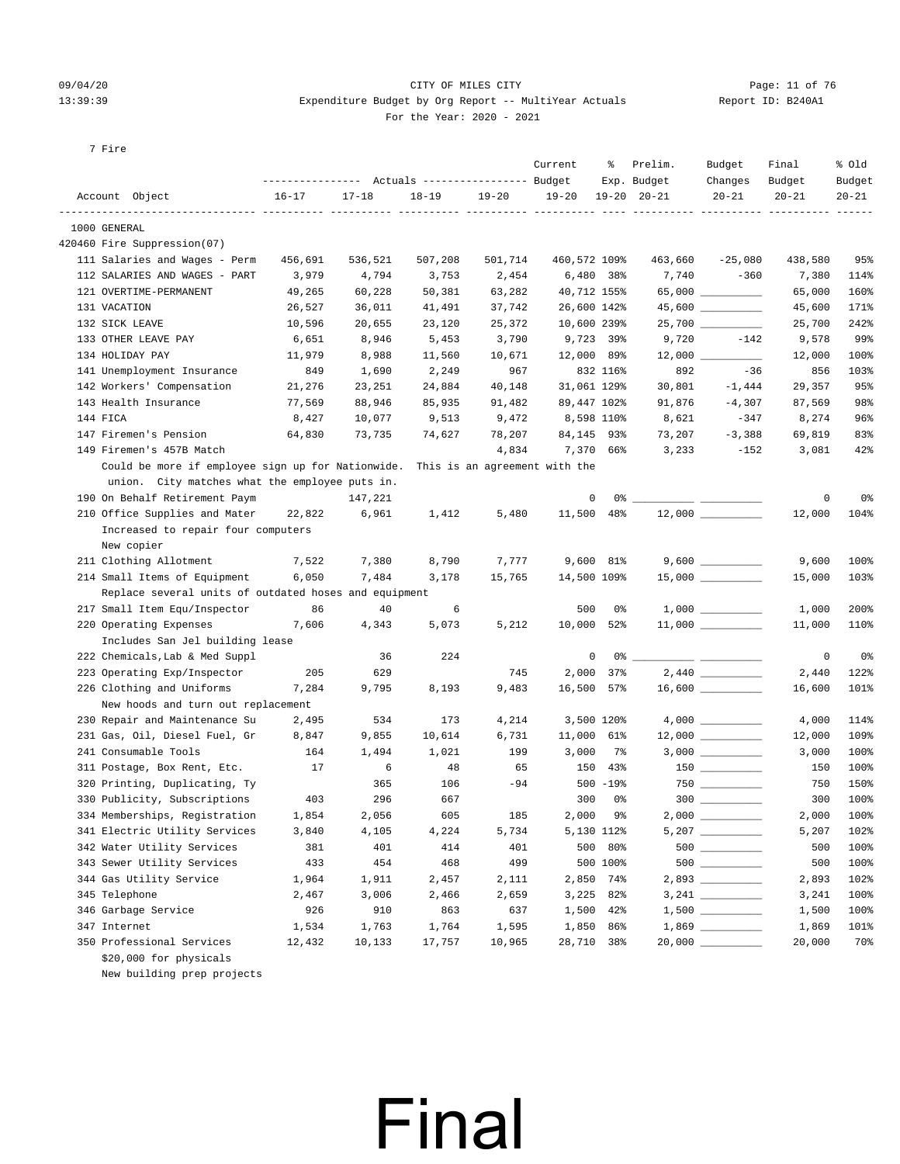#### 09/04/20 Page: 11 of 76 CITY OF MILES CITY CONTROL PAGE: 11 of 76 13:39:39 Expenditure Budget by Org Report -- MultiYear Actuals Report ID: B240A1 For the Year: 2020 - 2021

7 Fire

|          |                                                       |           | ---------------    Actuals ----------------    Budget |           |                               | Current      | ႜ            | Prelim.<br>Exp. Budget | Budget<br>Changes   | Final<br>Budget | % old<br>Budget |
|----------|-------------------------------------------------------|-----------|-------------------------------------------------------|-----------|-------------------------------|--------------|--------------|------------------------|---------------------|-----------------|-----------------|
|          | Account Object                                        | $16 - 17$ | $17 - 18$                                             | $18 - 19$ | $19 - 20$                     | $19 - 20$    |              | $19 - 20$ $20 - 21$    | $20 - 21$           | $20 - 21$       | $20 - 21$       |
|          | 1000 GENERAL                                          |           | --- --                                                |           |                               |              |              |                        |                     |                 |                 |
|          | 420460 Fire Suppression(07)                           |           |                                                       |           |                               |              |              |                        |                     |                 |                 |
|          | 111 Salaries and Wages - Perm                         | 456,691   | 536,521                                               | 507,208   | 501,714                       | 460,572 109% |              | 463,660                | $-25,080$           | 438,580         | 95%             |
|          | 112 SALARIES AND WAGES - PART                         | 3,979     | 4,794                                                 | 3,753     | 2,454                         |              | $6,480$ 38%  | 7,740                  | $-360$              | 7,380           | 114%            |
|          | 121 OVERTIME-PERMANENT                                | 49,265    | 60,228                                                | 50,381    | 63,282                        | 40,712 155%  |              |                        |                     | 65,000          | 160%            |
|          | 131 VACATION                                          | 26,527    | 36,011                                                | 41,491    | 37,742                        | 26,600 142%  |              |                        |                     | 45,600          | 171%            |
|          | 132 SICK LEAVE                                        | 10,596    | 20,655                                                | 23,120    | 25,372                        | 10,600 239%  |              |                        | 25,700 _________    | 25,700          | 242%            |
|          | 133 OTHER LEAVE PAY                                   | 6,651     | 8,946                                                 | 5,453     | 3,790                         |              | 9,723 39%    | 9,720                  | $-142$              | 9,578           | 99%             |
|          | 134 HOLIDAY PAY                                       | 11,979    | 8,988                                                 | 11,560    | 10,671                        | 12,000 89%   |              | 12,000                 |                     | 12,000          | 100%            |
|          | 141 Unemployment Insurance                            | 849       | 1,690                                                 | 2,249     | 967                           |              | 832 116%     | 892                    | $-36$               | 856             | 103%            |
|          | 142 Workers' Compensation                             | 21,276    | 23,251                                                | 24,884    | 40,148                        | 31,061 129%  |              | 30,801                 | $-1,444$            | 29,357          | 95%             |
|          | 143 Health Insurance                                  | 77,569    | 88,946                                                | 85,935    | 91,482                        | 89,447 102%  |              | 91,876                 | $-4,307$            | 87,569          | 98%             |
| 144 FICA |                                                       | 8,427     | 10,077                                                | 9,513     | 9,472                         |              | 8,598 110%   | 8,621                  | $-347$              | 8,274           | 96%             |
|          | 147 Firemen's Pension                                 | 64,830    | 73,735                                                | 74,627    | 78,207                        | 84,145 93%   |              | 73,207                 | $-3,388$            | 69,819          | 83%             |
|          | 149 Firemen's 457B Match                              |           |                                                       |           | 4,834                         |              | 7,370 66%    | 3,233                  | $-152$              | 3,081           | 42%             |
|          | Could be more if employee sign up for Nationwide.     |           |                                                       |           | This is an agreement with the |              |              |                        |                     |                 |                 |
|          | union. City matches what the employee puts in.        |           |                                                       |           |                               |              |              |                        |                     |                 |                 |
|          | 190 On Behalf Retirement Paym                         |           | 147,221                                               |           |                               | 0            |              | 0 왕                    |                     | 0               | 0%              |
|          | 210 Office Supplies and Mater                         | 22,822    | 6,961                                                 | 1,412     | 5,480                         | 11,500 48%   |              |                        |                     | 12,000          | 104%            |
|          | Increased to repair four computers                    |           |                                                       |           |                               |              |              |                        |                     |                 |                 |
|          | New copier                                            |           |                                                       |           |                               |              |              |                        |                     |                 |                 |
|          | 211 Clothing Allotment                                | 7,522     | 7,380                                                 | 8,790     | 7,777                         |              | 9,600 81%    |                        |                     | 9,600           | 100%            |
|          | 214 Small Items of Equipment                          | 6,050     | 7,484                                                 | 3,178     | 15,765                        | 14,500 109%  |              |                        |                     | 15,000          | 103%            |
|          | Replace several units of outdated hoses and equipment |           |                                                       |           |                               |              |              |                        |                     |                 |                 |
|          | 217 Small Item Equ/Inspector                          | 86        | 40                                                    | 6         |                               | 500          | 0%           |                        |                     | 1,000           | 200%            |
|          | 220 Operating Expenses                                | 7,606     | 4,343                                                 | 5,073     | 5,212                         | 10,000 52%   |              |                        |                     | 11,000          | 110%            |
|          | Includes San Jel building lease                       |           |                                                       |           |                               |              |              |                        |                     |                 |                 |
|          | 222 Chemicals, Lab & Med Suppl                        |           | 36                                                    | 224       |                               | 0            |              |                        |                     | 0               | 0%              |
|          | 223 Operating Exp/Inspector                           | 205       | 629                                                   |           | 745                           | 2,000        | $37\%$       |                        | 2,440               | 2,440           | 122%            |
|          | 226 Clothing and Uniforms                             | 7,284     | 9,795                                                 | 8,193     | 9,483                         | 16,500       | 57%          |                        | $16,600$ _________  | 16,600          | 101%            |
|          | New hoods and turn out replacement                    |           |                                                       |           |                               |              |              |                        |                     |                 |                 |
|          | 230 Repair and Maintenance Su                         | 2,495     | 534                                                   | 173       | 4,214                         |              | 3,500 120%   |                        |                     | 4,000           | 114%            |
|          | 231 Gas, Oil, Diesel Fuel, Gr                         | 8,847     | 9,855                                                 | 10,614    | 6,731                         | 11,000 61%   |              |                        | $12,000$ __________ | 12,000          | 109%            |
|          | 241 Consumable Tools                                  | 164       | 1,494                                                 | 1,021     | 199                           | 3,000        | 7%           |                        |                     | 3,000           | 100%            |
|          | 311 Postage, Box Rent, Etc.                           | 17        | 6                                                     | 48        | 65                            | 150          | 43%          |                        |                     | 150             | 100%            |
|          | 320 Printing, Duplicating, Ty                         |           | 365                                                   | 106       | $-94$                         |              | $500 - 19$ % |                        |                     | 750             | 150%            |
|          | 330 Publicity, Subscriptions                          | 403       | 296                                                   | 667       |                               | 300          | 0%           |                        | $300$               | 300             | 100%            |
|          | 334 Memberships, Registration                         | 1,854     | 2,056                                                 | 605       | 185                           | 2,000        | 9%           |                        |                     | 2,000           | 100%            |
|          | 341 Electric Utility Services                         | 3,840     | 4,105                                                 | 4,224     | 5,734                         |              | 5,130 112%   |                        | $5,207$ __________  | 5,207           | 102%            |
|          | 342 Water Utility Services                            | 381       | 401                                                   | 414       | 401                           | 500          | 80%          |                        |                     | 500             | 100%            |
|          | 343 Sewer Utility Services                            | 433       | 454                                                   | 468       | 499                           |              | 500 100%     |                        |                     | 500             | 100%            |
|          | 344 Gas Utility Service                               | 1,964     | 1,911                                                 | 2,457     | 2,111                         |              | 2,850 74%    |                        |                     | 2,893           | 102%            |
|          | 345 Telephone                                         | 2,467     | 3,006                                                 | 2,466     | 2,659                         |              | 3,225 82%    |                        |                     | 3,241           | 100%            |
|          | 346 Garbage Service                                   | 926       | 910                                                   | 863       | 637                           |              | 1,500 42%    |                        |                     | 1,500           | 100%            |
|          | 347 Internet                                          | 1,534     | 1,763                                                 | 1,764     | 1,595                         | 1,850        | 86%          |                        |                     | 1,869           | 101%            |
|          | 350 Professional Services                             | 12,432    | 10,133                                                | 17,757    | 10,965                        | 28,710 38%   |              |                        |                     | 20,000          | 70%             |
|          | \$20,000 for physicals                                |           |                                                       |           |                               |              |              |                        |                     |                 |                 |

Final

New building prep projects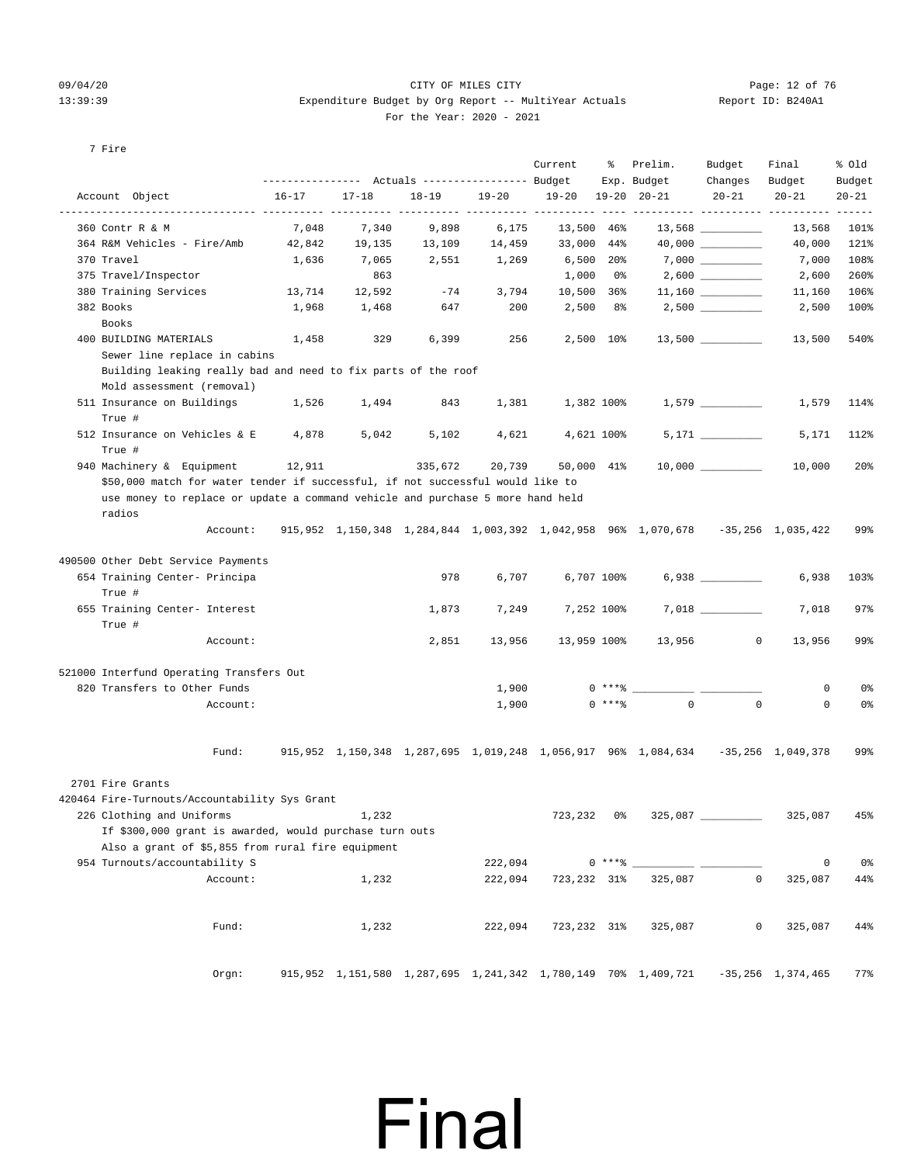#### 09/04/20 Page: 12 of 76 CITY OF MILES CITY  $13:39:39$  Expenditure Budget by Org Report -- MultiYear Actuals For the Year: 2020 - 2021

| Report ID: B240A1 |  |  |
|-------------------|--|--|
|-------------------|--|--|

#### 7 Fire

|                                                                                                                            | ---------------    Actuals ----------------    Budget    Exp.    Budget |           |           |           | Current           |          | % Prelim.                                                                                     | Budget<br>Changes Budget | Final                  | % old<br>Budget |
|----------------------------------------------------------------------------------------------------------------------------|-------------------------------------------------------------------------|-----------|-----------|-----------|-------------------|----------|-----------------------------------------------------------------------------------------------|--------------------------|------------------------|-----------------|
| Account Object                                                                                                             | $16 - 17$                                                               | $17 - 18$ | $18 - 19$ | $19 - 20$ | 19-20 19-20 20-21 |          |                                                                                               | $20 - 21$                | $20 - 21$              | $20 - 21$       |
| 360 Contr R & M                                                                                                            | 7,048                                                                   | 7,340     | 9,898     | 6,175     | 13,500 46%        |          |                                                                                               | $13,568$ _________       | 13,568                 | 101%            |
| 364 R&M Vehicles - Fire/Amb 42,842                                                                                         |                                                                         | 19,135    | 13,109    | 14,459    | 33,000 44%        |          |                                                                                               |                          | 40,000                 | 121%            |
| 370 Travel                                                                                                                 | 1,636                                                                   | 7,065     | 2,551     | 1,269     | 6,500 20%         |          |                                                                                               | $7,000$ __________       | 7,000                  | 108%            |
| 375 Travel/Inspector                                                                                                       |                                                                         | 863       |           |           | 1,000 0%          |          |                                                                                               | $2,600$ __________       | 2,600                  | 260%            |
| 380 Training Services                                                                                                      | 13,714 12,592                                                           |           | $-74$     | 3,794     |                   |          | $10,500$ 36% 11,160 ________                                                                  |                          | 11,160                 | 106%            |
| 382 Books<br>Books                                                                                                         | 1,968                                                                   | 1,468     | 647       | 200       |                   |          | $2,500$ 8% $2,500$ <u>_______________</u>                                                     |                          | 2,500                  | 100%            |
| 400 BUILDING MATERIALS                                                                                                     | 1,458                                                                   | 329       | 6,399     | 256       | 2,500 10%         |          |                                                                                               | $13,500$ __________      | 13,500                 | 540%            |
| Sewer line replace in cabins<br>Building leaking really bad and need to fix parts of the roof<br>Mold assessment (removal) |                                                                         |           |           |           |                   |          |                                                                                               |                          |                        |                 |
| 511 Insurance on Buildings<br>True #                                                                                       | 1,526                                                                   | 1,494     | 843       | 1,381     |                   |          | $1,382$ 100% $1,579$ _________                                                                |                          | 1,579                  | 114%            |
| 512 Insurance on Vehicles & E 4,878<br>True #                                                                              |                                                                         | 5,042     | 5,102     | 4,621     | 4,621 100%        |          |                                                                                               |                          | 5,171                  | 112%            |
| 940 Machinery & Equipment 12,911                                                                                           |                                                                         |           | 335,672   | 20,739    | 50,000 41%        |          |                                                                                               |                          | 10,000                 | 20 <sub>8</sub> |
| \$50,000 match for water tender if successful, if not successful would like to                                             |                                                                         |           |           |           |                   |          |                                                                                               |                          |                        |                 |
| use money to replace or update a command vehicle and purchase 5 more hand held                                             |                                                                         |           |           |           |                   |          |                                                                                               |                          |                        |                 |
| radios<br>Account:                                                                                                         |                                                                         |           |           |           |                   |          | 915, 952 1, 150, 348 1, 284, 844 1, 003, 392 1, 042, 958 96% 1, 070, 678 -35, 256 1, 035, 422 |                          |                        | 99%             |
| 490500 Other Debt Service Payments                                                                                         |                                                                         |           |           |           |                   |          |                                                                                               |                          |                        |                 |
| 654 Training Center- Principa                                                                                              |                                                                         |           | 978       | 6,707     |                   |          | 6,707 100%                                                                                    | $6,938$ __________       | 6,938                  | 103%            |
| True #                                                                                                                     |                                                                         |           |           |           |                   |          |                                                                                               |                          |                        |                 |
| 655 Training Center- Interest                                                                                              |                                                                         |           | 1,873     | 7,249     | 7,252 100%        |          |                                                                                               |                          | 7,018                  | 97%             |
| True #                                                                                                                     |                                                                         |           |           |           |                   |          |                                                                                               |                          |                        |                 |
| Account:                                                                                                                   |                                                                         |           | 2,851     | 13,956    |                   |          | 13,959 100% 13,956                                                                            | $\overline{\phantom{0}}$ | 13,956                 | 99%             |
| 521000 Interfund Operating Transfers Out                                                                                   |                                                                         |           |           |           |                   |          |                                                                                               |                          |                        |                 |
| 820 Transfers to Other Funds                                                                                               |                                                                         |           |           | 1,900     |                   |          | $0***$                                                                                        |                          | 0                      | 0%              |
| Account:                                                                                                                   |                                                                         |           |           | 1,900     |                   | $0$ **** | $\overline{0}$                                                                                | $\circ$                  | $\circ$                | 0%              |
| Fund:                                                                                                                      |                                                                         |           |           |           |                   |          | 915,952 1,150,348 1,287,695 1,019,248 1,056,917 96% 1,084,634 -35,256 1,049,378               |                          |                        | 99%             |
| 2701 Fire Grants                                                                                                           |                                                                         |           |           |           |                   |          |                                                                                               |                          |                        |                 |
| 420464 Fire-Turnouts/Accountability Sys Grant                                                                              |                                                                         |           |           |           |                   |          |                                                                                               |                          |                        |                 |
| 226 Clothing and Uniforms                                                                                                  | 1,232                                                                   |           |           |           | 723,232 0%        |          | $325,087$ $\_$                                                                                |                          | 325,087 45%            |                 |
| If \$300,000 grant is awarded, would purchase turn outs<br>Also a grant of \$5,855 from rural fire equipment               |                                                                         |           |           |           |                   |          |                                                                                               |                          |                        |                 |
| 954 Turnouts/accountability S                                                                                              |                                                                         |           |           | 222,094   |                   | $0***8$  |                                                                                               |                          | $\circ$                | 0%              |
| Account:                                                                                                                   |                                                                         | 1,232     |           | 222,094   | 723,232 31%       |          | 325,087                                                                                       | 0                        | 325,087                | 44%             |
| Fund:                                                                                                                      |                                                                         | 1,232     |           | 222,094   | 723,232 31%       |          | 325,087                                                                                       | 0                        | 325,087                | 44%             |
|                                                                                                                            |                                                                         |           |           |           |                   |          |                                                                                               |                          |                        |                 |
| Orgn:                                                                                                                      |                                                                         |           |           |           |                   |          | 915,952 1,151,580 1,287,695 1,241,342 1,780,149 70% 1,409,721                                 |                          | $-35, 256$ 1, 374, 465 | 77%             |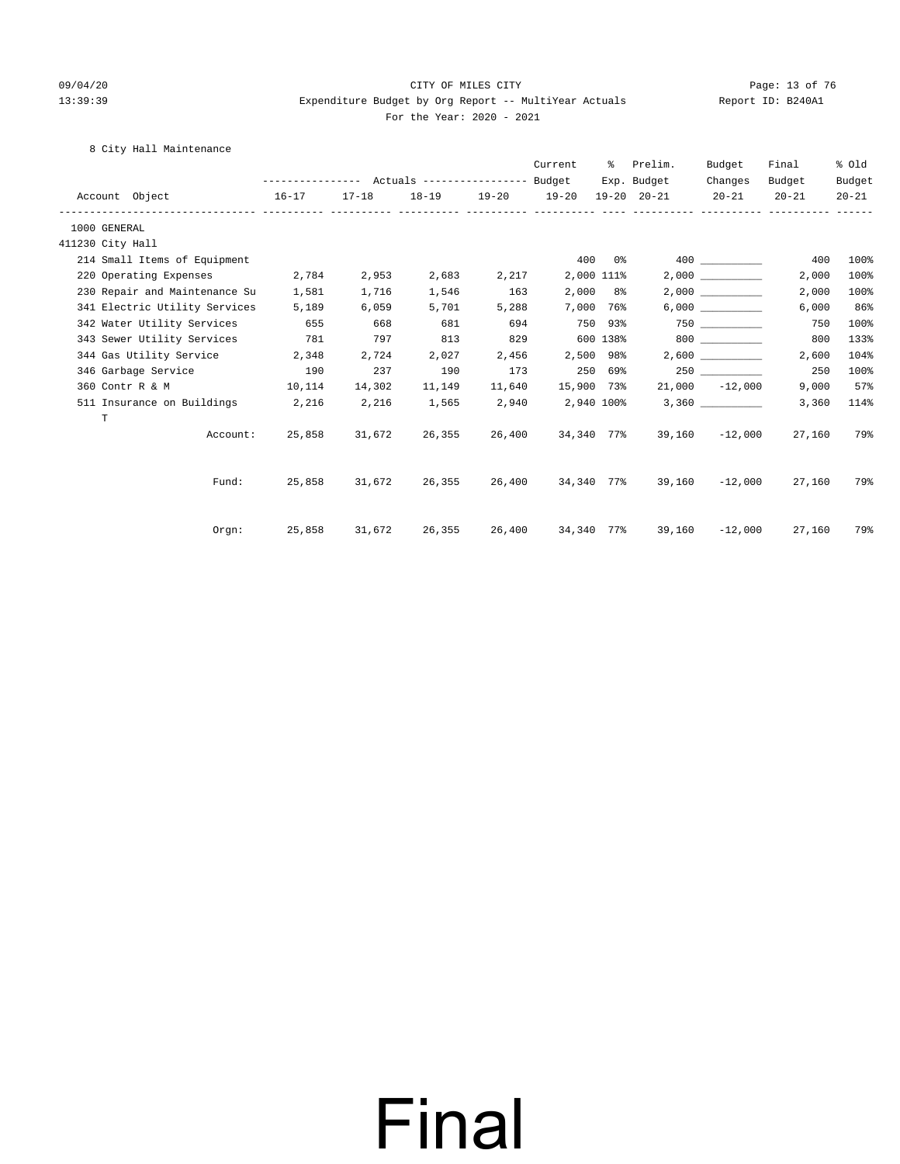#### 09/04/20 Page: 13 of 76 CITY OF MILES CITY CONTROL PAGE: 13 of 76 13:39:39 Expenditure Budget by Org Report -- MultiYear Actuals Report ID: B240A1 For the Year: 2020 - 2021

### 8 City Hall Maintenance

|                               |                                                 |               |        |        | Current           | ႜွ         | Prelim.                             | Budget           | Final     | % old     |
|-------------------------------|-------------------------------------------------|---------------|--------|--------|-------------------|------------|-------------------------------------|------------------|-----------|-----------|
|                               | --------------- Actuals ---------------- Budget |               |        |        |                   |            | Exp. Budget                         | Changes          | Budget    | Budget    |
| Account Object                | $16 - 17$                                       | 17-18         |        |        |                   |            | 18-19 19-20 19-20 19-20 20-21 20-21 |                  | $20 - 21$ | $20 - 21$ |
| 1000 GENERAL                  |                                                 |               |        |        |                   |            |                                     |                  |           |           |
| 411230 City Hall              |                                                 |               |        |        |                   |            |                                     |                  |           |           |
| 214 Small Items of Equipment  |                                                 |               |        |        |                   | 400 0%     |                                     | 400 000          | 400       | 100%      |
| 220 Operating Expenses        | 2,784                                           | 2,953         | 2,683  | 2,217  |                   | 2,000 111% |                                     | 2.000            | 2,000     | 100%      |
| 230 Repair and Maintenance Su | 1,581                                           | 1,716         | 1,546  | 163    |                   | $2,000$ 8% |                                     |                  | 2,000     | 100%      |
| 341 Electric Utility Services | 5,189                                           | 6,059         | 5,701  | 5,288  |                   | 7,000 76%  |                                     | 6,000            | 6,000     | 86%       |
| 342 Water Utility Services    | 655                                             | 668           | 681    | 694    | 750 93%           |            |                                     |                  | 750       | 100%      |
| 343 Sewer Utility Services    | 781                                             | 797           | 813    | 829    |                   | 600 138%   |                                     | 800 000          | 800       | 133%      |
| 344 Gas Utility Service 2,348 |                                                 | 2,724         | 2,027  | 2,456  |                   | 2,500 98%  |                                     | 2,600            | 2,600     | 104%      |
| 346 Garbage Service           | 190                                             | 237           | 190    | 173    |                   | 250 69%    |                                     | 250              | 250       | 100%      |
| 360 Contr R & M<br>10,114     |                                                 | 14,302        | 11,149 | 11,640 | 15,900 73%        |            |                                     | $21,000 -12,000$ | 9,000     | 57%       |
| 511 Insurance on Buildings    | 2,216                                           | 2,216         | 1,565  | 2,940  | 2,940 100%        |            |                                     |                  | 3,360     | 114%      |
| T                             |                                                 |               |        |        |                   |            |                                     |                  |           |           |
| Account:                      |                                                 | 25,858 31,672 | 26,355 | 26,400 | 34,340 77%        |            |                                     | $39,160 -12,000$ | 27,160    | 79%       |
|                               |                                                 |               |        |        |                   |            |                                     |                  |           |           |
| Fund:                         |                                                 | 25,858 31,672 | 26,355 |        | 26,400 34,340 77% |            |                                     | 39,160 -12,000   | 27,160    | 79%       |
| Orem:                         | 25,858 31,672 26,355                            |               |        |        | 26,400 34,340 77% |            |                                     | 39,160 -12,000   | 27,160    | 79%       |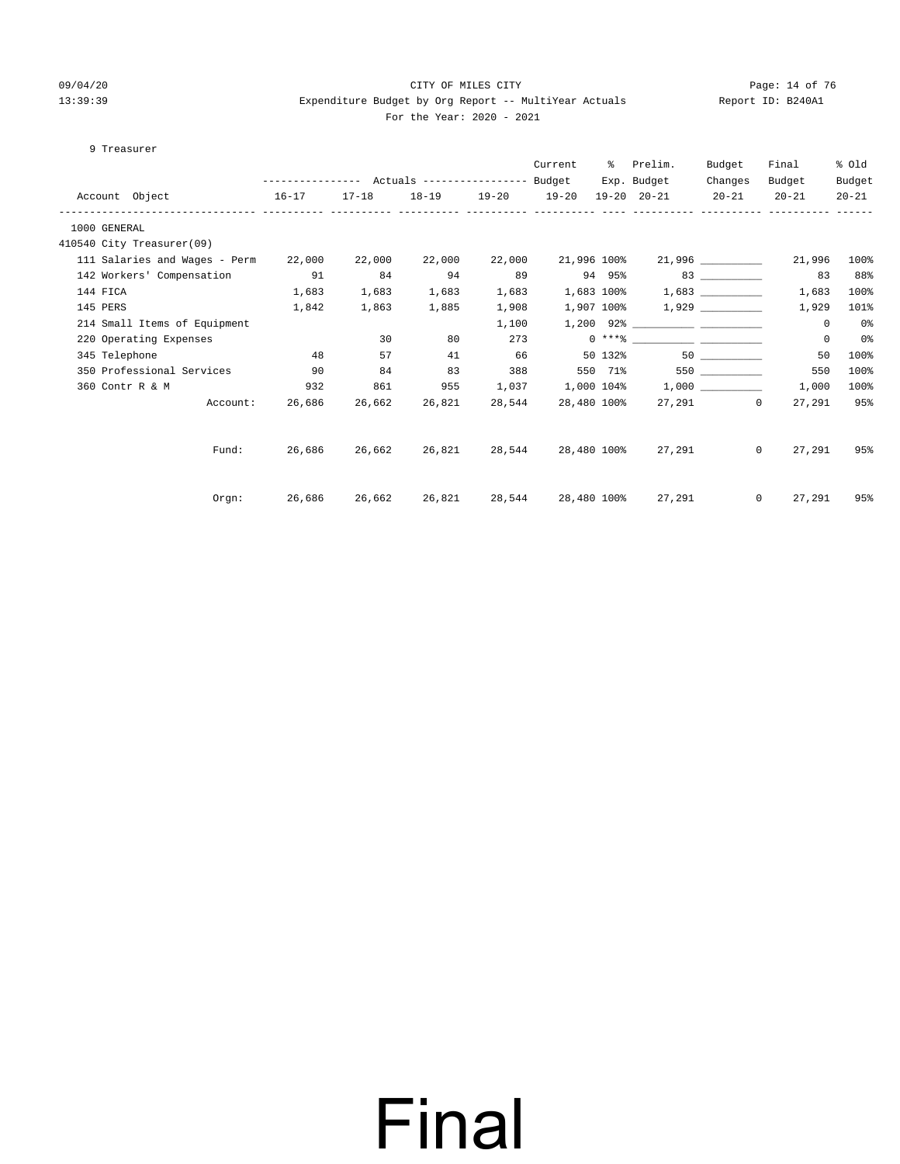#### 09/04/20 Page: 14 of 76 CITY OF MILES CITY CHEMIC CITY PAGE: 14 of 76 13:39:39 Expenditure Budget by Org Report -- MultiYear Actuals Report ID: B240A1 For the Year: 2020 - 2021

#### 9 Treasurer

|              |          |                               |           |               |                             |                   | Current     | ႜႜၟ     | Prelim.                         | Budget    | Final              | % old     |
|--------------|----------|-------------------------------|-----------|---------------|-----------------------------|-------------------|-------------|---------|---------------------------------|-----------|--------------------|-----------|
|              |          |                               |           |               |                             |                   |             |         | Exp. Budget                     | Changes   | Budget             | Budget    |
|              |          | Account Object<br>$16 - 17$   |           | $17 - 18$     |                             | 18-19 19-20 19-20 |             |         | 19-20 20-21                     | $20 - 21$ | $20 - 21$          | $20 - 21$ |
| 1000 GENERAL |          |                               |           |               |                             |                   |             |         |                                 |           |                    |           |
|              |          | 410540 City Treasurer(09)     |           |               |                             |                   |             |         |                                 |           |                    |           |
|              |          | 111 Salaries and Wages - Perm |           | 22,000 22,000 | 22,000                      | 22,000            |             |         | 21,996 100% 21,996 _________    |           | 21,996             | 100%      |
|              |          | 142 Workers' Compensation 91  |           | 84            | 94                          | 89                |             |         | 94 95% 83                       |           | 83                 | 88%       |
|              | 144 FICA |                               | 1,683     | 1,683         | 1,683                       | 1,683             |             |         | $1,683$ 100% $1,683$ __________ |           | 1,683              | 100%      |
|              | 145 PERS |                               | 1,842     | 1,863         | 1,885                       | 1,908             |             |         |                                 |           | 1,929              | 101%      |
|              |          | 214 Small Items of Equipment  |           |               |                             | 1,100             |             |         | $1,200$ 92%                     |           | $\mathbf{0}$       | 0 %       |
|              |          | 220 Operating Expenses        |           | 30            | 80                          | 273               |             |         |                                 |           | $\mathbf 0$        | 0%        |
|              |          | 345 Telephone                 | 48        | 57            | 41                          | 66                |             | 50 132% |                                 |           | 50                 | 100%      |
|              |          | 350 Professional Services     | $\sim$ 90 | 84            | 83                          | 388               |             |         | 550 71%                         |           | 550                | 100%      |
|              |          | 360 Contr R & M               | 932       | 861           | 955                         | 1,037             |             |         | 1,000 104% 1,000                |           | 1,000              | 100%      |
|              |          | Account:                      |           | 26,686 26,662 | 26,821                      | 28,544            |             |         | 28,480 100% 27,291 0            |           | 27,291             | 95%       |
|              |          |                               |           |               |                             |                   |             |         |                                 |           |                    |           |
|              |          | Fund:                         |           |               | 26,686 26,662 26,821        | 28,544            |             |         | 28,480 100% 27,291              |           | $\Omega$<br>27,291 | 95%       |
|              |          | Orem:                         |           |               | 26,686 26,662 26,821 28,544 |                   | 28,480 100% |         | 27,291                          |           | 27,291<br>$\Omega$ | 95%       |
|              |          |                               |           |               |                             |                   |             |         |                                 |           |                    |           |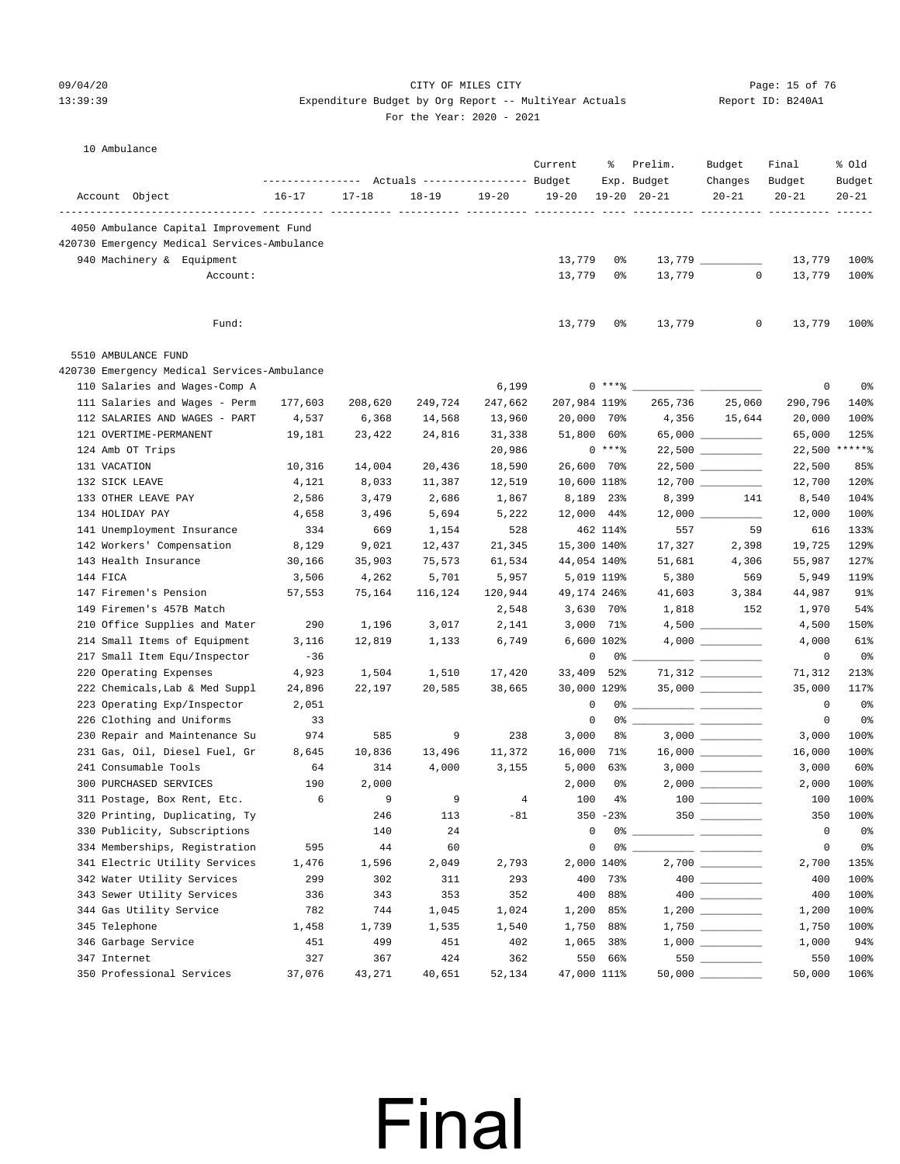### 09/04/20 Page: 15 of 76 CITY OF MILES CITY  $13:39:39$  Expenditure Budget by Org Report -- MultiYear Actuals

For the Year: 2020 - 2021

| 10 Ambulance |  |
|--------------|--|
|              |  |

|                                                              | --------------- Actuals ---------------- Budget |              |              |                | Current          | ႜ              | Prelim.<br>Exp. Budget          | Budget<br>Changes   | Final<br>Budget  | % old<br>Budget |
|--------------------------------------------------------------|-------------------------------------------------|--------------|--------------|----------------|------------------|----------------|---------------------------------|---------------------|------------------|-----------------|
| Account Object                                               | $16 - 17$                                       | $17 - 18$    | $18 - 19$    | $19 - 20$      | $19 - 20$        |                | $19 - 20$ $20 - 21$             | $20 - 21$           | $20 - 21$        | $20 - 21$       |
|                                                              |                                                 |              |              |                |                  |                | ---------- ---------- --------- |                     |                  | $- - - -$       |
| 4050 Ambulance Capital Improvement Fund                      |                                                 |              |              |                |                  |                |                                 |                     |                  |                 |
| 420730 Emergency Medical Services-Ambulance                  |                                                 |              |              |                |                  |                |                                 |                     |                  |                 |
| 940 Machinery & Equipment                                    |                                                 |              |              |                | 13,779           | 0%             |                                 | $13,779$ __________ | 13,779           | 100%            |
| Account:                                                     |                                                 |              |              |                | 13,779           | 0%             | 13,779                          | $\circ$             | 13,779           | 100%            |
| Fund:                                                        |                                                 |              |              |                | 13,779           | 0%             | 13,779                          | 0                   | 13,779           | 100%            |
| 5510 AMBULANCE FUND                                          |                                                 |              |              |                |                  |                |                                 |                     |                  |                 |
| 420730 Emergency Medical Services-Ambulance                  |                                                 |              |              |                |                  |                |                                 |                     |                  |                 |
| 110 Salaries and Wages-Comp A                                |                                                 |              |              | 6,199          |                  | $0***8$        |                                 |                     | 0                | 0%              |
| 111 Salaries and Wages - Perm                                | 177,603                                         | 208,620      | 249,724      | 247,662        | 207,984 119%     |                | 265,736                         | 25,060              | 290,796          | 140%            |
| 112 SALARIES AND WAGES - PART                                | 4,537                                           | 6,368        | 14,568       | 13,960         | 20,000 70%       |                |                                 | 4,356 15,644        | 20,000           | 100%            |
| 121 OVERTIME-PERMANENT                                       | 19,181                                          | 23,422       | 24,816       | 31,338         | 51,800 60%       |                |                                 |                     | 65,000           | 125%            |
| 124 Amb OT Trips                                             |                                                 |              |              | 20,986         |                  | $0***8$        |                                 | $22,500$ _________  |                  | 22,500 ******   |
| 131 VACATION                                                 | 10,316                                          | 14,004       | 20,436       | 18,590         | 26,600 70%       |                |                                 | $22,500$ __________ | 22,500           | 85%             |
| 132 SICK LEAVE                                               | 4,121                                           | 8,033        | 11,387       | 12,519         | 10,600 118%      |                |                                 | $12,700$ _________  | 12,700           | 120%            |
| 133 OTHER LEAVE PAY                                          | 2,586                                           | 3,479        | 2,686        | 1,867          |                  | 8,189 23%      | 8,399                           | 141                 | 8,540            | 104%            |
| 134 HOLIDAY PAY                                              | 4,658                                           | 3,496        | 5,694        | 5,222          | 12,000 44%       |                |                                 |                     | 12,000           | 100%            |
| 141 Unemployment Insurance                                   | 334                                             | 669          | 1,154        | 528            |                  | 462 114%       | 557                             | 59                  | 616              | 133%            |
| 142 Workers' Compensation                                    | 8,129                                           | 9,021        | 12,437       | 21,345         | 15,300 140%      |                | 17,327                          | 2,398               | 19,725           | 129%            |
| 143 Health Insurance                                         | 30,166                                          | 35,903       | 75,573       | 61,534         | 44,054 140%      |                | 51,681                          | 4,306               | 55,987           | 127%            |
| 144 FICA                                                     | 3,506                                           | 4,262        | 5,701        | 5,957          | 5,019 119%       |                | 5,380                           | 569                 | 5,949            | 119%            |
| 147 Firemen's Pension                                        | 57,553                                          | 75,164       | 116,124      | 120,944        | 49,174 246%      |                | 41,603                          | 3,384               | 44,987           | 91%             |
| 149 Firemen's 457B Match                                     |                                                 |              |              | 2,548          |                  | 3,630 70%      | 1,818                           | 152                 | 1,970            | 54%             |
| 210 Office Supplies and Mater                                | 290                                             | 1,196        | 3,017        | 2,141          |                  | 3,000 71%      |                                 |                     | 4,500            | 150%            |
| 214 Small Items of Equipment                                 | 3,116                                           | 12,819       | 1,133        | 6,749          |                  | 6,600 102%     |                                 |                     | 4,000            | 61%             |
| 217 Small Item Equ/Inspector                                 | $-36$                                           |              |              |                | 0                |                |                                 |                     | 0                | 0%              |
| 220 Operating Expenses                                       | 4,923                                           | 1,504        | 1,510        | 17,420         | 33,409           | 52%            |                                 |                     | 71,312           | 213%            |
| 222 Chemicals, Lab & Med Suppl                               | 24,896                                          | 22,197       | 20,585       | 38,665         | 30,000 129%      |                |                                 |                     | 35,000           | 117%            |
| 223 Operating Exp/Inspector                                  | 2,051                                           |              |              |                | 0                |                |                                 |                     | $\overline{0}$   | 0%              |
| 226 Clothing and Uniforms                                    | 33                                              |              |              |                | $\mathbf 0$      |                | 0 왕                             |                     | $\mathbf 0$      | 0%              |
| 230 Repair and Maintenance Su                                | 974                                             | 585          | 9            | 238            | 3,000            | 8%             |                                 |                     | 3,000            | 100%            |
| 231 Gas, Oil, Diesel Fuel, Gr                                | 8,645                                           | 10,836       | 13,496       | 11,372         | 16,000 71%       |                |                                 |                     | 16,000           | 100%            |
| 241 Consumable Tools                                         | 64                                              | 314          | 4,000        | 3,155          |                  | $5,000$ $63\%$ |                                 |                     | 3,000            | 60%             |
| 300 PURCHASED SERVICES                                       | 190<br>6                                        | 2,000<br>9   |              |                | 2,000<br>100     | 0 %<br>$4\,$   |                                 | $2,000$ _________   | 2,000<br>100     | 100%            |
| 311 Postage, Box Rent, Etc.<br>320 Printing, Duplicating, Ty |                                                 |              | 9            | $\overline{4}$ |                  |                |                                 |                     | 350              | 100%<br>100%    |
| 330 Publicity, Subscriptions                                 |                                                 | 246          | 113          | $-81$          |                  | $350 - 23%$    |                                 | $350$               |                  |                 |
| 334 Memberships, Registration                                | 595                                             | 140<br>44    | 24<br>60     |                | 0<br>$\mathsf 0$ |                |                                 |                     | 0<br>$\mathsf 0$ | 0%<br>0%        |
| 341 Electric Utility Services                                |                                                 |              |              |                |                  | 2,000 140%     |                                 |                     |                  | 135%            |
| 342 Water Utility Services                                   | 1,476<br>299                                    | 1,596<br>302 | 2,049<br>311 | 2,793<br>293   | 400              | 73%            |                                 | $2,700$ __________  | 2,700<br>400     | 100%            |
| 343 Sewer Utility Services                                   | 336                                             | 343          | 353          | 352            | 400              | 88%            |                                 |                     | 400              | 100%            |
| 344 Gas Utility Service                                      | 782                                             | 744          | 1,045        | 1,024          | 1,200            | 85%            |                                 |                     | 1,200            | 100%            |
| 345 Telephone                                                | 1,458                                           | 1,739        | 1,535        | 1,540          | 1,750            | 88%            |                                 |                     | 1,750            | 100%            |
| 346 Garbage Service                                          | 451                                             | 499          | 451          | 402            | 1,065            | 38%            |                                 |                     | 1,000            | 94%             |
| 347 Internet                                                 | 327                                             | 367          | 424          | 362            |                  | 550 66%        |                                 | 550                 | 550              | 100%            |
| 350 Professional Services                                    | 37,076                                          | 43,271       | 40,651       | 52,134         | 47,000 111%      |                |                                 | $50,000$ __________ | 50,000           | 106%            |
|                                                              |                                                 |              |              |                |                  |                |                                 |                     |                  |                 |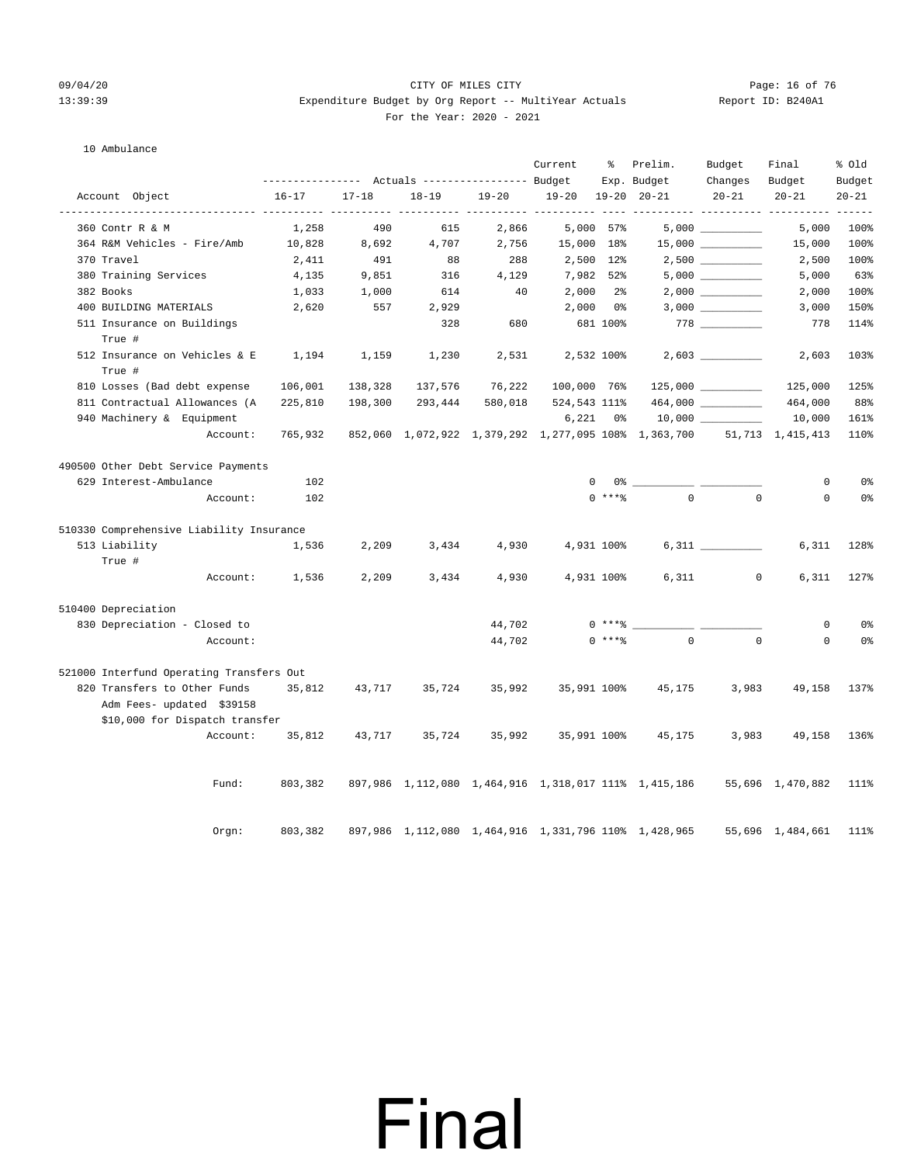#### 09/04/20 Page: 16 of 76 CITY OF MILES CITY CONTROL PAGE: 16 of 76 13:39:39 Expenditure Budget by Org Report -- MultiYear Actuals Report ID: B240A1 For the Year: 2020 - 2021

#### 10 Ambulance

|                                                              | Actuals ----------------- Budget |                    |           |                      | Current      | ႜ<br>Prelim.<br>Exp. Budget | Budget<br>Changes                                    | Final<br>Budget                          | % Old<br>Budget  |                     |
|--------------------------------------------------------------|----------------------------------|--------------------|-----------|----------------------|--------------|-----------------------------|------------------------------------------------------|------------------------------------------|------------------|---------------------|
| Account Object                                               | $16 - 17$                        | $17 - 18$          | $18 - 19$ | $19 - 20$            | $19 - 20$    |                             | $19 - 20$ $20 - 21$                                  | $20 - 21$                                | $20 - 21$        | $20 - 21$           |
| --------------- ----------<br>-----------<br>360 Contr R & M | 1,258                            | -----------<br>490 | 615       | $- - - - -$<br>2,866 | -----------  | 5,000 57%                   |                                                      | ---------- ---------- ---------          | 5,000            | $- - - - -$<br>100% |
| 364 R&M Vehicles - Fire/Amb                                  | 10,828                           | 8,692              | 4,707     | 2,756                | 15,000       | 18%                         |                                                      |                                          | 15,000           | 100%                |
| 370 Travel                                                   | 2,411                            | 491                | 88        | 288                  |              | 2,500 12%                   |                                                      | $2\, , 500 \ \ \underline{\hspace{1cm}}$ | 2,500            | 100%                |
| 380 Training Services                                        | 4,135                            | 9,851              | 316       | 4,129                | 7,982 52%    |                             |                                                      | $5,000$ __________                       | 5,000            | 63%                 |
| 382 Books                                                    | 1,033                            | 1,000              | 614       | 40                   | 2,000        | 2%                          |                                                      | 2,000                                    | 2,000            | 100%                |
| 400 BUILDING MATERIALS                                       | 2,620                            | 557                | 2,929     |                      | 2,000        | 0%                          |                                                      |                                          | 3,000            | 150%                |
| 511 Insurance on Buildings<br>True #                         |                                  |                    | 328       | 680                  |              | 681 100%                    |                                                      |                                          | 778              | 114%                |
| 512 Insurance on Vehicles & E<br>True #                      | 1,194                            | 1,159              | 1,230     | 2,531                |              | 2,532 100%                  |                                                      |                                          | 2,603            | 103%                |
| 810 Losses (Bad debt expense                                 | 106,001                          | 138,328            | 137,576   | 76,222               | 100,000 76%  |                             |                                                      | $125,000$ __________                     | 125,000          | 125%                |
| 811 Contractual Allowances (A                                | 225,810                          | 198,300            | 293,444   | 580,018              | 524,543 111% |                             |                                                      | 464,000                                  | 464,000          | 88%                 |
| 940 Machinery & Equipment                                    |                                  |                    |           |                      | 6,221        | 0%                          |                                                      |                                          | 10,000           | 161%                |
| Account:                                                     | 765,932                          |                    |           |                      |              |                             | 852,060 1,072,922 1,379,292 1,277,095 108% 1,363,700 |                                          | 51,713 1,415,413 | 110%                |
| 490500 Other Debt Service Payments                           |                                  |                    |           |                      |              |                             |                                                      |                                          |                  |                     |
| 629 Interest-Ambulance                                       | 102                              |                    |           |                      | 0            | 0%                          |                                                      |                                          | $\mathbf 0$      | 0 <sup>°</sup>      |
| Account:                                                     | 102                              |                    |           |                      |              | $0$ ****                    | $\Omega$                                             | $\Omega$                                 | $\Omega$         | 0 <sup>°</sup>      |
| 510330 Comprehensive Liability Insurance                     |                                  |                    |           |                      |              |                             |                                                      |                                          |                  |                     |
| 513 Liability                                                | 1,536                            | 2,209              | 3,434     | 4,930                |              | 4,931 100%                  |                                                      |                                          | 6,311            | 128%                |
| True #                                                       |                                  |                    |           |                      |              |                             |                                                      |                                          |                  |                     |
| Account:                                                     | 1,536                            | 2,209              | 3,434     | 4,930                |              | 4,931 100%                  | 6,311                                                | $\circ$                                  | 6,311            | 127%                |
| 510400 Depreciation                                          |                                  |                    |           |                      |              |                             |                                                      |                                          |                  |                     |
| 830 Depreciation - Closed to                                 |                                  |                    |           | 44,702               |              | $0***8$                     |                                                      |                                          | $\mathbf 0$      | 0%                  |
| Account:                                                     |                                  |                    |           | 44,702               |              | $0$ ****                    | $\Omega$                                             | $\mathbf 0$                              | $\mathbf 0$      | 0 <sup>°</sup>      |
| 521000 Interfund Operating Transfers Out                     |                                  |                    |           |                      |              |                             |                                                      |                                          |                  |                     |
| 820 Transfers to Other Funds                                 | 35,812                           | 43,717             | 35,724    | 35,992               | 35,991 100%  |                             | 45,175                                               | 3,983                                    | 49,158           | 137%                |
| Adm Fees- updated \$39158                                    |                                  |                    |           |                      |              |                             |                                                      |                                          |                  |                     |
| \$10,000 for Dispatch transfer                               |                                  |                    |           |                      |              |                             |                                                      |                                          |                  |                     |
| Account:                                                     | 35,812                           | 43,717             | 35,724    | 35,992               | 35,991 100%  |                             | 45,175                                               | 3,983                                    | 49,158           | 136%                |
| Fund:                                                        | 803,382                          |                    |           |                      |              |                             | 897,986 1,112,080 1,464,916 1,318,017 111% 1,415,186 |                                          | 55,696 1,470,882 | 111%                |
| Orgn:                                                        | 803,382                          |                    |           |                      |              |                             | 897,986 1,112,080 1,464,916 1,331,796 110% 1,428,965 |                                          | 55,696 1,484,661 | 111%                |

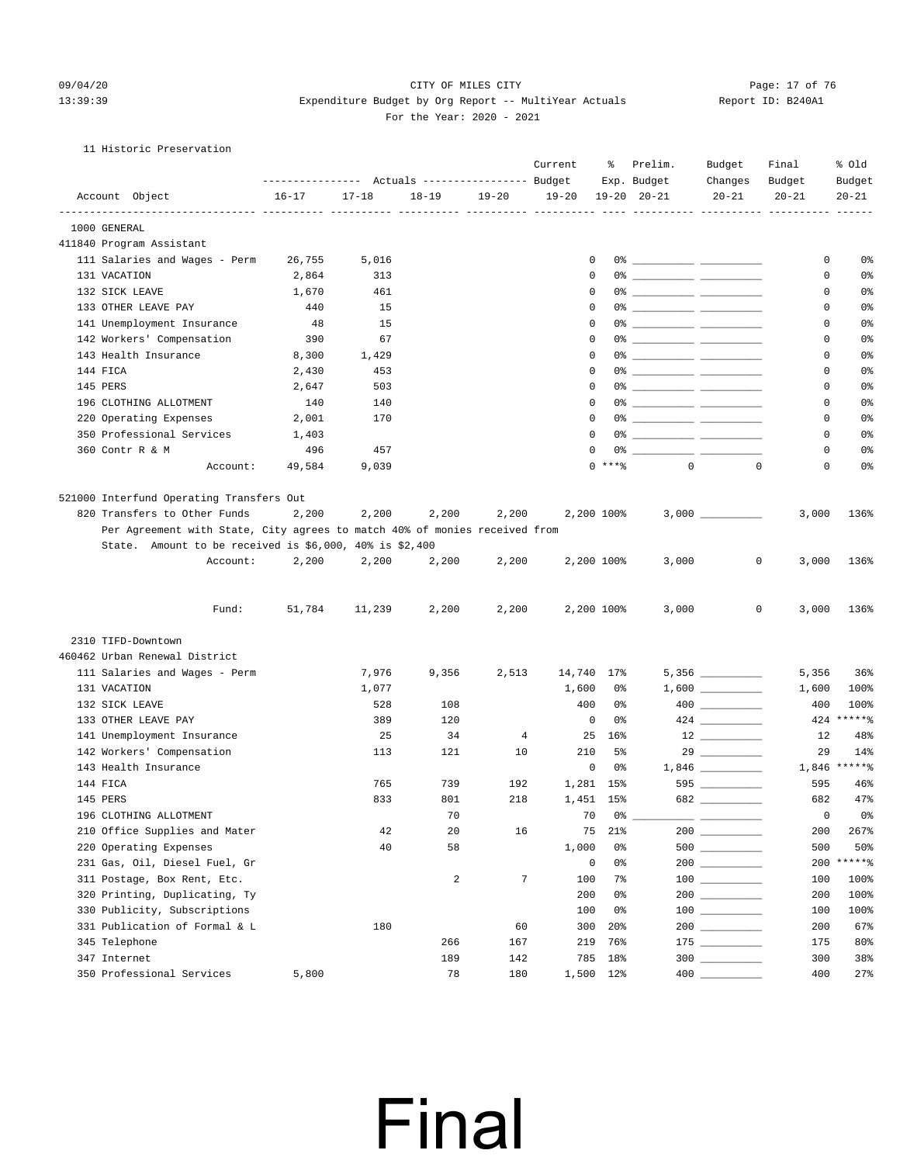#### 09/04/20 Page: 17 of 76 CITY OF MILES CITY CONTROL PAGE: 17 OF 76 13:39:39 Expenditure Budget by Org Report -- MultiYear Actuals Report ID: B240A1 For the Year: 2020 - 2021

### 11 Historic Preservation

|                                                                            |                |              | --------------- Actuals ---------------- Budget |           | Current      | ႜ          | Prelim.<br>Exp. Budget | Budget<br>Changes                                                                                                                                                                                                                                                                                                                                   | Final<br>Budget            | % old<br>Budget       |
|----------------------------------------------------------------------------|----------------|--------------|-------------------------------------------------|-----------|--------------|------------|------------------------|-----------------------------------------------------------------------------------------------------------------------------------------------------------------------------------------------------------------------------------------------------------------------------------------------------------------------------------------------------|----------------------------|-----------------------|
| Account Object                                                             | $16 - 17$      | $17 - 18$    | $18 - 19$                                       | $19 - 20$ | $19 - 20$    |            | $19 - 20$ $20 - 21$    | $20 - 21$                                                                                                                                                                                                                                                                                                                                           | $20 - 21$                  | $20 - 21$             |
| 1000 GENERAL                                                               |                |              |                                                 |           |              |            |                        |                                                                                                                                                                                                                                                                                                                                                     |                            |                       |
| 411840 Program Assistant                                                   |                |              |                                                 |           |              |            |                        |                                                                                                                                                                                                                                                                                                                                                     |                            |                       |
| 111 Salaries and Wages - Perm                                              | 26,755         | 5,016        |                                                 |           | 0            |            |                        |                                                                                                                                                                                                                                                                                                                                                     | 0                          | 0%                    |
| 131 VACATION                                                               | 2,864          | 313          |                                                 |           | $\mathbf 0$  |            |                        |                                                                                                                                                                                                                                                                                                                                                     | $\mathbf 0$                | 0%                    |
| 132 SICK LEAVE                                                             | 1,670          | 461          |                                                 |           | 0            |            |                        |                                                                                                                                                                                                                                                                                                                                                     | 0                          | 0%                    |
| 133 OTHER LEAVE PAY                                                        | 440            | 15           |                                                 |           | 0            |            |                        |                                                                                                                                                                                                                                                                                                                                                     | 0                          | 0%                    |
| 141 Unemployment Insurance                                                 | 48             | 15           |                                                 |           | $\mathbf 0$  |            |                        |                                                                                                                                                                                                                                                                                                                                                     | 0                          | 0%                    |
| 142 Workers' Compensation                                                  | 390            | 67           |                                                 |           | 0            |            |                        |                                                                                                                                                                                                                                                                                                                                                     | $\mathbf 0$                | 0%                    |
| 143 Health Insurance                                                       |                | 1,429        |                                                 |           | 0            |            |                        |                                                                                                                                                                                                                                                                                                                                                     | $\mathbf 0$                | 0%                    |
| 144 FICA                                                                   | 8,300<br>2,430 | 453          |                                                 |           | 0            |            |                        |                                                                                                                                                                                                                                                                                                                                                     | 0                          | 0%                    |
|                                                                            |                |              |                                                 |           | 0            |            |                        |                                                                                                                                                                                                                                                                                                                                                     |                            | 0%                    |
| 145 PERS                                                                   | 2,647          | 503          |                                                 |           |              |            |                        |                                                                                                                                                                                                                                                                                                                                                     | 0                          |                       |
| 196 CLOTHING ALLOTMENT                                                     | 140            | 140          |                                                 |           | 0            |            |                        |                                                                                                                                                                                                                                                                                                                                                     | 0                          | 0%                    |
| 220 Operating Expenses                                                     | 2,001          | 170          |                                                 |           | 0            |            |                        |                                                                                                                                                                                                                                                                                                                                                     | 0                          | 0%                    |
| 350 Professional Services                                                  | 1,403          |              |                                                 |           | $\Omega$     |            |                        |                                                                                                                                                                                                                                                                                                                                                     | $\mathbf 0$                | 0%                    |
| 360 Contr R & M                                                            | 496            | 457          |                                                 |           | 0            |            |                        |                                                                                                                                                                                                                                                                                                                                                     | 0                          | 0%                    |
| Account:                                                                   | 49,584         | 9,039        |                                                 |           |              | $0$ ****   | $\Omega$               |                                                                                                                                                                                                                                                                                                                                                     | $\mathbf 0$<br>$\mathbf 0$ | 0%                    |
| 521000 Interfund Operating Transfers Out                                   |                |              |                                                 |           |              |            |                        |                                                                                                                                                                                                                                                                                                                                                     |                            |                       |
| 820 Transfers to Other Funds                                               | 2,200          | 2,200        | 2,200                                           | 2,200     |              | 2,200 100% |                        |                                                                                                                                                                                                                                                                                                                                                     | 3,000                      | 136%                  |
| Per Agreement with State, City agrees to match 40% of monies received from |                |              |                                                 |           |              |            |                        |                                                                                                                                                                                                                                                                                                                                                     |                            |                       |
| State. Amount to be received is $$6,000, 40$ is $$2,400$                   |                |              |                                                 |           |              |            |                        |                                                                                                                                                                                                                                                                                                                                                     |                            |                       |
| Account:                                                                   | 2,200          | 2,200        | 2,200                                           | 2,200     |              | 2,200 100% | 3,000                  |                                                                                                                                                                                                                                                                                                                                                     | 0<br>3,000                 | 136%                  |
|                                                                            |                |              |                                                 |           |              |            |                        |                                                                                                                                                                                                                                                                                                                                                     |                            |                       |
| Fund:                                                                      | 51,784         | 11,239       | 2,200                                           | 2,200     |              | 2,200 100% | 3,000                  |                                                                                                                                                                                                                                                                                                                                                     | $\mathbf 0$<br>3,000       | 136%                  |
| 2310 TIFD-Downtown                                                         |                |              |                                                 |           |              |            |                        |                                                                                                                                                                                                                                                                                                                                                     |                            |                       |
| 460462 Urban Renewal District                                              |                |              |                                                 |           |              |            |                        |                                                                                                                                                                                                                                                                                                                                                     |                            |                       |
|                                                                            |                |              |                                                 |           |              |            |                        |                                                                                                                                                                                                                                                                                                                                                     |                            |                       |
| 111 Salaries and Wages - Perm<br>131 VACATION                              |                | 7,976        | 9,356                                           | 2,513     | 14,740 17%   | 0%         |                        |                                                                                                                                                                                                                                                                                                                                                     | 5,356                      | 36%                   |
|                                                                            |                | 1,077<br>528 | 108                                             |           | 1,600<br>400 | 0%         |                        |                                                                                                                                                                                                                                                                                                                                                     | 1,600<br>400               | 100%<br>100%          |
| 132 SICK LEAVE<br>133 OTHER LEAVE PAY                                      |                |              |                                                 |           | 0            | 0%         |                        | $\begin{picture}(20,20) \put(0,0){\line(1,0){10}} \put(15,0){\line(1,0){10}} \put(15,0){\line(1,0){10}} \put(15,0){\line(1,0){10}} \put(15,0){\line(1,0){10}} \put(15,0){\line(1,0){10}} \put(15,0){\line(1,0){10}} \put(15,0){\line(1,0){10}} \put(15,0){\line(1,0){10}} \put(15,0){\line(1,0){10}} \put(15,0){\line(1,0){10}} \put(15,0){\line(1$ |                            | 424 ******            |
|                                                                            |                | 389          | 120                                             |           |              |            |                        |                                                                                                                                                                                                                                                                                                                                                     |                            | 48%                   |
| 141 Unemployment Insurance                                                 |                | 25           | 34                                              | 4         |              | 25 16%     |                        |                                                                                                                                                                                                                                                                                                                                                     | 12                         |                       |
| 142 Workers' Compensation<br>143 Health Insurance                          |                | 113          | 121                                             | 10        | 210<br>0     | 5%         |                        |                                                                                                                                                                                                                                                                                                                                                     | 29                         | 14%<br>$1,846$ *****% |
|                                                                            |                |              |                                                 |           |              | 0%         |                        |                                                                                                                                                                                                                                                                                                                                                     |                            |                       |
| 144 FICA                                                                   |                | 765          | 739                                             | 192       |              | 1,281 15%  |                        | 595                                                                                                                                                                                                                                                                                                                                                 | 595                        | 46%                   |
| 145 PERS                                                                   |                | 833          | 801                                             | 218       |              | 1,451 15%  |                        | 682                                                                                                                                                                                                                                                                                                                                                 | 682                        | 47%                   |
| 196 CLOTHING ALLOTMENT                                                     |                |              | 70                                              |           |              | 70 0%      |                        |                                                                                                                                                                                                                                                                                                                                                     |                            | $0$ $0\frac{1}{2}$    |
| 210 Office Supplies and Mater                                              |                | 42           | 20                                              | 16        | 75           | 21%        |                        |                                                                                                                                                                                                                                                                                                                                                     | 200                        | 267%                  |
| 220 Operating Expenses                                                     |                | 40           | 58                                              |           | 1,000        | 0%         |                        |                                                                                                                                                                                                                                                                                                                                                     | 500                        | 50%                   |
| 231 Gas, Oil, Diesel Fuel, Gr                                              |                |              |                                                 |           | 0            | 0%         |                        | $200$                                                                                                                                                                                                                                                                                                                                               |                            | 200 ******            |
| 311 Postage, Box Rent, Etc.                                                |                |              | 2                                               | 7         | 100          | 7%         |                        | $\begin{tabular}{c} 100 \end{tabular}$                                                                                                                                                                                                                                                                                                              | 100                        | 100%                  |
| 320 Printing, Duplicating, Ty                                              |                |              |                                                 |           | 200          | 0%         |                        |                                                                                                                                                                                                                                                                                                                                                     | 200                        | 100%                  |
| 330 Publicity, Subscriptions                                               |                |              |                                                 |           | 100          | 0%         |                        | $\begin{array}{c} 100 \\ - \end{array}$                                                                                                                                                                                                                                                                                                             | 100                        | 100%                  |
| 331 Publication of Formal & L                                              |                | 180          |                                                 | 60        | 300          | 20%        |                        |                                                                                                                                                                                                                                                                                                                                                     | 200                        | 67%                   |
| 345 Telephone                                                              |                |              | 266                                             | 167       | 219          | 76%        |                        | $\begin{tabular}{c} 175 \end{tabular}$                                                                                                                                                                                                                                                                                                              | 175                        | 80%                   |
| 347 Internet                                                               |                |              | 189                                             | 142       | 785          | 18%        |                        | $300$                                                                                                                                                                                                                                                                                                                                               | 300                        | 38%                   |
| 350 Professional Services                                                  | 5,800          |              | 78                                              | 180       |              | 1,500 12%  | $400$ $\_$             |                                                                                                                                                                                                                                                                                                                                                     | 400                        | 27%                   |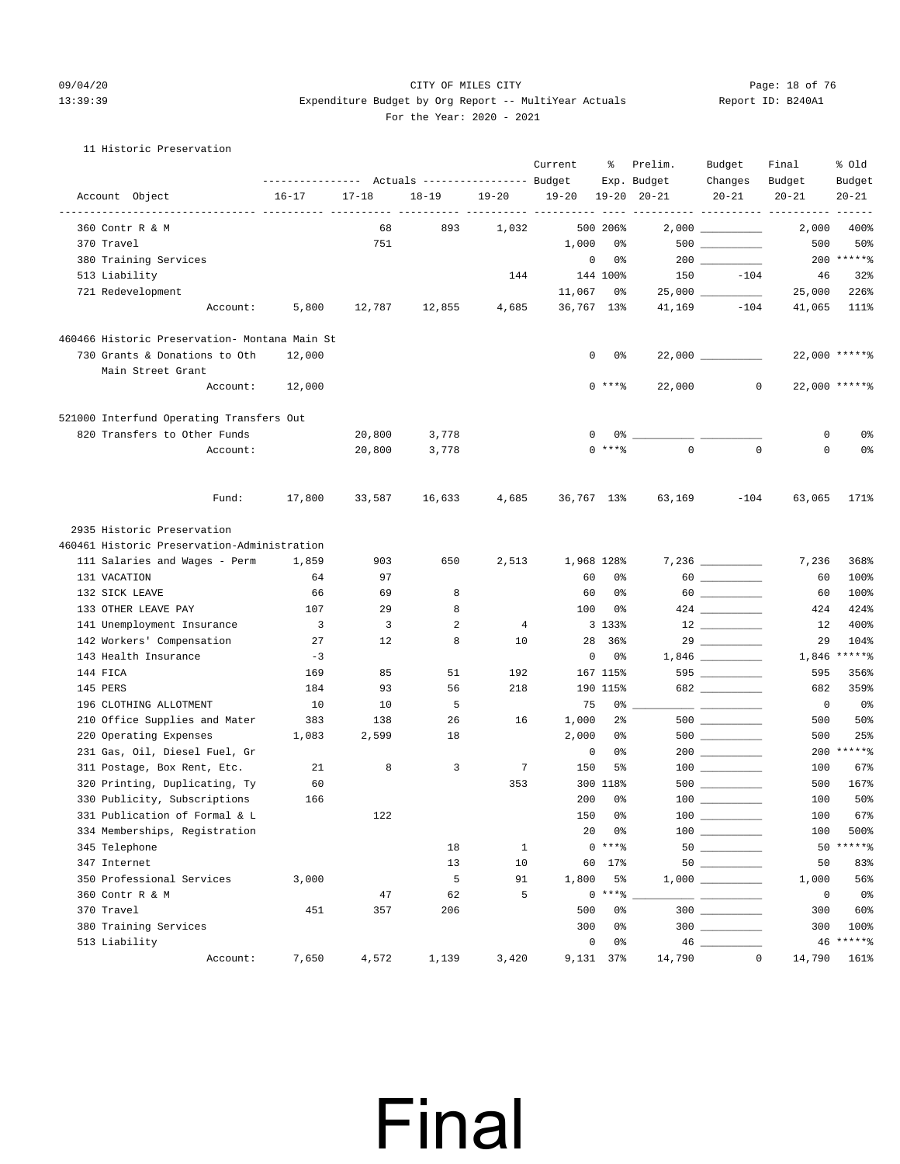#### 09/04/20 Page: 18 of 76 CITY OF MILES CITY CONTROL PAGE: 18 of 76 13:39:39 Expenditure Budget by Org Report -- MultiYear Actuals Report ID: B240A1 For the Year: 2020 - 2021

#### 11 Historic Preservation

|                                               | ---------------    Actuals ----------------    Budget |           |           |                      | Current                      | ႜ              | Prelim.<br>Exp. Budget | Budget<br>Changes                      | Final<br>Budget                              | % old<br>Budget         |
|-----------------------------------------------|-------------------------------------------------------|-----------|-----------|----------------------|------------------------------|----------------|------------------------|----------------------------------------|----------------------------------------------|-------------------------|
| Account Object                                | $16 - 17$                                             | $17 - 18$ | $18 - 19$ | $19 - 20$            | $19 - 20$<br>_______________ |                | $19 - 20$ $20 - 21$    | $20 - 21$                              | $20 - 21$<br>---------- ---------- --------- | $20 - 21$               |
| 360 Contr R & M                               |                                                       | 68        | 893       | $- - - - -$<br>1,032 |                              | 500 206%       |                        | $2,000$ _________                      | 2,000                                        | $- - - - - - -$<br>400% |
| 370 Travel                                    |                                                       | 751       |           |                      | 1,000                        | 0%             |                        | $500$ ________                         | 500                                          | 50%                     |
| 380 Training Services                         |                                                       |           |           |                      | 0                            | 0%             |                        |                                        |                                              | 200 ******              |
| 513 Liability                                 |                                                       |           |           | 144                  |                              | 144 100%       | 150                    | $-104$                                 | 46                                           | 32%                     |
| 721 Redevelopment                             |                                                       |           |           |                      | 11,067                       | 0%             |                        |                                        | 25,000                                       | 226%                    |
| Account:                                      | 5,800                                                 | 12,787    | 12,855    | 4,685                | 36,767 13%                   |                | 41,169                 | $-104$                                 | 41,065                                       | 111%                    |
| 460466 Historic Preservation- Montana Main St |                                                       |           |           |                      |                              |                |                        |                                        |                                              |                         |
| 730 Grants & Donations to Oth                 | 12,000                                                |           |           |                      | 0                            | 0%             |                        |                                        |                                              | 22,000 ******           |
| Main Street Grant                             |                                                       |           |           |                      |                              |                |                        |                                        |                                              |                         |
| Account:                                      | 12,000                                                |           |           |                      |                              | $0***8$        | 22,000                 | $\circ$                                |                                              | 22,000 ******           |
| 521000 Interfund Operating Transfers Out      |                                                       |           |           |                      |                              |                |                        |                                        |                                              |                         |
| 820 Transfers to Other Funds                  |                                                       | 20,800    | 3,778     |                      | 0                            |                | 0 %                    |                                        | 0                                            | 0%                      |
| Account:                                      |                                                       | 20,800    | 3,778     |                      |                              | $0$ ****       | $\Omega$               | $\mathbf 0$                            | 0                                            | 0%                      |
| Fund:                                         | 17,800                                                | 33,587    | 16,633    | 4,685                | 36,767 13%                   |                | 63,169                 | $-104$                                 | 63,065                                       | 171%                    |
| 2935 Historic Preservation                    |                                                       |           |           |                      |                              |                |                        |                                        |                                              |                         |
| 460461 Historic Preservation-Administration   |                                                       |           |           |                      |                              |                |                        |                                        |                                              |                         |
| 111 Salaries and Wages - Perm                 | 1,859                                                 | 903       | 650       | 2,513                | 1,968 128%                   |                |                        | $7,236$ __________                     | 7,236                                        | 368%                    |
| 131 VACATION                                  | 64                                                    | 97        |           |                      | 60                           | 0%             |                        |                                        | 60                                           | 100%                    |
| 132 SICK LEAVE                                | 66                                                    | 69        | 8         |                      | 60                           | 0%             |                        |                                        | 60                                           | 100%                    |
| 133 OTHER LEAVE PAY                           | 107                                                   | 29        | 8         |                      | 100                          | 0%             |                        |                                        | 424                                          | 424%                    |
| 141 Unemployment Insurance                    | $\overline{\mathbf{3}}$                               | 3         | 2         | 4                    |                              | 3 133%         |                        |                                        | 12                                           | 400%                    |
| 142 Workers' Compensation                     | 27                                                    | 12        | 8         | 10                   | 28                           | 36%            |                        | $29 \overline{\qquad \qquad }$         | 29                                           | 104%                    |
| 143 Health Insurance                          | $-3$                                                  |           |           |                      | 0                            | 0%             |                        |                                        | 1,846                                        | *****%                  |
| 144 FICA                                      | 169                                                   | 85        | 51        | 192                  |                              | 167 115%       |                        | 595                                    | 595                                          | 356%                    |
| 145 PERS                                      | 184                                                   | 93        | 56        | 218                  |                              | 190 115%       |                        | 682                                    | 682                                          | 359%                    |
| 196 CLOTHING ALLOTMENT                        | 10                                                    | 10        | 5         |                      | 75                           | 0%             |                        |                                        | $\overline{0}$                               | 0%                      |
| 210 Office Supplies and Mater                 | 383                                                   | 138       | 26        | 16                   | 1,000                        | $2\frac{6}{9}$ |                        | $500$ ________                         | 500                                          | 50%                     |
| 220 Operating Expenses                        | 1,083                                                 | 2,599     | 18        |                      | 2,000                        | 0%             |                        |                                        | 500                                          | 25%                     |
| 231 Gas, Oil, Diesel Fuel, Gr                 |                                                       |           |           |                      | 0                            | 0%             |                        |                                        |                                              | 200 ******              |
| 311 Postage, Box Rent, Etc.                   | 21                                                    | 8         | 3         | $7\phantom{.0}$      | 150                          | 5%             |                        | $\begin{tabular}{c} 100 \end{tabular}$ | 100                                          | 67%                     |
| 320 Printing, Duplicating, Ty                 | 60                                                    |           |           | 353                  |                              | 300 118%       |                        |                                        | 500                                          | 167%                    |
| 330 Publicity, Subscriptions                  | 166                                                   |           |           |                      | 200                          | 0%             |                        |                                        | 100                                          | 50%                     |
| 331 Publication of Formal & L                 |                                                       | 122       |           |                      | 150                          | 0%             |                        |                                        | 100                                          | 67%                     |
| 334 Memberships, Registration                 |                                                       |           |           |                      | 20                           | 0%<br>$0***8$  |                        | $\begin{tabular}{c} 100 \end{tabular}$ | 100                                          | 500%<br>50 ******       |
| 345 Telephone                                 |                                                       |           | 18        | $\mathbf{1}$         |                              |                |                        | 50                                     |                                              | 83%                     |
| 347 Internet                                  |                                                       |           | 13<br>5   | 10                   |                              | 60 17%         |                        |                                        | 50                                           |                         |
| 350 Professional Services<br>360 Contr R & M  | 3,000                                                 | 47        | 62        | 91<br>5              | 1,800                        | 5%<br>$0***$ % |                        |                                        | 1,000<br>$\circ$                             | 56%<br>0 <sub>8</sub>   |
| 370 Travel                                    | 451                                                   | 357       | 206       |                      | 500                          | 0%             |                        | 300                                    | 300                                          | 60%                     |
| 380 Training Services                         |                                                       |           |           |                      | 300                          | 0%             |                        |                                        | 300                                          | 100%                    |
| 513 Liability                                 |                                                       |           |           |                      | 0                            | 0%             |                        |                                        |                                              | 46 ******               |
| Account:                                      | 7,650                                                 | 4,572     | 1,139     | 3,420                | 9,131 37%                    |                | 14,790                 | $\mathbb O$                            | 14,790                                       | 161%                    |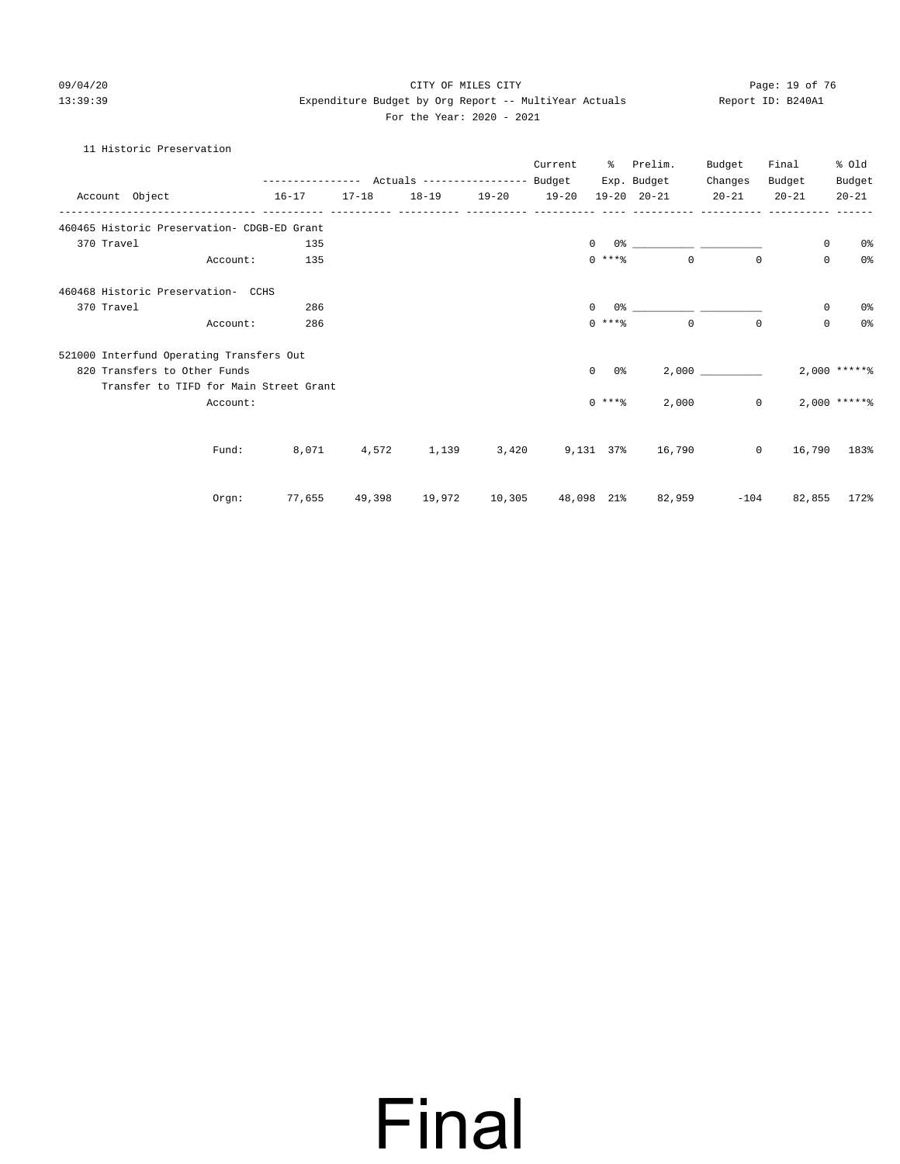#### 09/04/20 Page: 19 of 76 CITY OF MILES CITY CONTROL PAGE: 19 OF 76 13:39:39 Expenditure Budget by Org Report -- MultiYear Actuals Report ID: B240A1 For the Year: 2020 - 2021

### 11 Historic Preservation

|                |                                             | ---------------    Actuals ----------------    Budget |           |                                               |                   | Current | ႜၟ             | Prelim.<br>Exp. Budget | Budget<br>Changes | Final<br>Budget | % old<br>Budget |
|----------------|---------------------------------------------|-------------------------------------------------------|-----------|-----------------------------------------------|-------------------|---------|----------------|------------------------|-------------------|-----------------|-----------------|
| Account Object |                                             | $16 - 17$                                             | $17 - 18$ |                                               | 18-19 19-20 19-20 |         |                | $19 - 20$ $20 - 21$    | $20 - 21$         | $20 - 21$       | $20 - 21$       |
|                | 460465 Historic Preservation- CDGB-ED Grant |                                                       |           |                                               |                   |         |                |                        |                   |                 |                 |
| 370 Travel     |                                             | 135                                                   |           |                                               |                   |         | $\mathbf{0}$   |                        |                   | 0               | 0%              |
|                | Account:                                    | 135                                                   |           |                                               |                   |         | $0$ *** $%$    | $\Omega$               | $\Omega$          | $\mathbf 0$     | 0 <sup>o</sup>  |
|                | 460468 Historic Preservation- CCHS          |                                                       |           |                                               |                   |         |                |                        |                   |                 |                 |
| 370 Travel     |                                             | 286                                                   |           |                                               |                   |         | $\Omega$<br>0응 |                        |                   | 0               | 0 <sup>o</sup>  |
|                | Account:                                    | 286                                                   |           |                                               |                   |         | $0$ ****       | $\Omega$               | $\Omega$          | $\mathbf 0$     | 0 <sup>o</sup>  |
|                | 521000 Interfund Operating Transfers Out    |                                                       |           |                                               |                   |         |                |                        |                   |                 |                 |
|                | 820 Transfers to Other Funds                |                                                       |           |                                               |                   |         | $\circ$<br>0 % |                        | 2,000             |                 | $2,000$ ***** % |
|                | Transfer to TIFD for Main Street Grant      |                                                       |           |                                               |                   |         |                |                        |                   |                 |                 |
|                | Account:                                    |                                                       |           |                                               |                   |         | $0$ ****       | 2,000                  | $\Omega$          |                 | $2,000$ ***** % |
|                |                                             |                                                       |           |                                               |                   |         |                |                        |                   |                 |                 |
|                | Fund:                                       | 8,071                                                 | 4,572     | 1,139                                         | 3,420             |         |                | 9,131 37% 16,790       | $\circ$           | 16,790          | 183%            |
|                |                                             |                                                       |           |                                               |                   |         |                |                        |                   | $-104$          |                 |
|                | Orgn:                                       |                                                       |           | 77,655 49,398 19,972 10,305 48,098 21% 82,959 |                   |         |                |                        |                   |                 | 82,855 172%     |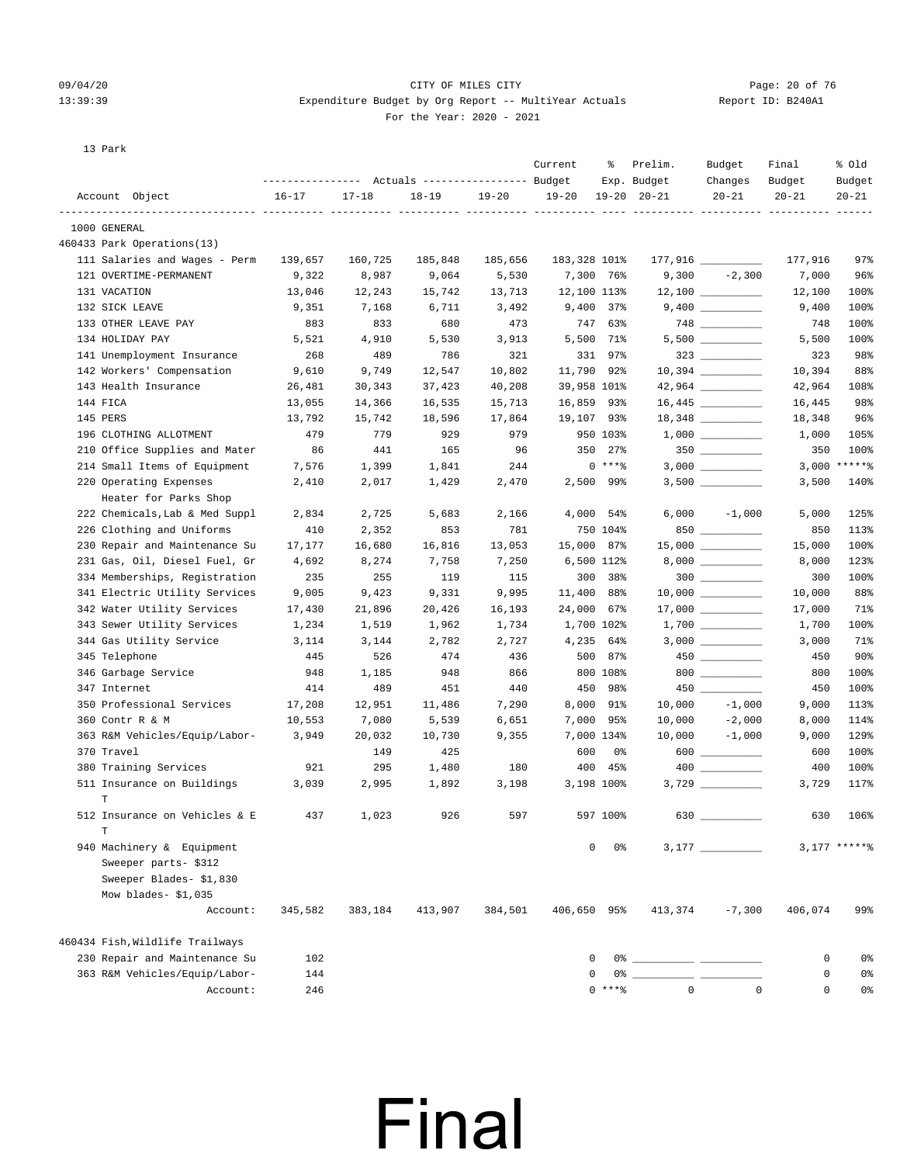#### 09/04/20 Page: 20 of 76 CITY OF MILES CITY CONTROL PAGE: 20 of 76 13:39:39 Expenditure Budget by Org Report -- MultiYear Actuals Report ID: B240A1 For the Year: 2020 - 2021

13 Park

|                                                         |                 |                 | Actuals ----------------- Budget |                 | Current      | ႜ                  | Prelim.<br>Exp. Budget | Budget<br>Changes                | Final<br>Budget | % old<br>Budget |
|---------------------------------------------------------|-----------------|-----------------|----------------------------------|-----------------|--------------|--------------------|------------------------|----------------------------------|-----------------|-----------------|
| Account Object                                          | $16 - 17$       | $17 - 18$       | $18 - 19$                        | $19 - 20$       | $19 - 20$    |                    | $19 - 20$ $20 - 21$    | $20 - 21$                        | $20 - 21$       | $20 - 21$       |
|                                                         |                 |                 |                                  |                 |              |                    |                        | ----------- ---------- --------- |                 |                 |
| 1000 GENERAL                                            |                 |                 |                                  |                 |              |                    |                        |                                  |                 |                 |
| 460433 Park Operations(13)                              |                 |                 |                                  |                 |              |                    |                        |                                  | 177,916         |                 |
| 111 Salaries and Wages - Perm<br>121 OVERTIME-PERMANENT | 139,657         | 160,725         | 185,848                          | 185,656         | 183,328 101% | 7,300 76%          |                        | $9,300 -2,300$                   |                 | 97%<br>96%      |
| 131 VACATION                                            | 9,322<br>13,046 | 8,987<br>12,243 | 9,064<br>15,742                  | 5,530<br>13,713 | 12,100 113%  |                    |                        |                                  | 7,000<br>12,100 | 100%            |
| 132 SICK LEAVE                                          | 9,351           | 7,168           | 6,711                            | 3,492           |              | $9,400$ 37%        |                        |                                  | 9,400           | 100%            |
| 133 OTHER LEAVE PAY                                     | 883             | 833             | 680                              | 473             |              | 747 63%            |                        | $748$ _________                  | 748             | 100%            |
| 134 HOLIDAY PAY                                         | 5,521           | 4,910           | 5,530                            | 3,913           |              | 5,500 71%          |                        |                                  | 5,500           | 100%            |
| 141 Unemployment Insurance                              | 268             | 489             | 786                              | 321             |              | 331 97%            |                        | $323$ _________                  | 323             | 98%             |
| 142 Workers' Compensation                               | 9,610           | 9,749           | 12,547                           | 10,802          | 11,790 92%   |                    |                        |                                  | 10,394          | 88%             |
| 143 Health Insurance                                    | 26,481          | 30,343          | 37,423                           | 40,208          | 39,958 101%  |                    |                        |                                  | 42,964          | 108%            |
| 144 FICA                                                | 13,055          | 14,366          | 16,535                           | 15,713          | 16,859 93%   |                    |                        |                                  | 16,445          | 98%             |
| 145 PERS                                                | 13,792          | 15,742          | 18,596                           | 17,864          | 19,107 93%   |                    |                        | 18,348 _________                 | 18,348          | 96%             |
| 196 CLOTHING ALLOTMENT                                  | 479             | 779             | 929                              | 979             |              | 950 103%           |                        |                                  | 1,000           | 105%            |
| 210 Office Supplies and Mater                           | 86              | 441             | 165                              | 96              |              | 350 27%            |                        | 350                              | 350             | 100%            |
| 214 Small Items of Equipment                            | 7,576           | 1,399           | 1,841                            | 244             |              | $0***8$            |                        |                                  |                 | $3,000$ *****%  |
| 220 Operating Expenses                                  | 2,410           | 2,017           | 1,429                            | 2,470           |              | 2,500 99%          |                        |                                  | 3,500           | 140%            |
| Heater for Parks Shop                                   |                 |                 |                                  |                 |              |                    |                        |                                  |                 |                 |
| 222 Chemicals, Lab & Med Suppl                          | 2,834           | 2,725           | 5,683                            | 2,166           |              | 4,000 54%          | 6,000                  | $-1,000$                         | 5,000           | 125%            |
| 226 Clothing and Uniforms                               | 410             | 2,352           | 853                              | 781             |              | 750 104%           |                        | 850 700                          | 850             | 113%            |
| 230 Repair and Maintenance Su                           | 17,177          | 16,680          | 16,816                           | 13,053          | 15,000 87%   |                    |                        |                                  | 15,000          | 100%            |
| 231 Gas, Oil, Diesel Fuel, Gr                           | 4,692           | 8,274           | 7,758                            | 7,250           |              | 6,500 112%         |                        |                                  | 8,000           | 123%            |
| 334 Memberships, Registration                           | 235             | 255             | 119                              | 115             |              | 300 38%            |                        | $300$                            | 300             | 100%            |
| 341 Electric Utility Services                           | 9,005           | 9,423           | 9,331                            | 9,995           | 11,400 88%   |                    |                        | $10,000$ __________              | 10,000          | 88%             |
| 342 Water Utility Services                              | 17,430          | 21,896          | 20,426                           | 16,193          | 24,000 67%   |                    |                        | $17,000$ __________              | 17,000          | 71%             |
| 343 Sewer Utility Services                              | 1,234           | 1,519           | 1,962                            | 1,734           |              | 1,700 102%         |                        |                                  | 1,700           | 100%            |
| 344 Gas Utility Service                                 | 3,114           | 3,144           | 2,782                            | 2,727           |              | 4,235 64%          |                        | $3,000$ __________               | 3,000           | 71%             |
| 345 Telephone                                           | 445             | 526             | 474                              | 436             |              | 500 87%            |                        | $450$ _________                  | 450             | 90%             |
| 346 Garbage Service                                     | 948             | 1,185           | 948                              | 866             |              | 800 108%           |                        | $800$ ________                   | 800             | 100%            |
| 347 Internet                                            | 414             | 489             | 451                              | 440             |              | 450 98%            |                        |                                  | 450             | 100%            |
| 350 Professional Services                               | 17,208          | 12,951          | 11,486                           | 7,290           |              | 8,000 91%          | 10,000                 | $-1,000$                         | 9,000           | 113%            |
| 360 Contr R & M                                         | 10,553          | 7,080           | 5,539                            | 6,651           |              | 7,000 95%          | 10,000                 | $-2,000$                         | 8,000           | 114%            |
| 363 R&M Vehicles/Equip/Labor-                           | 3,949           | 20,032          | 10,730                           | 9,355           |              | 7,000 134%         |                        | $10,000 -1,000$                  | 9,000           | 129%            |
| 370 Travel                                              |                 | 149             | 425                              |                 | 600          | 0%                 |                        | 600 000                          | 600             | 100%            |
| 380 Training Services                                   | 921             | 295             | 1,480                            | 180             | 400          | 45%                |                        |                                  | 400             | 100%            |
| 511 Insurance on Buildings                              | 3,039           | 2,995           | 1,892                            | 3,198           |              | 3,198 100%         |                        |                                  | 3,729           | 117%            |
| T                                                       |                 |                 |                                  |                 |              |                    |                        |                                  |                 |                 |
| 512 Insurance on Vehicles & E                           | 437             | 1,023           | 926                              | 597             |              | 597 100%           | 630                    |                                  | 630             | 106%            |
| $\mathbf T$                                             |                 |                 |                                  |                 |              |                    |                        |                                  |                 | $3,177$ ***** % |
| 940 Machinery & Equipment                               |                 |                 |                                  |                 |              | $\mathbf 0$<br>0 % |                        |                                  |                 |                 |
| Sweeper parts-\$312                                     |                 |                 |                                  |                 |              |                    |                        |                                  |                 |                 |
| Sweeper Blades- \$1,830<br>Mow blades- \$1,035          |                 |                 |                                  |                 |              |                    |                        |                                  |                 |                 |
| Account:                                                | 345,582         | 383,184         | 413,907                          | 384,501         | 406,650 95%  |                    | 413,374                | $-7,300$                         | 406,074         | 99%             |
| 460434 Fish, Wildlife Trailways                         |                 |                 |                                  |                 |              |                    |                        |                                  |                 |                 |
| 230 Repair and Maintenance Su                           | 102             |                 |                                  |                 | 0            |                    |                        |                                  | 0               | 0%              |
| 363 R&M Vehicles/Equip/Labor-                           | 144             |                 |                                  |                 | $\Omega$     |                    |                        |                                  | 0               | 0%              |
| Account:                                                | 246             |                 |                                  |                 |              | $0***$             |                        | $\overline{0}$<br>$\Omega$       | 0               | 0%              |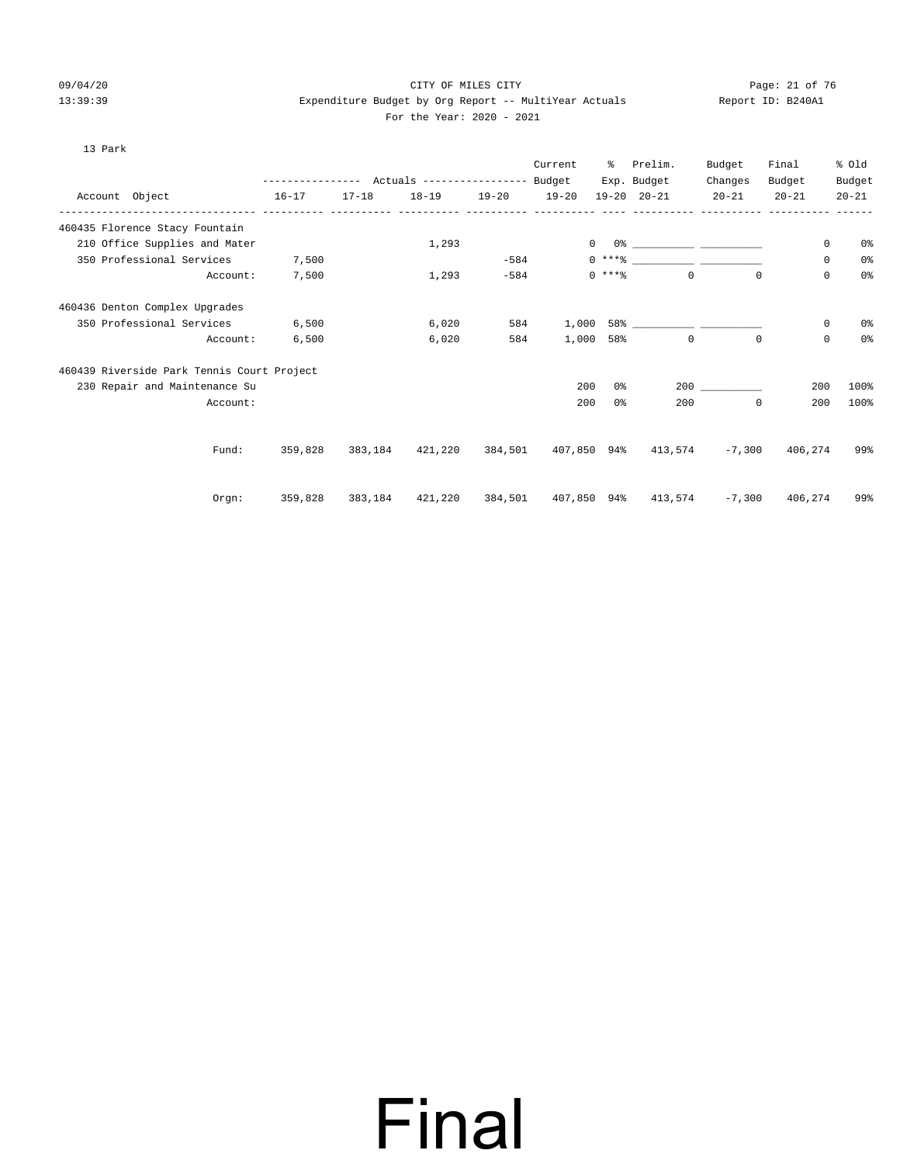#### 09/04/20 Page: 21 of 76 CITY OF MILES CITY CONTROL PAGE: 21 of 76 13:39:39 Expenditure Budget by Org Report -- MultiYear Actuals Report ID: B240A1 For the Year: 2020 - 2021

| $\sim$ |  |
|--------|--|

|          |                                                                                                                                                      |                                                                                                                                               |           |         | Current | ႜႜႜၟ                  | Prelim.             | Budget                                                             | Final                                 | % old                                                                                                                                                                                                                                                                                                                                                                                                                                                                                     |                                                                                                           |
|----------|------------------------------------------------------------------------------------------------------------------------------------------------------|-----------------------------------------------------------------------------------------------------------------------------------------------|-----------|---------|---------|-----------------------|---------------------|--------------------------------------------------------------------|---------------------------------------|-------------------------------------------------------------------------------------------------------------------------------------------------------------------------------------------------------------------------------------------------------------------------------------------------------------------------------------------------------------------------------------------------------------------------------------------------------------------------------------------|-----------------------------------------------------------------------------------------------------------|
|          |                                                                                                                                                      | $17 - 18$                                                                                                                                     | $18 - 19$ |         |         |                       |                     | $20 - 21$                                                          | $20 - 21$                             | $20 - 21$                                                                                                                                                                                                                                                                                                                                                                                                                                                                                 |                                                                                                           |
|          |                                                                                                                                                      |                                                                                                                                               |           |         |         |                       |                     |                                                                    |                                       |                                                                                                                                                                                                                                                                                                                                                                                                                                                                                           |                                                                                                           |
|          |                                                                                                                                                      |                                                                                                                                               | 1,293     |         |         |                       |                     |                                                                    |                                       | 0                                                                                                                                                                                                                                                                                                                                                                                                                                                                                         | 0%                                                                                                        |
|          |                                                                                                                                                      |                                                                                                                                               |           |         |         |                       |                     |                                                                    |                                       | 0                                                                                                                                                                                                                                                                                                                                                                                                                                                                                         | 0%                                                                                                        |
| Account: | 7,500                                                                                                                                                |                                                                                                                                               | 1,293     | $-584$  |         |                       |                     |                                                                    |                                       | $\mathbf 0$                                                                                                                                                                                                                                                                                                                                                                                                                                                                               | 0%                                                                                                        |
|          |                                                                                                                                                      |                                                                                                                                               |           |         |         |                       |                     |                                                                    |                                       |                                                                                                                                                                                                                                                                                                                                                                                                                                                                                           |                                                                                                           |
|          | 6,500                                                                                                                                                |                                                                                                                                               | 6,020     |         |         |                       |                     |                                                                    |                                       |                                                                                                                                                                                                                                                                                                                                                                                                                                                                                           | 0%                                                                                                        |
| Account: | 6,500                                                                                                                                                |                                                                                                                                               | 6,020     | 584     |         |                       |                     |                                                                    |                                       | $\mathbf 0$                                                                                                                                                                                                                                                                                                                                                                                                                                                                               | 0%                                                                                                        |
|          |                                                                                                                                                      |                                                                                                                                               |           |         |         |                       |                     |                                                                    |                                       |                                                                                                                                                                                                                                                                                                                                                                                                                                                                                           |                                                                                                           |
|          |                                                                                                                                                      |                                                                                                                                               |           |         |         |                       |                     |                                                                    |                                       |                                                                                                                                                                                                                                                                                                                                                                                                                                                                                           | 100%                                                                                                      |
| Account: |                                                                                                                                                      |                                                                                                                                               |           |         |         | 0 <sup>8</sup>        |                     |                                                                    |                                       |                                                                                                                                                                                                                                                                                                                                                                                                                                                                                           | 100%                                                                                                      |
|          |                                                                                                                                                      |                                                                                                                                               |           |         |         |                       |                     |                                                                    |                                       |                                                                                                                                                                                                                                                                                                                                                                                                                                                                                           | 99%                                                                                                       |
|          |                                                                                                                                                      |                                                                                                                                               |           |         |         |                       |                     |                                                                    |                                       |                                                                                                                                                                                                                                                                                                                                                                                                                                                                                           |                                                                                                           |
|          | 359,828                                                                                                                                              | 383,184                                                                                                                                       |           |         |         |                       |                     |                                                                    |                                       |                                                                                                                                                                                                                                                                                                                                                                                                                                                                                           | 99%                                                                                                       |
|          | 460435 Florence Stacy Fountain<br>210 Office Supplies and Mater<br>460436 Denton Complex Upgrades<br>230 Repair and Maintenance Su<br>Fund:<br>Orgn: | Account Object 16-17<br>350 Professional Services 7,500<br>350 Professional Services<br>460439 Riverside Park Tennis Court Project<br>359,828 |           | 383,184 | 584     | 19-20 19-20<br>$-584$ | 1,000<br>200<br>200 | Exp. Budget<br>$19 - 20$ $20 - 21$<br>$0$ ****<br>58%<br>0%<br>200 | Changes<br>$\Omega$<br>$\circ$<br>200 | Budget<br>$\begin{picture}(180,10) \put(0,0){\vector(1,0){100}} \put(10,0){\vector(1,0){100}} \put(10,0){\vector(1,0){100}} \put(10,0){\vector(1,0){100}} \put(10,0){\vector(1,0){100}} \put(10,0){\vector(1,0){100}} \put(10,0){\vector(1,0){100}} \put(10,0){\vector(1,0){100}} \put(10,0){\vector(1,0){100}} \put(10,0){\vector(1,0){100}} \put(10,0){\vector(1,0){100}}$<br>$0***$ $\frac{20}{100}$<br>$\Omega$<br>$\Omega$<br>$\Omega$<br>421,220 384,501 407,850 94% 413,574 -7,300 | Budget<br>0<br>200<br>200<br>406,274<br>$421,220$ $384,501$ $407,850$ $94\%$ $413,574$ $-7,300$ $406,274$ |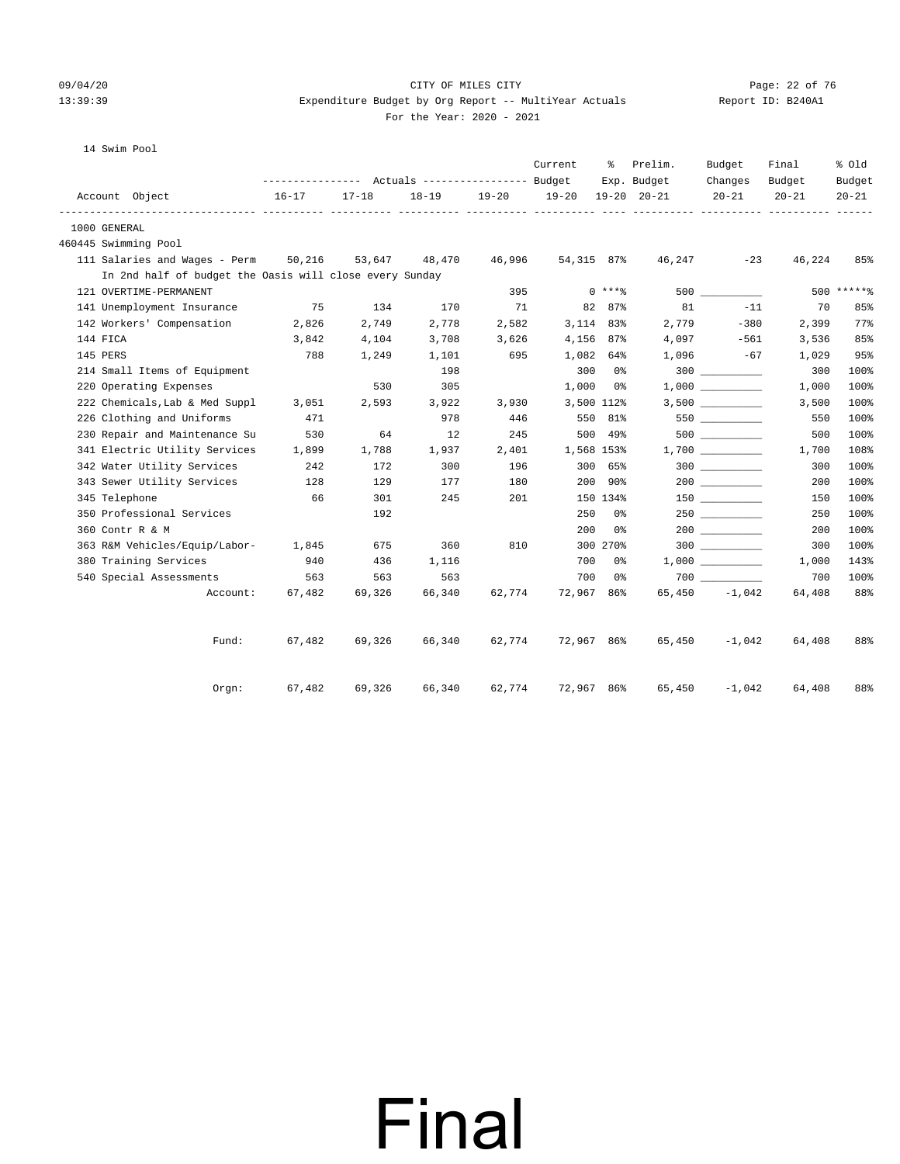#### 09/04/20 Page: 22 of 76 CITY OF MILES CITY CONTROL PAGE: 22 of 76 13:39:39 Expenditure Budget by Org Report -- MultiYear Actuals Report ID: B240A1 For the Year: 2020 - 2021

14 Swim Pool

|                                                         |           |                                                              |           |           | Current    | ႜၟ       | Prelim.                    | Budget               | Final               | % old               |
|---------------------------------------------------------|-----------|--------------------------------------------------------------|-----------|-----------|------------|----------|----------------------------|----------------------|---------------------|---------------------|
| Account Object                                          | $16 - 17$ | --------------- Actuals ---------------- Budget<br>$17 - 18$ | $18 - 19$ | $19 - 20$ | $19 - 20$  |          | Exp. Budget<br>19-20 20-21 | Changes<br>$20 - 21$ | Budget<br>$20 - 21$ | Budget<br>$20 - 21$ |
| 1000 GENERAL                                            |           |                                                              |           |           |            |          | ----------- ----------     |                      |                     |                     |
| 460445 Swimming Pool                                    |           |                                                              |           |           |            |          |                            |                      |                     |                     |
| 111 Salaries and Wages - Perm 50,216                    |           | 53,647                                                       | 48,470    | 46,996    | 54,315 87% |          | 46,247                     | $-23$                | 46,224              | 85%                 |
| In 2nd half of budget the Oasis will close every Sunday |           |                                                              |           |           |            |          |                            |                      |                     |                     |
| 121 OVERTIME-PERMANENT                                  |           |                                                              |           | 395       |            | $0$ **** |                            |                      |                     | $500$ ******        |
| 141 Unemployment Insurance                              | 75        | 134                                                          | 170       | 71        |            | 82 87%   | 81                         | $-11$                | 70                  | 85%                 |
| 142 Workers' Compensation                               | 2,826     | 2,749                                                        | 2,778     | 2,582     | 3,114 83%  |          | 2,779                      | $-380$               | 2,399               | 77%                 |
| 144 FICA                                                | 3,842     | 4,104                                                        | 3,708     | 3,626     | 4,156 87%  |          |                            | $4,097 -561$         | 3,536               | 85%                 |
| 145 PERS                                                | 788       | 1,249                                                        | 1,101     | 695       | 1,082 64%  |          | 1,096                      | $-67$                | 1,029               | 95%                 |
| 214 Small Items of Equipment                            |           |                                                              | 198       |           |            | 300 0%   |                            |                      | 300                 | 100%                |
| 220 Operating Expenses                                  |           | 530                                                          | 305       |           | $1,000$ 0% |          |                            | 1,000                | 1,000               | 100%                |
| 222 Chemicals, Lab & Med Suppl                          | 3,051     | 2,593                                                        | 3,922     | 3,930     | 3,500 112% |          |                            |                      | 3,500               | 100%                |
| 226 Clothing and Uniforms                               | 471       |                                                              | 978       | 446       |            | 550 81%  |                            | 550                  | 550                 | 100%                |
| 230 Repair and Maintenance Su                           | 530       | 64                                                           | 12        | 245       |            | 500 49%  |                            | 500 000              | 500                 | 100%                |
| 341 Electric Utility Services                           | 1,899     | 1,788                                                        | 1,937     | 2,401     | 1,568 153% |          |                            |                      | 1,700               | 108%                |
| 342 Water Utility Services                              | 242       | 172                                                          | 300       | 196       |            | 300 65%  |                            |                      | 300                 | 100%                |
| 343 Sewer Utility Services                              | 128       | 129                                                          | 177       | 180       |            | 200 90%  |                            |                      | 200                 | 100%                |
| 345 Telephone                                           | 66        | 301                                                          | 245       | 201       |            | 150 134% |                            | $150$ __________     | 150                 | 100%                |
| 350 Professional Services                               |           | 192                                                          |           |           | 250        | 0%       |                            | 250                  | 250                 | 100%                |
| 360 Contr R & M                                         |           |                                                              |           |           | 200        | 0%       |                            |                      | 200                 | 100%                |
| 363 R&M Vehicles/Equip/Labor- 1,845                     |           | 675                                                          | 360       | 810       |            | 300 270% |                            |                      | 300                 | 100%                |
| 380 Training Services                                   | 940       | 436                                                          | 1,116     |           |            | 700 0%   |                            |                      | 1,000               | 143%                |
| 540 Special Assessments                                 | 563       | 563                                                          | 563       |           | 700        | 0 %      |                            |                      | 700                 | 100%                |
| Account:                                                | 67,482    | 69,326                                                       | 66,340    | 62,774    | 72,967 86% |          |                            | $65,450 -1,042$      | 64,408              | 88%                 |
| Fund:                                                   | 67,482    | 69,326                                                       | 66,340    | 62,774    | 72,967 86% |          | 65,450                     | $-1,042$             | 64,408              | 88%                 |
| $0$ rgn:                                                | 67,482    | 69,326                                                       | 66,340    | 62,774    | 72,967 86% |          | 65,450                     | $-1,042$             | 64,408              | 88%                 |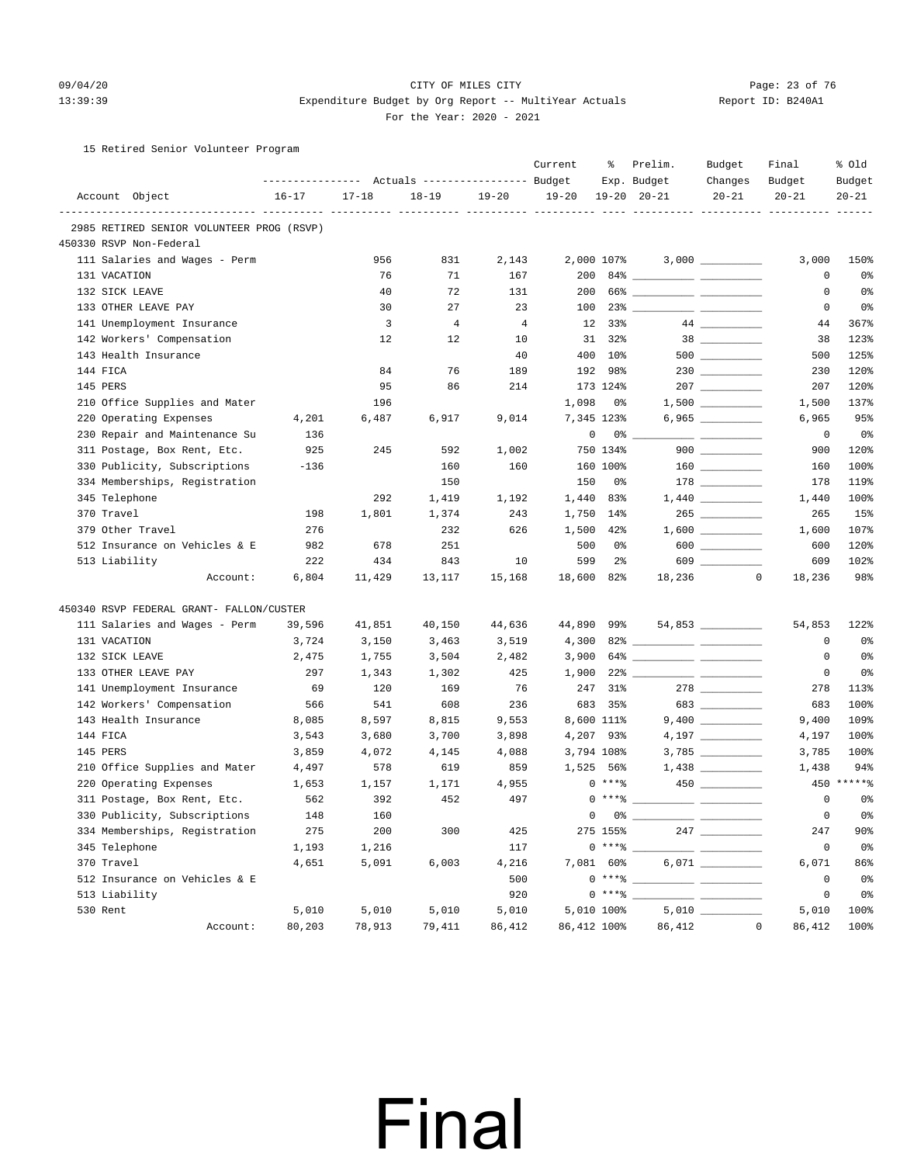### 09/04/20 Page: 23 of 76 CITY OF MILES CITY CONTROL PAGE: 23 of 76 13:39:39 Expenditure Budget by Org Report -- MultiYear Actuals Report ID: B240A1

#### For the Year: 2020 - 2021

15 Retired Senior Volunteer Program

|                                           | ---------------- |           | Actuals ----------------- Budget |                | Current               | ႜ               | Prelim.<br>Exp. Budget                                                                                                                                                                                                                                                                                                   | Budget<br>Changes  | Final<br>Budget | % old<br>Budget |
|-------------------------------------------|------------------|-----------|----------------------------------|----------------|-----------------------|-----------------|--------------------------------------------------------------------------------------------------------------------------------------------------------------------------------------------------------------------------------------------------------------------------------------------------------------------------|--------------------|-----------------|-----------------|
| Account Object                            | $16 - 17$        | $17 - 18$ | $18 - 19$                        | $19 - 20$      | $19 - 20$             |                 | $19 - 20$ $20 - 21$                                                                                                                                                                                                                                                                                                      | $20 - 21$          | $20 - 21$       | $20 - 21$       |
| 2985 RETIRED SENIOR VOLUNTEER PROG (RSVP) |                  |           |                                  |                | ----- ---------- ---- |                 | ----------- ----------                                                                                                                                                                                                                                                                                                   |                    |                 |                 |
| 450330 RSVP Non-Federal                   |                  |           |                                  |                |                       |                 |                                                                                                                                                                                                                                                                                                                          |                    |                 |                 |
| 111 Salaries and Wages - Perm             |                  | 956       | 831                              | 2,143          |                       | 2,000 107%      |                                                                                                                                                                                                                                                                                                                          |                    | 3,000           | 150%            |
| 131 VACATION                              |                  | 76        | 71                               | 167            | 200                   |                 |                                                                                                                                                                                                                                                                                                                          |                    | 0               | 0%              |
| 132 SICK LEAVE                            |                  | 40        | 72                               | 131            | 200                   |                 |                                                                                                                                                                                                                                                                                                                          |                    | 0               | 0%              |
| 133 OTHER LEAVE PAY                       |                  | 30        | 27                               | 23             | 100                   |                 |                                                                                                                                                                                                                                                                                                                          |                    | 0               | 0%              |
| 141 Unemployment Insurance                |                  | 3         | $\overline{4}$                   | $\overline{4}$ | 12                    | 33%             |                                                                                                                                                                                                                                                                                                                          |                    | 44              | 367%            |
| 142 Workers' Compensation                 |                  | 12        | 12                               | 10             |                       | 31 32%          |                                                                                                                                                                                                                                                                                                                          |                    | 38              | 123%            |
| 143 Health Insurance                      |                  |           |                                  | 40             |                       | 400 10%         |                                                                                                                                                                                                                                                                                                                          |                    | 500             | 125%            |
| 144 FICA                                  |                  | 84        | 76                               | 189            |                       | 192 98%         |                                                                                                                                                                                                                                                                                                                          |                    | 230             | 120%            |
| 145 PERS                                  |                  | 95        | 86                               | 214            |                       | 173 124%        |                                                                                                                                                                                                                                                                                                                          |                    | 207             | 120%            |
| 210 Office Supplies and Mater             |                  | 196       |                                  |                | 1,098                 | 0%              |                                                                                                                                                                                                                                                                                                                          | $1,500$ __________ | 1,500           | 137%            |
| 220 Operating Expenses                    | 4,201            | 6,487     | 6,917                            | 9,014          |                       | 7,345 123%      |                                                                                                                                                                                                                                                                                                                          |                    | 6,965           | 95%             |
| 230 Repair and Maintenance Su             | 136              |           |                                  |                | 0                     |                 | $0\%$ __                                                                                                                                                                                                                                                                                                                 |                    | 0               | 0%              |
| 311 Postage, Box Rent, Etc.               | 925              | 245       | 592                              | 1,002          |                       | 750 134%        |                                                                                                                                                                                                                                                                                                                          | $900$              | 900             | 120%            |
| 330 Publicity, Subscriptions              | $-136$           |           | 160                              | 160            |                       | 160 100%        |                                                                                                                                                                                                                                                                                                                          |                    | 160             | 100%            |
| 334 Memberships, Registration             |                  |           | 150                              |                | 150                   | 0%              |                                                                                                                                                                                                                                                                                                                          |                    | 178             | 119%            |
| 345 Telephone                             |                  | 292       | 1,419                            | 1,192          | 1,440                 | 83%             |                                                                                                                                                                                                                                                                                                                          |                    | 1,440           | 100%            |
| 370 Travel                                | 198              | 1,801     | 1,374                            | 243            | 1,750                 | 14%             |                                                                                                                                                                                                                                                                                                                          | 265                | 265             | 15%             |
| 379 Other Travel                          | 276              |           | 232                              | 626            | 1,500                 | 42%             |                                                                                                                                                                                                                                                                                                                          |                    | 1,600           | 107%            |
| 512 Insurance on Vehicles & E             | 982              | 678       | 251                              |                | 500                   | 0%              |                                                                                                                                                                                                                                                                                                                          | $600$              | 600             | 120%            |
| 513 Liability                             | 222              | 434       | 843                              | 10             | 599                   | $2\frac{6}{9}$  |                                                                                                                                                                                                                                                                                                                          |                    | 609             | 102%            |
| Account:                                  | 6,804            | 11,429    | 13,117                           | 15,168         | 18,600                | 82%             | 18,236                                                                                                                                                                                                                                                                                                                   | $\circ$            | 18,236          | 98%             |
| 450340 RSVP FEDERAL GRANT- FALLON/CUSTER  |                  |           |                                  |                |                       |                 |                                                                                                                                                                                                                                                                                                                          |                    |                 |                 |
| 111 Salaries and Wages - Perm             | 39,596           | 41,851    | 40,150                           | 44,636         | 44,890 99%            |                 |                                                                                                                                                                                                                                                                                                                          | 54,853             | 54,853          | 122%            |
| 131 VACATION                              | 3,724            | 3,150     | 3,463                            | 3,519          | 4,300                 |                 |                                                                                                                                                                                                                                                                                                                          |                    | 0               | 0%              |
| 132 SICK LEAVE                            | 2,475            | 1,755     | 3,504                            | 2,482          | 3,900                 |                 |                                                                                                                                                                                                                                                                                                                          |                    | 0               | 0%              |
| 133 OTHER LEAVE PAY                       | 297              | 1,343     | 1,302                            | 425            | 1,900                 |                 |                                                                                                                                                                                                                                                                                                                          |                    | 0               | 0 <sup>°</sup>  |
| 141 Unemployment Insurance                | 69               | 120       | 169                              | 76             | 247                   | 31%             |                                                                                                                                                                                                                                                                                                                          |                    | 278             | 113%            |
| 142 Workers' Compensation                 | 566              | 541       | 608                              | 236            | 683                   | 35%             |                                                                                                                                                                                                                                                                                                                          | 683                | 683             | 100%            |
| 143 Health Insurance                      | 8,085            | 8,597     | 8,815                            | 9,553          |                       | 8,600 111%      |                                                                                                                                                                                                                                                                                                                          |                    | 9,400           | 109%            |
| 144 FICA                                  | 3,543            | 3,680     | 3,700                            | 3,898          |                       | 4,207 93%       |                                                                                                                                                                                                                                                                                                                          |                    | 4,197           | 100%            |
| 145 PERS                                  | 3,859            | 4,072     | 4,145                            | 4,088          |                       | 3,794 108%      |                                                                                                                                                                                                                                                                                                                          | 3,785 __________   | 3,785           | 100%            |
| 210 Office Supplies and Mater             | 4,497            | 578       | 619                              | 859            |                       | 1,525 56%       |                                                                                                                                                                                                                                                                                                                          |                    | 1,438           | 94%             |
| 220 Operating Expenses                    | 1,653            | 1,157     | 1,171                            | 4,955          |                       | $0***8$         |                                                                                                                                                                                                                                                                                                                          |                    |                 | $450****$       |
| 311 Postage, Box Rent, Etc.               | 562              | 392       | 452                              | 497            |                       | $0***$ =        |                                                                                                                                                                                                                                                                                                                          |                    | 0               | 0%              |
| 330 Publicity, Subscriptions              | 148              | 160       |                                  |                |                       | $0\qquad 0\,$ ී |                                                                                                                                                                                                                                                                                                                          |                    | 0               | 0%              |
| 334 Memberships, Registration             | 275              | 200       | 300                              | 425            |                       | 275 155%        |                                                                                                                                                                                                                                                                                                                          |                    | 247             | 90%             |
| 345 Telephone                             | 1,193            | 1,216     |                                  | 117            |                       | $0***$ $*$      |                                                                                                                                                                                                                                                                                                                          |                    | 0               | 0 <sup>°</sup>  |
| 370 Travel                                | 4,651            | 5,091     | 6,003                            | 4,216          |                       | 7,081 60%       |                                                                                                                                                                                                                                                                                                                          |                    | 6,071           | 86%             |
| 512 Insurance on Vehicles & E             |                  |           |                                  | 500            |                       |                 | $0***$ $\frac{1}{2}$ $\frac{1}{2}$ $\frac{1}{2}$ $\frac{1}{2}$ $\frac{1}{2}$ $\frac{1}{2}$ $\frac{1}{2}$ $\frac{1}{2}$ $\frac{1}{2}$ $\frac{1}{2}$ $\frac{1}{2}$ $\frac{1}{2}$ $\frac{1}{2}$ $\frac{1}{2}$ $\frac{1}{2}$ $\frac{1}{2}$ $\frac{1}{2}$ $\frac{1}{2}$ $\frac{1}{2}$ $\frac{1}{2}$ $\frac{1}{2}$ $\frac{1}{$ |                    | $\circ$         | 0 <sup>°</sup>  |
| 513 Liability                             |                  |           |                                  | 920            |                       | $0***8$         |                                                                                                                                                                                                                                                                                                                          |                    | $\mathsf 0$     | 0%              |
| 530 Rent                                  | 5,010            | 5,010     | 5,010                            | 5,010          |                       | 5,010 100%      |                                                                                                                                                                                                                                                                                                                          |                    | 5,010           | 100%            |
| Account:                                  | 80,203           | 78,913    | 79,411                           | 86,412         | 86,412 100%           |                 |                                                                                                                                                                                                                                                                                                                          | 86,412<br>$\circ$  | 86,412          | 100%            |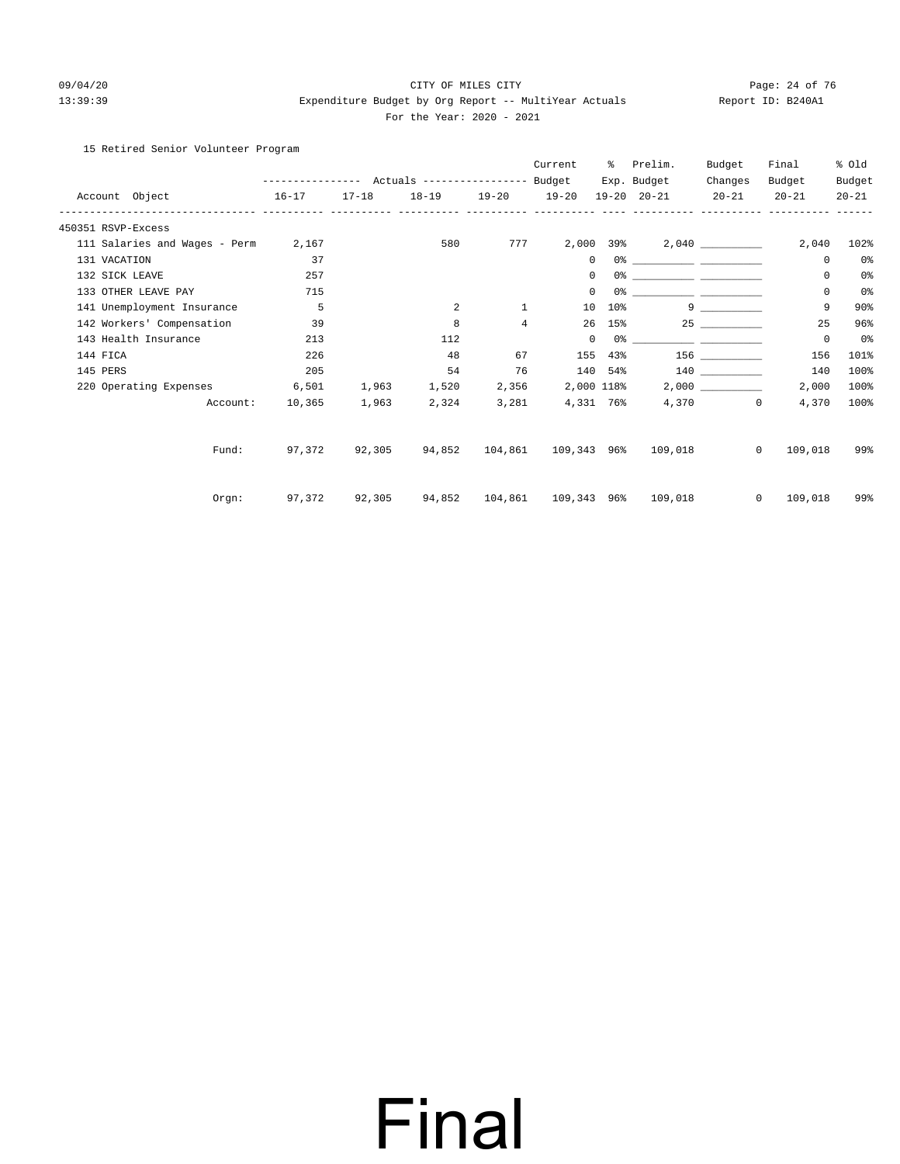#### 09/04/20 Page: 24 of 76 CITY OF MILES CITY CONTROL PAGE: 24 of 76 13:39:39 Expenditure Budget by Org Report -- MultiYear Actuals Report ID: B240A1 For the Year: 2020 - 2021

#### 15 Retired Senior Volunteer Program

|                               | ---------------- |           | Actuals ----------------- Budget |                | Current      | ွေ     | Prelim.<br>Exp. Budget                           | Budget<br>Changes              | Final<br>Budget         | % old<br>Budget |
|-------------------------------|------------------|-----------|----------------------------------|----------------|--------------|--------|--------------------------------------------------|--------------------------------|-------------------------|-----------------|
| Account Object<br>$16 - 17$   |                  | $17 - 18$ | $18 - 19$                        | $19 - 20$      | $19 - 20$    |        | $19 - 20$ $20 - 21$                              | $20 - 21$                      | $20 - 21$               | $20 - 21$       |
| 450351 RSVP-Excess            |                  |           |                                  |                |              |        |                                                  |                                |                         |                 |
| 111 Salaries and Wages - Perm | 2,167            |           | 580                              | 777            |              |        |                                                  |                                | 2,040                   | 102%            |
| 131 VACATION                  | 37               |           |                                  |                | $\mathbf{0}$ |        |                                                  |                                | 0                       | 0%              |
| 132 SICK LEAVE                | 257              |           |                                  |                | $\mathbf 0$  |        |                                                  |                                | 0                       | 0 <sup>°</sup>  |
| 133 OTHER LEAVE PAY           | 715              |           |                                  |                | 0            |        |                                                  |                                | 0                       | 0 <sup>°</sup>  |
| 141 Unemployment Insurance    | 5                |           | 2                                | $\mathbf{1}$   | 10           | $10\%$ |                                                  | $9 \left( \frac{1}{2} \right)$ | 9                       | 90%             |
| 142 Workers' Compensation     | 39               |           | 8                                | $\overline{4}$ |              |        | 26 15%                                           |                                | 25                      | 96%             |
| 143 Health Insurance          | 213              |           | 112                              |                | $\mathbf 0$  |        |                                                  |                                | 0                       | 0%              |
| 144 FICA                      | 226              |           | 48                               | 67             | 155          |        | 43% 156                                          |                                | 156                     | 101%            |
| 145 PERS                      | 205              |           | 54                               | 76             |              |        | 140 54%                                          | 140                            | 140                     | 100%            |
| 220 Operating Expenses        | 6,501            | 1,963     | 1,520                            | 2,356          | 2,000 118%   |        |                                                  |                                | 2,000                   | 100%            |
| Account:                      | 10,365           | 1,963     | 2,324                            | 3,281          | 4,331 76%    |        |                                                  | 4,370                          | $\mathbf{0}$<br>4,370   | 100%            |
| Fund:                         | 97.372           | 92,305    | 94,852                           |                |              |        | 104,861 109,343 96% 109,018                      |                                | 109,018<br>$\mathbf{0}$ | 99%             |
| Orgn:                         |                  |           |                                  |                |              |        | 97,372 92,305 94,852 104,861 109,343 96% 109,018 |                                | $\circ$<br>109,018      | 99%             |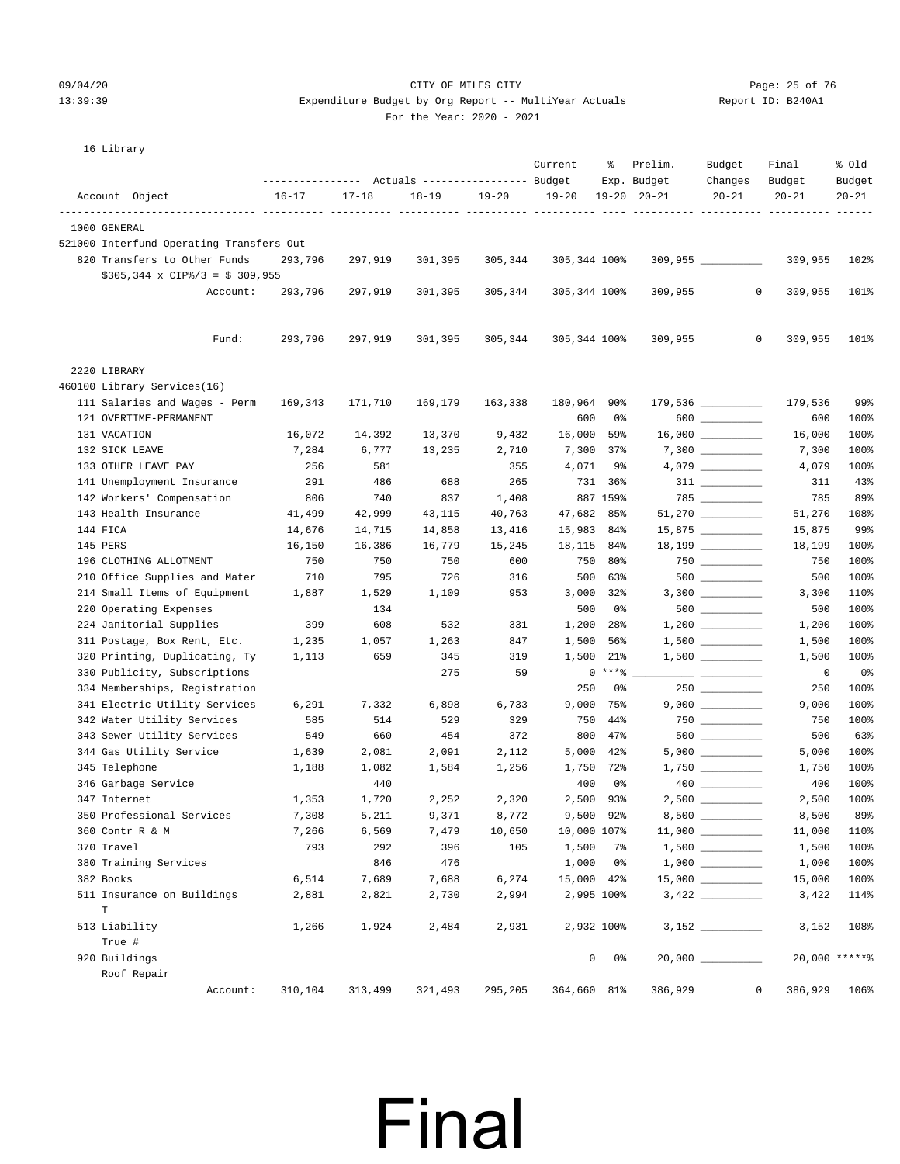### 09/04/20 Page: 25 of 76 CITY OF MILES CITY 13:39:39 Expenditure Budget by Org Report -- MultiYear Actuals

| For the Year: 2020 - 2021 |  |
|---------------------------|--|

| Report ID: B240A1 |  |
|-------------------|--|
|                   |  |

16 Library

|                                                         | ---------------- |           | Actuals ----------------- Budget |           | Current            | ႜ             | Prelim.<br>Exp. Budget | Budget<br>Changes                                                       | Final<br>Budget | % Old<br>Budget |
|---------------------------------------------------------|------------------|-----------|----------------------------------|-----------|--------------------|---------------|------------------------|-------------------------------------------------------------------------|-----------------|-----------------|
| Account Object                                          | $16 - 17$        | $17 - 18$ | $18 - 19$                        | $19 - 20$ | $19 - 20$          |               | $19 - 20$ $20 - 21$    | $20 - 21$                                                               | $20 - 21$       | $20 - 21$       |
| 1000 GENERAL                                            |                  |           |                                  |           |                    |               |                        |                                                                         |                 |                 |
| 521000 Interfund Operating Transfers Out                |                  |           |                                  |           |                    |               |                        |                                                                         |                 |                 |
| 820 Transfers to Other Funds                            | 293,796          | 297,919   | 301,395                          | 305,344   | 305,344 100%       |               |                        | $309,955$ _________                                                     | 309,955         | 102%            |
| $$305,344 \times CIP\%/3 = $309,955$                    |                  |           |                                  |           |                    |               |                        |                                                                         |                 |                 |
| Account:                                                | 293,796          | 297,919   | 301,395                          | 305,344   | 305,344 100%       |               | 309,955                | 0                                                                       | 309,955         | 101%            |
| Fund:                                                   | 293,796          | 297,919   | 301,395                          | 305,344   | 305,344 100%       |               | 309,955                | $\circ$                                                                 | 309,955         | 101%            |
|                                                         |                  |           |                                  |           |                    |               |                        |                                                                         |                 |                 |
| 2220 LIBRARY                                            |                  |           |                                  |           |                    |               |                        |                                                                         |                 |                 |
| 460100 Library Services(16)                             |                  |           |                                  |           |                    |               |                        |                                                                         |                 | 99%             |
| 111 Salaries and Wages - Perm<br>121 OVERTIME-PERMANENT | 169,343          | 171,710   | 169,179                          | 163,338   | 180,964 90%<br>600 | 0%            |                        | 179,536 _________<br>$600$                                              | 179,536         | 100%            |
| 131 VACATION                                            | 16,072           | 14,392    | 13,370                           | 9,432     | 16,000             | 59%           |                        |                                                                         | 600<br>16,000   | 100%            |
| 132 SICK LEAVE                                          | 7,284            | 6,777     | 13,235                           | 2,710     |                    | 7,300 37%     |                        | $7,300$ __________                                                      | 7,300           | 100%            |
| 133 OTHER LEAVE PAY                                     | 256              | 581       |                                  | 355       | 4,071              | 9%            |                        | $4,079$ __________                                                      | 4,079           | 100%            |
| 141 Unemployment Insurance                              | 291              | 486       | 688                              | 265       |                    | 731 36%       |                        | $311$ ________                                                          | 311             | 43%             |
| 142 Workers' Compensation                               | 806              | 740       | 837                              | 1,408     |                    | 887 159%      |                        |                                                                         | 785             | 89%             |
| 143 Health Insurance                                    | 41,499           | 42,999    | 43,115                           | 40,763    | 47,682             | 85%           |                        |                                                                         | 51,270          | 108%            |
| 144 FICA                                                | 14,676           | 14,715    | 14,858                           | 13,416    |                    | 15,983 84%    |                        | 15,875 _________                                                        | 15,875          | 99%             |
| 145 PERS                                                | 16,150           | 16,386    | 16,779                           | 15,245    |                    | 18, 115 84%   |                        | $18,199$ __________                                                     | 18,199          | 100%            |
| 196 CLOTHING ALLOTMENT                                  | 750              | 750       | 750                              | 600       |                    | 750 80%       |                        | $750$ ___________                                                       | 750             | 100%            |
| 210 Office Supplies and Mater                           | 710              | 795       | 726                              | 316       |                    | 500 63%       |                        |                                                                         | 500             | 100%            |
| 214 Small Items of Equipment                            | 1,887            | 1,529     | 1,109                            | 953       |                    | 3,000 32%     |                        |                                                                         | 3,300           | 110%            |
| 220 Operating Expenses                                  |                  | 134       |                                  |           | 500                | 0%            |                        | $500$ _________                                                         | 500             | 100%            |
| 224 Janitorial Supplies                                 | 399              | 608       | 532                              | 331       | 1,200              | 28%           |                        |                                                                         | 1,200           | 100%            |
| 311 Postage, Box Rent, Etc.                             | 1,235            | 1,057     | 1,263                            | 847       | 1,500              | 56%           |                        |                                                                         | 1,500           | 100%            |
| 320 Printing, Duplicating, Ty                           | 1,113            | 659       | 345                              | 319       | 1,500              | 21%           |                        | $1,500$ _________                                                       | 1,500           | 100%            |
| 330 Publicity, Subscriptions                            |                  |           | 275                              | 59        |                    | $0***8$       |                        |                                                                         | $\overline{0}$  | 0%              |
| 334 Memberships, Registration                           |                  |           |                                  |           | 250                | 0%            |                        | $250$ _________                                                         | 250             | 100%            |
| 341 Electric Utility Services                           | 6,291            | 7,332     | 6,898                            | 6,733     | 9,000              | 75%           |                        | $9,000$ __________                                                      | 9,000           | 100%            |
| 342 Water Utility Services                              | 585              | 514       | 529                              | 329       |                    | 750 44%       |                        |                                                                         | 750             | 100%            |
| 343 Sewer Utility Services                              | 549              | 660       | 454                              | 372       | 800                | $47\%$        |                        |                                                                         | 500             | 63%             |
| 344 Gas Utility Service                                 | 1,639            | 2,081     | 2,091                            | 2,112     | 5,000              | 42%           |                        |                                                                         | 5,000           | 100%            |
| 345 Telephone                                           | 1,188            | 1,082     | 1,584                            | 1,256     |                    | 1,750 72%     |                        |                                                                         | 1,750           | 100%            |
| 346 Garbage Service                                     |                  | 440       |                                  |           | 400                | 0%            |                        |                                                                         | 400             | 100%            |
| 347 Internet                                            | 1,353            | 1,720     | 2,252                            | 2,320     |                    | 2,500 93%     |                        | $2,500$ __________                                                      | 2,500           | 100%            |
| 350 Professional Services                               | 7,308            | 5,211     | 9,371                            | 8,772     |                    | 9,500 92%     | $8,500$ $\_\_$         |                                                                         | 8,500           | 89%             |
| 360 Contr R & M                                         | 7,266            | 6,569     | 7,479                            | 10,650    |                    | 10,000 107%   |                        |                                                                         | 11,000          | 110%            |
| 370 Travel                                              | 793              | 292       | 396                              | 105       |                    | 1,500 7%      |                        |                                                                         | 1,500           | 100%            |
| 380 Training Services                                   |                  | 846       | 476                              |           |                    | $1,000$ $0$ % |                        | $1\, , \, 0\, 0\, 0 \quad \underline{\hspace{1cm}} \rule{2.5cm}{0.4cm}$ | 1,000           | 100%            |
| 382 Books                                               | 6,514            | 7,689     | 7,688                            | 6,274     |                    | 15,000 42%    |                        |                                                                         | 15,000          | 100%            |
| 511 Insurance on Buildings<br>$\mathbf T$               | 2,881            | 2,821     | 2,730                            | 2,994     |                    | 2,995 100%    |                        |                                                                         | 3,422           | 114%            |
| 513 Liability                                           | 1,266            | 1,924     | 2,484                            | 2,931     |                    | 2,932 100%    |                        |                                                                         | 3,152           | 108%            |
| True #                                                  |                  |           |                                  |           |                    |               |                        |                                                                         |                 |                 |
| 920 Buildings                                           |                  |           |                                  |           |                    | $0\qquad 0$ % |                        |                                                                         |                 | 20,000 ******   |
| Roof Repair                                             |                  |           |                                  |           |                    |               |                        |                                                                         |                 |                 |
| Account:                                                | 310,104          | 313,499   | 321,493                          | 295,205   | 364,660 81%        |               | 386,929                | $\circ$                                                                 | 386,929         | 106%            |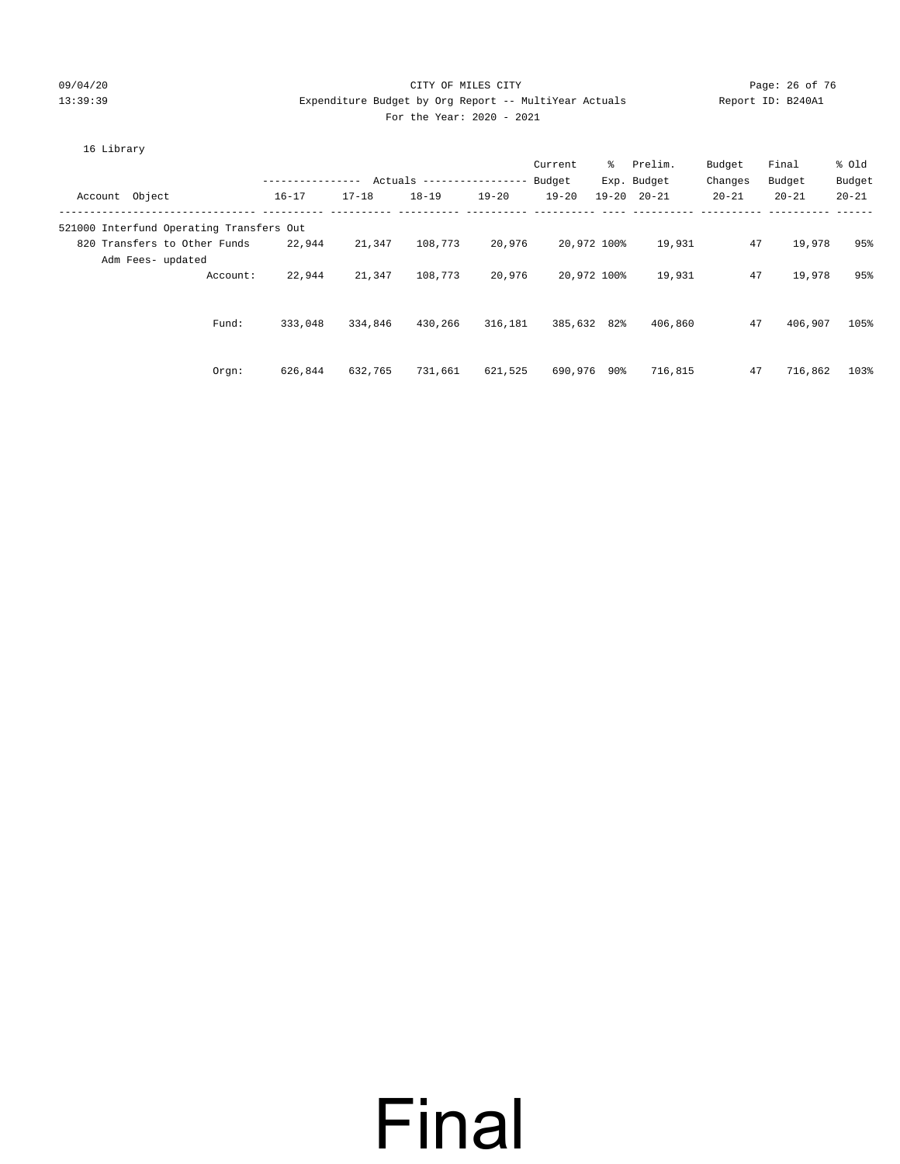#### 09/04/20 Page: 26 of 76 CITY OF MILES CITY CONTROL PAGE: 26 of 76 13:39:39 Expenditure Budget by Org Report -- MultiYear Actuals Report ID: B240A1 For the Year: 2020 - 2021

| 16 Library                               |                  |           |                          |           | Current   |             | % Prelim.           | Budget    | Final     | % Old     |
|------------------------------------------|------------------|-----------|--------------------------|-----------|-----------|-------------|---------------------|-----------|-----------|-----------|
|                                          | ---------------- |           | Actuals ---------------- |           | Budget    |             | Exp. Budget         | Changes   | Budget    | Budget    |
| Account Object                           | $16 - 17$        | $17 - 18$ | $18 - 19$                | $19 - 20$ | $19 - 20$ |             | $19 - 20$ $20 - 21$ | $20 - 21$ | $20 - 21$ | $20 - 21$ |
| 521000 Interfund Operating Transfers Out |                  |           |                          |           |           |             |                     |           |           |           |
| 820 Transfers to Other Funds             | 22,944           | 21,347    | 108,773                  | 20,976    |           | 20,972 100% | 19,931              | 47        | 19,978    | 95%       |
| Adm Fees- updated                        |                  |           |                          |           |           |             |                     |           |           |           |
| Account:                                 | 22,944           | 21,347    | 108,773                  | 20,976    |           | 20,972 100% | 19,931              | 47        | 19,978    | 95%       |
|                                          |                  |           |                          |           |           |             |                     |           |           |           |
| Fund:                                    | 333,048          | 334,846   | 430,266                  | 316,181   |           | 385,632 82% | 406,860             | 47        | 406,907   | 105%      |
|                                          |                  |           |                          |           |           |             |                     |           |           |           |
|                                          |                  |           |                          |           |           |             |                     |           |           |           |
| $Orgn$ :                                 | 626,844          | 632,765   | 731,661                  | 621,525   | 690,976   | 90%         | 716,815             | 47        | 716,862   | 103%      |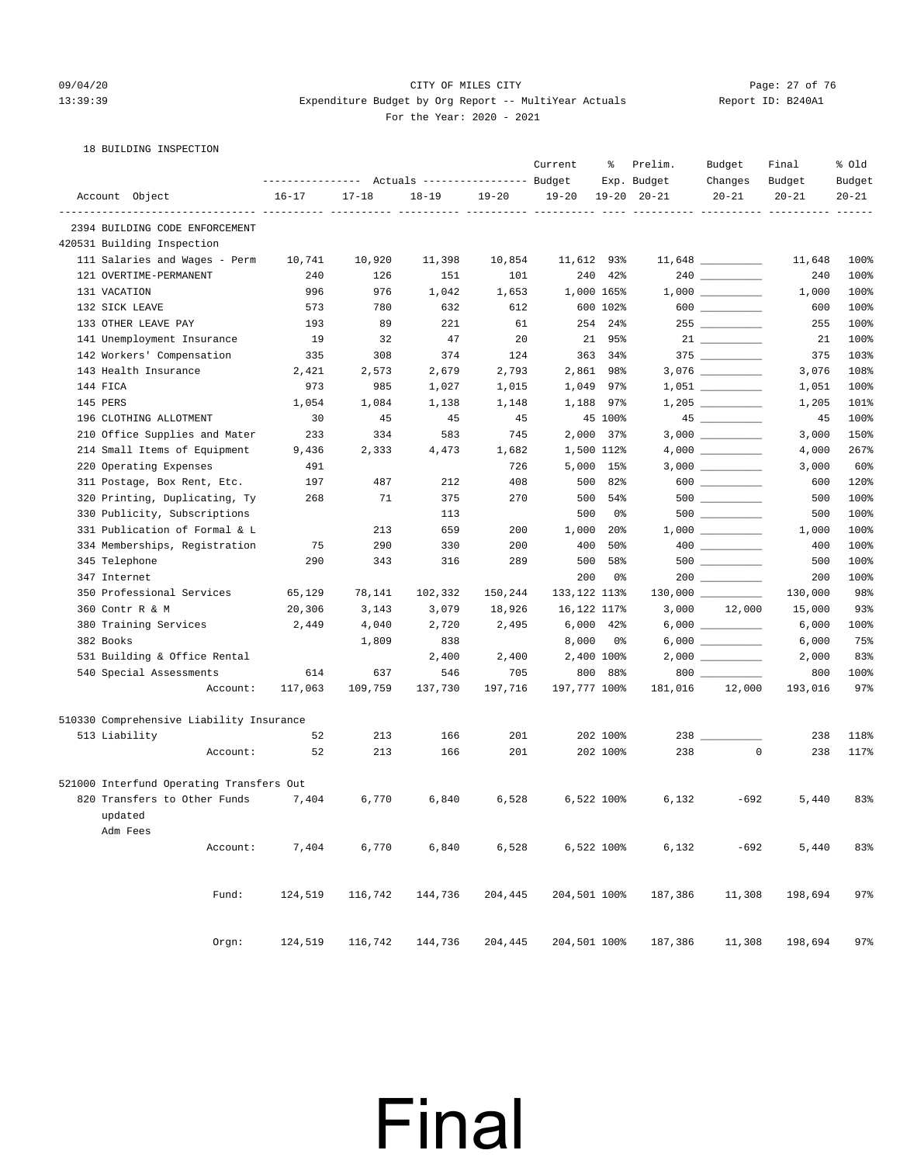#### 09/04/20 Page: 27 of 76 CITY OF MILES CITY CONTROL PAGE: 27 of 76 13:39:39 Expenditure Budget by Org Report -- MultiYear Actuals Report ID: B240A1 For the Year: 2020 - 2021

|  | 18 BUILDING INSPECTION |
|--|------------------------|
|  |                        |

|                                          |           |           | Actuals ----------------- Budget |           | Current           | ႜ              | Prelim.<br>Exp. Budget | Budget<br>Changes  | Final<br>Budget | % Old<br>Budget |
|------------------------------------------|-----------|-----------|----------------------------------|-----------|-------------------|----------------|------------------------|--------------------|-----------------|-----------------|
| Account Object                           | $16 - 17$ | $17 - 18$ | $18 - 19$                        | $19 - 20$ | $19 - 20$         |                | $19 - 20$ $20 - 21$    | $20 - 21$          | $20 - 21$       | $20 - 21$       |
| 2394 BUILDING CODE ENFORCEMENT           |           |           |                                  |           | ------ ---------- |                | ----------- ---------- |                    |                 |                 |
| 420531 Building Inspection               |           |           |                                  |           |                   |                |                        |                    |                 |                 |
| 111 Salaries and Wages - Perm            | 10,741    | 10,920    | 11,398                           | 10,854    | 11,612 93%        |                |                        |                    | 11,648          | 100%            |
| 121 OVERTIME-PERMANENT                   | 240       | 126       | 151                              | 101       | 240               | 42%            |                        | $240$ _________    | 240             | 100%            |
| 131 VACATION                             | 996       | 976       | 1,042                            | 1,653     |                   | 1,000 165%     |                        | $1,000$ _________  | 1,000           | 100%            |
| 132 SICK LEAVE                           | 573       | 780       | 632                              | 612       |                   | 600 102%       |                        | 600 000            | 600             | 100%            |
| 133 OTHER LEAVE PAY                      | 193       | 89        | 221                              | 61        |                   | 254 24%        |                        |                    | 255             | 100%            |
| 141 Unemployment Insurance               | 19        | 32        | 47                               | 20        | 21                | 95%            |                        |                    | 21              | 100%            |
| 142 Workers' Compensation                | 335       | 308       | 374                              | 124       |                   | 363 34%        |                        |                    | 375             | 103%            |
| 143 Health Insurance                     | 2,421     | 2,573     | 2,679                            | 2,793     |                   | 2,861 98%      |                        | 3,076 _________    | 3,076           | 108%            |
| 144 FICA                                 | 973       | 985       | 1,027                            | 1,015     |                   | 1,049 97%      |                        | $1,051$ ________   | 1,051           | 100%            |
| 145 PERS                                 | 1,054     | 1,084     | 1,138                            | 1,148     | 1,188             | 97%            |                        |                    | 1,205           | 101%            |
| 196 CLOTHING ALLOTMENT                   | 30        | 45        | 45                               | 45        |                   | 45 100%        |                        | $45$ ___________   | 45              | 100%            |
| 210 Office Supplies and Mater            | 233       | 334       | 583                              | 745       |                   | $2,000$ 37%    |                        |                    | 3,000           | 150%            |
| 214 Small Items of Equipment             | 9,436     | 2,333     | 4,473                            | 1,682     |                   | 1,500 112%     |                        | $4,000$ __________ | 4,000           | 267%            |
| 220 Operating Expenses                   | 491       |           |                                  | 726       |                   | 5,000 15%      |                        |                    | 3,000           | 60%             |
| 311 Postage, Box Rent, Etc.              | 197       | 487       | 212                              | 408       | 500               | 82%            |                        |                    | 600             | 120%            |
| 320 Printing, Duplicating, Ty            | 268       | 71        | 375                              | 270       | 500               | 54%            |                        |                    | 500             | 100%            |
| 330 Publicity, Subscriptions             |           |           | 113                              |           | 500               | 0%             |                        |                    | 500             | 100%            |
| 331 Publication of Formal & L            |           | 213       | 659                              | 200       | 1,000             | $20\%$         |                        | $1,000$ _________  | 1,000           | 100%            |
| 334 Memberships, Registration            | 75        | 290       | 330                              | 200       | 400               | 50%            |                        |                    | 400             | 100%            |
| 345 Telephone                            | 290       | 343       | 316                              | 289       | 500               | 58%            |                        | 500 000            | 500             | 100%            |
| 347 Internet                             |           |           |                                  |           | 200               | 0%             |                        |                    | 200             | 100%            |
| 350 Professional Services                | 65,129    | 78,141    | 102,332                          | 150,244   | 133,122 113%      |                |                        |                    | 130,000         | 98%             |
| 360 Contr R & M                          | 20,306    | 3,143     | 3,079                            | 18,926    | 16,122 117%       |                |                        | 3,000 12,000       | 15,000          | 93%             |
| 380 Training Services                    | 2,449     | 4,040     | 2,720                            | 2,495     |                   | $6,000$ $42\%$ |                        | $6,000$ __________ | 6,000           | 100%            |
| 382 Books                                |           | 1,809     | 838                              |           | 8,000             | 0%             |                        |                    | 6,000           | 75%             |
| 531 Building & Office Rental             |           |           | 2,400                            | 2,400     |                   | 2,400 100%     |                        |                    | 2,000           | 83%             |
| 540 Special Assessments                  | 614       | 637       | 546                              | 705       |                   | 800 88%        |                        | 800                | 800             | 100%            |
| Account:                                 | 117,063   | 109,759   | 137,730                          | 197,716   | 197,777 100%      |                | 181,016                | 12,000             | 193,016         | 97%             |
| 510330 Comprehensive Liability Insurance |           |           |                                  |           |                   |                |                        |                    |                 |                 |
| 513 Liability                            | 52        | 213       | 166                              | 201       |                   | 202 100%       | 238                    |                    | 238             | 118%            |
| Account:                                 | 52        | 213       | 166                              | 201       |                   | 202 100%       | 238                    | $\mathbf 0$        | 238             | 117%            |
| 521000 Interfund Operating Transfers Out |           |           |                                  |           |                   |                |                        |                    |                 |                 |
| 820 Transfers to Other Funds             | 7,404     | 6,770     | 6,840                            | 6,528     |                   | 6,522 100%     | 6,132                  | $-692$             | 5,440           | 83%             |
| updated                                  |           |           |                                  |           |                   |                |                        |                    |                 |                 |
| Adm Fees                                 |           |           |                                  |           |                   |                |                        |                    |                 |                 |
| Account:                                 | 7,404     | 6,770     | 6,840                            | 6,528     |                   | 6,522 100%     | 6,132                  | $-692$             | 5,440           | 83%             |
|                                          |           |           |                                  |           |                   |                |                        |                    |                 |                 |
| Fund:                                    | 124,519   | 116,742   | 144,736                          | 204,445   | 204,501 100%      |                | 187,386                | 11,308             | 198,694         | 97%             |
| Orgn:                                    | 124,519   | 116,742   | 144,736                          | 204,445   | 204,501 100%      |                | 187,386                | 11,308             | 198,694         | 97%             |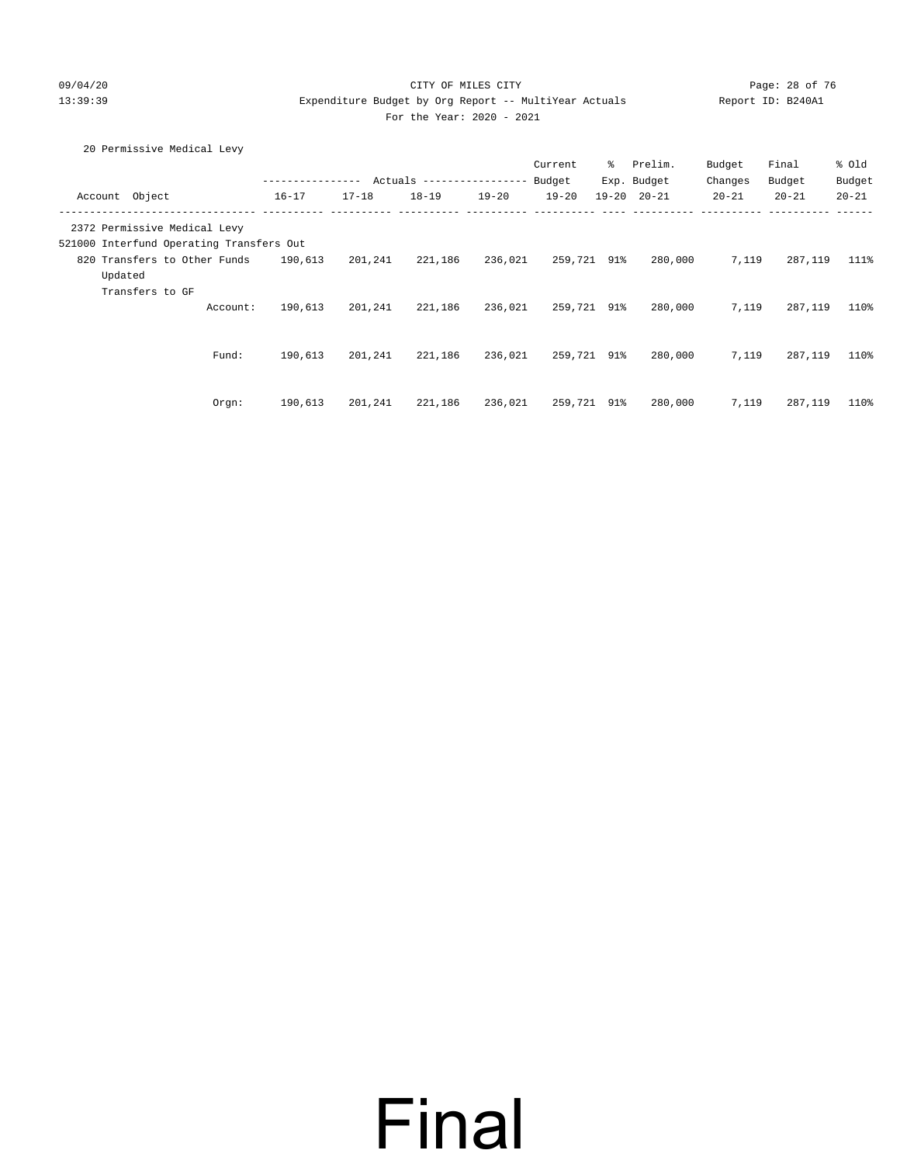#### 09/04/20 Page: 28 of 76 CITY OF MILES CITY CONTROL CONTROL PAGE: 28 of 76 13:39:39 Expenditure Budget by Org Report -- MultiYear Actuals Report ID: B240A1 For the Year: 2020 - 2021

| 20 Permissive Medical Levy |  |
|----------------------------|--|
|                            |  |

|                                          |          |                  |           |                            |           | Current     | °   | Prelim.             | Budget    | Final     | % Old     |
|------------------------------------------|----------|------------------|-----------|----------------------------|-----------|-------------|-----|---------------------|-----------|-----------|-----------|
|                                          |          | ---------------- |           | Actuals ------------------ |           | Budget      |     | Exp. Budget         | Changes   | Budget    | Budget    |
| Object<br>Account                        |          | $16 - 17$        | $17 - 18$ | $18 - 19$                  | $19 - 20$ | $19 - 20$   |     | $19 - 20$ $20 - 21$ | $20 - 21$ | $20 - 21$ | $20 - 21$ |
| 2372 Permissive Medical Levy             |          |                  |           |                            |           |             |     |                     |           |           |           |
| 521000 Interfund Operating Transfers Out |          |                  |           |                            |           |             |     |                     |           |           |           |
| 820 Transfers to Other Funds             |          | 190,613          | 201,241   | 221,186                    | 236,021   | 259,721     | 91% | 280,000             | 7,119     | 287,119   | 111%      |
| Updated                                  |          |                  |           |                            |           |             |     |                     |           |           |           |
| Transfers to GF                          |          |                  |           |                            |           |             |     |                     |           |           |           |
|                                          | Account: | 190,613          | 201,241   | 221,186                    | 236,021   | 259,721 91% |     | 280,000             | 7,119     | 287,119   | 110%      |
|                                          |          |                  |           |                            |           |             |     |                     |           |           |           |
|                                          |          |                  |           |                            |           |             |     |                     |           |           |           |
|                                          | Fund:    | 190,613          | 201,241   | 221,186                    | 236,021   | 259,721 91% |     | 280,000             | 7,119     | 287,119   | 110%      |
|                                          |          |                  |           |                            |           |             |     |                     |           |           |           |
|                                          |          |                  |           |                            |           |             |     |                     |           |           |           |
|                                          | Orgn:    | 190,613          | 201,241   | 221,186                    | 236,021   | 259,721 91% |     | 280,000             | 7,119     | 287,119   | 110%      |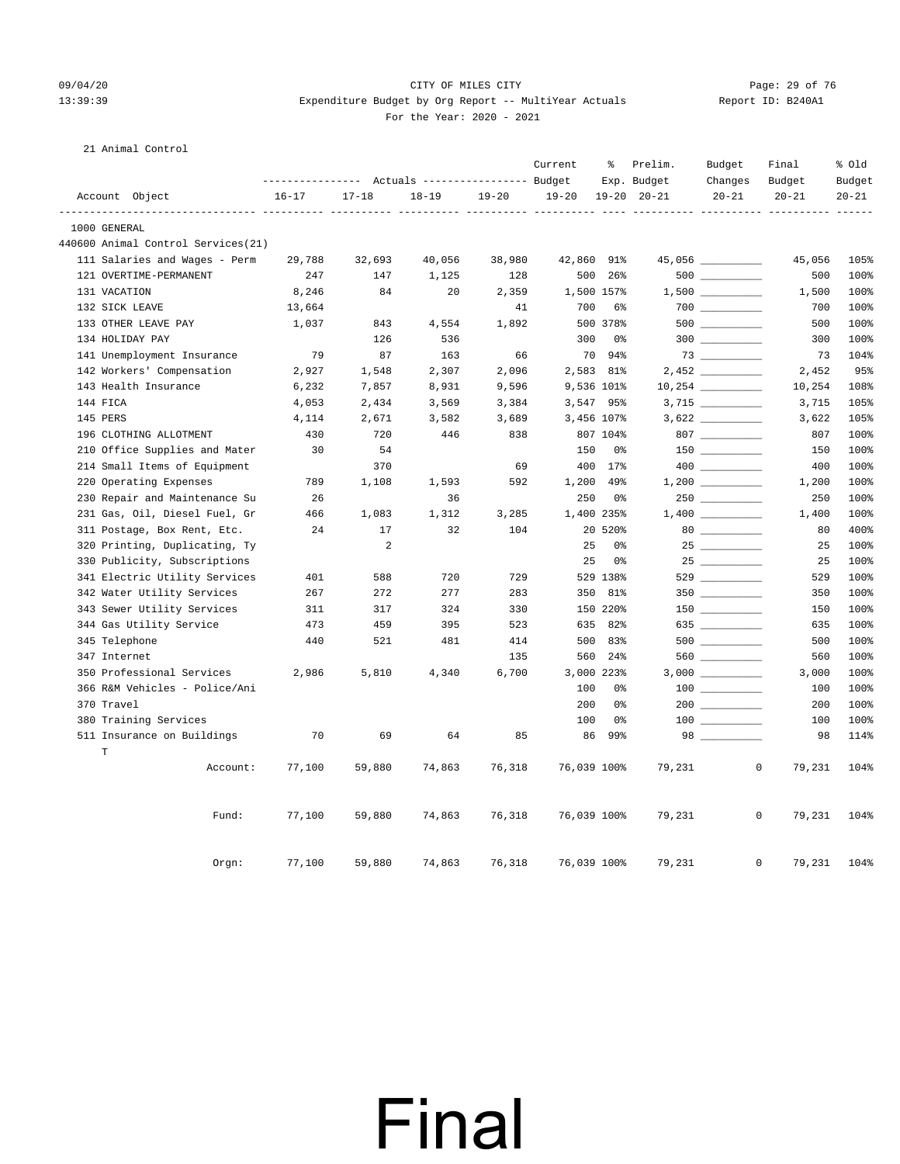#### 09/04/20 Page: 29 of 76 CITY OF MILES CITY CONTROL PAGE: 29 of 76 13:39:39 Expenditure Budget by Org Report -- MultiYear Actuals Report ID: B240A1 For the Year: 2020 - 2021

21 Animal Control

|                                    |           |           | Actuals ----------------- Budget |           | Current     | ႜ          | Prelim.<br>Exp. Budget | Budget<br>Changes                       | Final<br>Budget        | % Old<br>Budget |
|------------------------------------|-----------|-----------|----------------------------------|-----------|-------------|------------|------------------------|-----------------------------------------|------------------------|-----------------|
| Account Object                     | $16 - 17$ | $17 - 18$ | $18 - 19$                        | $19 - 20$ | $19 - 20$   |            | $19 - 20$ $20 - 21$    | $20 - 21$                               | $20 - 21$              | $20 - 21$       |
| 1000 GENERAL                       |           |           |                                  |           |             |            |                        |                                         |                        |                 |
| 440600 Animal Control Services(21) |           |           |                                  |           |             |            |                        |                                         |                        |                 |
| 111 Salaries and Wages - Perm      | 29,788    | 32,693    | 40,056                           | 38,980    | 42,860 91%  |            |                        |                                         | 45,056                 | 105%            |
| 121 OVERTIME-PERMANENT             | 247       | 147       | 1,125                            | 128       | 500         | 26%        |                        |                                         | 500                    | 100%            |
| 131 VACATION                       | 8,246     | 84        | 20                               | 2,359     |             | 1,500 157% |                        |                                         | 1,500                  | 100%            |
| 132 SICK LEAVE                     | 13,664    |           |                                  | 41        | 700         | 6%         |                        |                                         | 700                    | 100%            |
| 133 OTHER LEAVE PAY                | 1,037     | 843       | 4,554                            | 1,892     |             | 500 378%   |                        |                                         | 500                    | 100%            |
| 134 HOLIDAY PAY                    |           | 126       | 536                              |           | 300         | 0%         |                        | $300$ ________                          | 300                    | 100%            |
| 141 Unemployment Insurance         | 79        | 87        | 163                              | 66        |             | 70 94%     |                        |                                         | 73                     | 104%            |
| 142 Workers' Compensation          | 2,927     | 1,548     | 2,307                            | 2,096     |             | 2,583 81%  |                        |                                         | 2,452                  | 95%             |
| 143 Health Insurance               | 6,232     | 7,857     | 8,931                            | 9,596     |             | 9,536 101% |                        |                                         | 10,254                 | 108%            |
| 144 FICA                           | 4,053     | 2,434     | 3,569                            | 3,384     |             | 3,547 95%  |                        |                                         | 3,715                  | 105%            |
| 145 PERS                           | 4,114     | 2,671     | 3,582                            | 3,689     |             | 3,456 107% |                        |                                         | 3,622                  | 105%            |
| 196 CLOTHING ALLOTMENT             | 430       | 720       | 446                              | 838       |             | 807 104%   |                        | 807                                     | 807                    | 100%            |
| 210 Office Supplies and Mater      | 30        | 54        |                                  |           | 150         | 0%         |                        |                                         | 150                    | 100%            |
| 214 Small Items of Equipment       |           | 370       |                                  | 69        |             | 400 17%    |                        |                                         | 400                    | 100%            |
| 220 Operating Expenses             | 789       | 1,108     | 1,593                            | 592       |             | 1,200 49%  |                        |                                         | 1,200                  | 100%            |
| 230 Repair and Maintenance Su      | 26        |           | 36                               |           | 250         | 0%         |                        |                                         | 250                    | 100%            |
| 231 Gas, Oil, Diesel Fuel, Gr      | 466       | 1,083     | 1,312                            | 3,285     |             | 1,400 235% |                        |                                         | 1,400                  | 100%            |
| 311 Postage, Box Rent, Etc.        | 24        | 17        | 32                               | 104       |             | 20 520%    |                        |                                         | 80                     | 400%            |
| 320 Printing, Duplicating, Ty      |           | 2         |                                  |           | 25          | 0%         |                        |                                         | 25                     | 100%            |
| 330 Publicity, Subscriptions       |           |           |                                  |           | 25          | 0%         |                        |                                         | 25                     | 100%            |
| 341 Electric Utility Services      | 401       | 588       | 720                              | 729       |             | 529 138%   |                        |                                         | 529                    | 100%            |
| 342 Water Utility Services         | 267       | 272       | 277                              | 283       |             | 350 81%    |                        |                                         | 350                    | 100%            |
| 343 Sewer Utility Services         | 311       | 317       | 324                              | 330       |             | 150 220%   |                        | $\begin{tabular}{c} 150 \end{tabular}$  | 150                    | 100%            |
| 344 Gas Utility Service            | 473       | 459       | 395                              | 523       |             | 635 82%    |                        | 635                                     | 635                    | 100%            |
| 345 Telephone                      | 440       | 521       | 481                              | 414       |             | 500 83%    |                        |                                         | 500                    | 100%            |
| 347 Internet                       |           |           |                                  | 135       | 560         | 24%        |                        |                                         | 560                    | 100%            |
| 350 Professional Services          | 2,986     | 5,810     | 4,340                            | 6,700     |             | 3,000 223% |                        |                                         | 3,000                  | 100%            |
| 366 R&M Vehicles - Police/Ani      |           |           |                                  |           | 100         | 0%         |                        | $\begin{tabular}{c} 100 \end{tabular}$  | 100                    | 100%            |
| 370 Travel                         |           |           |                                  |           | 200         | 0%         |                        |                                         | 200                    | 100%            |
| 380 Training Services              |           |           |                                  |           | 100         | 0%         |                        | $\begin{array}{c} 100 \\ - \end{array}$ | 100                    | 100%            |
| 511 Insurance on Buildings         | 70        | 69        | 64                               | 85        | 86          | 99%        |                        |                                         | 98                     | 114%            |
| $\mathbf T$                        |           |           |                                  |           |             |            |                        |                                         |                        |                 |
| Account:                           | 77,100    | 59,880    | 74,863                           | 76,318    | 76,039 100% |            | 79,231                 |                                         | $\circ$<br>79,231      | 104%            |
| Fund:                              | 77,100    | 59,880    | 74,863                           | 76,318    | 76,039 100% |            | 79,231                 |                                         | $\mathsf{O}$<br>79,231 | 104%            |
| Orgn:                              | 77,100    | 59,880    | 74,863                           | 76,318    | 76,039 100% |            | 79,231                 |                                         | 0<br>79,231            | 104%            |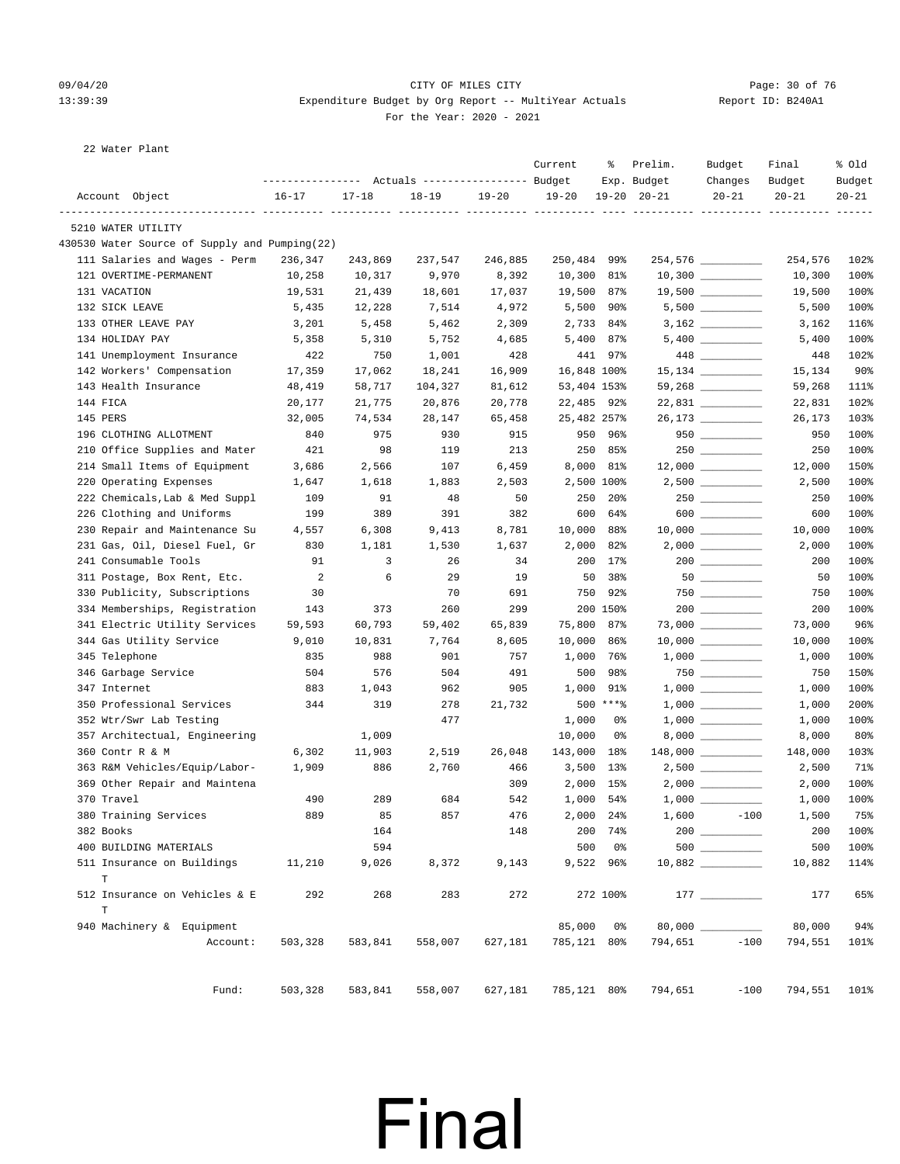#### 09/04/20 Page: 30 of 76 CITY OF MILES CITY CONTROL PAGE: 30 of 76 13:39:39 Expenditure Budget by Org Report -- MultiYear Actuals Report ID: B240A1 For the Year: 2020 - 2021

22 Water Plant

|                                               | ---------------    Actuals ----------------    Budget |           |           |           | Current     | ႜ             | Prelim.<br>Exp. Budget           | Budget<br>Changes                       | Final<br>Budget | % Old<br>Budget |
|-----------------------------------------------|-------------------------------------------------------|-----------|-----------|-----------|-------------|---------------|----------------------------------|-----------------------------------------|-----------------|-----------------|
| Account Object                                | 16-17                                                 | $17 - 18$ | $18 - 19$ | $19 - 20$ | $19 - 20$   |               | $19 - 20$ $20 - 21$              | $20 - 21$                               | $20 - 21$       | $20 - 21$       |
| 5210 WATER UTILITY                            |                                                       |           |           |           |             |               |                                  |                                         |                 |                 |
| 430530 Water Source of Supply and Pumping(22) |                                                       |           |           |           |             |               |                                  |                                         |                 |                 |
| 111 Salaries and Wages - Perm                 | 236,347                                               | 243,869   | 237,547   | 246,885   | 250,484     | 99%           |                                  | 254,576 _________                       | 254,576         | 102%            |
| 121 OVERTIME-PERMANENT                        | 10,258                                                | 10,317    | 9,970     | 8,392     | 10,300      | 81%           |                                  |                                         | 10,300          | 100%            |
| 131 VACATION                                  | 19,531                                                | 21,439    | 18,601    | 17,037    | 19,500      | 87%           |                                  | $10,300$ __________<br>19,500 _________ | 19,500          | 100%            |
| 132 SICK LEAVE                                | 5,435                                                 | 12,228    | 7,514     | 4,972     | 5,500       | 90%           |                                  | $5,500$ __________                      | 5,500           | 100%            |
| 133 OTHER LEAVE PAY                           | 3,201                                                 | 5,458     | 5,462     | 2,309     | 2,733       | 84%           |                                  | $3,162$ _________                       | 3,162           | 116%            |
| 134 HOLIDAY PAY                               | 5,358                                                 | 5,310     | 5,752     | 4,685     | 5,400 87%   |               |                                  | $5,400$ _________                       | 5,400           | 100%            |
| 141 Unemployment Insurance                    | 422                                                   | 750       | 1,001     | 428       |             | 441 97%       |                                  |                                         | 448             | 102%            |
| 142 Workers' Compensation                     | 17,359                                                | 17,062    | 18,241    | 16,909    | 16,848 100% |               |                                  | $15,134$ ________                       | 15,134          | 90 <sup>°</sup> |
| 143 Health Insurance                          | 48,419                                                | 58,717    | 104,327   | 81,612    | 53,404 153% |               |                                  | 59,268 _________                        | 59,268          | 111%            |
| 144 FICA                                      | 20,177                                                | 21,775    | 20,876    | 20,778    | 22,485 92%  |               |                                  | 22,831 _________                        | 22,831          | 102%            |
| 145 PERS                                      | 32,005                                                | 74,534    | 28,147    | 65,458    | 25,482 257% |               |                                  | 26,173                                  | 26,173          | 103%            |
| 196 CLOTHING ALLOTMENT                        | 840                                                   | 975       | 930       | 915       |             | 950 96%       |                                  | $950$                                   | 950             | 100%            |
| 210 Office Supplies and Mater                 | 421                                                   | 98        | 119       | 213       |             | 250 85%       |                                  |                                         | 250             | 100%            |
| 214 Small Items of Equipment                  | 3,686                                                 | 2,566     | 107       | 6,459     | 8,000 81%   |               |                                  | $12,000$ ________                       | 12,000          | 150%            |
| 220 Operating Expenses                        | 1,647                                                 | 1,618     | 1,883     | 2,503     | 2,500 100%  |               |                                  | $2,500$ _________                       | 2,500           | 100%            |
| 222 Chemicals, Lab & Med Suppl                | 109                                                   | 91        | 48        | 50        | 250         | 20%           |                                  | $250$ ________                          | 250             | 100%            |
| 226 Clothing and Uniforms                     | 199                                                   | 389       | 391       | 382       | 600         | 64%           |                                  | $600$                                   | 600             | 100%            |
| 230 Repair and Maintenance Su                 | 4,557                                                 | 6,308     | 9,413     | 8,781     | 10,000      | 88%           |                                  |                                         | 10,000          | 100%            |
| 231 Gas, Oil, Diesel Fuel, Gr                 | 830                                                   | 1,181     | 1,530     | 1,637     | 2,000       | 82%           |                                  |                                         | 2,000           | 100%            |
| 241 Consumable Tools                          | 91                                                    | 3         | 26        | 34        | 200         | 17%           |                                  | $200$ ________                          | 200             | 100%            |
| 311 Postage, Box Rent, Etc.                   | $\overline{a}$                                        | 6         | 29        | 19        | 50          | 38%           |                                  | $50$ _________                          | 50              | 100%            |
| 330 Publicity, Subscriptions                  | 30                                                    |           | 70        | 691       | 750         | 92%           |                                  | $750$ _________                         | 750             | 100%            |
| 334 Memberships, Registration                 | 143                                                   | 373       | 260       | 299       |             | 200 150%      |                                  |                                         | 200             | 100%            |
| 341 Electric Utility Services                 | 59,593                                                | 60,793    | 59,402    | 65,839    | 75,800      | 87%           |                                  | $73,000$ __________                     | 73,000          | 96%             |
| 344 Gas Utility Service                       | 9,010                                                 | 10,831    | 7,764     | 8,605     | 10,000      | 86%           |                                  |                                         | 10,000          | 100%            |
| 345 Telephone                                 | 835                                                   | 988       | 901       | 757       | 1,000       | 76%           |                                  |                                         | 1,000           | 100%            |
| 346 Garbage Service                           | 504                                                   | 576       | 504       | 491       | 500         | 98%           |                                  |                                         | 750             | 150%            |
| 347 Internet                                  | 883                                                   | 1,043     | 962       | 905       | 1,000       | 91%           |                                  |                                         | 1,000           | 100%            |
| 350 Professional Services                     | 344                                                   | 319       | 278       | 21,732    |             | $500$ *** $8$ |                                  |                                         | 1,000           | 200%            |
| 352 Wtr/Swr Lab Testing                       |                                                       |           | 477       |           | 1,000       | 0%            |                                  | $1,000$ __________                      | 1,000           | 100%            |
| 357 Architectual, Engineering                 |                                                       | 1,009     |           |           | 10,000      | 0%            |                                  |                                         | 8,000           | 80%             |
| 360 Contr R & M                               | 6,302                                                 | 11,903    | 2,519     | 26,048    | 143,000     | 18%           |                                  | 148,000 _________                       | 148,000         | 103%            |
| 363 R&M Vehicles/Equip/Labor-                 | 1,909                                                 | 886       | 2,760     | 466       | 3,500       | $13\%$        |                                  | $2,500$ _________                       | 2,500           | 71%             |
| 369 Other Repair and Maintena                 |                                                       |           |           | 309       | 2,000       | 15%           |                                  | $2,000$ $\qquad \qquad$                 | 2,000           | 100%            |
| 370 Travel                                    | 490                                                   | 289       | 684       | 542       | 1,000       | 54%           |                                  |                                         | 1,000           | 100%            |
| 380 Training Services                         | 889                                                   | 85        | 857       | 476       | 2,000 24%   |               |                                  | 1,600<br>$-100$                         | 1,500           | 75%             |
| 382 Books                                     |                                                       | 164       |           | 148       |             | 200 74%       |                                  |                                         | 200             | 100%            |
| 400 BUILDING MATERIALS                        |                                                       | 594       |           |           | 500         | 0%            |                                  | 500                                     | 500             | 100%            |
| 511 Insurance on Buildings                    | 11,210                                                | 9,026     | 8,372     | 9,143     |             | 9,522 96%     |                                  |                                         | 10,882          | 114%            |
| $\mathbf T$                                   |                                                       |           |           |           |             |               |                                  |                                         |                 |                 |
| 512 Insurance on Vehicles & E                 | 292                                                   | 268       | 283       | 272       |             | 272 100%      |                                  |                                         | 177             | 65%             |
| T                                             |                                                       |           |           |           |             |               |                                  |                                         |                 |                 |
| 940 Machinery & Equipment                     |                                                       |           |           |           | 85,000 0%   |               |                                  |                                         | 80,000          | 94%             |
| Account:                                      | 503,328                                               | 583,841   | 558,007   | 627,181   | 785,121 80% |               | 794,651                          | $-100$                                  | 794,551         | 101%            |
| Fund:                                         | 503,328                                               | 583,841   | 558,007   |           |             |               | 627,181 785,121 80% 794,651 -100 |                                         | 794,551 101%    |                 |
|                                               |                                                       |           |           |           |             |               |                                  |                                         |                 |                 |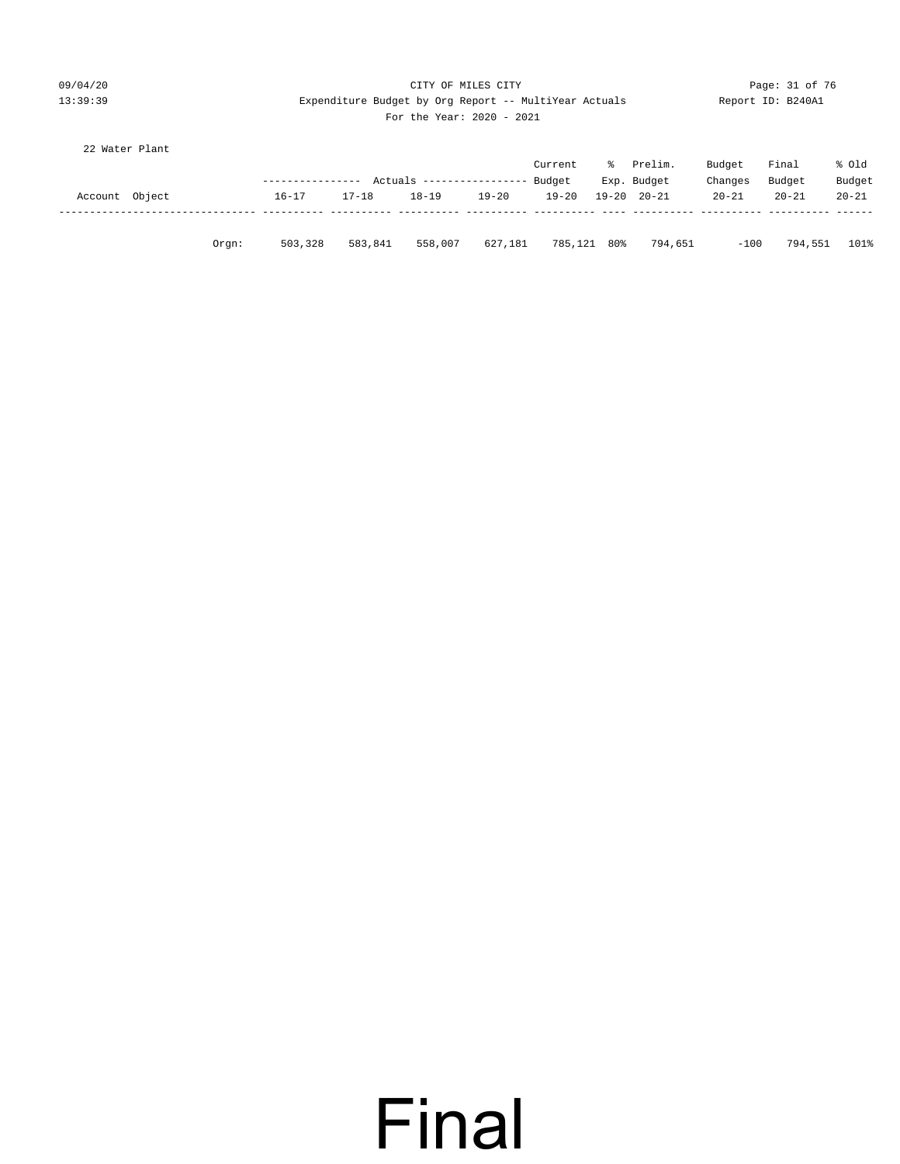#### 09/04/20 Page: 31 of 76 Page: 31 of 76 Page: 31 of 76 Page: 31 of 76 Page: 31 of 76 Page: 31 of 76 Page: 31 of 76 13:39:39 Expenditure Budget by Org Report -- MultiYear Actuals Report ID: B240A1 For the Year: 2020 - 2021

| 22 Water Plant |           |                       |
|----------------|-----------|-----------------------|
|                |           | $\cap$                |
|                | $R = 1.1$ | $\mathbf{\mathsf{D}}$ |

|                |       | ---------------- |           | Actuals ------------------ |         | Current<br>Budget | ° | Prelim.<br>Exp. Budget | Budget<br>Changes | Final<br>Budget | % old<br>Budget |
|----------------|-------|------------------|-----------|----------------------------|---------|-------------------|---|------------------------|-------------------|-----------------|-----------------|
| Account Object |       | $16 - 17$        | $17 - 18$ | $18 - 19$                  | 19-20   | 19-20             |   | 19-20 20-21            | $20 - 21$         | $20 - 21$       | $20 - 21$       |
|                | Orgn: | 503,328          | 583,841   | 558,007                    | 627,181 | 785,121 80%       |   | 794,651                | $-100$            | 794,551         | 101%            |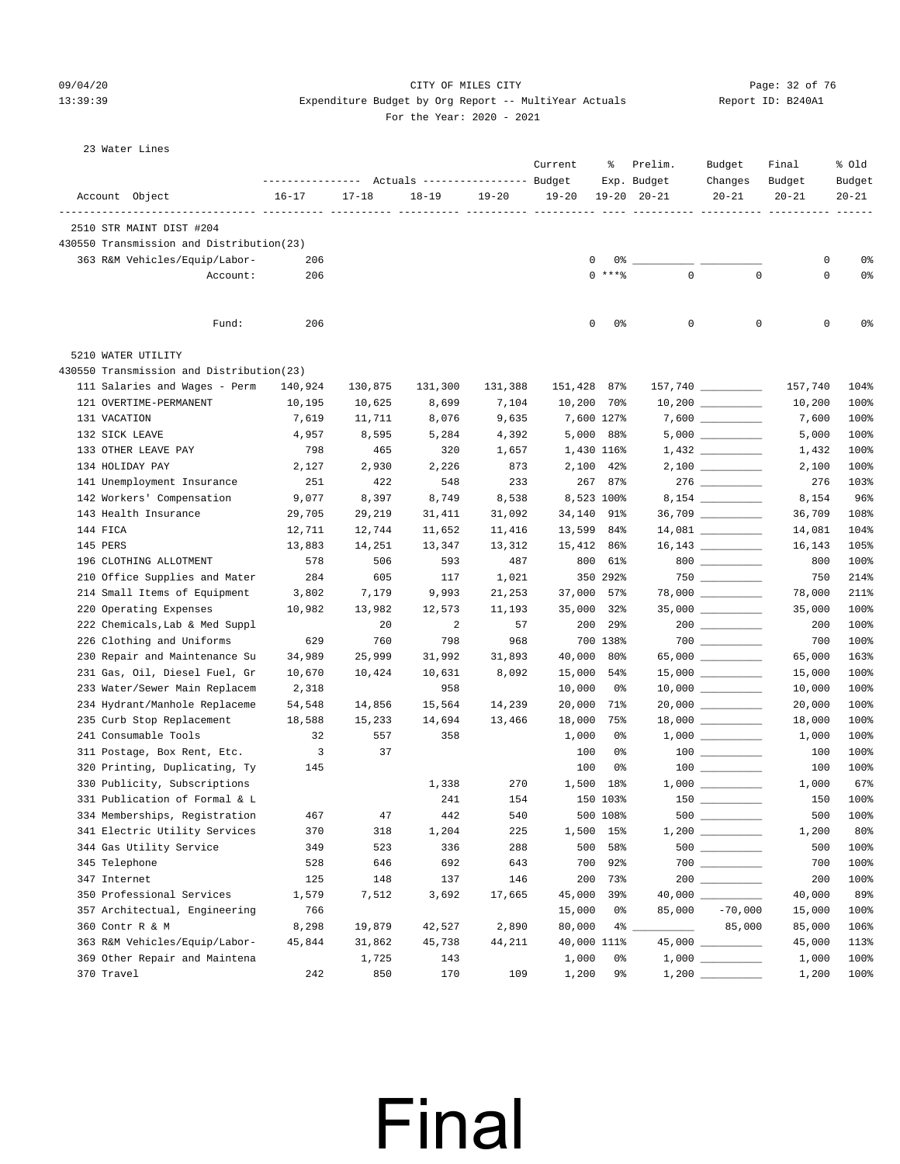#### 09/04/20 Page: 32 of 76 CITY OF MILES CITY CONTROL PAGE: 32 of 76 13:39:39 Expenditure Budget by Org Report -- MultiYear Actuals Report ID: B240A1 For the Year: 2020 - 2021

| 23 Water Lines |  |
|----------------|--|

|                                          | ---------------- |           | Actuals ----------------- Budget |           | Current     | ႜ           | Prelim.<br>Exp. Budget                                                         | Budget<br>Changes                  | Final<br>Budget | % old<br>Budget |
|------------------------------------------|------------------|-----------|----------------------------------|-----------|-------------|-------------|--------------------------------------------------------------------------------|------------------------------------|-----------------|-----------------|
| Account Object                           | $16 - 17$        | $17 - 18$ | $18 - 19$                        | $19 - 20$ | $19 - 20$   | 19-20       | $20 - 21$                                                                      | $20 - 21$                          | $20 - 21$       | $20 - 21$       |
| 2510 STR MAINT DIST #204                 |                  | --- --    |                                  |           |             |             |                                                                                |                                    |                 |                 |
| 430550 Transmission and Distribution(23) |                  |           |                                  |           |             |             |                                                                                |                                    |                 |                 |
| 363 R&M Vehicles/Equip/Labor-            | 206              |           |                                  |           | 0           |             |                                                                                |                                    | 0               | 0%              |
| Account:                                 | 206              |           |                                  |           |             | $0$ *** $8$ | $\overline{0}$                                                                 | $\mathbf 0$                        | 0               | 0%              |
| Fund:                                    | 206              |           |                                  |           | 0           | 0%          | 0                                                                              | $\mathbf 0$                        | 0               | 0%              |
| 5210 WATER UTILITY                       |                  |           |                                  |           |             |             |                                                                                |                                    |                 |                 |
| 430550 Transmission and Distribution(23) |                  |           |                                  |           |             |             |                                                                                |                                    |                 |                 |
| 111 Salaries and Wages - Perm            | 140,924          | 130,875   | 131,300                          | 131,388   | 151,428 87% |             |                                                                                | 157,740 ________                   | 157,740         | 104%            |
| 121 OVERTIME-PERMANENT                   | 10,195           | 10,625    | 8,699                            | 7,104     | 10,200 70%  |             |                                                                                |                                    | 10,200          | 100%            |
| 131 VACATION                             | 7,619            | 11,711    | 8,076                            | 9,635     | 7,600 127%  |             |                                                                                |                                    | 7,600           | 100%            |
| 132 SICK LEAVE                           | 4,957            | 8,595     | 5,284                            | 4,392     | 5,000 88%   |             |                                                                                |                                    | 5,000           | 100%            |
| 133 OTHER LEAVE PAY                      | 798              | 465       | 320                              | 1,657     | 1,430 116%  |             |                                                                                |                                    | 1,432           | 100%            |
| 134 HOLIDAY PAY                          | 2,127            | 2,930     | 2,226                            | 873       | 2,100 42%   |             |                                                                                |                                    | 2,100           | 100%            |
| 141 Unemployment Insurance               | 251              | 422       | 548                              | 233       |             | 267 87%     |                                                                                | $276 \ \ \underline{\hspace{1cm}}$ | 276             | 103%            |
| 142 Workers' Compensation                | 9,077            | 8,397     | 8,749                            | 8,538     | 8,523 100%  |             |                                                                                |                                    | 8,154           | 96%             |
| 143 Health Insurance                     | 29,705           | 29,219    | 31,411                           | 31,092    | 34,140 91%  |             |                                                                                | $36,709$ _________                 | 36,709          | 108%            |
| 144 FICA                                 | 12,711           | 12,744    | 11,652                           | 11,416    | 13,599      | 84%         |                                                                                |                                    | 14,081          | 104%            |
| 145 PERS                                 | 13,883           | 14,251    | 13,347                           | 13,312    | 15,412 86%  |             |                                                                                |                                    | 16,143          | 105%            |
| 196 CLOTHING ALLOTMENT                   | 578              | 506       | 593                              | 487       | 800         | 61%         |                                                                                | 800                                | 800             | 100%            |
| 210 Office Supplies and Mater            | 284              | 605       | 117                              | 1,021     |             | 350 292%    |                                                                                |                                    | 750             | 214%            |
| 214 Small Items of Equipment             | 3,802            | 7,179     | 9,993                            | 21,253    | 37,000 57%  |             |                                                                                |                                    | 78,000          | 211%            |
| 220 Operating Expenses                   | 10,982           | 13,982    | 12,573                           | 11,193    | 35,000      | 32%         |                                                                                |                                    | 35,000          | 100%            |
| 222 Chemicals, Lab & Med Suppl           |                  | 20        | 2                                | 57        | 200         | 29%         |                                                                                |                                    | 200             | 100%            |
| 226 Clothing and Uniforms                | 629              | 760       | 798                              | 968       |             | 700 138%    |                                                                                | $700$ _________                    | 700             | 100%            |
| 230 Repair and Maintenance Su            | 34,989           | 25,999    | 31,992                           | 31,893    | 40,000      | 80%         |                                                                                | $65,000$ __________                | 65,000          | 163%            |
| 231 Gas, Oil, Diesel Fuel, Gr            | 10,670           | 10,424    | 10,631                           | 8,092     | 15,000      | 54%         |                                                                                | $15,000$ _________                 | 15,000          | 100%            |
| 233 Water/Sewer Main Replacem            | 2,318            |           | 958                              |           | 10,000      | 0%          |                                                                                | $10,000$ _________                 | 10,000          | 100%            |
| 234 Hydrant/Manhole Replaceme            | 54,548           | 14,856    | 15,564                           | 14,239    | 20,000      | 71%         |                                                                                | $20,000$ __________                | 20,000          | 100%            |
| 235 Curb Stop Replacement                | 18,588           | 15,233    | 14,694                           | 13,466    | 18,000      | 75%         |                                                                                | $18,000$ __________                | 18,000          | 100%            |
| 241 Consumable Tools                     | 32               | 557       | 358                              |           | 1,000       | 0%          |                                                                                |                                    | 1,000           | 100%            |
| 311 Postage, Box Rent, Etc.              | 3                | 37        |                                  |           | 100         | 0%          |                                                                                |                                    | 100             | 100%            |
| 320 Printing, Duplicating, Ty            | 145              |           |                                  |           | 100         | 0%          |                                                                                | $100$ _______                      | 100             | 100%            |
| 330 Publicity, Subscriptions             |                  |           | 1,338                            | 270       | 1,500 18%   |             |                                                                                |                                    | 1,000           | 67%             |
| 331 Publication of Formal & L            |                  |           | 241                              | 154       |             | 150 103%    |                                                                                |                                    | 150             | 100%            |
| 334 Memberships, Registration            | 467              | 47        | 442                              | 540       |             | 500 108%    |                                                                                | $500$                              | 500             | 100%            |
| 341 Electric Utility Services            | 370              | 318       | 1,204                            | 225       | 1,500 15%   |             |                                                                                |                                    | 1,200           | 80%             |
| 344 Gas Utility Service                  | 349              | 523       | 336                              | 288       | 500         | 58%         |                                                                                | $500$ ________                     | 500             | 100%            |
| 345 Telephone                            | 528              | 646       | 692                              | 643       | 700         | 92%         |                                                                                |                                    | 700             | 100%            |
| 347 Internet                             | 125              | 148       | 137                              | 146       | 200         | 73%         |                                                                                |                                    | 200             | 100%            |
| 350 Professional Services                | 1,579            | 7,512     | 3,692                            | 17,665    | 45,000      | 39%         |                                                                                | 40,000                             | 40,000          | 89%             |
| 357 Architectual, Engineering            | 766              |           |                                  |           | 15,000      | 0%          | 85,000                                                                         | $-70,000$                          | 15,000          | 100%            |
| 360 Contr R & M                          | 8,298            | 19,879    | 42,527                           | 2,890     | 80,000      |             | $\mathcal{L}^{\text{max}}$ . The set of $\mathcal{L}^{\text{max}}$<br>$4\%$ __ | 85,000                             | 85,000          | 106%            |
| 363 R&M Vehicles/Equip/Labor-            | 45,844           | 31,862    | 45,738                           | 44,211    | 40,000 111% |             |                                                                                | 45,000 _________                   | 45,000          | 113%            |
| 369 Other Repair and Maintena            |                  | 1,725     | 143                              |           | 1,000       | 0%          |                                                                                |                                    | 1,000           | 100%            |
| 370 Travel                               | 242              | 850       | 170                              | 109       | 1,200       | 9%          |                                                                                |                                    | 1,200           | 100%            |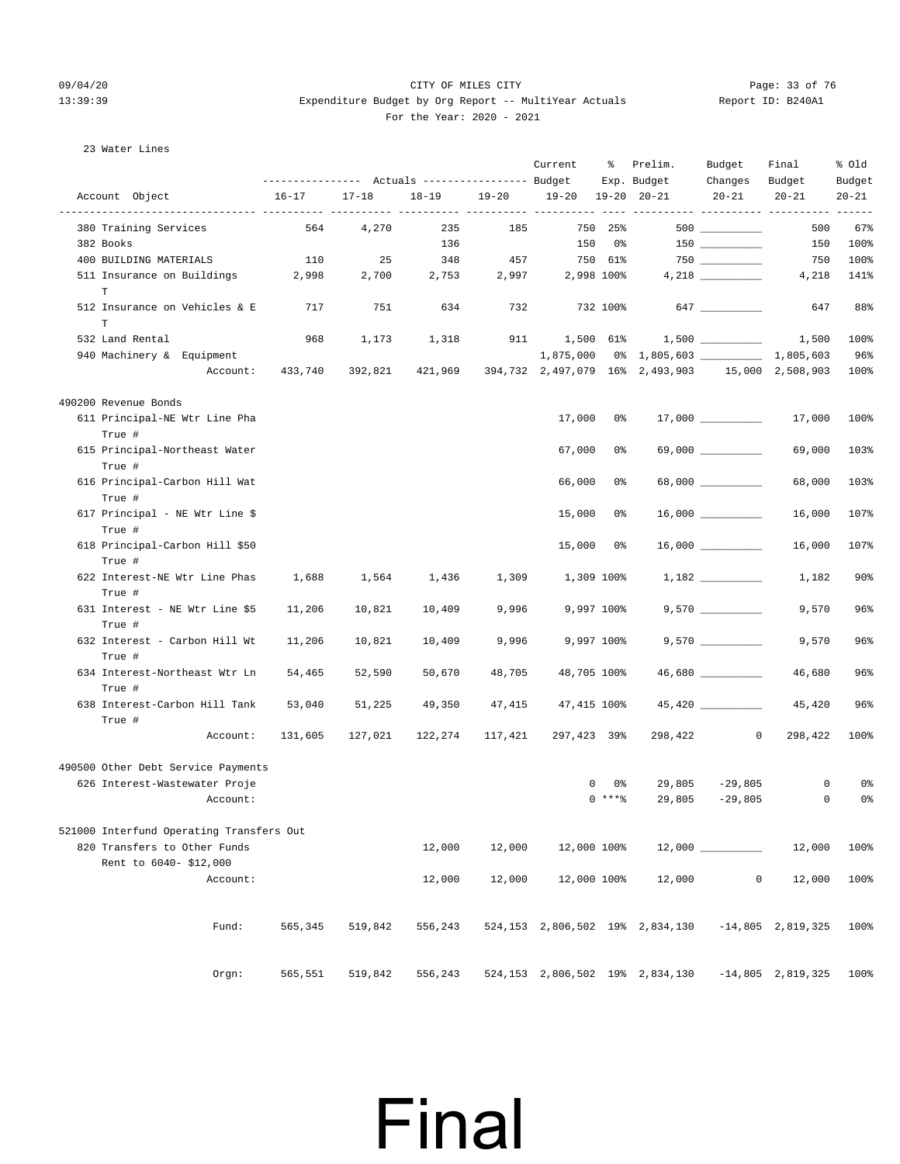#### 09/04/20 Page: 33 of 76 CITY OF MILES CITY CONTROL PAGE: 33 of 76 13:39:39 Expenditure Budget by Org Report -- MultiYear Actuals Report ID: B240A1 For the Year: 2020 - 2021

#### 23 Water Lines

|                                          |           |           |           |         | Current           | ႜႜၟ        | Prelim.<br>Exp. Budget                           | Budget<br>Changes | Final<br>Budget          | % old<br>Budget        |
|------------------------------------------|-----------|-----------|-----------|---------|-------------------|------------|--------------------------------------------------|-------------------|--------------------------|------------------------|
| Account Object                           | $16 - 17$ | $17 - 18$ | $18 - 19$ | 19-20   | 19-20 19-20 20-21 |            |                                                  | $20 - 21$         | $20 - 21$                | $20 - 21$              |
| 380 Training Services                    | 564       | 4,270     | 235       | 185     |                   | 750 25%    |                                                  |                   | 500                      | $- - - - - - -$<br>67% |
| 382 Books                                |           |           | 136       |         |                   | 150 0%     |                                                  | 150 000           | 150                      | 100%                   |
| 400 BUILDING MATERIALS                   | 110       | 25        | 348       | 457     | 750 61%           |            |                                                  |                   | 750                      | 100%                   |
| 511 Insurance on Buildings               | 2,998     | 2,700     | 2,753     | 2,997   |                   | 2,998 100% |                                                  |                   | 4,218                    | 141%                   |
| $\mathbb T$                              |           |           |           |         |                   |            |                                                  |                   |                          |                        |
| 512 Insurance on Vehicles & E<br>T       | 717       | 751       | 634       | 732     |                   | 732 100%   |                                                  | 647               | 647                      | 88%                    |
| 532 Land Rental                          | 968       | 1,173     | 1,318     |         | 911 1,500 61%     |            |                                                  |                   | 1,500                    | 100%                   |
| 940 Machinery & Equipment                |           |           |           |         |                   |            | 1,875,000 0% 1,805,603 1.4805,603                |                   |                          | 96%                    |
| Account:                                 | 433,740   | 392,821   | 421,969   |         |                   |            | 394,732 2,497,079 16% 2,493,903 15,000 2,508,903 |                   |                          | 100%                   |
| 490200 Revenue Bonds                     |           |           |           |         |                   |            |                                                  |                   |                          |                        |
| 611 Principal-NE Wtr Line Pha            |           |           |           |         | 17,000            | 0%         |                                                  |                   | 17,000                   | 100%                   |
| True #                                   |           |           |           |         |                   |            |                                                  |                   |                          |                        |
| 615 Principal-Northeast Water<br>True #  |           |           |           |         | 67,000            | 0%         |                                                  |                   | 69,000                   | 103%                   |
| 616 Principal-Carbon Hill Wat            |           |           |           |         | 66,000            | 0%         |                                                  |                   | 68,000                   | 103%                   |
| True #<br>617 Principal - NE Wtr Line \$ |           |           |           |         | 15,000            | 0%         |                                                  |                   | 16,000                   | 107%                   |
| True #                                   |           |           |           |         |                   |            |                                                  |                   |                          |                        |
| 618 Principal-Carbon Hill \$50<br>True # |           |           |           |         | 15,000            | 0 %        |                                                  |                   | 16,000                   | 107%                   |
| 622 Interest-NE Wtr Line Phas<br>True #  | 1,688     | 1,564     | 1,436     | 1,309   |                   | 1,309 100% |                                                  | 1,182             | 1,182                    | $90\%$                 |
| 631 Interest - NE Wtr Line \$5<br>True # | 11,206    | 10,821    | 10,409    | 9,996   |                   | 9,997 100% |                                                  |                   | 9,570                    | 96%                    |
| 632 Interest - Carbon Hill Wt<br>True #  | 11,206    | 10,821    | 10,409    | 9,996   |                   | 9,997 100% |                                                  |                   | 9,570                    | 96%                    |
| 634 Interest-Northeast Wtr Ln            | 54,465    | 52,590    | 50,670    | 48,705  | 48,705 100%       |            |                                                  | 46,680            | 46,680                   | 96%                    |
| True #                                   |           |           |           |         |                   |            |                                                  |                   |                          |                        |
| 638 Interest-Carbon Hill Tank<br>True #  | 53,040    | 51,225    | 49,350    | 47,415  | 47,415 100%       |            |                                                  |                   | 45,420                   | 96%                    |
| Account:                                 | 131,605   | 127,021   | 122,274   | 117,421 | 297,423 39%       |            | 298,422                                          | $\circ$           | 298,422                  | 100%                   |
| 490500 Other Debt Service Payments       |           |           |           |         |                   |            |                                                  |                   |                          |                        |
| 626 Interest-Wastewater Proje            |           |           |           |         |                   | 0<br>0%    | 29,805                                           | -29,805           | 0                        | 0%                     |
| Account:                                 |           |           |           |         |                   | $0***$ $*$ | 29,805                                           | $-29,805$         | 0                        | 0%                     |
| 521000 Interfund Operating Transfers Out |           |           |           |         |                   |            |                                                  |                   |                          |                        |
| 820 Transfers to Other Funds             |           |           | 12,000    | 12,000  | 12,000 100%       |            |                                                  |                   | 12,000                   | 100%                   |
| Rent to 6040-\$12,000                    |           |           |           |         |                   |            |                                                  |                   |                          |                        |
| Account:                                 |           |           | 12,000    | 12,000  | 12,000 100%       |            | 12,000                                           | $\mathbf 0$       | 12,000                   | 100%                   |
|                                          |           |           |           |         |                   |            |                                                  |                   |                          |                        |
| Fund:                                    | 565,345   | 519,842   | 556,243   |         |                   |            | 524,153 2,806,502 19% 2,834,130                  |                   | $-14,805$ 2,819,325      | 100%                   |
| Orgn:                                    | 565,551   | 519,842   | 556,243   |         |                   |            | 524,153 2,806,502 19% 2,834,130                  |                   | $-14,805$ 2,819,325 100% |                        |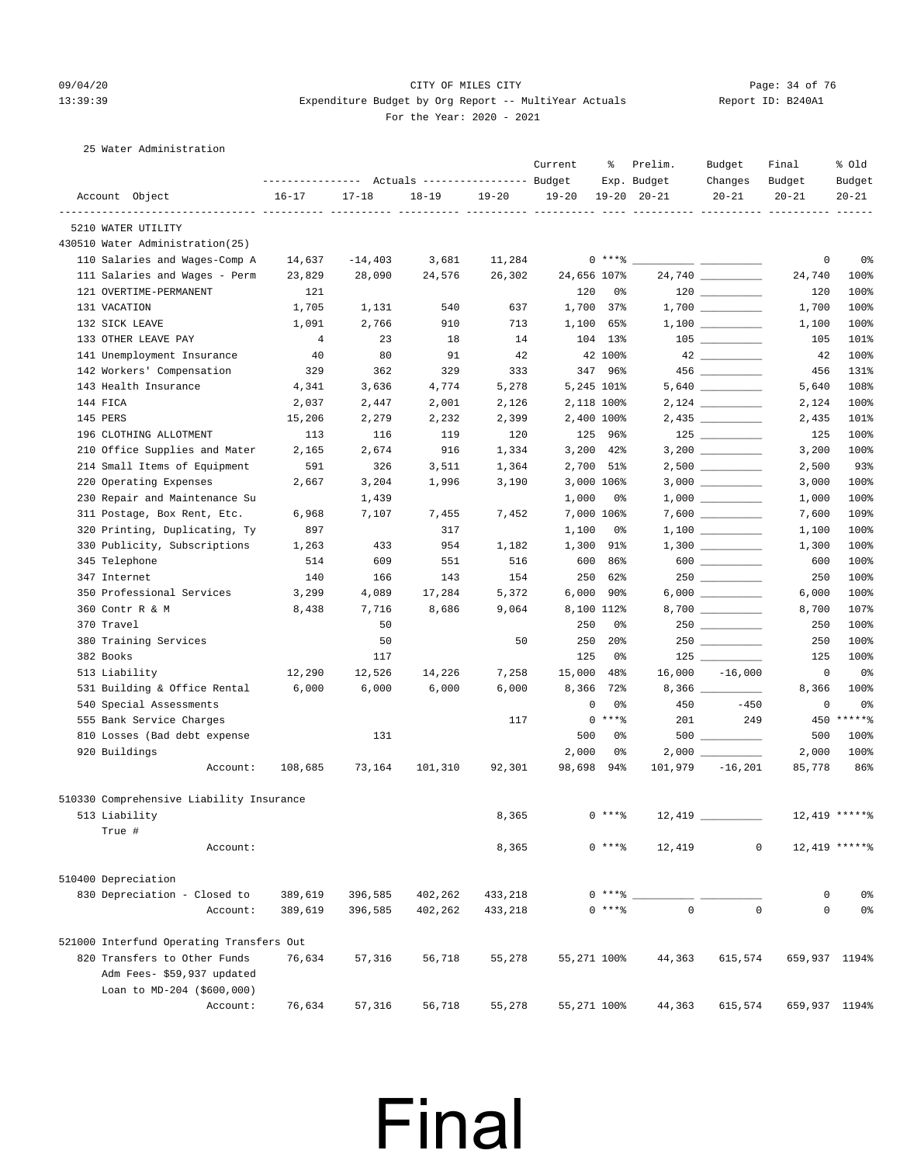#### 09/04/20 Page: 34 of 76 CITY OF MILES CITY CHEMICS CONTROL PAGE: 34 of 76 13:39:39 Expenditure Budget by Org Report -- MultiYear Actuals Report ID: B240A1 For the Year: 2020 - 2021

25 Water Administration

|                                          | ---------------- |           | Actuals ----------------- Budget |           | Current   | ៖               | Prelim.<br>Exp. Budget | Budget<br>Changes | Final<br>Budget | % old<br>Budget |
|------------------------------------------|------------------|-----------|----------------------------------|-----------|-----------|-----------------|------------------------|-------------------|-----------------|-----------------|
| Account Object                           | $16 - 17$        | $17 - 18$ | $18 - 19$                        | $19 - 20$ | $19 - 20$ |                 | $19 - 20$ $20 - 21$    | $20 - 21$         | $20 - 21$       | $20 - 21$       |
| 5210 WATER UTILITY                       |                  |           |                                  |           |           |                 |                        |                   |                 |                 |
| 430510 Water Administration(25)          |                  |           |                                  |           |           |                 |                        |                   |                 |                 |
| 110 Salaries and Wages-Comp A            | 14,637           | $-14,403$ | 3,681                            | 11,284    |           | 0 ****          |                        |                   | 0               | 0 <sup>8</sup>  |
| 111 Salaries and Wages - Perm            | 23,829           | 28,090    | 24,576                           | 26,302    |           | 24,656 107%     |                        | 24,740            | 24,740          | 100%            |
| 121 OVERTIME-PERMANENT                   | 121              |           |                                  |           | 120       | 0%              |                        |                   | 120             | 100%            |
| 131 VACATION                             | 1,705            | 1,131     | 540                              | 637       |           | 1,700 37%       |                        |                   | 1,700           | 100%            |
| 132 SICK LEAVE                           | 1,091            | 2,766     | 910                              | 713       | 1,100     | 65%             |                        |                   | 1,100           | 100%            |
| 133 OTHER LEAVE PAY                      | $\overline{4}$   | 23        | 18                               | 14        |           | 104 13%         |                        |                   | 105             | 101%            |
| 141 Unemployment Insurance               | 40               | 80        | 91                               | 42        |           | 42 100%         |                        |                   | 42              | 100%            |
| 142 Workers' Compensation                | 329              | 362       | 329                              | 333       |           | 347 96%         |                        |                   | 456             | 131%            |
| 143 Health Insurance                     | 4,341            | 3,636     | 4,774                            | 5,278     |           | 5,245 101%      |                        |                   | 5,640           | 108%            |
| 144 FICA                                 | 2,037            | 2,447     | 2,001                            | 2,126     |           | 2,118 100%      |                        |                   | 2,124           | 100%            |
| 145 PERS                                 | 15,206           | 2,279     | 2,232                            | 2,399     |           | 2,400 100%      |                        |                   | 2,435           | 101%            |
| 196 CLOTHING ALLOTMENT                   | 113              | 116       | 119                              | 120       |           | 125 96%         |                        |                   | 125             | 100%            |
| 210 Office Supplies and Mater            | 2,165            | 2,674     | 916                              | 1,334     |           | 3,200 42%       |                        |                   | 3,200           | 100%            |
| 214 Small Items of Equipment             | 591              | 326       | 3,511                            | 1,364     |           | 2,700 51%       |                        |                   | 2,500           | 93%             |
| 220 Operating Expenses                   | 2,667            | 3,204     | 1,996                            | 3,190     |           | 3,000 106%      |                        |                   | 3,000           | 100%            |
| 230 Repair and Maintenance Su            |                  | 1,439     |                                  |           | 1,000     | 0%              |                        |                   | 1,000           | 100%            |
| 311 Postage, Box Rent, Etc.              | 6,968            | 7,107     | 7,455                            | 7,452     |           | 7,000 106%      |                        |                   | 7,600           | 109%            |
| 320 Printing, Duplicating, Ty            | 897              |           | 317                              |           | 1,100     | 0%              |                        |                   | 1,100           | 100%            |
| 330 Publicity, Subscriptions             | 1,263            | 433       | 954                              | 1,182     | 1,300     | 91%             |                        |                   | 1,300           | 100%            |
| 345 Telephone                            | 514              | 609       | 551                              | 516       | 600       | 86%             |                        | $600$             | 600             | 100%            |
| 347 Internet                             | 140              | 166       | 143                              | 154       | 250       | 62%             |                        |                   | 250             | 100%            |
| 350 Professional Services                | 3,299            | 4,089     | 17,284                           | 5,372     | 6,000     | 90%             |                        |                   | 6,000           | 100%            |
| 360 Contr R & M                          | 8,438            | 7,716     | 8,686                            | 9,064     |           | 8,100 112%      |                        |                   | 8,700           | 107%            |
| 370 Travel                               |                  | 50        |                                  |           | 250       | 0%              |                        | 250               | 250             | 100%            |
| 380 Training Services                    |                  | 50        |                                  | 50        | 250       | 20 <sup>8</sup> |                        |                   | 250             | 100%            |
| 382 Books                                |                  | 117       |                                  |           | 125       | 0%              |                        |                   | 125             | 100%            |
| 513 Liability                            | 12,290           | 12,526    | 14,226                           | 7,258     | 15,000    | 48%             | 16,000                 | $-16,000$         | 0               | 0%              |
| 531 Building & Office Rental             | 6,000            | 6,000     | 6,000                            | 6,000     | 8,366     | 72%             |                        | 8,366             | 8,366           | 100%            |
| 540 Special Assessments                  |                  |           |                                  |           |           | 0<br>0%         | 450                    | $-450$            | 0               | 0 <sup>8</sup>  |
| 555 Bank Service Charges                 |                  |           |                                  | 117       |           | $0***8$         | 201                    | 249               | 450             | $*****$         |
| 810 Losses (Bad debt expense             |                  | 131       |                                  |           | 500       | 0%              |                        |                   | 500             | 100%            |
| 920 Buildings                            |                  |           |                                  |           | 2,000     | 0%              |                        |                   | 2,000           | 100%            |
| Account:                                 | 108,685          | 73,164    | 101,310                          | 92,301    | 98,698    | 94%             | 101,979                | $-16,201$         | 85,778          | 86%             |
| 510330 Comprehensive Liability Insurance |                  |           |                                  |           |           |                 |                        |                   |                 |                 |
| 513 Liability                            |                  |           |                                  | 8,365     |           | $0***8$         | $12,419$ $\_$          |                   |                 | 12,419 ******   |
| True #                                   |                  |           |                                  |           |           |                 |                        |                   |                 |                 |
| Account:                                 |                  |           |                                  | 8,365     |           | $0$ ****        | 12,419                 |                   | $\mathsf{O}$    | 12,419 ******   |
|                                          |                  |           |                                  |           |           |                 |                        |                   |                 |                 |
| 510400 Depreciation                      |                  |           |                                  |           |           |                 |                        |                   |                 |                 |
| 830 Depreciation - Closed to             | 389,619          | 396,585   | 402,262                          | 433,218   |           | 0 ****          |                        |                   | 0               | 0 <sup>°</sup>  |
| Account:                                 | 389,619          | 396,585   | 402,262                          | 433,218   |           | $0***8$         | $\mathsf{O}\xspace$    | $\mathbf 0$       | 0               | 0 <sup>°</sup>  |
| 521000 Interfund Operating Transfers Out |                  |           |                                  |           |           |                 |                        |                   |                 |                 |
| 820 Transfers to Other Funds             | 76,634           | 57,316    | 56,718                           | 55,278    |           | 55,271 100%     | 44,363                 | 615,574           | 659,937 1194%   |                 |
| Adm Fees- \$59,937 updated               |                  |           |                                  |           |           |                 |                        |                   |                 |                 |
| Loan to MD-204 (\$600,000)               |                  |           |                                  |           |           |                 |                        |                   |                 |                 |
| Account:                                 | 76,634           | 57,316    | 56,718                           | 55,278    |           | 55,271 100%     | 44,363                 | 615,574           | 659,937 1194%   |                 |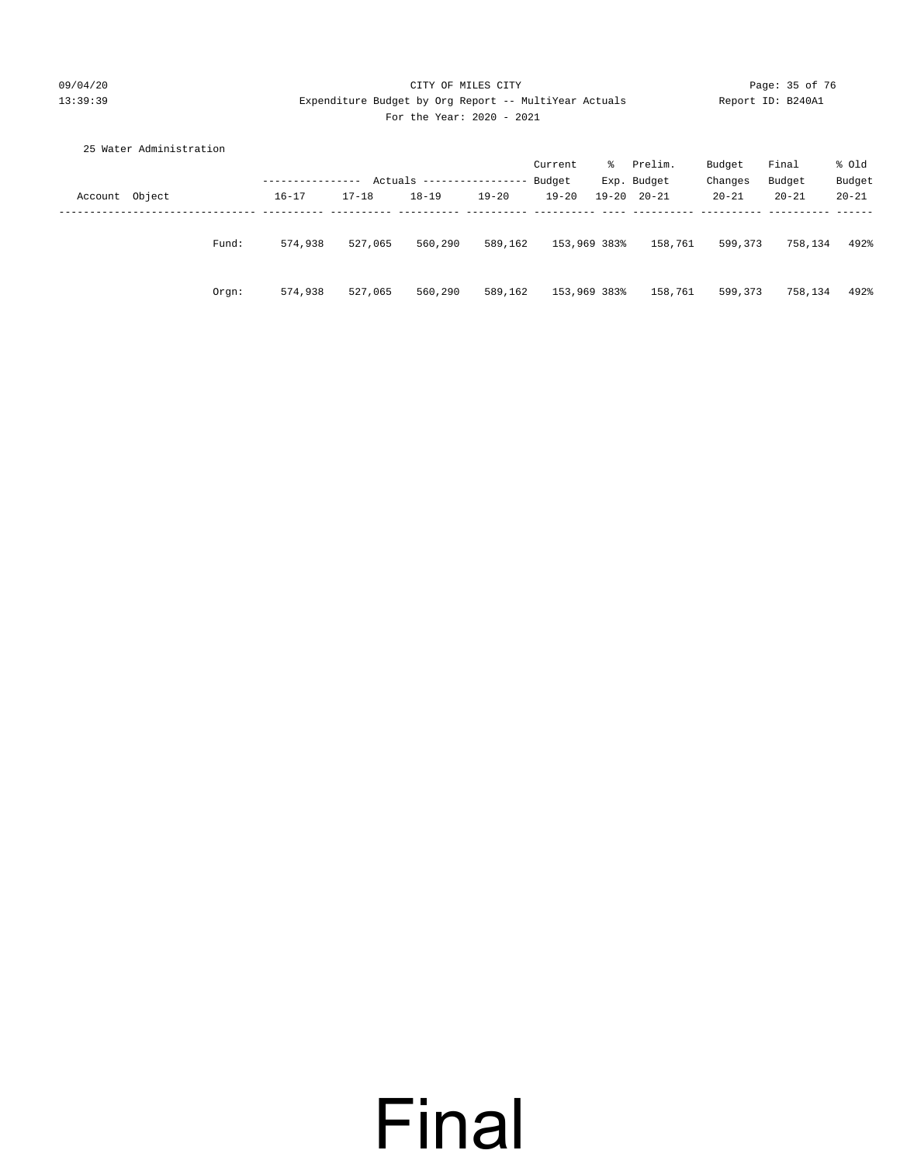#### 09/04/20 Page: 35 of 76 CITY OF MILES CITY CONTROL PAGE: 35 of 76 13:39:39 Expenditure Budget by Org Report -- MultiYear Actuals Report ID: B240A1 For the Year: 2020 - 2021

|                | 25 Water Administration |           |           |           |               |              |   |                     |           |           |           |
|----------------|-------------------------|-----------|-----------|-----------|---------------|--------------|---|---------------------|-----------|-----------|-----------|
|                |                         |           |           |           |               | Current      | ိ | Prelim.             | Budget    | Final     | % old     |
|                |                         |           | Actuals   |           | ------------- | Budget       |   | Exp. Budget         | Changes   | Budget    | Budget    |
| Account Object |                         | $16 - 17$ | $17 - 18$ | $18 - 19$ | $19 - 20$     | $19 - 20$    |   | $19 - 20$ $20 - 21$ | $20 - 21$ | $20 - 21$ | $20 - 21$ |
|                |                         |           |           |           |               |              |   |                     |           |           |           |
|                |                         |           |           |           |               |              |   |                     |           |           |           |
|                | Fund:                   | 574,938   | 527,065   | 560,290   | 589,162       | 153,969 383% |   | 158,761             | 599,373   | 758,134   | 492%      |
|                |                         |           |           |           |               |              |   |                     |           |           |           |
|                | Orgn:                   | 574,938   | 527,065   | 560,290   | 589,162       | 153,969 383% |   | 158,761             | 599,373   | 758,134   | 492%      |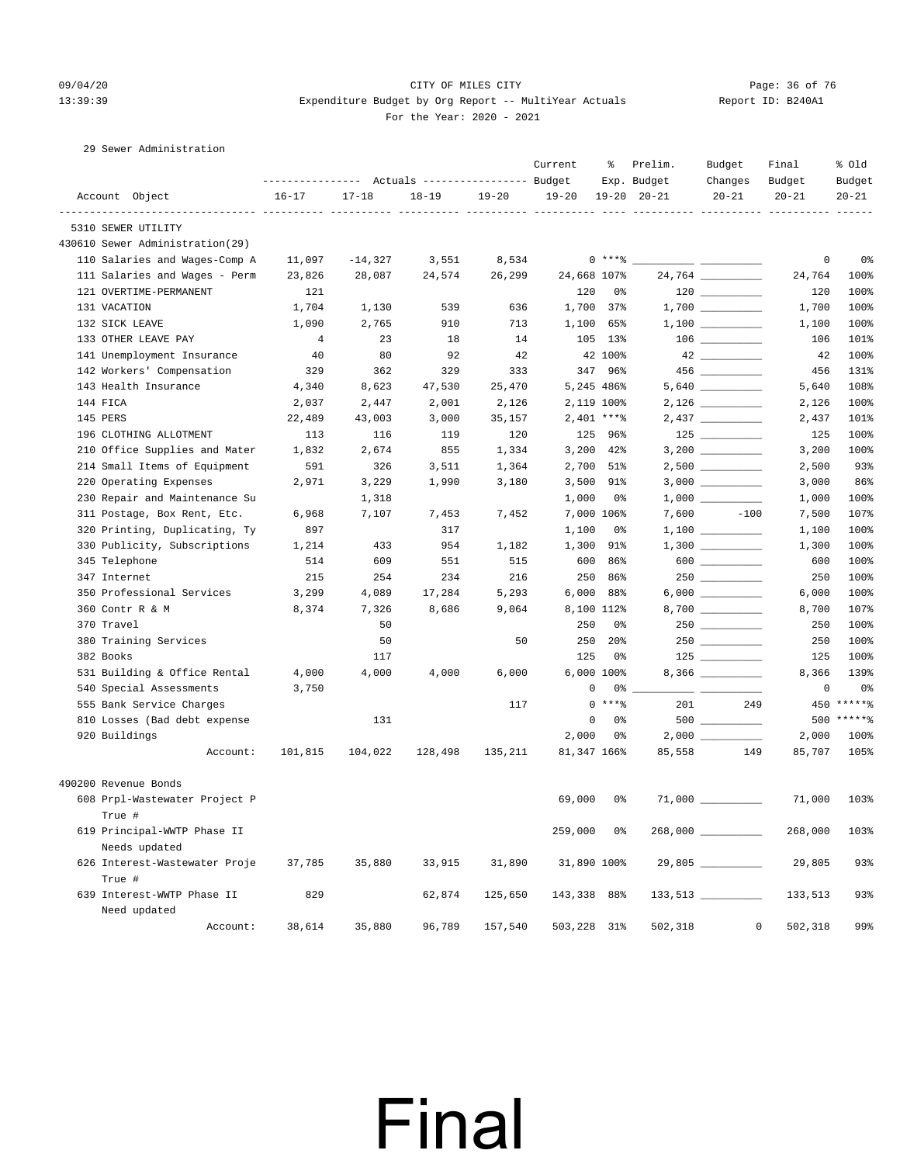29 Sewer Administration

#### 09/04/20 Page: 36 of 76 CITY OF MILES CITY CONTROL PAGE: 36 of 76 13:39:39 Expenditure Budget by Org Report -- MultiYear Actuals Report ID: B240A1 For the Year: 2020 - 2021

| Account Object<br>$16 - 17$<br>$17 - 18$<br>$18 - 19$<br>$19 - 20$<br>$19 - 20$<br>$19 - 20$ $20 - 21$<br>$20 - 21$<br>$20 - 21$<br>$20 - 21$<br>----------- ----------<br>5310 SEWER UTILITY<br>430610 Sewer Administration(29)<br>$0***8$<br>110 Salaries and Wages-Comp A<br>$\mathbf 0$<br>0 <sup>°</sup><br>11,097<br>$-14,327$<br>3,551<br>8,534<br>111 Salaries and Wages - Perm<br>28,087<br>24,574<br>26,299<br>24,668 107%<br>100%<br>23,826<br>24,764<br>121 OVERTIME-PERMANENT<br>121<br>120<br>120<br>100%<br>0%<br>131 VACATION<br>1,704<br>1,130<br>539<br>636<br>1,700 37%<br>1,700<br>100%<br>132 SICK LEAVE<br>1,100<br>1,090<br>2,765<br>910<br>713<br>65%<br>100%<br>1,100<br>133 OTHER LEAVE PAY<br>4<br>23<br>18<br>14<br>105 13%<br>106<br>141 Unemployment Insurance<br>40<br>80<br>92<br>42<br>42 100%<br>42<br>100%<br>142 Workers' Compensation<br>329<br>362<br>329<br>333<br>347 96%<br>456<br>131%<br>143 Health Insurance<br>4,340<br>8,623<br>47,530<br>25,470<br>5,245 486%<br>5,640<br>108%<br>144 FICA<br>2,037<br>2,001<br>2,126<br>2,119 100%<br>100%<br>2,447<br>2,126<br>$2,401$ ****<br>145 PERS<br>22,489<br>43,003<br>3,000<br>35,157<br>101%<br>2,437<br>196 CLOTHING ALLOTMENT<br>113<br>116<br>119<br>120<br>125 96%<br>125<br>100%<br>210 Office Supplies and Mater<br>1,832<br>2,674<br>855<br>1,334<br>3,200<br>42%<br>3,200 __________<br>3,200<br>100%<br>214 Small Items of Equipment<br>$2,500$ __________<br>93%<br>591<br>326<br>3,511<br>1,364<br>2,700 51%<br>2,500<br>220 Operating Expenses<br>86%<br>2,971<br>3,229<br>1,990<br>3,180<br>3,500<br>91%<br>3,000<br>230 Repair and Maintenance Su<br>1,000<br>1,000<br>100%<br>1,318<br>0%<br>311 Postage, Box Rent, Etc.<br>6,968<br>7,107<br>7,453<br>7,452<br>7,000 106%<br>7,600 - 10<br>$-100$<br>7,500<br>107%<br>320 Printing, Duplicating, Ty<br>1,100<br>100%<br>897<br>317<br>0%<br>1,100<br>330 Publicity, Subscriptions<br>1,214<br>433<br>954<br>1,182<br>1,300<br>91%<br>1,300<br>100%<br>600<br>$600$<br>345 Telephone<br>514<br>609<br>551<br>515<br>86%<br>600<br>100%<br>100%<br>347 Internet<br>215<br>254<br>234<br>216<br>250<br>250<br>86%<br>350 Professional Services<br>3,299<br>4,089<br>17,284<br>5,293<br>6,000<br>88%<br>100%<br>6,000<br>360 Contr R & M<br>8,374<br>7,326<br>8,686<br>9,064<br>8,100 112%<br>8,700 __________<br>8,700<br>107%<br>250<br>370 Travel<br>50<br>0%<br>250<br>100%<br>50<br>250<br>380 Training Services<br>50<br>20 <sub>8</sub><br>250<br>100%<br>382 Books<br>125<br>0%<br>125<br>117<br>531 Building & Office Rental<br>6,000 100%<br>4,000<br>4,000<br>4,000<br>6,000<br>8,366<br>139%<br>540 Special Assessments<br>3,750<br>0<br>0%<br>0<br>0%<br>$*****$<br>555 Bank Service Charges<br>$0$ ****<br>201<br>249<br>450<br>117<br>500 ******<br>810 Losses (Bad debt expense<br>131<br>0<br>0%<br>2,000<br>920 Buildings<br>2,000<br>100%<br>0%<br>Account:<br>101,815<br>104,022<br>128,498<br>135,211<br>81,347 166%<br>85,558<br>149<br>85,707<br>105%<br>490200 Revenue Bonds<br>69,000<br>608 Prpl-Wastewater Project P<br>0%<br>71,000<br>103%<br>True #<br>$268,000$ __________<br>619 Principal-WWTP Phase II<br>259,000<br>0%<br>268,000<br>103%<br>Needs updated<br>626 Interest-Wastewater Proje<br>35,880<br>33,915<br>31,890<br>31,890 100%<br>29,805<br>93%<br>37,785<br>True #<br>639 Interest-WWTP Phase II<br>829<br>62,874<br>93%<br>125,650<br>143,338 88%<br>133,513<br>Need updated |          |        |        | Actuals ----------------- Budget |         | Current | ႜ | Prelim.<br>Exp. Budget | Budget<br>Changes | Final<br>Budget | % old<br>Budget |
|------------------------------------------------------------------------------------------------------------------------------------------------------------------------------------------------------------------------------------------------------------------------------------------------------------------------------------------------------------------------------------------------------------------------------------------------------------------------------------------------------------------------------------------------------------------------------------------------------------------------------------------------------------------------------------------------------------------------------------------------------------------------------------------------------------------------------------------------------------------------------------------------------------------------------------------------------------------------------------------------------------------------------------------------------------------------------------------------------------------------------------------------------------------------------------------------------------------------------------------------------------------------------------------------------------------------------------------------------------------------------------------------------------------------------------------------------------------------------------------------------------------------------------------------------------------------------------------------------------------------------------------------------------------------------------------------------------------------------------------------------------------------------------------------------------------------------------------------------------------------------------------------------------------------------------------------------------------------------------------------------------------------------------------------------------------------------------------------------------------------------------------------------------------------------------------------------------------------------------------------------------------------------------------------------------------------------------------------------------------------------------------------------------------------------------------------------------------------------------------------------------------------------------------------------------------------------------------------------------------------------------------------------------------------------------------------------------------------------------------------------------------------------------------------------------------------------------------------------------------------------------------------------------------------------------------------------------------------------------------------------------------------------------------------------------------------------------------------------------------------------------------------------------------------------------------------------------------------------------------------------------------------------------------------------------------------------------------------------------------------------------------------------------------------------------------------------------------------------------|----------|--------|--------|----------------------------------|---------|---------|---|------------------------|-------------------|-----------------|-----------------|
|                                                                                                                                                                                                                                                                                                                                                                                                                                                                                                                                                                                                                                                                                                                                                                                                                                                                                                                                                                                                                                                                                                                                                                                                                                                                                                                                                                                                                                                                                                                                                                                                                                                                                                                                                                                                                                                                                                                                                                                                                                                                                                                                                                                                                                                                                                                                                                                                                                                                                                                                                                                                                                                                                                                                                                                                                                                                                                                                                                                                                                                                                                                                                                                                                                                                                                                                                                                                                                                                                    |          |        |        |                                  |         |         |   |                        |                   |                 |                 |
|                                                                                                                                                                                                                                                                                                                                                                                                                                                                                                                                                                                                                                                                                                                                                                                                                                                                                                                                                                                                                                                                                                                                                                                                                                                                                                                                                                                                                                                                                                                                                                                                                                                                                                                                                                                                                                                                                                                                                                                                                                                                                                                                                                                                                                                                                                                                                                                                                                                                                                                                                                                                                                                                                                                                                                                                                                                                                                                                                                                                                                                                                                                                                                                                                                                                                                                                                                                                                                                                                    |          |        |        |                                  |         |         |   |                        |                   |                 |                 |
|                                                                                                                                                                                                                                                                                                                                                                                                                                                                                                                                                                                                                                                                                                                                                                                                                                                                                                                                                                                                                                                                                                                                                                                                                                                                                                                                                                                                                                                                                                                                                                                                                                                                                                                                                                                                                                                                                                                                                                                                                                                                                                                                                                                                                                                                                                                                                                                                                                                                                                                                                                                                                                                                                                                                                                                                                                                                                                                                                                                                                                                                                                                                                                                                                                                                                                                                                                                                                                                                                    |          |        |        |                                  |         |         |   |                        |                   |                 |                 |
|                                                                                                                                                                                                                                                                                                                                                                                                                                                                                                                                                                                                                                                                                                                                                                                                                                                                                                                                                                                                                                                                                                                                                                                                                                                                                                                                                                                                                                                                                                                                                                                                                                                                                                                                                                                                                                                                                                                                                                                                                                                                                                                                                                                                                                                                                                                                                                                                                                                                                                                                                                                                                                                                                                                                                                                                                                                                                                                                                                                                                                                                                                                                                                                                                                                                                                                                                                                                                                                                                    |          |        |        |                                  |         |         |   |                        |                   |                 |                 |
|                                                                                                                                                                                                                                                                                                                                                                                                                                                                                                                                                                                                                                                                                                                                                                                                                                                                                                                                                                                                                                                                                                                                                                                                                                                                                                                                                                                                                                                                                                                                                                                                                                                                                                                                                                                                                                                                                                                                                                                                                                                                                                                                                                                                                                                                                                                                                                                                                                                                                                                                                                                                                                                                                                                                                                                                                                                                                                                                                                                                                                                                                                                                                                                                                                                                                                                                                                                                                                                                                    |          |        |        |                                  |         |         |   |                        |                   |                 |                 |
| 101%                                                                                                                                                                                                                                                                                                                                                                                                                                                                                                                                                                                                                                                                                                                                                                                                                                                                                                                                                                                                                                                                                                                                                                                                                                                                                                                                                                                                                                                                                                                                                                                                                                                                                                                                                                                                                                                                                                                                                                                                                                                                                                                                                                                                                                                                                                                                                                                                                                                                                                                                                                                                                                                                                                                                                                                                                                                                                                                                                                                                                                                                                                                                                                                                                                                                                                                                                                                                                                                                               |          |        |        |                                  |         |         |   |                        |                   |                 |                 |
|                                                                                                                                                                                                                                                                                                                                                                                                                                                                                                                                                                                                                                                                                                                                                                                                                                                                                                                                                                                                                                                                                                                                                                                                                                                                                                                                                                                                                                                                                                                                                                                                                                                                                                                                                                                                                                                                                                                                                                                                                                                                                                                                                                                                                                                                                                                                                                                                                                                                                                                                                                                                                                                                                                                                                                                                                                                                                                                                                                                                                                                                                                                                                                                                                                                                                                                                                                                                                                                                                    |          |        |        |                                  |         |         |   |                        |                   |                 |                 |
|                                                                                                                                                                                                                                                                                                                                                                                                                                                                                                                                                                                                                                                                                                                                                                                                                                                                                                                                                                                                                                                                                                                                                                                                                                                                                                                                                                                                                                                                                                                                                                                                                                                                                                                                                                                                                                                                                                                                                                                                                                                                                                                                                                                                                                                                                                                                                                                                                                                                                                                                                                                                                                                                                                                                                                                                                                                                                                                                                                                                                                                                                                                                                                                                                                                                                                                                                                                                                                                                                    |          |        |        |                                  |         |         |   |                        |                   |                 |                 |
|                                                                                                                                                                                                                                                                                                                                                                                                                                                                                                                                                                                                                                                                                                                                                                                                                                                                                                                                                                                                                                                                                                                                                                                                                                                                                                                                                                                                                                                                                                                                                                                                                                                                                                                                                                                                                                                                                                                                                                                                                                                                                                                                                                                                                                                                                                                                                                                                                                                                                                                                                                                                                                                                                                                                                                                                                                                                                                                                                                                                                                                                                                                                                                                                                                                                                                                                                                                                                                                                                    |          |        |        |                                  |         |         |   |                        |                   |                 |                 |
|                                                                                                                                                                                                                                                                                                                                                                                                                                                                                                                                                                                                                                                                                                                                                                                                                                                                                                                                                                                                                                                                                                                                                                                                                                                                                                                                                                                                                                                                                                                                                                                                                                                                                                                                                                                                                                                                                                                                                                                                                                                                                                                                                                                                                                                                                                                                                                                                                                                                                                                                                                                                                                                                                                                                                                                                                                                                                                                                                                                                                                                                                                                                                                                                                                                                                                                                                                                                                                                                                    |          |        |        |                                  |         |         |   |                        |                   |                 |                 |
|                                                                                                                                                                                                                                                                                                                                                                                                                                                                                                                                                                                                                                                                                                                                                                                                                                                                                                                                                                                                                                                                                                                                                                                                                                                                                                                                                                                                                                                                                                                                                                                                                                                                                                                                                                                                                                                                                                                                                                                                                                                                                                                                                                                                                                                                                                                                                                                                                                                                                                                                                                                                                                                                                                                                                                                                                                                                                                                                                                                                                                                                                                                                                                                                                                                                                                                                                                                                                                                                                    |          |        |        |                                  |         |         |   |                        |                   |                 |                 |
|                                                                                                                                                                                                                                                                                                                                                                                                                                                                                                                                                                                                                                                                                                                                                                                                                                                                                                                                                                                                                                                                                                                                                                                                                                                                                                                                                                                                                                                                                                                                                                                                                                                                                                                                                                                                                                                                                                                                                                                                                                                                                                                                                                                                                                                                                                                                                                                                                                                                                                                                                                                                                                                                                                                                                                                                                                                                                                                                                                                                                                                                                                                                                                                                                                                                                                                                                                                                                                                                                    |          |        |        |                                  |         |         |   |                        |                   |                 |                 |
|                                                                                                                                                                                                                                                                                                                                                                                                                                                                                                                                                                                                                                                                                                                                                                                                                                                                                                                                                                                                                                                                                                                                                                                                                                                                                                                                                                                                                                                                                                                                                                                                                                                                                                                                                                                                                                                                                                                                                                                                                                                                                                                                                                                                                                                                                                                                                                                                                                                                                                                                                                                                                                                                                                                                                                                                                                                                                                                                                                                                                                                                                                                                                                                                                                                                                                                                                                                                                                                                                    |          |        |        |                                  |         |         |   |                        |                   |                 |                 |
|                                                                                                                                                                                                                                                                                                                                                                                                                                                                                                                                                                                                                                                                                                                                                                                                                                                                                                                                                                                                                                                                                                                                                                                                                                                                                                                                                                                                                                                                                                                                                                                                                                                                                                                                                                                                                                                                                                                                                                                                                                                                                                                                                                                                                                                                                                                                                                                                                                                                                                                                                                                                                                                                                                                                                                                                                                                                                                                                                                                                                                                                                                                                                                                                                                                                                                                                                                                                                                                                                    |          |        |        |                                  |         |         |   |                        |                   |                 |                 |
|                                                                                                                                                                                                                                                                                                                                                                                                                                                                                                                                                                                                                                                                                                                                                                                                                                                                                                                                                                                                                                                                                                                                                                                                                                                                                                                                                                                                                                                                                                                                                                                                                                                                                                                                                                                                                                                                                                                                                                                                                                                                                                                                                                                                                                                                                                                                                                                                                                                                                                                                                                                                                                                                                                                                                                                                                                                                                                                                                                                                                                                                                                                                                                                                                                                                                                                                                                                                                                                                                    |          |        |        |                                  |         |         |   |                        |                   |                 |                 |
|                                                                                                                                                                                                                                                                                                                                                                                                                                                                                                                                                                                                                                                                                                                                                                                                                                                                                                                                                                                                                                                                                                                                                                                                                                                                                                                                                                                                                                                                                                                                                                                                                                                                                                                                                                                                                                                                                                                                                                                                                                                                                                                                                                                                                                                                                                                                                                                                                                                                                                                                                                                                                                                                                                                                                                                                                                                                                                                                                                                                                                                                                                                                                                                                                                                                                                                                                                                                                                                                                    |          |        |        |                                  |         |         |   |                        |                   |                 |                 |
|                                                                                                                                                                                                                                                                                                                                                                                                                                                                                                                                                                                                                                                                                                                                                                                                                                                                                                                                                                                                                                                                                                                                                                                                                                                                                                                                                                                                                                                                                                                                                                                                                                                                                                                                                                                                                                                                                                                                                                                                                                                                                                                                                                                                                                                                                                                                                                                                                                                                                                                                                                                                                                                                                                                                                                                                                                                                                                                                                                                                                                                                                                                                                                                                                                                                                                                                                                                                                                                                                    |          |        |        |                                  |         |         |   |                        |                   |                 |                 |
| 100%                                                                                                                                                                                                                                                                                                                                                                                                                                                                                                                                                                                                                                                                                                                                                                                                                                                                                                                                                                                                                                                                                                                                                                                                                                                                                                                                                                                                                                                                                                                                                                                                                                                                                                                                                                                                                                                                                                                                                                                                                                                                                                                                                                                                                                                                                                                                                                                                                                                                                                                                                                                                                                                                                                                                                                                                                                                                                                                                                                                                                                                                                                                                                                                                                                                                                                                                                                                                                                                                               |          |        |        |                                  |         |         |   |                        |                   |                 |                 |
|                                                                                                                                                                                                                                                                                                                                                                                                                                                                                                                                                                                                                                                                                                                                                                                                                                                                                                                                                                                                                                                                                                                                                                                                                                                                                                                                                                                                                                                                                                                                                                                                                                                                                                                                                                                                                                                                                                                                                                                                                                                                                                                                                                                                                                                                                                                                                                                                                                                                                                                                                                                                                                                                                                                                                                                                                                                                                                                                                                                                                                                                                                                                                                                                                                                                                                                                                                                                                                                                                    |          |        |        |                                  |         |         |   |                        |                   |                 |                 |
|                                                                                                                                                                                                                                                                                                                                                                                                                                                                                                                                                                                                                                                                                                                                                                                                                                                                                                                                                                                                                                                                                                                                                                                                                                                                                                                                                                                                                                                                                                                                                                                                                                                                                                                                                                                                                                                                                                                                                                                                                                                                                                                                                                                                                                                                                                                                                                                                                                                                                                                                                                                                                                                                                                                                                                                                                                                                                                                                                                                                                                                                                                                                                                                                                                                                                                                                                                                                                                                                                    |          |        |        |                                  |         |         |   |                        |                   |                 |                 |
|                                                                                                                                                                                                                                                                                                                                                                                                                                                                                                                                                                                                                                                                                                                                                                                                                                                                                                                                                                                                                                                                                                                                                                                                                                                                                                                                                                                                                                                                                                                                                                                                                                                                                                                                                                                                                                                                                                                                                                                                                                                                                                                                                                                                                                                                                                                                                                                                                                                                                                                                                                                                                                                                                                                                                                                                                                                                                                                                                                                                                                                                                                                                                                                                                                                                                                                                                                                                                                                                                    |          |        |        |                                  |         |         |   |                        |                   |                 |                 |
|                                                                                                                                                                                                                                                                                                                                                                                                                                                                                                                                                                                                                                                                                                                                                                                                                                                                                                                                                                                                                                                                                                                                                                                                                                                                                                                                                                                                                                                                                                                                                                                                                                                                                                                                                                                                                                                                                                                                                                                                                                                                                                                                                                                                                                                                                                                                                                                                                                                                                                                                                                                                                                                                                                                                                                                                                                                                                                                                                                                                                                                                                                                                                                                                                                                                                                                                                                                                                                                                                    |          |        |        |                                  |         |         |   |                        |                   |                 |                 |
|                                                                                                                                                                                                                                                                                                                                                                                                                                                                                                                                                                                                                                                                                                                                                                                                                                                                                                                                                                                                                                                                                                                                                                                                                                                                                                                                                                                                                                                                                                                                                                                                                                                                                                                                                                                                                                                                                                                                                                                                                                                                                                                                                                                                                                                                                                                                                                                                                                                                                                                                                                                                                                                                                                                                                                                                                                                                                                                                                                                                                                                                                                                                                                                                                                                                                                                                                                                                                                                                                    |          |        |        |                                  |         |         |   |                        |                   |                 |                 |
|                                                                                                                                                                                                                                                                                                                                                                                                                                                                                                                                                                                                                                                                                                                                                                                                                                                                                                                                                                                                                                                                                                                                                                                                                                                                                                                                                                                                                                                                                                                                                                                                                                                                                                                                                                                                                                                                                                                                                                                                                                                                                                                                                                                                                                                                                                                                                                                                                                                                                                                                                                                                                                                                                                                                                                                                                                                                                                                                                                                                                                                                                                                                                                                                                                                                                                                                                                                                                                                                                    |          |        |        |                                  |         |         |   |                        |                   |                 |                 |
|                                                                                                                                                                                                                                                                                                                                                                                                                                                                                                                                                                                                                                                                                                                                                                                                                                                                                                                                                                                                                                                                                                                                                                                                                                                                                                                                                                                                                                                                                                                                                                                                                                                                                                                                                                                                                                                                                                                                                                                                                                                                                                                                                                                                                                                                                                                                                                                                                                                                                                                                                                                                                                                                                                                                                                                                                                                                                                                                                                                                                                                                                                                                                                                                                                                                                                                                                                                                                                                                                    |          |        |        |                                  |         |         |   |                        |                   |                 |                 |
|                                                                                                                                                                                                                                                                                                                                                                                                                                                                                                                                                                                                                                                                                                                                                                                                                                                                                                                                                                                                                                                                                                                                                                                                                                                                                                                                                                                                                                                                                                                                                                                                                                                                                                                                                                                                                                                                                                                                                                                                                                                                                                                                                                                                                                                                                                                                                                                                                                                                                                                                                                                                                                                                                                                                                                                                                                                                                                                                                                                                                                                                                                                                                                                                                                                                                                                                                                                                                                                                                    |          |        |        |                                  |         |         |   |                        |                   |                 |                 |
|                                                                                                                                                                                                                                                                                                                                                                                                                                                                                                                                                                                                                                                                                                                                                                                                                                                                                                                                                                                                                                                                                                                                                                                                                                                                                                                                                                                                                                                                                                                                                                                                                                                                                                                                                                                                                                                                                                                                                                                                                                                                                                                                                                                                                                                                                                                                                                                                                                                                                                                                                                                                                                                                                                                                                                                                                                                                                                                                                                                                                                                                                                                                                                                                                                                                                                                                                                                                                                                                                    |          |        |        |                                  |         |         |   |                        |                   |                 |                 |
|                                                                                                                                                                                                                                                                                                                                                                                                                                                                                                                                                                                                                                                                                                                                                                                                                                                                                                                                                                                                                                                                                                                                                                                                                                                                                                                                                                                                                                                                                                                                                                                                                                                                                                                                                                                                                                                                                                                                                                                                                                                                                                                                                                                                                                                                                                                                                                                                                                                                                                                                                                                                                                                                                                                                                                                                                                                                                                                                                                                                                                                                                                                                                                                                                                                                                                                                                                                                                                                                                    |          |        |        |                                  |         |         |   |                        |                   |                 |                 |
|                                                                                                                                                                                                                                                                                                                                                                                                                                                                                                                                                                                                                                                                                                                                                                                                                                                                                                                                                                                                                                                                                                                                                                                                                                                                                                                                                                                                                                                                                                                                                                                                                                                                                                                                                                                                                                                                                                                                                                                                                                                                                                                                                                                                                                                                                                                                                                                                                                                                                                                                                                                                                                                                                                                                                                                                                                                                                                                                                                                                                                                                                                                                                                                                                                                                                                                                                                                                                                                                                    |          |        |        |                                  |         |         |   |                        |                   |                 |                 |
|                                                                                                                                                                                                                                                                                                                                                                                                                                                                                                                                                                                                                                                                                                                                                                                                                                                                                                                                                                                                                                                                                                                                                                                                                                                                                                                                                                                                                                                                                                                                                                                                                                                                                                                                                                                                                                                                                                                                                                                                                                                                                                                                                                                                                                                                                                                                                                                                                                                                                                                                                                                                                                                                                                                                                                                                                                                                                                                                                                                                                                                                                                                                                                                                                                                                                                                                                                                                                                                                                    |          |        |        |                                  |         |         |   |                        |                   |                 |                 |
|                                                                                                                                                                                                                                                                                                                                                                                                                                                                                                                                                                                                                                                                                                                                                                                                                                                                                                                                                                                                                                                                                                                                                                                                                                                                                                                                                                                                                                                                                                                                                                                                                                                                                                                                                                                                                                                                                                                                                                                                                                                                                                                                                                                                                                                                                                                                                                                                                                                                                                                                                                                                                                                                                                                                                                                                                                                                                                                                                                                                                                                                                                                                                                                                                                                                                                                                                                                                                                                                                    |          |        |        |                                  |         |         |   |                        |                   |                 |                 |
|                                                                                                                                                                                                                                                                                                                                                                                                                                                                                                                                                                                                                                                                                                                                                                                                                                                                                                                                                                                                                                                                                                                                                                                                                                                                                                                                                                                                                                                                                                                                                                                                                                                                                                                                                                                                                                                                                                                                                                                                                                                                                                                                                                                                                                                                                                                                                                                                                                                                                                                                                                                                                                                                                                                                                                                                                                                                                                                                                                                                                                                                                                                                                                                                                                                                                                                                                                                                                                                                                    |          |        |        |                                  |         |         |   |                        |                   |                 |                 |
|                                                                                                                                                                                                                                                                                                                                                                                                                                                                                                                                                                                                                                                                                                                                                                                                                                                                                                                                                                                                                                                                                                                                                                                                                                                                                                                                                                                                                                                                                                                                                                                                                                                                                                                                                                                                                                                                                                                                                                                                                                                                                                                                                                                                                                                                                                                                                                                                                                                                                                                                                                                                                                                                                                                                                                                                                                                                                                                                                                                                                                                                                                                                                                                                                                                                                                                                                                                                                                                                                    |          |        |        |                                  |         |         |   |                        |                   |                 |                 |
|                                                                                                                                                                                                                                                                                                                                                                                                                                                                                                                                                                                                                                                                                                                                                                                                                                                                                                                                                                                                                                                                                                                                                                                                                                                                                                                                                                                                                                                                                                                                                                                                                                                                                                                                                                                                                                                                                                                                                                                                                                                                                                                                                                                                                                                                                                                                                                                                                                                                                                                                                                                                                                                                                                                                                                                                                                                                                                                                                                                                                                                                                                                                                                                                                                                                                                                                                                                                                                                                                    |          |        |        |                                  |         |         |   |                        |                   |                 |                 |
|                                                                                                                                                                                                                                                                                                                                                                                                                                                                                                                                                                                                                                                                                                                                                                                                                                                                                                                                                                                                                                                                                                                                                                                                                                                                                                                                                                                                                                                                                                                                                                                                                                                                                                                                                                                                                                                                                                                                                                                                                                                                                                                                                                                                                                                                                                                                                                                                                                                                                                                                                                                                                                                                                                                                                                                                                                                                                                                                                                                                                                                                                                                                                                                                                                                                                                                                                                                                                                                                                    |          |        |        |                                  |         |         |   |                        |                   |                 |                 |
|                                                                                                                                                                                                                                                                                                                                                                                                                                                                                                                                                                                                                                                                                                                                                                                                                                                                                                                                                                                                                                                                                                                                                                                                                                                                                                                                                                                                                                                                                                                                                                                                                                                                                                                                                                                                                                                                                                                                                                                                                                                                                                                                                                                                                                                                                                                                                                                                                                                                                                                                                                                                                                                                                                                                                                                                                                                                                                                                                                                                                                                                                                                                                                                                                                                                                                                                                                                                                                                                                    |          |        |        |                                  |         |         |   |                        |                   |                 |                 |
|                                                                                                                                                                                                                                                                                                                                                                                                                                                                                                                                                                                                                                                                                                                                                                                                                                                                                                                                                                                                                                                                                                                                                                                                                                                                                                                                                                                                                                                                                                                                                                                                                                                                                                                                                                                                                                                                                                                                                                                                                                                                                                                                                                                                                                                                                                                                                                                                                                                                                                                                                                                                                                                                                                                                                                                                                                                                                                                                                                                                                                                                                                                                                                                                                                                                                                                                                                                                                                                                                    |          |        |        |                                  |         |         |   |                        |                   |                 |                 |
|                                                                                                                                                                                                                                                                                                                                                                                                                                                                                                                                                                                                                                                                                                                                                                                                                                                                                                                                                                                                                                                                                                                                                                                                                                                                                                                                                                                                                                                                                                                                                                                                                                                                                                                                                                                                                                                                                                                                                                                                                                                                                                                                                                                                                                                                                                                                                                                                                                                                                                                                                                                                                                                                                                                                                                                                                                                                                                                                                                                                                                                                                                                                                                                                                                                                                                                                                                                                                                                                                    |          |        |        |                                  |         |         |   |                        |                   |                 |                 |
|                                                                                                                                                                                                                                                                                                                                                                                                                                                                                                                                                                                                                                                                                                                                                                                                                                                                                                                                                                                                                                                                                                                                                                                                                                                                                                                                                                                                                                                                                                                                                                                                                                                                                                                                                                                                                                                                                                                                                                                                                                                                                                                                                                                                                                                                                                                                                                                                                                                                                                                                                                                                                                                                                                                                                                                                                                                                                                                                                                                                                                                                                                                                                                                                                                                                                                                                                                                                                                                                                    |          |        |        |                                  |         |         |   |                        |                   |                 |                 |
|                                                                                                                                                                                                                                                                                                                                                                                                                                                                                                                                                                                                                                                                                                                                                                                                                                                                                                                                                                                                                                                                                                                                                                                                                                                                                                                                                                                                                                                                                                                                                                                                                                                                                                                                                                                                                                                                                                                                                                                                                                                                                                                                                                                                                                                                                                                                                                                                                                                                                                                                                                                                                                                                                                                                                                                                                                                                                                                                                                                                                                                                                                                                                                                                                                                                                                                                                                                                                                                                                    |          |        |        |                                  |         |         |   |                        |                   |                 |                 |
|                                                                                                                                                                                                                                                                                                                                                                                                                                                                                                                                                                                                                                                                                                                                                                                                                                                                                                                                                                                                                                                                                                                                                                                                                                                                                                                                                                                                                                                                                                                                                                                                                                                                                                                                                                                                                                                                                                                                                                                                                                                                                                                                                                                                                                                                                                                                                                                                                                                                                                                                                                                                                                                                                                                                                                                                                                                                                                                                                                                                                                                                                                                                                                                                                                                                                                                                                                                                                                                                                    |          |        |        |                                  |         |         |   |                        |                   |                 |                 |
|                                                                                                                                                                                                                                                                                                                                                                                                                                                                                                                                                                                                                                                                                                                                                                                                                                                                                                                                                                                                                                                                                                                                                                                                                                                                                                                                                                                                                                                                                                                                                                                                                                                                                                                                                                                                                                                                                                                                                                                                                                                                                                                                                                                                                                                                                                                                                                                                                                                                                                                                                                                                                                                                                                                                                                                                                                                                                                                                                                                                                                                                                                                                                                                                                                                                                                                                                                                                                                                                                    |          |        |        |                                  |         |         |   |                        |                   |                 |                 |
|                                                                                                                                                                                                                                                                                                                                                                                                                                                                                                                                                                                                                                                                                                                                                                                                                                                                                                                                                                                                                                                                                                                                                                                                                                                                                                                                                                                                                                                                                                                                                                                                                                                                                                                                                                                                                                                                                                                                                                                                                                                                                                                                                                                                                                                                                                                                                                                                                                                                                                                                                                                                                                                                                                                                                                                                                                                                                                                                                                                                                                                                                                                                                                                                                                                                                                                                                                                                                                                                                    |          |        |        |                                  |         |         |   |                        |                   |                 |                 |
| 503,228 31%<br>0                                                                                                                                                                                                                                                                                                                                                                                                                                                                                                                                                                                                                                                                                                                                                                                                                                                                                                                                                                                                                                                                                                                                                                                                                                                                                                                                                                                                                                                                                                                                                                                                                                                                                                                                                                                                                                                                                                                                                                                                                                                                                                                                                                                                                                                                                                                                                                                                                                                                                                                                                                                                                                                                                                                                                                                                                                                                                                                                                                                                                                                                                                                                                                                                                                                                                                                                                                                                                                                                   | Account: | 38,614 | 35,880 | 96,789                           | 157,540 |         |   | 502,318                |                   | 502,318         | 99%             |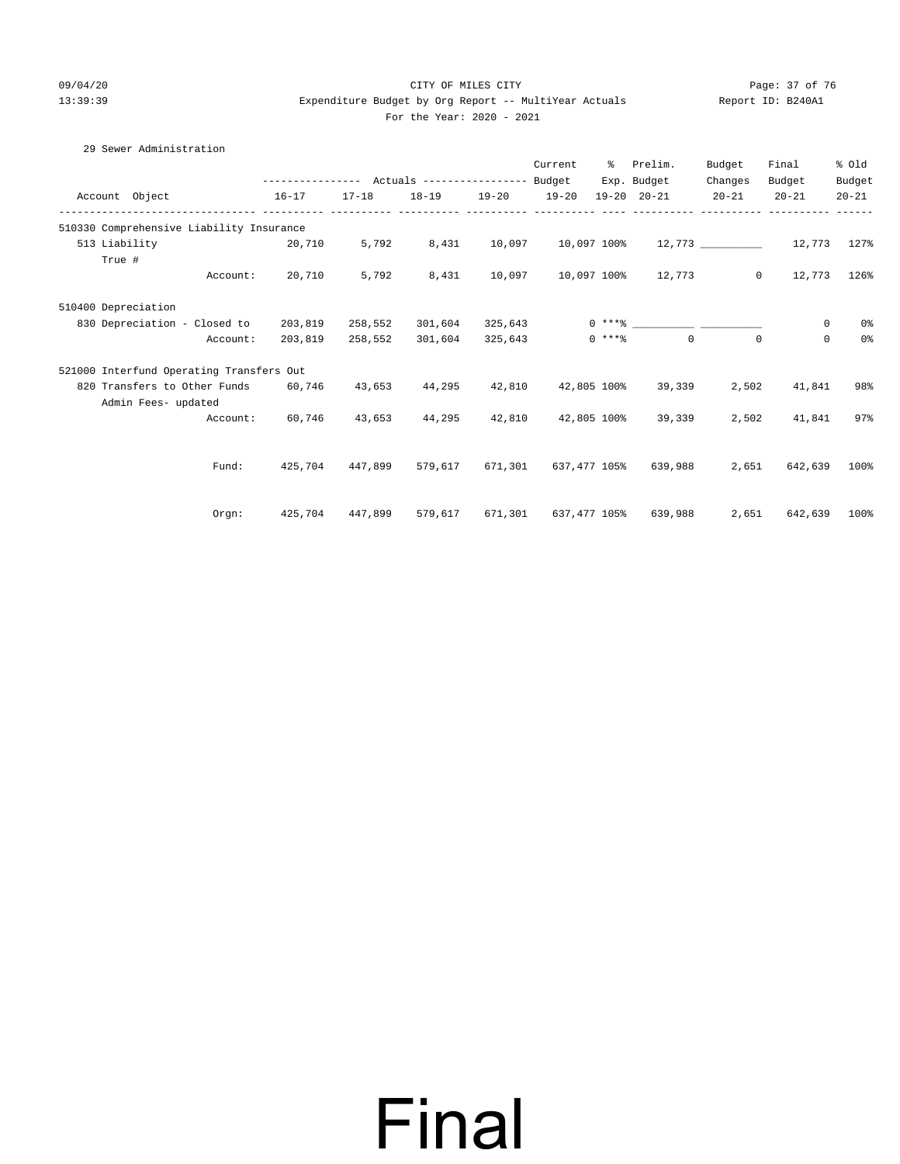#### 09/04/20 Page: 37 of 76 CITY OF MILES CITY  $13:39:39$  Expenditure Budget by Org Report -- MultiYear Actuals For the Year: 2020 - 2021

|                     |                                          |                                                 |           |           |           | Current              | ႜႜႜ          | Prelim.                                              | Budget    | Final       | % old     |
|---------------------|------------------------------------------|-------------------------------------------------|-----------|-----------|-----------|----------------------|--------------|------------------------------------------------------|-----------|-------------|-----------|
|                     |                                          | --------------- Actuals ---------------- Budget |           |           |           |                      |              | Exp. Budget                                          | Changes   | Budget      | Budget    |
|                     | Account Object                           | $16 - 17$                                       | $17 - 18$ | $18 - 19$ | $19 - 20$ | $19 - 20$            |              | $19 - 20$ $20 - 21$                                  | $20 - 21$ | $20 - 21$   | $20 - 21$ |
|                     | 510330 Comprehensive Liability Insurance |                                                 |           |           |           |                      |              |                                                      |           |             |           |
|                     | 513 Liability                            | 20,710                                          | 5,792     | 8,431     | 10,097    |                      |              | $10,097$ $100$ <sup>2</sup> $12,773$ 10.097 $12,773$ |           |             | 127%      |
|                     | True #                                   |                                                 |           |           |           |                      |              |                                                      |           |             |           |
|                     | Account:                                 | 20,710                                          | 5,792     | 8,431     | 10,097    |                      |              | 10,097 100% 12,773                                   | $\circ$   | 12,773      | 126%      |
| 510400 Depreciation |                                          |                                                 |           |           |           |                      |              |                                                      |           |             |           |
|                     | 830 Depreciation - Closed to             | 203,819                                         | 258,552   | 301,604   | 325,643   |                      |              |                                                      |           | 0           | $0\,$     |
|                     | Account:                                 | 203,819                                         | 258,552   | 301,604   | 325,643   |                      | $0 \; * * *$ | $\Omega$                                             | $\Omega$  | $\mathbf 0$ | $0\,$     |
|                     | 521000 Interfund Operating Transfers Out |                                                 |           |           |           |                      |              |                                                      |           |             |           |
|                     | 820 Transfers to Other Funds             | 60,746                                          | 43,653    | 44,295    | 42,810    |                      | 42,805 100%  | 39,339                                               | 2,502     | 41,841      | 98%       |
|                     | Admin Fees- updated                      |                                                 |           |           |           |                      |              |                                                      |           |             |           |
|                     | Account:                                 | 60,746                                          | 43,653    | 44,295    | 42,810    |                      | 42,805 100%  | 39,339                                               | 2,502     | 41,841      | 97%       |
|                     |                                          |                                                 |           |           |           |                      |              |                                                      |           |             |           |
|                     | Fund:                                    | 425,704                                         | 447.899   | 579,617   |           | 671,301 637,477 105% |              | 639,988                                              | 2,651     | 642,639     | 100%      |
|                     |                                          |                                                 |           |           |           |                      |              |                                                      |           |             |           |
|                     | Orgn:                                    | 425,704                                         | 447,899   | 579,617   | 671,301   |                      | 637,477 105% | 639,988                                              | 2,651     | 642,639     | 100%      |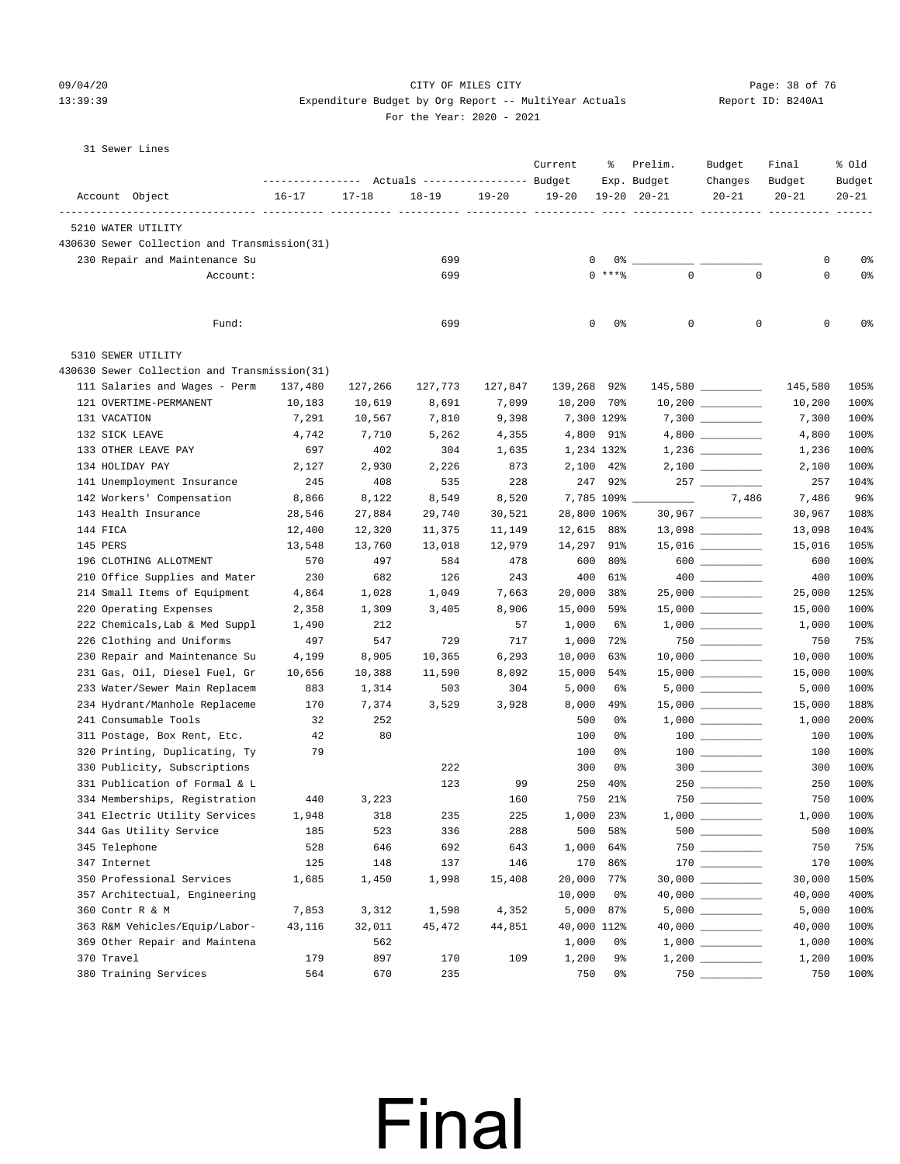#### 09/04/20 Page: 38 of 76 CITY OF MILES CITY CONTROL PAGE: 38 of 76 13:39:39 Expenditure Budget by Org Report -- MultiYear Actuals Report ID: B240A1

| For the Year: 2020 - 2021 |  |  |  |  |  |  |  |
|---------------------------|--|--|--|--|--|--|--|
|---------------------------|--|--|--|--|--|--|--|

| 31 Sewer Lines |  |
|----------------|--|
|                |  |

|                                                                    | --------------- Actuals ---------------- Budget |                  |                  |                  | Current     | ႜ          | Prelim.<br>Exp. Budget   | Budget<br>Changes                                                                                                         | Final<br>Budget  | % Old<br>Budget |
|--------------------------------------------------------------------|-------------------------------------------------|------------------|------------------|------------------|-------------|------------|--------------------------|---------------------------------------------------------------------------------------------------------------------------|------------------|-----------------|
| Account Object                                                     | $16 - 17$                                       | $17 - 18$        | $18 - 19$        | $19 - 20$        | $19 - 20$   |            | $19 - 20$ $20 - 21$      | $20 - 21$                                                                                                                 | $20 - 21$        | $20 - 21$       |
| 5210 WATER UTILITY<br>430630 Sewer Collection and Transmission(31) |                                                 |                  |                  |                  |             |            |                          |                                                                                                                           |                  |                 |
| 230 Repair and Maintenance Su                                      |                                                 |                  | 699              |                  | 0           |            |                          |                                                                                                                           | 0                | 0%              |
|                                                                    | Account:                                        |                  | 699              |                  |             | $0$ ****   | $\Omega$                 | $\mathbf 0$                                                                                                               | 0                | 0%              |
|                                                                    |                                                 |                  |                  |                  |             |            |                          |                                                                                                                           |                  |                 |
|                                                                    | Fund:                                           |                  | 699              |                  | 0           | 0%         | $\mathbf{0}$             | $\mathbf 0$                                                                                                               | 0                | 0%              |
| 5310 SEWER UTILITY                                                 |                                                 |                  |                  |                  |             |            |                          |                                                                                                                           |                  |                 |
| 430630 Sewer Collection and Transmission(31)                       |                                                 |                  |                  |                  |             |            |                          |                                                                                                                           |                  |                 |
| 111 Salaries and Wages - Perm                                      | 137,480                                         | 127,266          | 127,773          | 127,847          | 139,268     | 92%        |                          | 145,580                                                                                                                   | 145,580          | 105%            |
| 121 OVERTIME-PERMANENT                                             | 10,183                                          | 10,619           | 8,691            | 7,099            | 10,200 70%  |            |                          | $10,200$ __________                                                                                                       | 10,200           | 100%            |
| 131 VACATION                                                       | 7,291                                           | 10,567           | 7,810            | 9,398            | 7,300 129%  |            |                          |                                                                                                                           | 7,300            | 100%            |
| 132 SICK LEAVE                                                     | 4,742                                           | 7,710            | 5,262            | 4,355            | 4,800 91%   |            |                          |                                                                                                                           | 4,800            | 100%            |
| 133 OTHER LEAVE PAY                                                | 697                                             | 402              | 304              | 1,635            | 1,234 132%  |            |                          |                                                                                                                           | 1,236            | 100%            |
| 134 HOLIDAY PAY                                                    | 2,127                                           | 2,930            | 2,226            | 873              | 2,100       | 42%        |                          | $2,100$                                                                                                                   | 2,100            | 100%            |
| 141 Unemployment Insurance                                         | 245                                             | 408              | 535              | 228              |             | 247 92%    |                          | $257$ _________                                                                                                           | 257              | 104%            |
| 142 Workers' Compensation<br>143 Health Insurance                  | 8,866                                           | 8,122            | 8,549            | 8,520            | 28,800 106% | 7,785 109% | $\overline{\phantom{a}}$ | 7,486                                                                                                                     | 7,486            | 96%<br>108%     |
| 144 FICA                                                           | 28,546<br>12,400                                | 27,884<br>12,320 | 29,740<br>11,375 | 30,521<br>11,149 | 12,615 88%  |            |                          |                                                                                                                           | 30,967<br>13,098 | 104%            |
| 145 PERS                                                           | 13,548                                          | 13,760           | 13,018           | 12,979           | 14,297 91%  |            |                          | $15,016$ __________                                                                                                       | 15,016           | 105%            |
| 196 CLOTHING ALLOTMENT                                             | 570                                             | 497              | 584              | 478              | 600         | 80%        |                          | 600                                                                                                                       | 600              | 100%            |
| 210 Office Supplies and Mater                                      | 230                                             | 682              | 126              | 243              | 400         | 61%        |                          |                                                                                                                           | 400              | 100%            |
| 214 Small Items of Equipment                                       | 4,864                                           | 1,028            | 1,049            | 7,663            | 20,000      | 38%        |                          |                                                                                                                           | 25,000           | 125%            |
| 220 Operating Expenses                                             | 2,358                                           | 1,309            | 3,405            | 8,906            | 15,000      | 59%        |                          | $15,000$ _________                                                                                                        | 15,000           | 100%            |
| 222 Chemicals, Lab & Med Suppl                                     | 1,490                                           | 212              |                  | 57               | 1,000       | 6%         |                          |                                                                                                                           | 1,000            | 100%            |
| 226 Clothing and Uniforms                                          | 497                                             | 547              | 729              | 717              | 1,000       | 72%        |                          | $750$ ________                                                                                                            | 750              | 75%             |
| 230 Repair and Maintenance Su                                      | 4,199                                           | 8,905            | 10,365           | 6,293            | 10,000      | 63%        |                          | $10,000$ __________                                                                                                       | 10,000           | 100%            |
| 231 Gas, Oil, Diesel Fuel, Gr                                      | 10,656                                          | 10,388           | 11,590           | 8,092            | 15,000      | 54%        |                          |                                                                                                                           | 15,000           | 100%            |
| 233 Water/Sewer Main Replacem                                      | 883                                             | 1,314            | 503              | 304              | 5,000       | 6%         |                          |                                                                                                                           | 5,000            | 100%            |
| 234 Hydrant/Manhole Replaceme                                      | 170                                             | 7,374            | 3,529            | 3,928            | 8,000       | 49%        |                          | $15,000$ _________                                                                                                        | 15,000           | 188%            |
| 241 Consumable Tools                                               | 32                                              | 252              |                  |                  | 500         | 0%         |                          | $1,000$ _________                                                                                                         | 1,000            | 200%            |
| 311 Postage, Box Rent, Etc.                                        | 42                                              | 80               |                  |                  | 100         | 0%         |                          | $\begin{tabular}{c} 100 \end{tabular} \begin{tabular}{c} \includegraphics[width=0.35\textwidth]{figs/100}} \end{tabular}$ | 100              | 100%            |
| 320 Printing, Duplicating, Ty                                      | 79                                              |                  |                  |                  | 100         | 0%         |                          |                                                                                                                           | 100              | 100%            |
| 330 Publicity, Subscriptions                                       |                                                 |                  | 222              |                  | 300         | 0%         |                          | 300                                                                                                                       | 300              | 100%            |
| 331 Publication of Formal & L                                      |                                                 |                  | 123              | 99               | 250         | 40%        |                          |                                                                                                                           | 250              | 100%            |
| 334 Memberships, Registration                                      | 440                                             | 3,223            |                  | 160              | 750         | 21%        |                          |                                                                                                                           | 750              | 100%            |
| 341 Electric Utility Services                                      | 1,948                                           | 318              | 235              | 225              | 1,000       | 23%        |                          |                                                                                                                           | 1,000            | 100%            |
| 344 Gas Utility Service                                            | 185                                             | 523              | 336              | 288              | 500         | 58%        |                          | 500                                                                                                                       | 500              | 100%            |
| 345 Telephone                                                      | 528                                             | 646              | 692              | 643              | 1,000       | 64%        |                          | $750$                                                                                                                     | 750              | 75%             |
| 347 Internet                                                       | 125                                             | 148              | 137              | 146              | 170         | 86%        |                          | $170$ _________                                                                                                           | 170              | 100%            |
| 350 Professional Services                                          | 1,685                                           | 1,450            | 1,998            | 15,408           | 20,000      | 77%        |                          | $30,000$ __________                                                                                                       | 30,000           | 150%            |
| 357 Architectual, Engineering                                      |                                                 |                  |                  |                  | 10,000      | 0%         |                          |                                                                                                                           | 40,000           | 400%            |
| 360 Contr R & M                                                    | 7,853                                           | 3,312            | 1,598            | 4,352            |             | 5,000 87%  |                          | 5,000                                                                                                                     | 5,000            | 100%            |
| 363 R&M Vehicles/Equip/Labor-                                      | 43,116                                          | 32,011           | 45,472           | 44,851           | 40,000 112% |            |                          |                                                                                                                           | 40,000           | 100%            |
| 369 Other Repair and Maintena                                      |                                                 | 562              |                  |                  | 1,000       | 0%         |                          |                                                                                                                           | 1,000            | 100%            |
| 370 Travel                                                         | 179                                             | 897              | 170              | 109              | 1,200       | 9%         |                          |                                                                                                                           | 1,200            | 100%            |
| 380 Training Services                                              | 564                                             | 670              | 235              |                  | 750         | 0%         |                          | $750$ ________                                                                                                            | 750              | 100%            |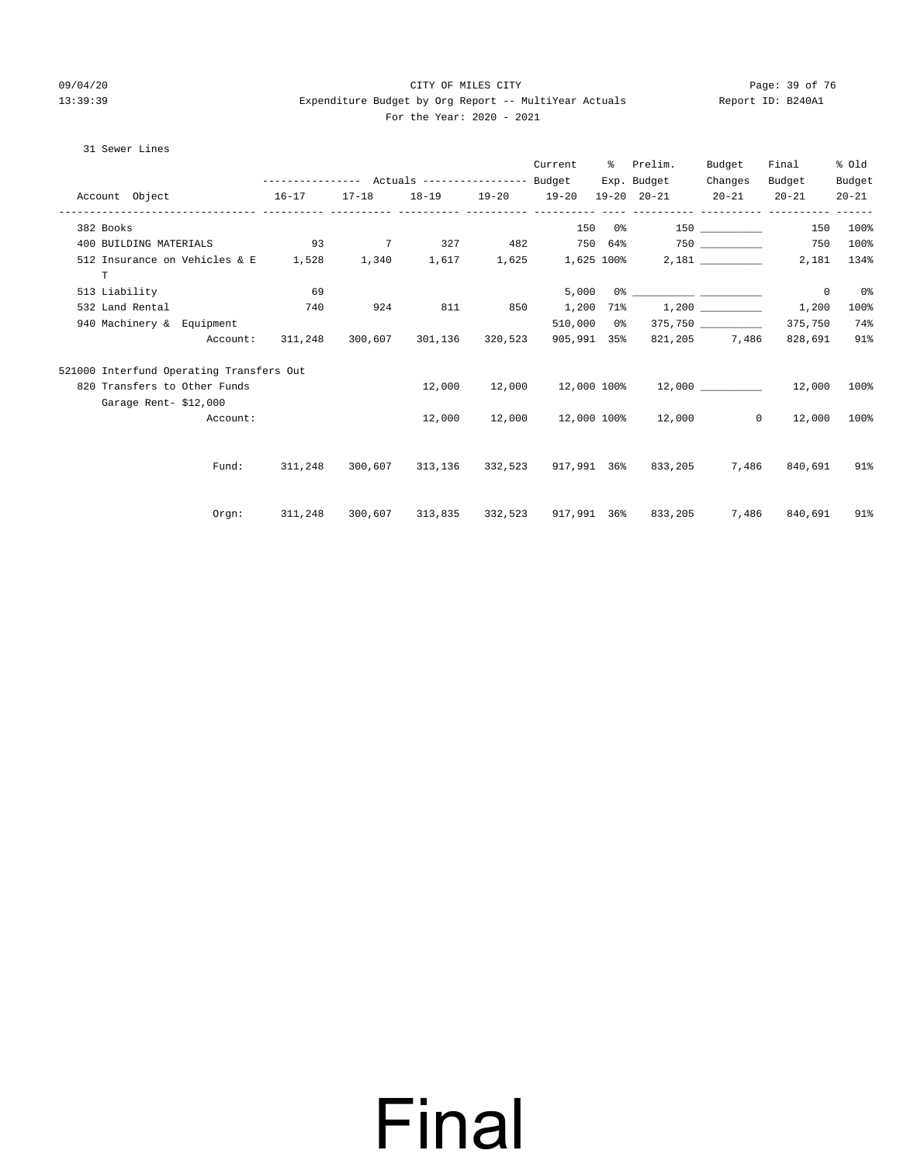#### 09/04/20 Page: 39 of 76 CITY OF MILES CITY CONTROL PAGE: 39 of 76 13:39:39 Expenditure Budget by Org Report -- MultiYear Actuals Report ID: B240A1 For the Year: 2020 - 2021

#### 31 Sewer Lines

|                 |                                                                                 |                                                                                                                                                                                                                                                                                |     |                         | Current           | ႜၟ | Prelim.                                                     | Budget                | Final                       | % old     |
|-----------------|---------------------------------------------------------------------------------|--------------------------------------------------------------------------------------------------------------------------------------------------------------------------------------------------------------------------------------------------------------------------------|-----|-------------------------|-------------------|----|-------------------------------------------------------------|-----------------------|-----------------------------|-----------|
|                 |                                                                                 | --------------- Actuals ---------------- Budget                                                                                                                                                                                                                                |     |                         |                   |    | Exp. Budget                                                 | Changes               | Budget                      | Budget    |
| Account Object  |                                                                                 | $16-17$                                                                                                                                                                                                                                                                        |     |                         | _________________ |    | $17-18$ $18-19$ $19-20$ $19-20$ $19-20$ $20-21$ $20-21$     |                       | $20 - 21$                   | $20 - 21$ |
| 382 Books       |                                                                                 |                                                                                                                                                                                                                                                                                |     |                         |                   |    | 150 0% 150                                                  |                       |                             | 150 100%  |
|                 | 400 BUILDING MATERIALS                                                          | $\sim$ 0.3 $\sim$ 0.3 $\sim$ 0.3 $\sim$ 0.3 $\sim$ 0.3 $\sim$ 0.3 $\sim$ 0.4 $\sim$ 0.4 $\sim$ 0.4 $\sim$ 0.4 $\sim$ 0.4 $\sim$ 0.4 $\sim$ 0.4 $\sim$ 0.4 $\sim$ 0.4 $\sim$ 0.4 $\sim$ 0.4 $\sim$ 0.4 $\sim$ 0.4 $\sim$ 0.4 $\sim$ 0.4 $\sim$ 0.4 $\sim$ 0.4 $\sim$ 0.4 $\sim$ |     |                         |                   |    |                                                             |                       | 750                         | 100%      |
| $\mathbf T$     | 512 Insurance on Vehicles & E 1,528 1,340 1,617 1,625 1,625 100% 2,181 ________ |                                                                                                                                                                                                                                                                                |     |                         |                   |    |                                                             |                       | 2,181                       | 134%      |
| 513 Liability   |                                                                                 | 69                                                                                                                                                                                                                                                                             |     |                         | 5,000             |    | $0$ 왕                                                       |                       | $^{\circ}$                  | 0%        |
| 532 Land Rental |                                                                                 | 740                                                                                                                                                                                                                                                                            | 924 | 811                     | 850 1,200         |    | 71% 1,200                                                   |                       | 1,200                       | 100%      |
|                 | 940 Machinery & Equipment                                                       |                                                                                                                                                                                                                                                                                |     |                         | 510,000 0%        |    |                                                             | $375,750$ ___________ | 375,750                     | 74%       |
|                 | Account:                                                                        | 311,248                                                                                                                                                                                                                                                                        |     | 300,607 301,136 320,523 |                   |    | 905,991 35% 821,205 7,486                                   |                       | 828,691                     | 91%       |
|                 | 521000 Interfund Operating Transfers Out                                        |                                                                                                                                                                                                                                                                                |     |                         |                   |    |                                                             |                       |                             |           |
|                 | 820 Transfers to Other Funds                                                    |                                                                                                                                                                                                                                                                                |     |                         |                   |    | $12,000$ $12,000$ $12,000$ $100$ $12,000$ $12,000$ $12,000$ |                       |                             | 100%      |
|                 | Garage Rent-\$12,000                                                            |                                                                                                                                                                                                                                                                                |     |                         |                   |    |                                                             |                       |                             |           |
|                 | Account:                                                                        |                                                                                                                                                                                                                                                                                |     | 12,000                  |                   |    | $12,000$ $12,000$ $100$ % $12,000$                          |                       | $0 \qquad \qquad$<br>12,000 | 100%      |
|                 |                                                                                 |                                                                                                                                                                                                                                                                                |     |                         |                   |    |                                                             |                       |                             |           |
|                 | Fund:                                                                           | 311,248                                                                                                                                                                                                                                                                        |     |                         |                   |    | 300,607 313,136 332,523 917,991 36% 833,205                 |                       | 7,486 840,691               | 91%       |
|                 |                                                                                 |                                                                                                                                                                                                                                                                                |     |                         |                   |    |                                                             |                       |                             |           |
|                 | Orgn:                                                                           | 311,248                                                                                                                                                                                                                                                                        |     |                         |                   |    | 300,607 313,835 332,523 917,991 36% 833,205                 | 7,486                 | 840,691                     | 91%       |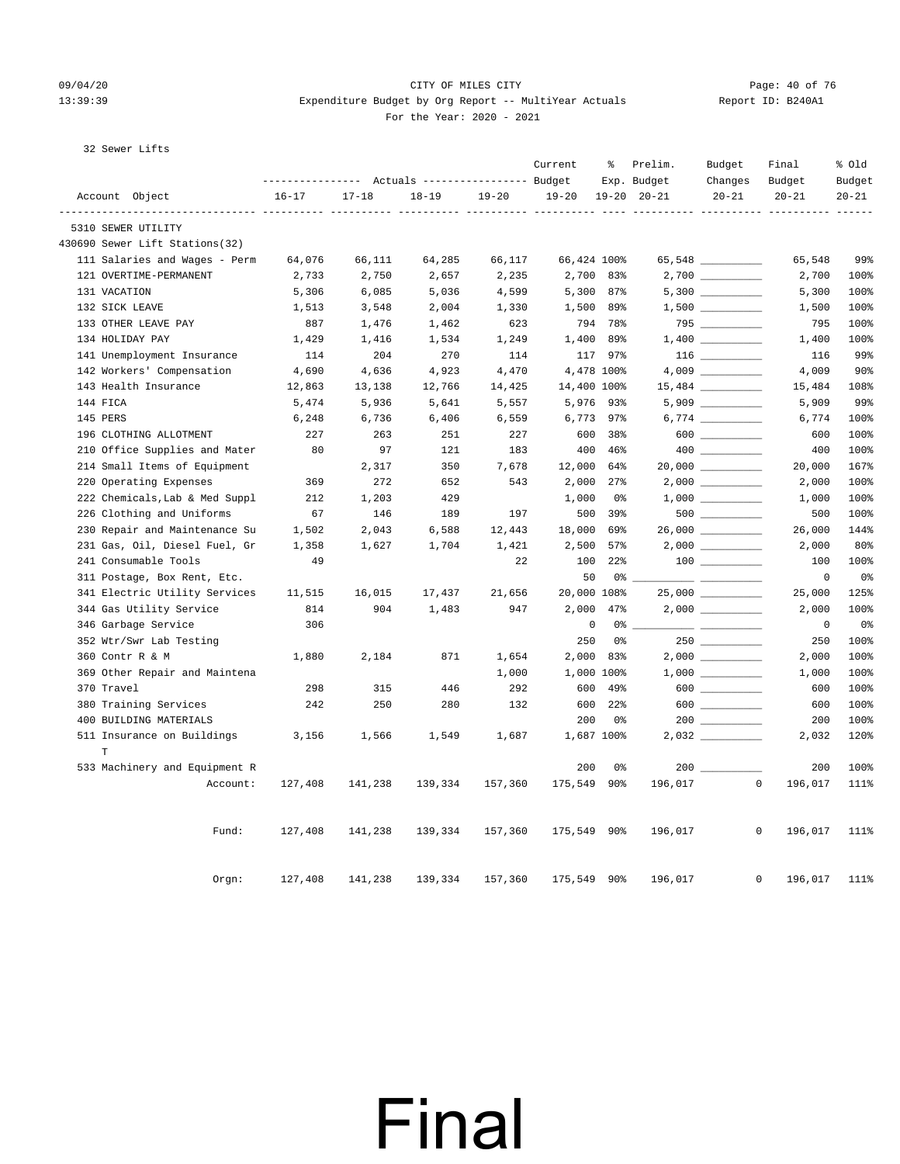#### 09/04/20 Page: 40 of 76 CITY OF MILES CITY CONTROL PAGE: 40 of 76 13:39:39 Expenditure Budget by Org Report -- MultiYear Actuals Report ID: B240A1 For the Year: 2020 - 2021

#### 32 Sewer Lifts

|                                |           |           | Actuals ----------------- Budget |           | Current     | နွ             | Prelim.<br>Exp. Budget | Budget<br>Changes   | Final<br>Budget         | % old<br>Budget |
|--------------------------------|-----------|-----------|----------------------------------|-----------|-------------|----------------|------------------------|---------------------|-------------------------|-----------------|
| Account Object                 | $16 - 17$ | $17 - 18$ | $18 - 19$                        | $19 - 20$ | $19 - 20$   |                | $19 - 20$ $20 - 21$    | $20 - 21$           | $20 - 21$               | $20 - 21$       |
| 5310 SEWER UTILITY             |           |           |                                  |           |             |                |                        |                     |                         | $- - - - -$     |
| 430690 Sewer Lift Stations(32) |           |           |                                  |           |             |                |                        |                     |                         |                 |
| 111 Salaries and Wages - Perm  | 64,076    | 66,111    | 64,285                           | 66,117    | 66,424 100% |                |                        | 65,548 __________   | 65,548                  | 99%             |
| 121 OVERTIME-PERMANENT         | 2,733     | 2,750     | 2,657                            | 2,235     |             | 2,700 83%      |                        |                     | 2,700                   | 100%            |
| 131 VACATION                   | 5,306     | 6,085     | 5,036                            | 4,599     |             | 5,300 87%      |                        |                     | 5,300                   | 100%            |
| 132 SICK LEAVE                 | 1,513     | 3,548     | 2,004                            | 1,330     | 1,500       | 89%            |                        |                     | 1,500                   | 100%            |
| 133 OTHER LEAVE PAY            | 887       | 1,476     | 1,462                            | 623       |             | 794 78%        |                        |                     | 795                     | 100%            |
| 134 HOLIDAY PAY                | 1,429     | 1,416     | 1,534                            | 1,249     | 1,400       | 89%            |                        |                     | 1,400                   | 100%            |
| 141 Unemployment Insurance     | 114       | 204       | 270                              | 114       |             | 117 97%        |                        |                     | 116                     | 99%             |
| 142 Workers' Compensation      | 4,690     | 4,636     | 4,923                            | 4,470     |             | 4,478 100%     |                        |                     | 4,009                   | $90\%$          |
| 143 Health Insurance           | 12,863    | 13,138    | 12,766                           | 14,425    | 14,400 100% |                |                        |                     | 15,484                  | 108%            |
| 144 FICA                       | 5,474     | 5,936     | 5,641                            | 5,557     |             | 5,976 93%      |                        | $5,909$ __________  | 5,909                   | 99%             |
| 145 PERS                       | 6,248     | 6,736     | 6,406                            | 6,559     |             | 6,773 97%      |                        |                     | 6,774                   | 100%            |
| 196 CLOTHING ALLOTMENT         | 227       | 263       | 251                              | 227       | 600         | 38%            |                        |                     | 600                     | 100%            |
| 210 Office Supplies and Mater  | 80        | 97        | 121                              | 183       | 400         | 46%            |                        |                     | 400                     | 100%            |
| 214 Small Items of Equipment   |           | 2,317     | 350                              | 7,678     | 12,000      | 64%            |                        |                     | 20,000                  | 167%            |
| 220 Operating Expenses         | 369       | 272       | 652                              | 543       | 2,000       | 27%            |                        |                     | 2,000                   | 100%            |
| 222 Chemicals, Lab & Med Suppl | 212       | 1,203     | 429                              |           | 1,000       | 0%             |                        |                     | 1,000                   | 100%            |
| 226 Clothing and Uniforms      | 67        | 146       | 189                              | 197       | 500         | 39%            |                        |                     | 500                     | 100%            |
| 230 Repair and Maintenance Su  | 1,502     | 2,043     | 6,588                            | 12,443    | 18,000      | 69%            |                        | $26,000$ _________  | 26,000                  | 144%            |
| 231 Gas, Oil, Diesel Fuel, Gr  | 1,358     | 1,627     | 1,704                            | 1,421     | 2,500       | 57%            |                        |                     | 2,000                   | 80%             |
| 241 Consumable Tools           | 49        |           |                                  | 22        | 100         | 22%            |                        |                     | 100                     | 100%            |
| 311 Postage, Box Rent, Etc.    |           |           |                                  |           | 50          | 0%             |                        |                     | $\mathbf 0$             | 0%              |
| 341 Electric Utility Services  | 11,515    | 16,015    | 17,437                           | 21,656    | 20,000 108% |                |                        | $25,000$ __________ | 25,000                  | 125%            |
| 344 Gas Utility Service        | 814       | 904       | 1,483                            | 947       | 2,000       | 47%            |                        |                     | 2,000                   | 100%            |
| 346 Garbage Service            | 306       |           |                                  |           | $\mathbf 0$ | 0 %            |                        |                     | $\mathbf 0$             | 0%              |
| 352 Wtr/Swr Lab Testing        |           |           |                                  |           | 250         | 0%             |                        |                     | 250                     | 100%            |
| 360 Contr R & M                | 1,880     | 2,184     | 871                              | 1,654     | 2,000       | 83%            |                        |                     | 2,000                   | 100%            |
| 369 Other Repair and Maintena  |           |           |                                  | 1,000     |             | 1,000 100%     |                        |                     | 1,000                   | 100%            |
| 370 Travel                     | 298       | 315       | 446                              | 292       | 600         | 49%            |                        | 600                 | 600                     | 100%            |
| 380 Training Services          | 242       | 250       | 280                              | 132       | 600         | 22%            |                        |                     | 600                     | 100%            |
| 400 BUILDING MATERIALS         |           |           |                                  |           | 200         | 0 <sup>°</sup> |                        |                     | 200                     | 100%            |
| 511 Insurance on Buildings     | 3,156     | 1,566     | 1,549                            | 1,687     |             | 1,687 100%     |                        |                     | 2,032                   | 120%            |
| T                              |           |           |                                  |           |             |                |                        |                     |                         |                 |
| 533 Machinery and Equipment R  |           |           |                                  |           | 200         | 0%             |                        |                     | 200                     | 100%            |
| Account:                       | 127,408   | 141,238   | 139,334                          | 157,360   | 175,549     | 90%            | 196,017                |                     | 0<br>196,017            | 111%            |
| Fund:                          | 127,408   | 141,238   | 139,334                          | 157,360   | 175,549 90% |                | 196,017                |                     | $\mathsf{O}$<br>196,017 | 111%            |
| Orem:                          | 127,408   | 141,238   | 139,334                          | 157,360   | 175,549 90% |                | 196,017                |                     | $\mathbf 0$<br>196,017  | 111%            |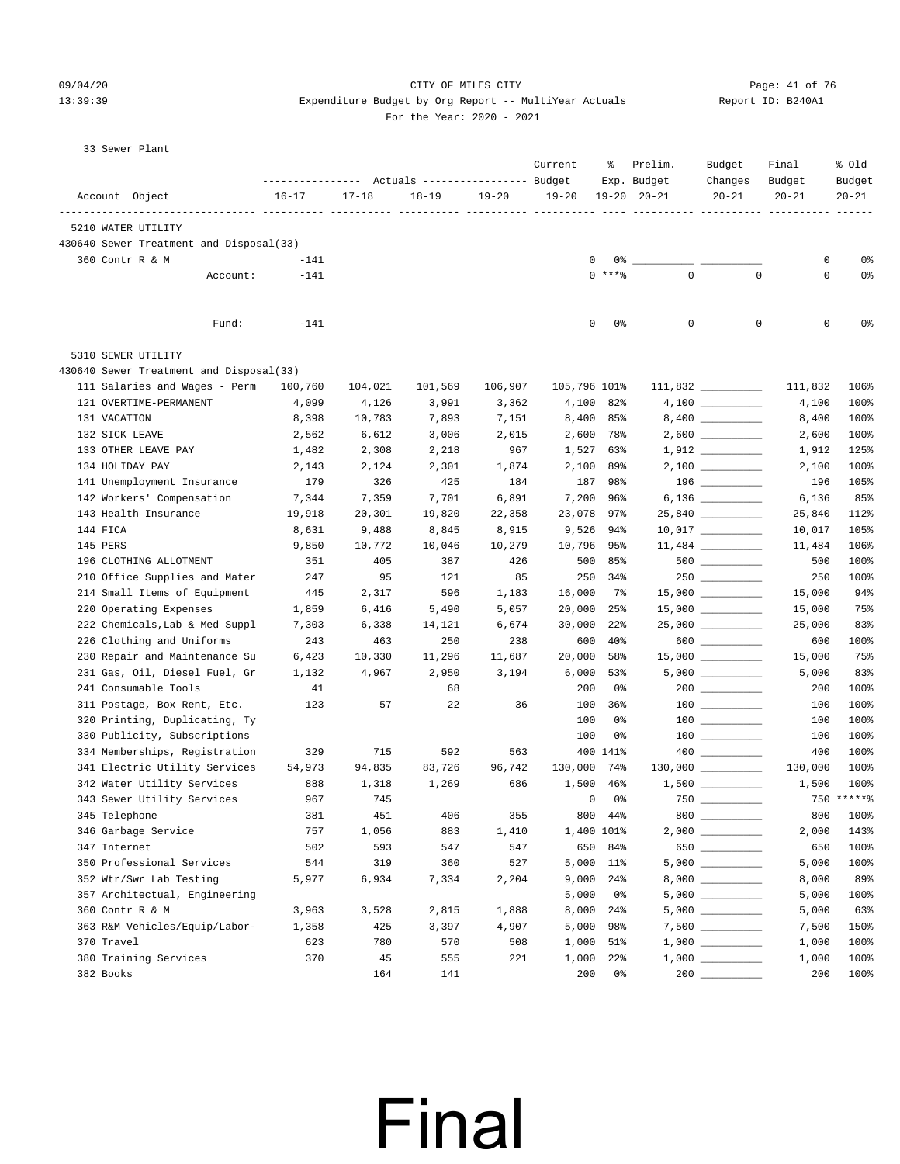#### $09/04/20$  Page: 41 of 76 13:39:39 Expenditure Budget by Org Report -- MultiYear Actuals Report ID: B240A1  $2020 - 2021$

|  | 33 Sewer Plant |  |  |
|--|----------------|--|--|
|--|----------------|--|--|

|                                                               | ---------------- |                | Actuals ----------------- Budget |           | Current      | ႜ              | Prelim.<br>Exp. Budget | Budget<br>Changes                                                                           | Final<br>Budget                                                                                                                                                                                                                                                                                                                          | % old<br>Budget |
|---------------------------------------------------------------|------------------|----------------|----------------------------------|-----------|--------------|----------------|------------------------|---------------------------------------------------------------------------------------------|------------------------------------------------------------------------------------------------------------------------------------------------------------------------------------------------------------------------------------------------------------------------------------------------------------------------------------------|-----------------|
| Account Object                                                | $16 - 17$        | $17 - 18$      | $18 - 19$<br>----- ----          | $19 - 20$ | $19 - 20$    |                | $19 - 20$ $20 - 21$    | $20 - 21$                                                                                   | $20 - 21$<br>0<br>0<br>0<br>111,832<br>4,100<br>8,400<br>2,600<br>1,912<br>2,100<br>196<br>6,136<br>25,840<br>10,017<br>11,484<br>500<br>250<br>15,000<br>15,000<br>25,000<br>600<br>15,000<br>5,000<br>200<br>100<br>100<br>100<br>400<br>130,000<br>1,500<br>800<br>2,000<br>650<br>5,000<br>8,000<br>5,000<br>5,000<br>7,500<br>1,000 | $20 - 21$       |
| 5210 WATER UTILITY                                            |                  | $- - - - - -$  |                                  |           |              |                |                        |                                                                                             |                                                                                                                                                                                                                                                                                                                                          |                 |
| 430640 Sewer Treatment and Disposal(33)                       |                  |                |                                  |           |              |                |                        |                                                                                             |                                                                                                                                                                                                                                                                                                                                          |                 |
| 360 Contr R & M                                               | $-141$           |                |                                  |           | 0            | $0\degree$ $-$ |                        |                                                                                             |                                                                                                                                                                                                                                                                                                                                          | 0%              |
| Account:                                                      | $-141$           |                |                                  |           |              | $0$ ****       | $\mathbf 0$            | $\mathbf 0$                                                                                 |                                                                                                                                                                                                                                                                                                                                          | 0%              |
| Fund:                                                         | $-141$           |                |                                  |           | 0            | 0%             | 0                      | 0                                                                                           |                                                                                                                                                                                                                                                                                                                                          | 0%              |
| 5310 SEWER UTILITY                                            |                  |                |                                  |           |              |                |                        |                                                                                             |                                                                                                                                                                                                                                                                                                                                          |                 |
| 430640 Sewer Treatment and Disposal(33)                       |                  |                |                                  |           |              |                |                        |                                                                                             |                                                                                                                                                                                                                                                                                                                                          |                 |
| 111 Salaries and Wages - Perm                                 | 100,760          | 104,021        | 101,569                          | 106,907   | 105,796 101% |                |                        | $111,832$ _________                                                                         |                                                                                                                                                                                                                                                                                                                                          | 106%            |
| 121 OVERTIME-PERMANENT                                        | 4,099            | 4,126          | 3,991                            | 3,362     | 4,100        | 82%            |                        |                                                                                             |                                                                                                                                                                                                                                                                                                                                          | 100%            |
| 131 VACATION                                                  | 8,398            | 10,783         | 7,893                            | 7,151     |              | 8,400 85%      |                        |                                                                                             |                                                                                                                                                                                                                                                                                                                                          | 100%            |
| 132 SICK LEAVE                                                | 2,562            | 6,612          | 3,006                            | 2,015     | 2,600        | 78%            |                        |                                                                                             |                                                                                                                                                                                                                                                                                                                                          | 100%            |
| 133 OTHER LEAVE PAY                                           | 1,482            | 2,308          | 2,218                            | 967       | 1,527        | 63%            |                        |                                                                                             |                                                                                                                                                                                                                                                                                                                                          | 125%            |
| 134 HOLIDAY PAY                                               | 2,143            | 2,124          | 2,301                            | 1,874     | 2,100        | 89%            |                        |                                                                                             |                                                                                                                                                                                                                                                                                                                                          | 100%            |
| 141 Unemployment Insurance                                    | 179              | 326            | 425                              | 184       | 187          | 98%            |                        | 196                                                                                         |                                                                                                                                                                                                                                                                                                                                          | 105%            |
| 142 Workers' Compensation                                     | 7,344            | 7,359          | 7,701                            | 6,891     | 7,200        | 96%            |                        |                                                                                             |                                                                                                                                                                                                                                                                                                                                          | 85%             |
| 143 Health Insurance                                          | 19,918           | 20,301         | 19,820                           | 22,358    | 23,078       | 97%            |                        | $25,840$ ________                                                                           |                                                                                                                                                                                                                                                                                                                                          | 112%            |
| 144 FICA                                                      | 8,631            | 9,488          | 8,845                            | 8,915     | 9,526        | 94%            |                        | $10,017$ ________                                                                           |                                                                                                                                                                                                                                                                                                                                          | 105%            |
| 145 PERS                                                      | 9,850            | 10,772         | 10,046                           | 10,279    | 10,796       | 95%            |                        |                                                                                             |                                                                                                                                                                                                                                                                                                                                          | 106%            |
| 196 CLOTHING ALLOTMENT                                        | 351              | 405<br>95      | 387                              | 426<br>85 | 500          | 85%<br>250 34% |                        | $500$ __________                                                                            |                                                                                                                                                                                                                                                                                                                                          | 100%<br>100%    |
| 210 Office Supplies and Mater<br>214 Small Items of Equipment | 247<br>445       |                | 121<br>596                       | 1,183     | 16,000       | 7%             |                        |                                                                                             |                                                                                                                                                                                                                                                                                                                                          | 94%             |
| 220 Operating Expenses                                        | 1,859            | 2,317<br>6,416 | 5,490                            | 5,057     | 20,000       | 25%            |                        |                                                                                             |                                                                                                                                                                                                                                                                                                                                          | 75%             |
| 222 Chemicals, Lab & Med Suppl                                | 7,303            | 6,338          | 14,121                           | 6,674     | 30,000       | 22%            |                        | $25,000$ ___________                                                                        |                                                                                                                                                                                                                                                                                                                                          | 83%             |
| 226 Clothing and Uniforms                                     | 243              | 463            | 250                              | 238       | 600          | 40%            |                        | $600$                                                                                       |                                                                                                                                                                                                                                                                                                                                          | 100%            |
| 230 Repair and Maintenance Su                                 | 6,423            | 10,330         | 11,296                           | 11,687    | 20,000       | 58%            |                        | $15,000$ _________                                                                          |                                                                                                                                                                                                                                                                                                                                          | 75%             |
| 231 Gas, Oil, Diesel Fuel, Gr                                 | 1,132            | 4,967          | 2,950                            | 3,194     | 6,000        | 53%            |                        | $5,000$ ___________                                                                         |                                                                                                                                                                                                                                                                                                                                          | 83%             |
| 241 Consumable Tools                                          | 41               |                | 68                               |           | 200          | 0%             |                        |                                                                                             |                                                                                                                                                                                                                                                                                                                                          | 100%            |
| 311 Postage, Box Rent, Etc.                                   | 123              | 57             | 22                               | 36        | 100          | 36%            |                        |                                                                                             |                                                                                                                                                                                                                                                                                                                                          | 100%            |
| 320 Printing, Duplicating, Ty                                 |                  |                |                                  |           | 100          | 0%             |                        |                                                                                             |                                                                                                                                                                                                                                                                                                                                          | 100%            |
| 330 Publicity, Subscriptions                                  |                  |                |                                  |           | 100          | 0%             |                        |                                                                                             |                                                                                                                                                                                                                                                                                                                                          | 100%            |
| 334 Memberships, Registration                                 | 329              | 715            | 592                              | 563       |              | 400 141%       |                        |                                                                                             |                                                                                                                                                                                                                                                                                                                                          | 100%            |
| 341 Electric Utility Services                                 | 54,973           | 94,835         | 83,726                           | 96,742    | 130,000      | 74%            |                        |                                                                                             |                                                                                                                                                                                                                                                                                                                                          | 100%            |
| 342 Water Utility Services                                    | 888              | 1,318          | 1,269                            | 686       | 1,500        | 46%            |                        | $1,500$ _________                                                                           |                                                                                                                                                                                                                                                                                                                                          | 100%            |
| 343 Sewer Utility Services                                    | 967              | 745            |                                  |           | 0            | 0%             |                        |                                                                                             |                                                                                                                                                                                                                                                                                                                                          | 750 ******      |
| 345 Telephone                                                 | 381              | 451            | 406                              | 355       |              | 800 44%        |                        | $800$                                                                                       |                                                                                                                                                                                                                                                                                                                                          | 100%            |
| 346 Garbage Service                                           | 757              | 1,056          | 883                              | 1,410     |              | 1,400 101%     |                        |                                                                                             |                                                                                                                                                                                                                                                                                                                                          | 143%            |
| 347 Internet                                                  | 502              | 593            | 547                              | 547       |              | 650 84%        |                        | 650                                                                                         |                                                                                                                                                                                                                                                                                                                                          | 100%            |
| 350 Professional Services                                     | 544              | 319            | 360                              | 527       |              | 5,000 11%      |                        | 5,000 ___________                                                                           |                                                                                                                                                                                                                                                                                                                                          | 100%            |
| 352 Wtr/Swr Lab Testing                                       | 5,977            | 6,934          | 7,334                            | 2,204     |              | 9,000 24%      |                        |                                                                                             |                                                                                                                                                                                                                                                                                                                                          | 89%             |
| 357 Architectual, Engineering                                 |                  |                |                                  |           | 5,000        | 0%             |                        |                                                                                             |                                                                                                                                                                                                                                                                                                                                          | 100%            |
| 360 Contr R & M                                               | 3,963            | 3,528          | 2,815                            | 1,888     | 8,000        | 24%            |                        | $5,000$ ___________                                                                         |                                                                                                                                                                                                                                                                                                                                          | 63%             |
| 363 R&M Vehicles/Equip/Labor-                                 | 1,358            | 425            | 3,397                            | 4,907     | 5,000        | 98%            |                        |                                                                                             |                                                                                                                                                                                                                                                                                                                                          | 150%            |
| 370 Travel                                                    | 623              | 780            | 570                              | 508       | 1,000        | 51%            |                        |                                                                                             |                                                                                                                                                                                                                                                                                                                                          | 100%            |
| 380 Training Services                                         | 370              | 45             | 555                              | 221       | 1,000        | 22%            |                        | $1\, , \, 0\, 0\, 0 \quad \underline{\hspace{1cm}} \rule{2.5cm}{0.4cm} \rule{2.5cm}{0.4cm}$ | 1,000                                                                                                                                                                                                                                                                                                                                    | 100%            |
| 382 Books                                                     |                  | 164            | 141                              |           | 200          | 0%             |                        |                                                                                             | 200                                                                                                                                                                                                                                                                                                                                      | 100%            |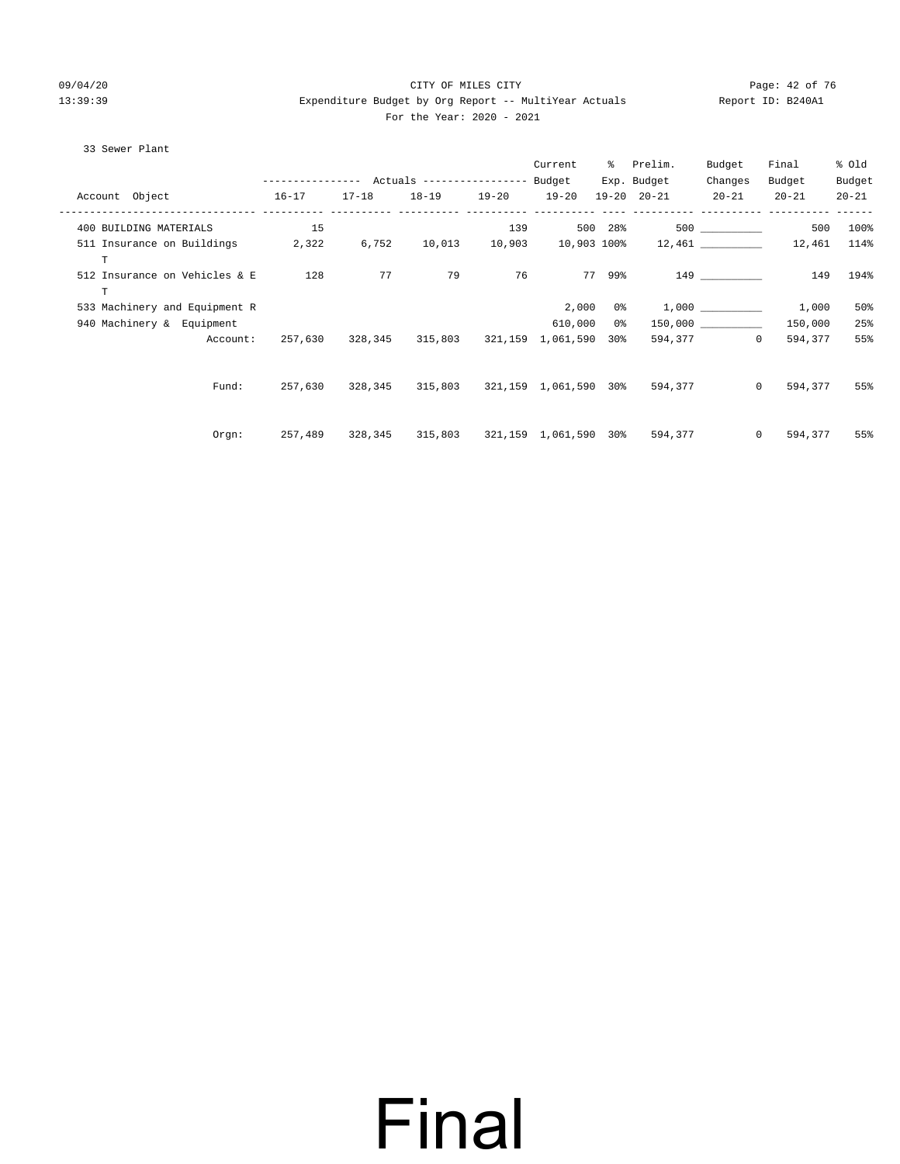#### 09/04/20 Page: 42 of 76 CITY OF MILES CITY CONTROL PAGE: 42 of 76 13:39:39 Expenditure Budget by Org Report -- MultiYear Actuals Report ID: B240A1 For the Year: 2020 - 2021

#### 33 Sewer Plant

|                                                 |                                                 |           |                                       |           | Current                          |        | % Prelim.                                            | Budget                    | Final     | % old     |
|-------------------------------------------------|-------------------------------------------------|-----------|---------------------------------------|-----------|----------------------------------|--------|------------------------------------------------------|---------------------------|-----------|-----------|
|                                                 | --------------- Actuals ---------------- Budget |           |                                       |           |                                  |        | Exp. Budget                                          | Changes                   | Budget    | Budget    |
| Account Object                                  | $16 - 17$                                       | $17 - 18$ | $18 - 19$                             | $19 - 20$ | $19 - 20$<br>___________ _______ |        | $19 - 20$ $20 - 21$                                  | $20 - 21$                 | $20 - 21$ | $20 - 21$ |
| 400 BUILDING MATERIALS                          | 15                                              |           |                                       | 139       |                                  |        | 500 28%                                              | 500 000                   | 500       | 100%      |
| 511 Insurance on Buildings 2,322<br>$\mathbf T$ |                                                 | 6,752     |                                       |           |                                  |        | $10,013$ $10,903$ $10,903$ $100\%$ $12,461$ $12,461$ |                           |           | 114%      |
| 512 Insurance on Vehicles & E<br>$\mathbf T$    | 128                                             | 77        | 79                                    | 76        |                                  | 77 99% |                                                      |                           | 149 149   | 194%      |
| 533 Machinery and Equipment R                   |                                                 |           |                                       |           | 2,000                            |        | $0\%$ 1,000                                          |                           | 1,000     | 50%       |
| 940 Machinery & Equipment                       |                                                 |           |                                       |           | 610,000 0%                       |        |                                                      | 150,000                   | 150,000   | 25%       |
| Account:                                        | 257,630                                         |           | 328,345 315,803 321,159 1,061,590 30% |           |                                  |        |                                                      | 594,377<br>$\overline{0}$ | 594,377   | 55%       |
| Fund:                                           | 257,630                                         |           |                                       |           |                                  |        |                                                      | $\overline{0}$            | 594,377   | 55%       |
| $0$ rqn:                                        | 257,489                                         | 328,345   |                                       |           |                                  |        | 315,803 321,159 1,061,590 30% 594,377                | $\circ$                   | 594,377   | 55%       |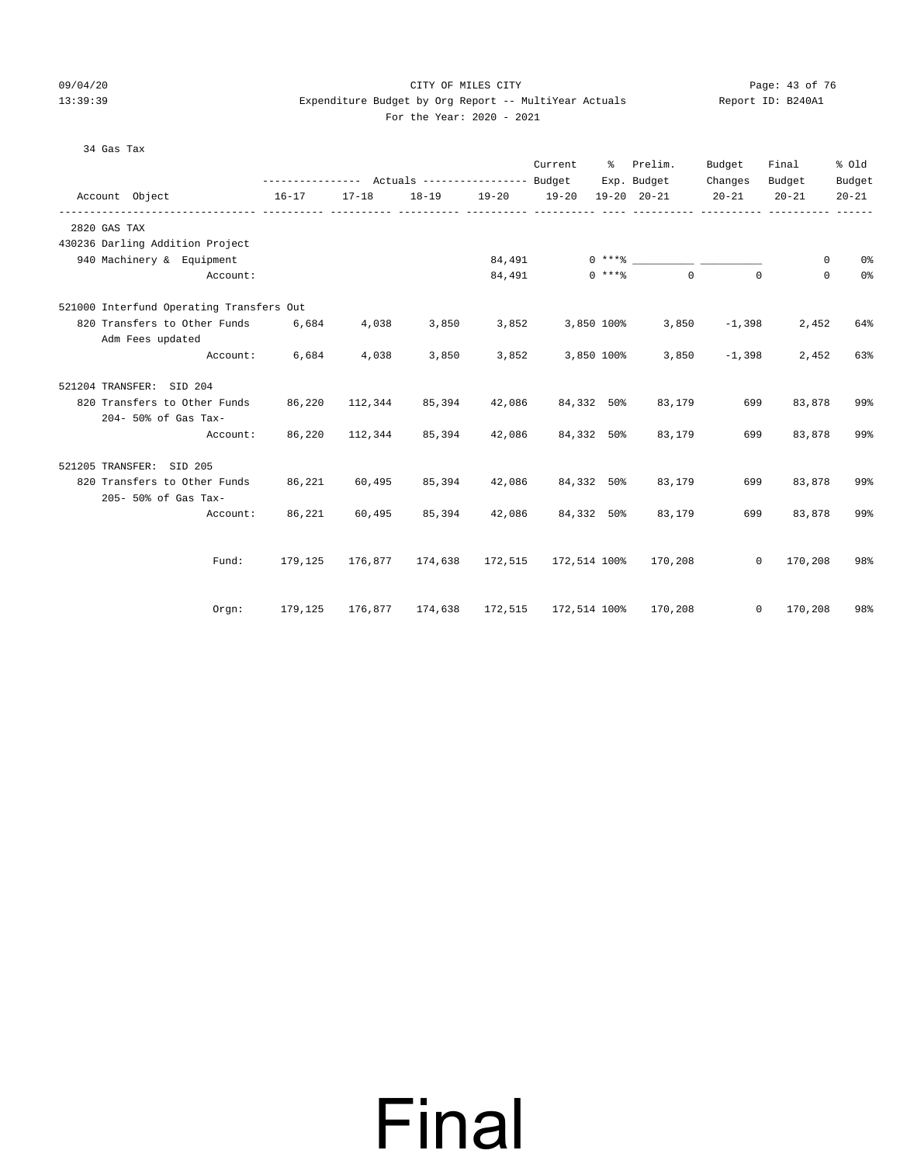#### 09/04/20 Page: 43 of 76 CITY OF MILES CITY CONTROL PAGE: 43 of 76 13:39:39 Expenditure Budget by Org Report -- MultiYear Actuals Report ID: B240A1 For the Year: 2020 - 2021

#### 34 Gas Tax

|                                          |           |           | --------------- Actuals ---------------- Budget |         | Current      | ៖          | Prelim.<br>Exp. Budget       | Budget<br>Changes | Final<br>Budget | % old<br>Budget |
|------------------------------------------|-----------|-----------|-------------------------------------------------|---------|--------------|------------|------------------------------|-------------------|-----------------|-----------------|
| Account Object                           | $16 - 17$ | $17 - 18$ | $18 - 19$                                       |         | 19-20 19-20  |            | $19 - 20$ $20 - 21$          | $20 - 21$         | $20 - 21$       | $20 - 21$       |
|                                          |           |           |                                                 |         |              |            |                              |                   |                 |                 |
| 2820 GAS TAX                             |           |           |                                                 |         |              |            |                              |                   |                 |                 |
| 430236 Darling Addition Project          |           |           |                                                 |         |              |            |                              |                   |                 |                 |
| 940 Machinery & Equipment                |           |           |                                                 | 84,491  |              |            | $0***8$                      |                   | 0               | 0%              |
| Account:                                 |           |           |                                                 | 84,491  |              | $0$ ****   | $\Omega$                     | $\Omega$          | $\mathbf 0$     | 0 <sup>°</sup>  |
| 521000 Interfund Operating Transfers Out |           |           |                                                 |         |              |            |                              |                   |                 |                 |
| 820 Transfers to Other Funds             | 6,684     | 4,038     | 3,850                                           | 3,852   |              | 3,850 100% | 3,850                        | $-1,398$          | 2,452           | 64%             |
| Adm Fees updated                         |           |           |                                                 |         |              |            |                              |                   |                 |                 |
| Account:                                 | 6,684     | 4,038     | 3,850                                           | 3,852   |              | 3,850 100% | 3,850                        | $-1,398$          | 2,452           | 63%             |
| 521204 TRANSFER: SID 204                 |           |           |                                                 |         |              |            |                              |                   |                 |                 |
| 820 Transfers to Other Funds             | 86,220    | 112,344   | 85,394                                          | 42,086  |              | 84,332 50% | 83,179                       | 699               | 83,878          | 99%             |
| 204- 50% of Gas Tax-                     |           |           |                                                 |         |              |            |                              |                   |                 |                 |
| Account:                                 | 86,220    | 112,344   | 85,394                                          | 42,086  |              | 84,332 50% | 83,179                       | 699               | 83,878          | 99%             |
| 521205 TRANSFER:<br>SID 205              |           |           |                                                 |         |              |            |                              |                   |                 |                 |
| 820 Transfers to Other Funds             | 86,221    | 60,495    | 85,394                                          | 42,086  |              | 84,332 50% | 83,179                       | 699               | 83,878          | 99%             |
| 205- 50% of Gas Tax-                     |           |           |                                                 |         |              |            |                              |                   |                 |                 |
| Account:                                 | 86,221    | 60,495    | 85,394                                          | 42,086  |              | 84,332 50% | 83,179                       | 699               | 83,878          | 99%             |
|                                          |           |           |                                                 |         |              |            |                              |                   |                 |                 |
| Fund:                                    | 179,125   | 176,877   | 174,638                                         | 172,515 | 172,514 100% |            | 170,208                      | $\mathbf 0$       | 170,208         | 98%             |
|                                          |           |           |                                                 |         |              |            |                              |                   |                 |                 |
| Orgn:                                    | 179,125   | 176,877   | 174,638                                         |         |              |            | 172,515 172,514 100% 170,208 | $\circ$           | 170,208         | 98%             |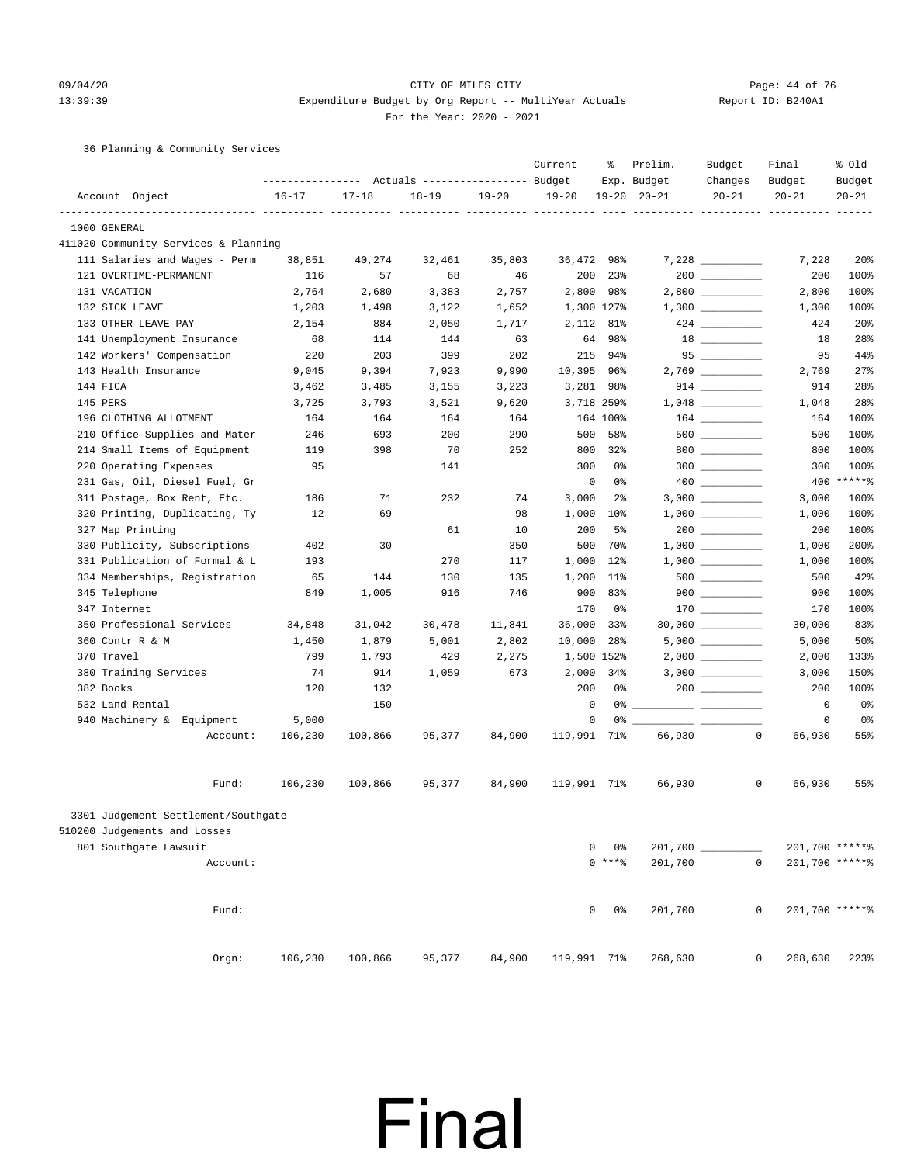### 09/04/20 Page: 44 of 76 13:39:39 Expenditure Budget by Org Report -- MultiYear Actuals Report ID: B240A1

For the Year: 2020 - 2021

#### 36 Planning & Community Services

|                                      | ---------------- |           | Actuals ----------------- Budget |           | Current     | ႜ               | Prelim.<br>Exp. Budget | Budget<br>Changes                                                                                                                                                                                                                                                                                                                                   | Final<br>Budget               | % old<br>Budget |
|--------------------------------------|------------------|-----------|----------------------------------|-----------|-------------|-----------------|------------------------|-----------------------------------------------------------------------------------------------------------------------------------------------------------------------------------------------------------------------------------------------------------------------------------------------------------------------------------------------------|-------------------------------|-----------------|
| Account Object                       | $16 - 17$        | $17 - 18$ | $18 - 19$                        | $19 - 20$ | $19 - 20$   |                 | $19 - 20$ $20 - 21$    | $20 - 21$                                                                                                                                                                                                                                                                                                                                           | $20 - 21$                     | $20 - 21$       |
| 1000 GENERAL                         |                  |           |                                  |           |             |                 |                        |                                                                                                                                                                                                                                                                                                                                                     |                               |                 |
| 411020 Community Services & Planning |                  |           |                                  |           |             |                 |                        |                                                                                                                                                                                                                                                                                                                                                     |                               |                 |
| 111 Salaries and Wages - Perm        | 38,851           | 40,274    | 32,461                           | 35,803    | 36,472 98%  |                 |                        |                                                                                                                                                                                                                                                                                                                                                     | 7,228                         | 20 <sub>8</sub> |
| 121 OVERTIME-PERMANENT               | 116              | 57        | 68                               | 46        | 200         | 23%             |                        |                                                                                                                                                                                                                                                                                                                                                     | 200                           | 100%            |
| 131 VACATION                         | 2,764            | 2,680     | 3,383                            | 2,757     |             | 2,800 98%       |                        |                                                                                                                                                                                                                                                                                                                                                     | 2,800                         | 100%            |
| 132 SICK LEAVE                       | 1,203            | 1,498     | 3,122                            | 1,652     |             | 1,300 127%      |                        |                                                                                                                                                                                                                                                                                                                                                     | 1,300                         | 100%            |
| 133 OTHER LEAVE PAY                  | 2,154            | 884       | 2,050                            | 1,717     | 2,112       | 81%             |                        | $424 \ \ \underline{\hspace{1cm}}$                                                                                                                                                                                                                                                                                                                  | 424                           | 20%             |
| 141 Unemployment Insurance           | 68               | 114       | 144                              | 63        | 64          | 98%             |                        |                                                                                                                                                                                                                                                                                                                                                     | 18                            | 28%             |
| 142 Workers' Compensation            | 220              | 203       | 399                              | 202       | 215         | 94%             |                        |                                                                                                                                                                                                                                                                                                                                                     | 95                            | 44%             |
| 143 Health Insurance                 | 9,045            | 9,394     | 7,923                            | 9,990     | 10,395 96%  |                 |                        | $2,769$ __________                                                                                                                                                                                                                                                                                                                                  | 2,769                         | 27%             |
| 144 FICA                             | 3,462            | 3,485     | 3,155                            | 3,223     |             | 3,281 98%       |                        |                                                                                                                                                                                                                                                                                                                                                     | 914                           | 28%             |
| 145 PERS                             | 3,725            | 3,793     | 3,521                            | 9,620     |             | 3,718 259%      |                        | $1\, , \, 0 \, 4 \, 8 \ \ \underline{\hspace{1cm}}$                                                                                                                                                                                                                                                                                                 | 1,048                         | 28%             |
| 196 CLOTHING ALLOTMENT               | 164              | 164       | 164                              | 164       |             | 164 100%        |                        |                                                                                                                                                                                                                                                                                                                                                     | 164                           | 100%            |
| 210 Office Supplies and Mater        | 246              | 693       | 200                              | 290       | 500         | 58%             |                        | $500$ ___________                                                                                                                                                                                                                                                                                                                                   | 500                           | 100%            |
| 214 Small Items of Equipment         | 119              | 398       | 70                               | 252       | 800         | 32%             |                        | $800$                                                                                                                                                                                                                                                                                                                                               | 800                           | 100%            |
| 220 Operating Expenses               | 95               |           | 141                              |           | 300         | 0%              |                        | $300$                                                                                                                                                                                                                                                                                                                                               | 300                           | 100%            |
| 231 Gas, Oil, Diesel Fuel, Gr        |                  |           |                                  |           | 0           | 0%              |                        | $\begin{picture}(20,20) \put(0,0){\line(1,0){10}} \put(15,0){\line(1,0){10}} \put(15,0){\line(1,0){10}} \put(15,0){\line(1,0){10}} \put(15,0){\line(1,0){10}} \put(15,0){\line(1,0){10}} \put(15,0){\line(1,0){10}} \put(15,0){\line(1,0){10}} \put(15,0){\line(1,0){10}} \put(15,0){\line(1,0){10}} \put(15,0){\line(1,0){10}} \put(15,0){\line(1$ |                               | 400 ******      |
| 311 Postage, Box Rent, Etc.          | 186              | 71        | 232                              | 74        | 3,000       | $2\frac{6}{9}$  |                        |                                                                                                                                                                                                                                                                                                                                                     | 3,000                         | 100%            |
| 320 Printing, Duplicating, Ty        | 12               | 69        |                                  | 98        | 1,000       | $10\%$          |                        | $1,000$ _________                                                                                                                                                                                                                                                                                                                                   | 1,000                         | 100%            |
| 327 Map Printing                     |                  |           | 61                               | 10        | 200         | 5%              |                        |                                                                                                                                                                                                                                                                                                                                                     | 200                           | 100%            |
| 330 Publicity, Subscriptions         | 402              | 30        |                                  | 350       | 500         | 70%             |                        |                                                                                                                                                                                                                                                                                                                                                     | 1,000                         | 200%            |
| 331 Publication of Formal & L        | 193              |           | 270                              | 117       | 1,000       | $12$ %          |                        |                                                                                                                                                                                                                                                                                                                                                     | 1,000                         | 100%            |
| 334 Memberships, Registration        | 65               | 144       | 130                              | 135       | 1,200       | $11\%$          |                        |                                                                                                                                                                                                                                                                                                                                                     | 500                           | 42%             |
| 345 Telephone                        | 849              | 1,005     | 916                              | 746       | 900         | 83%             |                        | $900$ _________                                                                                                                                                                                                                                                                                                                                     | 900                           | 100%            |
| 347 Internet                         |                  |           |                                  |           | 170         | 0%              |                        |                                                                                                                                                                                                                                                                                                                                                     | 170                           | 100%            |
| 350 Professional Services            | 34,848           | 31,042    | 30,478                           | 11,841    | 36,000      | 33%             |                        |                                                                                                                                                                                                                                                                                                                                                     | 30,000                        | 83%             |
| 360 Contr R & M                      | 1,450            | 1,879     | 5,001                            | 2,802     | 10,000      | 28 <sup>8</sup> |                        |                                                                                                                                                                                                                                                                                                                                                     | 5,000                         | 50%             |
| 370 Travel                           | 799              | 1,793     | 429                              | 2,275     | 1,500 152%  |                 |                        |                                                                                                                                                                                                                                                                                                                                                     | 2,000                         | 133%            |
| 380 Training Services                | 74               | 914       | 1,059                            | 673       | 2,000       | 34%             |                        |                                                                                                                                                                                                                                                                                                                                                     | 3,000                         | 150%            |
| 382 Books                            | 120              | 132       |                                  |           | 200         | 0%              |                        |                                                                                                                                                                                                                                                                                                                                                     | 200                           | 100%            |
| 532 Land Rental                      |                  | 150       |                                  |           | 0           | 0%              |                        |                                                                                                                                                                                                                                                                                                                                                     | 0                             | 0 <sup>8</sup>  |
| 940 Machinery & Equipment            | 5,000            |           |                                  |           | 0           | 0%              |                        |                                                                                                                                                                                                                                                                                                                                                     | 0                             | 0 <sup>8</sup>  |
| Account:                             | 106,230          | 100,866   | 95,377                           | 84,900    | 119,991     | 71%             | 66,930                 |                                                                                                                                                                                                                                                                                                                                                     | $\mathbf 0$<br>66,930         | 55%             |
| Fund:                                | 106,230          | 100,866   | 95,377                           | 84,900    | 119,991 71% |                 | 66,930                 |                                                                                                                                                                                                                                                                                                                                                     | 0<br>66,930                   | 55%             |
| 3301 Judgement Settlement/Southgate  |                  |           |                                  |           |             |                 |                        |                                                                                                                                                                                                                                                                                                                                                     |                               |                 |
| 510200 Judgements and Losses         |                  |           |                                  |           |             |                 |                        |                                                                                                                                                                                                                                                                                                                                                     |                               |                 |
| 801 Southgate Lawsuit                |                  |           |                                  |           | 0           | 0%              |                        |                                                                                                                                                                                                                                                                                                                                                     | 201,700 ******                |                 |
| Account:                             |                  |           |                                  |           |             | $0***8$         | 201,700                |                                                                                                                                                                                                                                                                                                                                                     | $\mathbf 0$<br>201,700 ****** |                 |
| Fund:                                |                  |           |                                  |           | 0           | 0%              | 201,700                |                                                                                                                                                                                                                                                                                                                                                     | 0<br>201,700 ******           |                 |
| Orgn:                                | 106,230          | 100,866   | 95,377                           | 84,900    | 119,991 71% |                 | 268,630                |                                                                                                                                                                                                                                                                                                                                                     | 0<br>268,630                  | 223%            |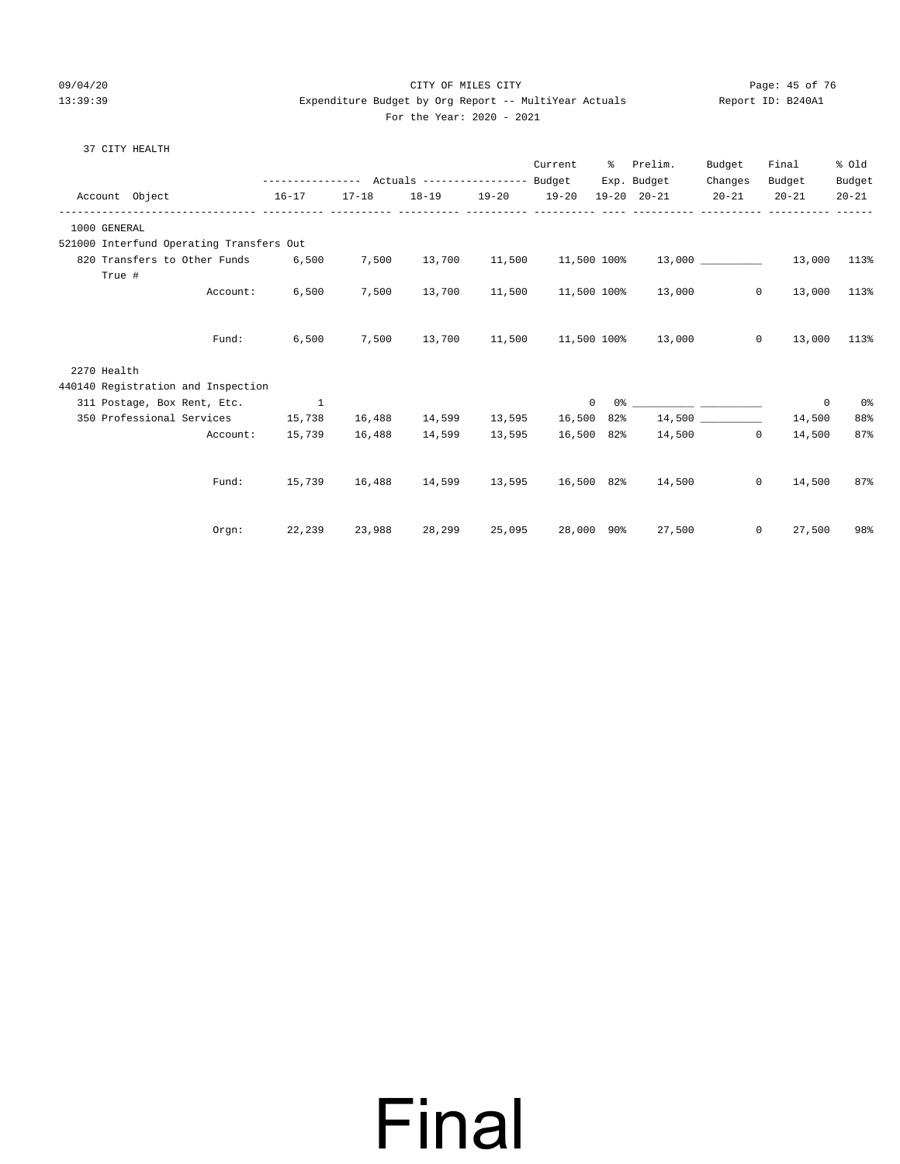#### 09/04/20 Page: 45 of 76 CITY OF MILES CITY  $13:39:39$  Expenditure Budget by Org Report -- MultiYear Actuals For the Year: 2020 - 2021

| Report ID: B240A1 |  |
|-------------------|--|
|-------------------|--|

|  | 37 CITY HEALTH |  |
|--|----------------|--|
|  |                |  |

|                                          |          |                                                           |        |                         |        | Current | ိ              | Prelim.                                     | Budget  | Final                                                    | % Old               |
|------------------------------------------|----------|-----------------------------------------------------------|--------|-------------------------|--------|---------|----------------|---------------------------------------------|---------|----------------------------------------------------------|---------------------|
| Account Object                           |          | $16 - 17$                                                 |        | 17-18 18-19 19-20 19-20 |        |         |                | Exp. Budget<br>19-20 20-21 20-21            | Changes | Budget<br>$20 - 21$                                      | Budget<br>$20 - 21$ |
| 1000 GENERAL                             |          |                                                           |        |                         |        |         |                |                                             |         |                                                          |                     |
| 521000 Interfund Operating Transfers Out |          |                                                           |        |                         |        |         |                |                                             |         |                                                          |                     |
| 820 Transfers to Other Funds             |          | 6,500                                                     | 7,500  |                         |        |         |                |                                             |         | $13,700$ $11,500$ $11,500$ $100$ $13,000$ $13,000$ $113$ |                     |
| True #                                   | Account: | 6,500                                                     | 7,500  |                         |        |         |                | $13,700$ $11,500$ $11,500$ $100\%$ $13,000$ |         | $\circ$<br>13,000                                        | 113%                |
|                                          | Fund:    | 6,500                                                     |        |                         |        |         |                | 7,500 13,700 11,500 11,500 100% 13,000      |         | $\overline{0}$<br>13,000 113%                            |                     |
| 2270 Health                              |          |                                                           |        |                         |        |         |                |                                             |         |                                                          |                     |
| 440140 Registration and Inspection       |          |                                                           |        |                         |        |         |                |                                             |         |                                                          |                     |
| 311 Postage, Box Rent, Etc. 1            |          |                                                           |        |                         |        |         | $\overline{0}$ |                                             |         | 0                                                        | 0%                  |
| 350 Professional Services 15,738         |          |                                                           | 16,488 |                         |        |         |                | $14,599$ $13,595$ $16,500$ $82\%$ $14,500$  |         | 14,500                                                   | 88%                 |
|                                          | Account: | 15,739                                                    | 16,488 | 14,599                  | 13,595 |         |                | 16,500 82% 14,500                           |         | $\circ$<br>14,500                                        | 87%                 |
|                                          |          |                                                           |        |                         |        |         |                |                                             |         |                                                          |                     |
|                                          | Fund:    | 15,739   16,488   14,599   13,595   16,500   82%   14,500 |        |                         |        |         |                |                                             |         | $\mathbf{0}$<br>14,500                                   | 87%                 |
|                                          | Orgn:    | 22,239                                                    | 23,988 | 28,299                  |        |         |                | 25,095 28,000 90% 27,500                    |         | 27,500<br>$\circ$                                        | 98%                 |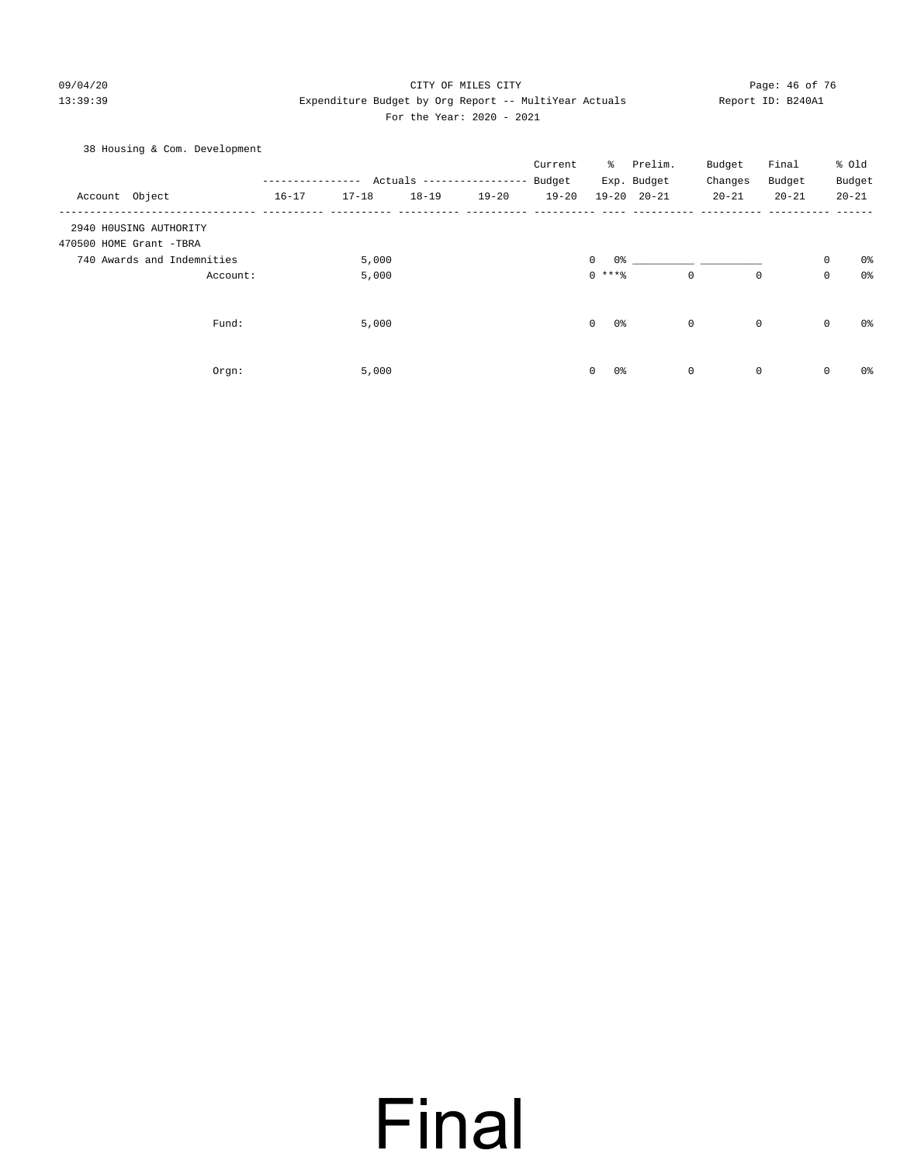#### 09/04/20 Page: 46 of 76 CITY OF MILES CITY CONTROL PAGE: 46 of 76 13:39:39 Expenditure Budget by Org Report -- MultiYear Actuals Report ID: B240A1 For the Year: 2020 - 2021

38 Housing & Com. Development

|                            |           |           |                           |           | Current   | ႜႜ                | Prelim.             | Budget    | Final     | % Old       |                |
|----------------------------|-----------|-----------|---------------------------|-----------|-----------|-------------------|---------------------|-----------|-----------|-------------|----------------|
|                            |           |           | Actuals ----------------- |           | Budget    |                   | Exp. Budget         | Changes   | Budget    | Budget      |                |
| Account Object             | $16 - 17$ | $17 - 18$ | $18 - 19$                 | $19 - 20$ | $19 - 20$ |                   | $19 - 20$ $20 - 21$ | $20 - 21$ | $20 - 21$ | $20 - 21$   |                |
| 2940 HOUSING AUTHORITY     |           |           |                           |           |           |                   |                     |           |           |             |                |
| 470500 HOME Grant -TBRA    |           |           |                           |           |           |                   |                     |           |           |             |                |
| 740 Awards and Indemnities |           | 5,000     |                           |           |           | 0<br>0%           |                     |           |           | 0           | 0%             |
| Account:                   |           | 5,000     |                           |           |           | $0$ ****          | $\mathbf 0$         | 0         |           | 0           | 0 <sub>8</sub> |
| Fund:                      |           | 5,000     |                           |           |           | $\mathbf 0$<br>0% | $\mathbf 0$         | 0         |           | $\mathbf 0$ | 0%             |
|                            |           |           |                           |           |           |                   |                     |           |           |             |                |
| Orgn:                      |           | 5,000     |                           |           |           | 0<br>0%           | 0                   | 0         |           | 0           | 0%             |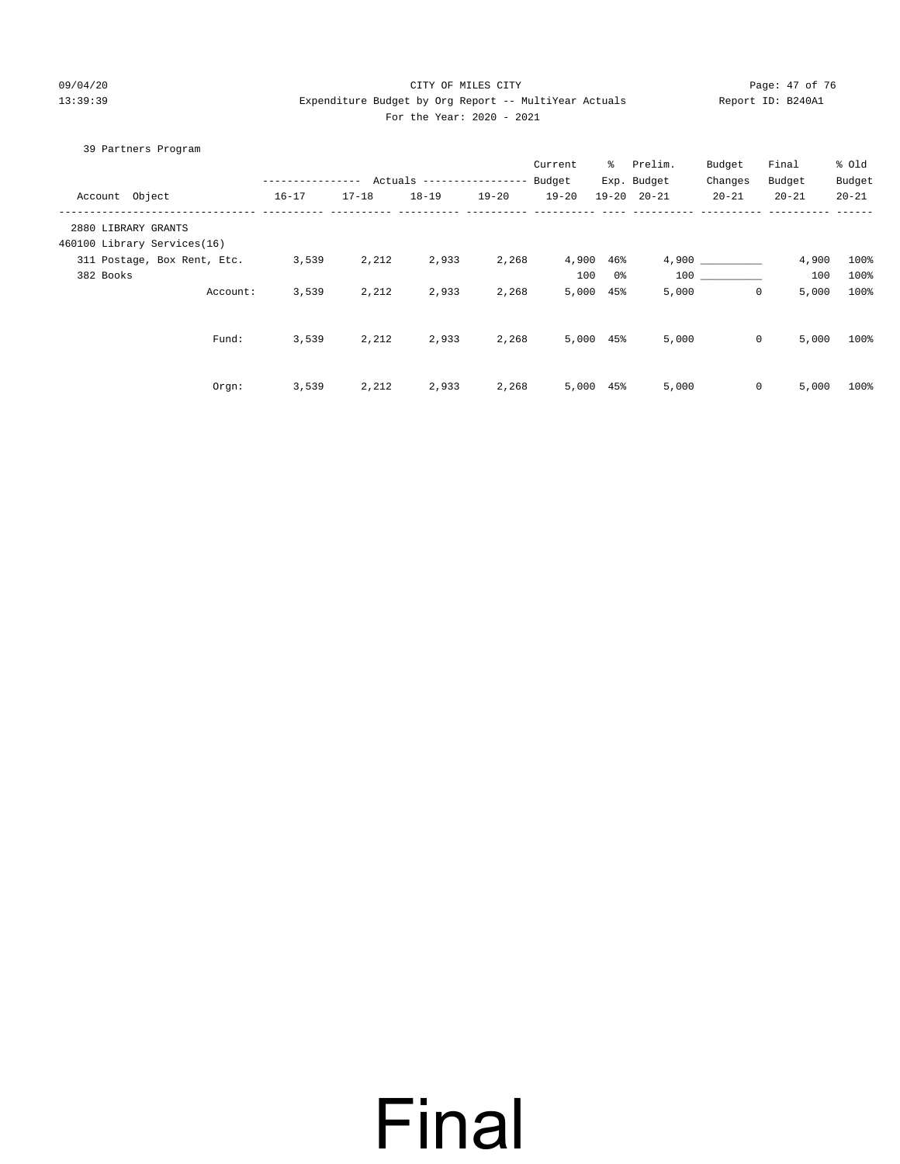#### 09/04/20 Page: 47 of 76 Page: 47 of 76 Page: 47 of 76 Page: 47 of 76 Page: 47 of 76 Page: 47 of 76 Page: 47 of 76 Page: 47 of 76 Page: 47 of 76 Page: 47 of 76 Page: 47 of 76 Page: 47 of 76 Page: 47 of 76 Page: 47 of 76 Pag 13:39:39 Expenditure Budget by Org Report -- MultiYear Actuals Report ID: B240A1 For the Year: 2020 - 2021

|           | 39 Partners Program         |                  |           |                           |           |           |           |                     |              |           |           |
|-----------|-----------------------------|------------------|-----------|---------------------------|-----------|-----------|-----------|---------------------|--------------|-----------|-----------|
|           |                             |                  |           |                           |           | Current   | ႜႜႜ       | Prelim.             | Budget       | Final     | % old     |
|           |                             | ---------------- |           | Actuals ----------------- |           | Budget    |           | Exp. Budget         | Changes      | Budget    | Budget    |
|           | Account Object              | $16 - 17$        | $17 - 18$ | $18 - 19$                 | $19 - 20$ | $19 - 20$ |           | $19 - 20$ $20 - 21$ | $20 - 21$    | $20 - 21$ | $20 - 21$ |
|           | 2880 LIBRARY GRANTS         |                  |           |                           |           |           |           |                     |              |           |           |
|           | 460100 Library Services(16) |                  |           |                           |           |           |           |                     |              |           |           |
|           | 311 Postage, Box Rent, Etc. | 3,539            | 2,212     | 2,933                     | 2,268     | 4,900     | 46%       |                     | 4,900        | 4,900     | 100%      |
| 382 Books |                             |                  |           |                           |           | 100       | 0%        | 100                 |              | 100       | 100%      |
|           | Account:                    | 3,539            | 2,212     | 2,933                     | 2,268     | 5,000     | 45%       | 5,000               | $\mathbf{0}$ | 5,000     | 100%      |
|           |                             |                  |           |                           |           |           |           |                     |              |           |           |
|           | Fund:                       | 3,539            | 2,212     | 2,933                     | 2,268     |           | 5,000 45% | 5,000               | $\circ$      | 5,000     | 100%      |
|           | $0$ rgn:                    | 3,539            | 2,212     | 2,933                     | 2,268     | 5,000     | $45\%$    | 5,000               | $\mathbf 0$  | 5,000     | 100%      |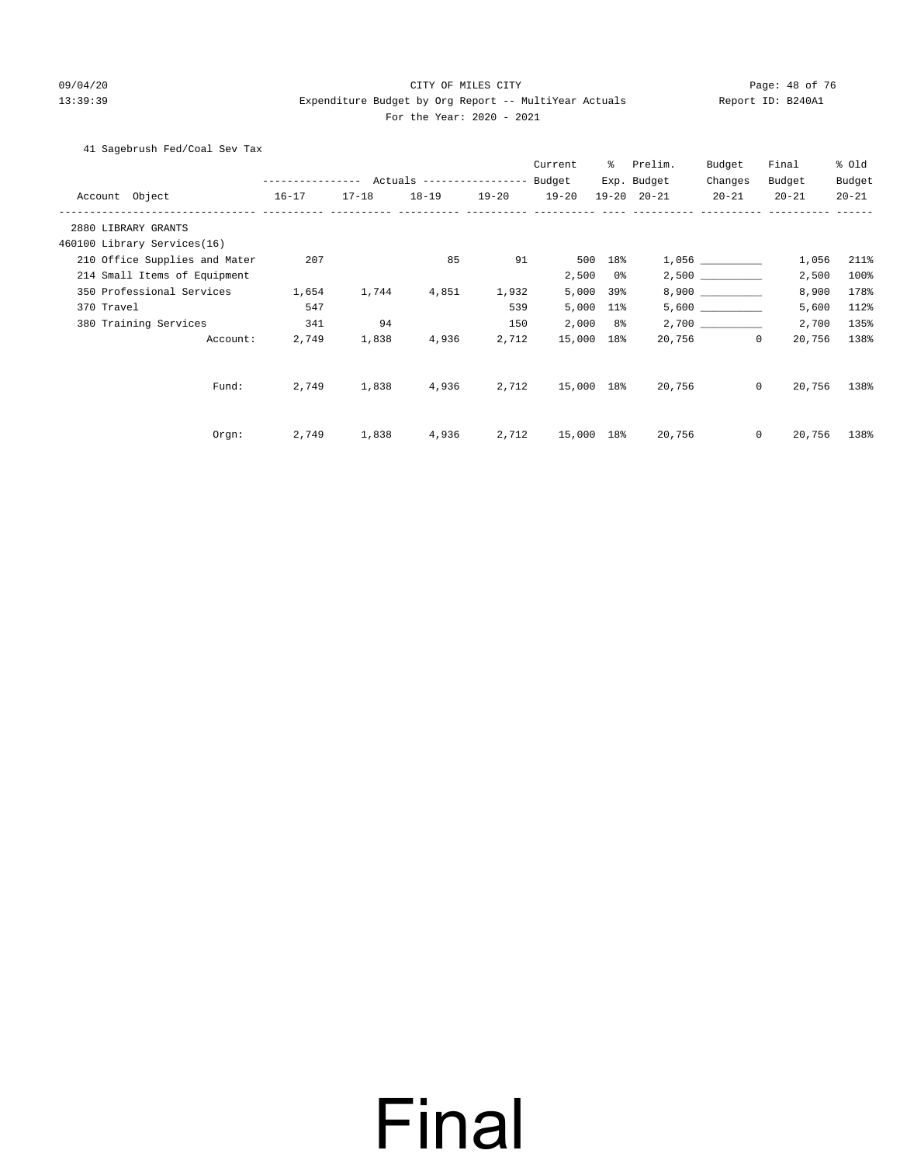#### 09/04/20 Page: 48 of 76 13:39:39 Expenditure Budget by Org Report -- MultiYear Actuals Report ID: B240A1 For the Year: 2020 - 2021

41 Sagebrush Fed/Coal Sev Tax

|                                                     |           |           |       |                   | Current    | ႜ          | Prelim.             | Budget              | Final                  | % Old     |
|-----------------------------------------------------|-----------|-----------|-------|-------------------|------------|------------|---------------------|---------------------|------------------------|-----------|
|                                                     |           |           |       |                   |            |            | Exp. Budget         | Changes             | Budget                 | Budget    |
| Account Object<br>------------------------ -------- | $16 - 17$ | $17 - 18$ |       | 18-19 19-20 19-20 |            |            | $19 - 20$ $20 - 21$ | $20 - 21$           | $20 - 21$              | $20 - 21$ |
| 2880 LIBRARY GRANTS                                 |           |           |       |                   |            |            |                     |                     |                        |           |
| 460100 Library Services(16)                         |           |           |       |                   |            |            |                     |                     |                        |           |
| 210 Office Supplies and Mater                       | 207       |           | 85    | 91                | 500        | 18%        |                     | $1,056$ ___________ | 1,056                  | 211%      |
| 214 Small Items of Equipment                        |           |           |       |                   | 2,500      | 0 %        |                     |                     | 2,500                  | 100%      |
| 350 Professional Services                           | 1,654     | 1,744     | 4,851 | 1,932             | 5,000      | 39%        |                     |                     | 8,900                  | 178%      |
| 370 Travel                                          | 547       |           |       | 539               | 5,000      | 11%        |                     |                     | 5,600                  | 112%      |
| 380 Training Services                               | 341       | 94        |       | 150               |            | $2,000$ 8% |                     |                     | 2,700                  | 135%      |
| Account:                                            | 2,749     | 1,838     | 4,936 | 2,712             | 15,000 18% |            |                     | 20,756              | $\mathbf 0$<br>20,756  | 138%      |
| Fund:                                               | 2,749     | 1,838     | 4,936 | 2,712             | 15,000 18% |            | 20,756              |                     | $\mathbf{0}$<br>20,756 | 138%      |
| Orgn:                                               | 2,749     | 1,838     | 4,936 | 2,712             | 15,000 18% |            | 20,756              |                     | $\mathbf{0}$<br>20,756 | 138%      |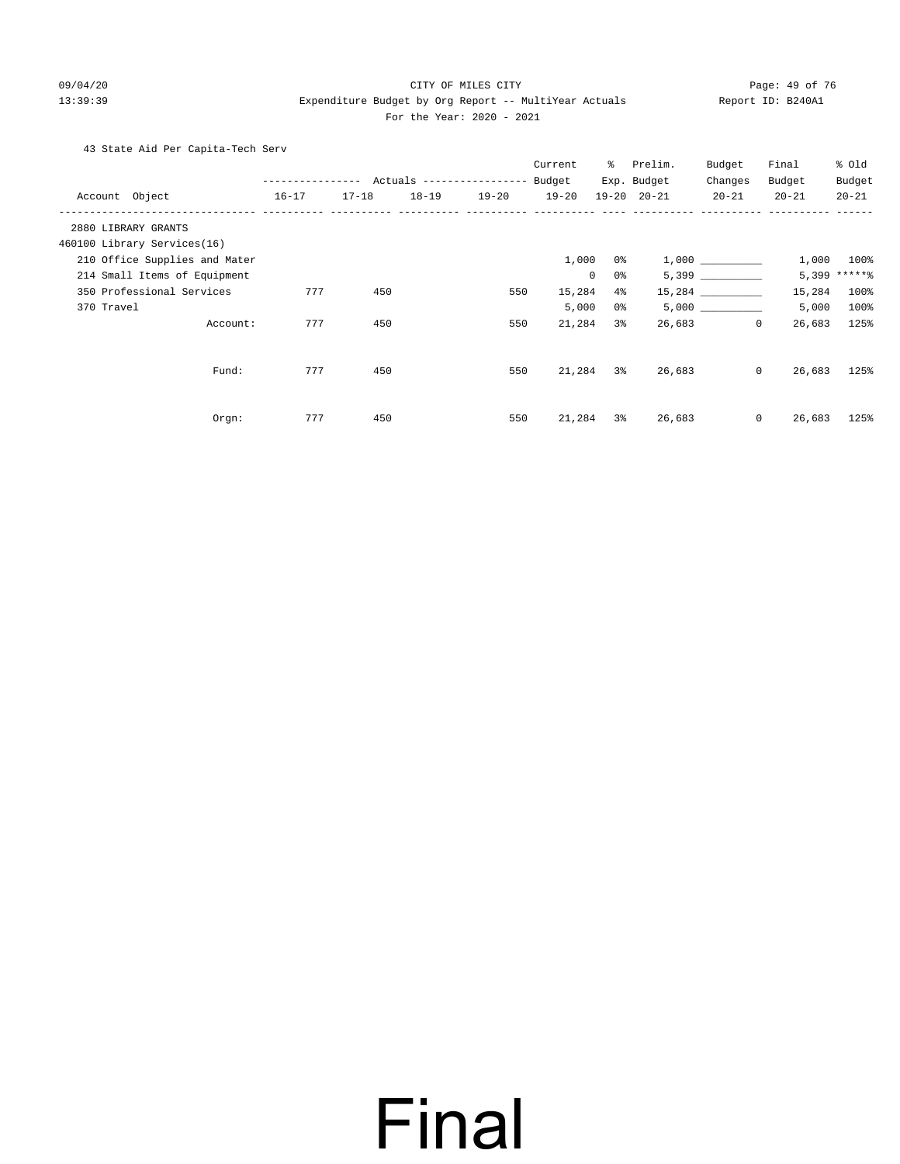#### 09/04/20 Page: 49 of 76 CITY OF MILES CITY CONTROL PAGE: 49 of 76

### 13:39:39 Expenditure Budget by Org Report -- MultiYear Actuals Report ID: B240A1 For the Year: 2020 - 2021

43 State Aid Per Capita-Tech Serv

|                               |                  |           |           |                           | Current   | ွေ             | Prelim.             | Budget    | Final             | % old        |
|-------------------------------|------------------|-----------|-----------|---------------------------|-----------|----------------|---------------------|-----------|-------------------|--------------|
|                               | ---------------- |           |           | Actuals ----------------- | Budget    |                | Exp. Budget         | Changes   | Budget            | Budget       |
| Account Object                | $16 - 17$        | $17 - 18$ | $18 - 19$ | $19 - 20$                 | $19 - 20$ |                | $19 - 20$ $20 - 21$ | $20 - 21$ | $20 - 21$         | $20 - 21$    |
| 2880 LIBRARY GRANTS           |                  |           |           |                           |           |                |                     |           |                   |              |
| 460100 Library Services(16)   |                  |           |           |                           |           |                |                     |           |                   |              |
| 210 Office Supplies and Mater |                  |           |           |                           | 1,000     | 0 %            |                     |           | 1,000             | 100%         |
| 214 Small Items of Equipment  |                  |           |           |                           |           | $\Omega$<br>0% |                     | 5,399     |                   | 5,399 ****** |
| 350 Professional Services     | 777              | 450       |           | 550                       | 15,284    | $4\%$          |                     |           | 15,284            | 100%         |
| 370 Travel                    |                  |           |           |                           | 5,000     | 0%             |                     | 5,000     | 5,000             | 100%         |
| Account:                      | 777              | 450       |           | 550                       | 21,284    | $3\,$          | 26,683              |           | $\circ$<br>26,683 | 125%         |
| Fund:                         | 777              | 450       |           | 550                       | 21,284    | $3\%$          | 26,683              |           | $\circ$<br>26,683 | 125%         |
| Orgn:                         | 777              | 450       |           | 550                       | 21,284    | 3%             | 26,683              |           | $\circ$<br>26,683 | 125%         |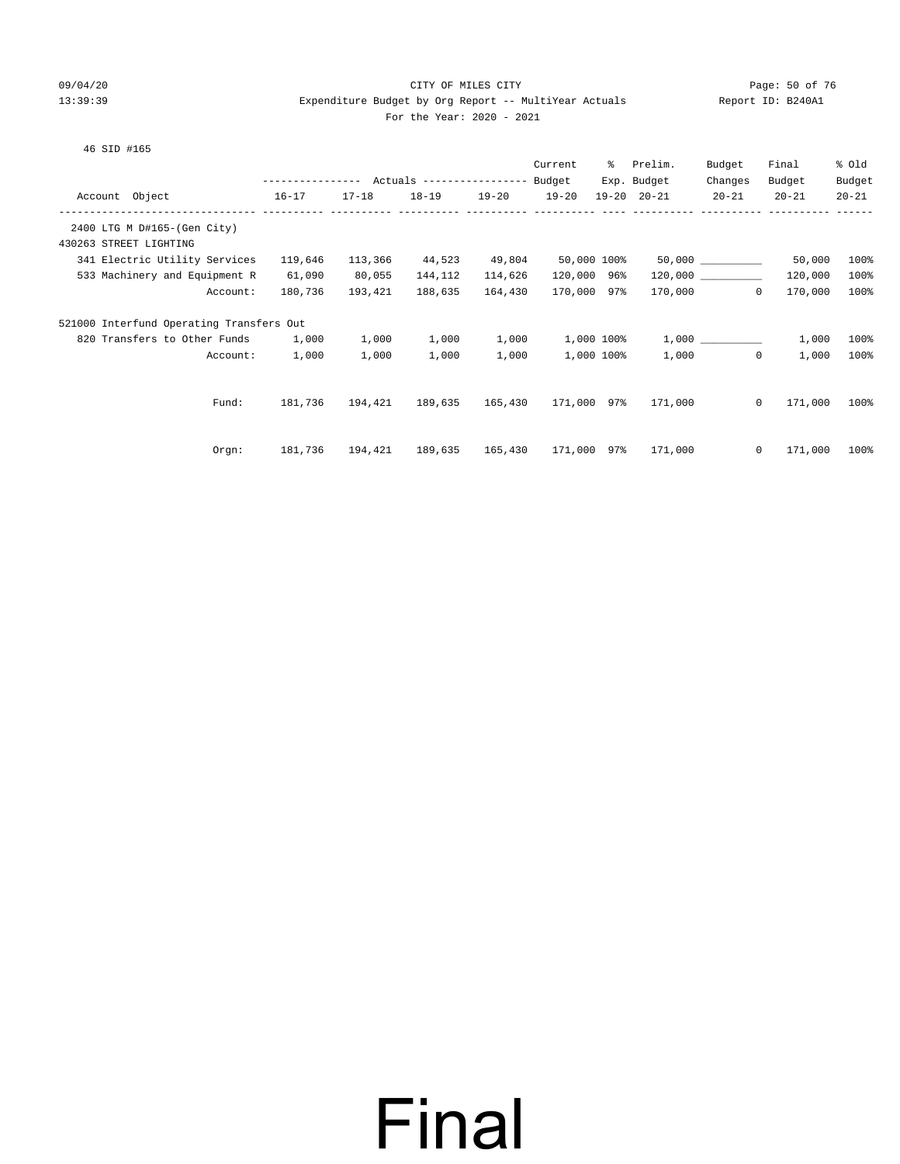#### 09/04/20 Page: 50 of 76 CITY OF MILES CITY CONTROL CONTROL PAGE: 50 of 76 13:39:39 Expenditure Budget by Org Report -- MultiYear Actuals Report ID: B240A1 For the Year: 2020 - 2021

#### 46 SID #165

|                                          |                                                |           |           |           | Current             | % Prelim.           | Budget              | Final     | % old     |
|------------------------------------------|------------------------------------------------|-----------|-----------|-----------|---------------------|---------------------|---------------------|-----------|-----------|
|                                          | --------------- Actuals --------------- Budget |           |           |           |                     | Exp. Budget         | Changes             | Budget    | Budget    |
| Account Object<br>$16 - 17$              |                                                | $17 - 18$ | $18 - 19$ | $19 - 20$ | $19 - 20$           | $19 - 20$ $20 - 21$ | $20 - 21$           | $20 - 21$ | $20 - 21$ |
|                                          |                                                |           |           |           |                     |                     |                     |           |           |
| 2400 LTG M D#165-(Gen City)              |                                                |           |           |           |                     |                     |                     |           |           |
| 430263 STREET LIGHTING                   |                                                |           |           |           |                     |                     |                     |           |           |
| 341 Electric Utility Services            | 119,646                                        | 113,366   | 44,523    | 49,804    | 50,000 100%         |                     |                     | 50,000    | 100%      |
| 533 Machinery and Equipment R            | 61,090                                         | 80,055    | 144,112   | 114,626   | 120,000 96%         |                     | 120,000             | 120,000   | 100%      |
| Account:                                 | 180,736                                        | 193,421   | 188,635   | 164,430   | 170,000 97%         |                     | 170,000<br>$\Omega$ | 170,000   | 100%      |
| 521000 Interfund Operating Transfers Out |                                                |           |           |           |                     |                     |                     |           |           |
| 820 Transfers to Other Funds 1,000       |                                                | 1,000     | 1,000     | 1,000     | 1,000 100%          |                     |                     | 1,000     | 100%      |
| Account:                                 | 1,000                                          | 1,000     | 1,000     | 1,000     | 1,000 100%          | 1,000               | $\Omega$            | 1,000     | 100%      |
|                                          |                                                |           |           |           |                     |                     |                     |           |           |
| Fund:                                    | 181,736                                        | 194,421   | 189,635   |           | 165,430 171,000 97% | 171,000             | $\Omega$            | 171,000   | 100%      |
|                                          |                                                |           |           |           |                     |                     |                     |           |           |
| Orgn:                                    | 181,736                                        | 194,421   | 189,635   |           | 165,430 171,000 97% | 171,000             | $\circ$             | 171,000   | $100\%$   |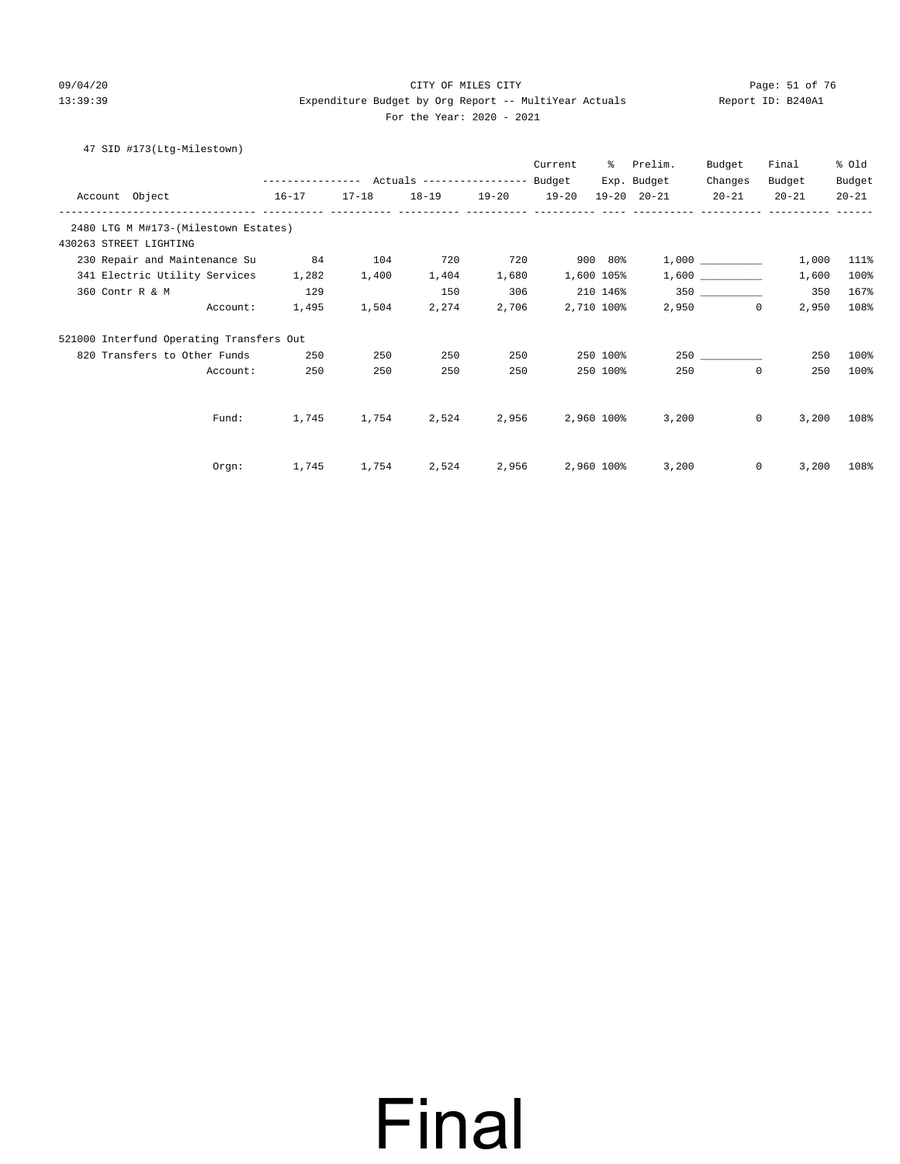#### 09/04/20 Page: 51 of 76 CITY OF MILES CITY CONTROL PAGE: 51 of 76 13:39:39 Expenditure Budget by Org Report -- MultiYear Actuals Report ID: B240A1 For the Year: 2020 - 2021

#### 47 SID #173(Ltg-Milestown)

|                                          | --------------- Actuals ---------------- Budget |             |                            |                        | Current          | ႜႜႜၟ       | Prelim.<br>Exp. Budget | Budget<br>Changes | Final<br>Budget         | % Old<br>Budget |
|------------------------------------------|-------------------------------------------------|-------------|----------------------------|------------------------|------------------|------------|------------------------|-------------------|-------------------------|-----------------|
| Account Object<br>$16 - 17$              |                                                 |             | 17-18  18-19  19-20  19-20 |                        |                  |            | 19-20 20-21 20-21      |                   | $20 - 21$               | $20 - 21$       |
| 2480 LTG M M#173-(Milestown Estates)     |                                                 |             |                            |                        |                  |            |                        |                   |                         |                 |
| 430263 STREET LIGHTING                   |                                                 |             |                            |                        |                  |            |                        |                   |                         |                 |
| 230 Repair and Maintenance Su            | 84                                              | 104         | 720                        | 720                    |                  | 900 80%    |                        |                   | 1,000                   | 111%            |
| 341 Electric Utility Services            | 1,282                                           | 1,400       | 1,404                      | 1,680                  |                  | 1,600 105% |                        | 1,600             | 1,600                   | 100%            |
| 360 Contr R & M                          | 129                                             |             | 150                        | 306                    |                  |            | 210 146%               |                   | 350                     | 167%            |
| Account:                                 | 1,495                                           | 1,504       | 2,274                      |                        | 2,706 2,710 100% |            |                        | 2,950             | $\overline{0}$<br>2,950 | 108%            |
| 521000 Interfund Operating Transfers Out |                                                 |             |                            |                        |                  |            |                        |                   |                         |                 |
| 820 Transfers to Other Funds             | 250                                             | 250         | 250                        | 250                    |                  | 250 100%   |                        |                   | 250                     | 100%            |
| Account:                                 | 250                                             | 250         | 250                        | 250                    |                  | 250 100%   | 250                    |                   | $\mathbf 0$<br>250      | 100%            |
| Fund:                                    | 1,745                                           | 1,754       |                            | 2,524 2,956 2,960 100% |                  |            | 3,200                  |                   | 3,200<br>$\circ$        | 108%            |
|                                          |                                                 |             |                            |                        |                  |            |                        |                   |                         |                 |
| Orgn:                                    |                                                 | 1,745 1,754 |                            | 2,524 2,956 2,960 100% |                  |            | 3,200                  |                   | $\circ$<br>3,200        | 108%            |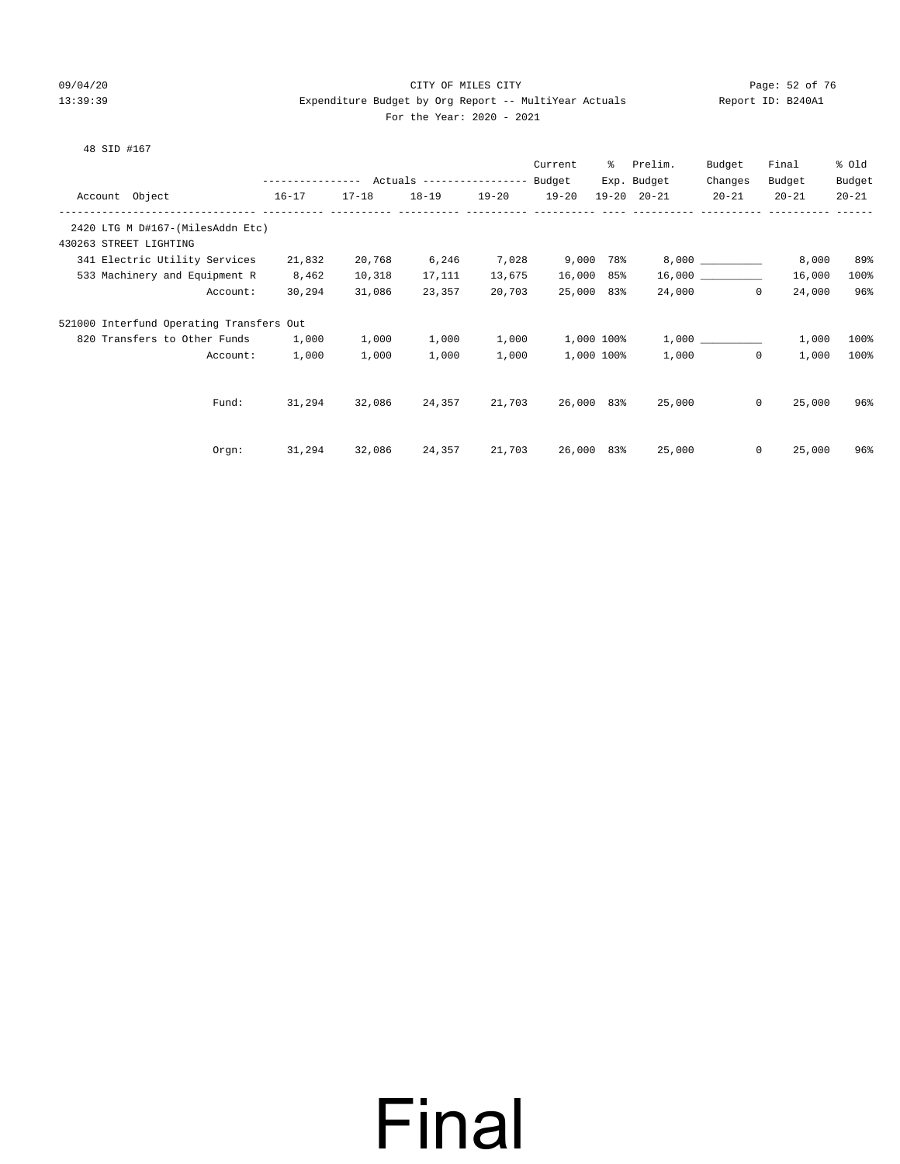#### 09/04/20 Page: 52 of 76 CITY OF MILES CITY CONTROL PAGE: 52 of 76 13:39:39 Expenditure Budget by Org Report -- MultiYear Actuals Report ID: B240A1 For the Year: 2020 - 2021

|  |  | 48 SID #167 |  |
|--|--|-------------|--|
|--|--|-------------|--|

|                                                            |        |           |                                                 |           | Current    | ႜႜၟ | Prelim.             | Budget            | Final     | % Old     |
|------------------------------------------------------------|--------|-----------|-------------------------------------------------|-----------|------------|-----|---------------------|-------------------|-----------|-----------|
|                                                            |        |           | --------------- Actuals ---------------- Budget |           |            |     | Exp. Budget         | Changes           | Budget    | Budget    |
| Account Object<br>$16 - 17$                                |        | $17 - 18$ | $18 - 19$                                       | $19 - 20$ | $19 - 20$  |     | $19 - 20$ $20 - 21$ | $20 - 21$         | $20 - 21$ | $20 - 21$ |
| 2420 LTG M D#167-(MilesAddn Etc)<br>430263 STREET LIGHTING |        |           |                                                 |           |            |     |                     |                   |           |           |
| 341 Electric Utility Services                              | 21,832 | 20,768    | 6,246                                           | 7,028     | 9,000 78%  |     |                     |                   | 8,000     | 89%       |
| 533 Machinery and Equipment R                              | 8,462  | 10,318    | 17,111                                          | 13,675    | 16,000 85% |     |                     |                   | 16,000    | 100%      |
| Account:                                                   | 30,294 | 31,086    | 23,357                                          | 20,703    | 25,000 83% |     |                     | 24,000<br>$\circ$ | 24,000    | 96%       |
| 521000 Interfund Operating Transfers Out                   |        |           |                                                 |           |            |     |                     |                   |           |           |
| 820 Transfers to Other Funds                               | 1,000  | 1,000     | 1,000                                           | 1,000     | 1,000 100% |     |                     | 1,000             | 1,000     | 100%      |
| Account:                                                   | 1,000  | 1,000     | 1,000                                           | 1,000     | 1,000 100% |     | 1,000               | $\mathbf{0}$      | 1,000     | 100%      |
| Fund:                                                      | 31,294 |           | 32,086 24,357                                   | 21,703    | 26,000 83% |     |                     | 25,000<br>$\circ$ | 25,000    | 96%       |
| Orgn:                                                      | 31,294 | 32,086    | 24,357                                          | 21,703    | 26,000 83% |     | 25,000              | $\mathbf{0}$      | 25,000    | 96%       |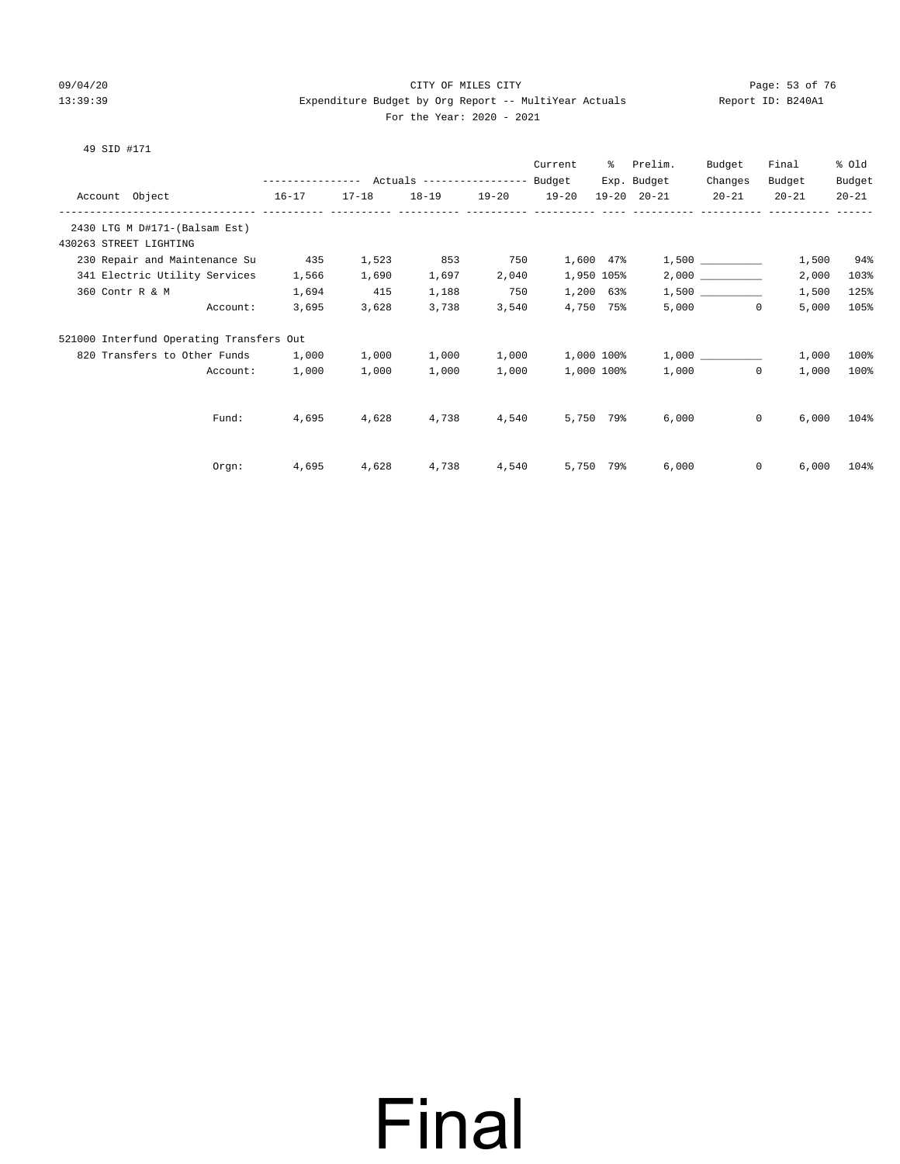#### 09/04/20 Page: 53 of 76 CITY OF MILES CITY CONTROL PAGE: 53 of 76 13:39:39 Expenditure Budget by Org Report -- MultiYear Actuals Report ID: B240A1 For the Year: 2020 - 2021

#### 49 SID #171

|                                          |                                                 |           |       |                   | Current    | ႜႜ         | Prelim.     | Budget    | Final                 | % Old     |
|------------------------------------------|-------------------------------------------------|-----------|-------|-------------------|------------|------------|-------------|-----------|-----------------------|-----------|
|                                          | --------------- Actuals ---------------- Budget |           |       |                   |            |            | Exp. Budget | Changes   | Budget                | Budget    |
| Account Object                           | $16 - 17$                                       | $17 - 18$ |       | 18-19 19-20 19-20 |            |            | 19-20 20-21 | $20 - 21$ | $20 - 21$             | $20 - 21$ |
| 2430 LTG M D#171-(Balsam Est)            |                                                 |           |       |                   |            |            |             |           |                       |           |
| 430263 STREET LIGHTING                   |                                                 |           |       |                   |            |            |             |           |                       |           |
| 230 Repair and Maintenance Su            | 435                                             | 1,523     | 853   | 750               |            | 1,600 47%  |             |           | 1,500                 | 94%       |
| 341 Electric Utility Services            | 1,566                                           | 1,690     | 1,697 | 2,040             |            | 1,950 105% |             |           | 2,000                 | 103%      |
| 360 Contr R & M                          | 1,694                                           | 415       | 1,188 | 750               |            | 1,200 63%  |             |           | 1,500                 | 125%      |
| Account:                                 | 3,695                                           | 3,628     | 3,738 | 3,540             |            | 4,750 75%  |             | 5,000     | 5,000<br>$\mathbf{0}$ | 105%      |
| 521000 Interfund Operating Transfers Out |                                                 |           |       |                   |            |            |             |           |                       |           |
| 820 Transfers to Other Funds             | 1,000                                           | 1,000     | 1,000 | 1,000             | 1,000 100% |            |             | 1,000     | 1,000                 | 100%      |
| Account:                                 | 1,000                                           | 1,000     | 1,000 | 1,000             |            | 1,000 100% |             | 1,000     | $\circ$<br>1,000      | 100%      |
|                                          |                                                 |           |       |                   |            |            |             |           |                       |           |
| Fund:                                    | 4,695                                           | 4,628     | 4,738 | 4,540             |            | 5,750 79%  | 6,000       |           | 6,000<br>$\mathbf{0}$ | 104%      |
|                                          |                                                 |           |       |                   |            |            |             |           |                       |           |
| $0$ rgn:                                 | 4,695                                           | 4,628     | 4,738 | 4,540             |            | 5,750 79%  | 6,000       |           | $\mathbf{0}$<br>6.000 | 104%      |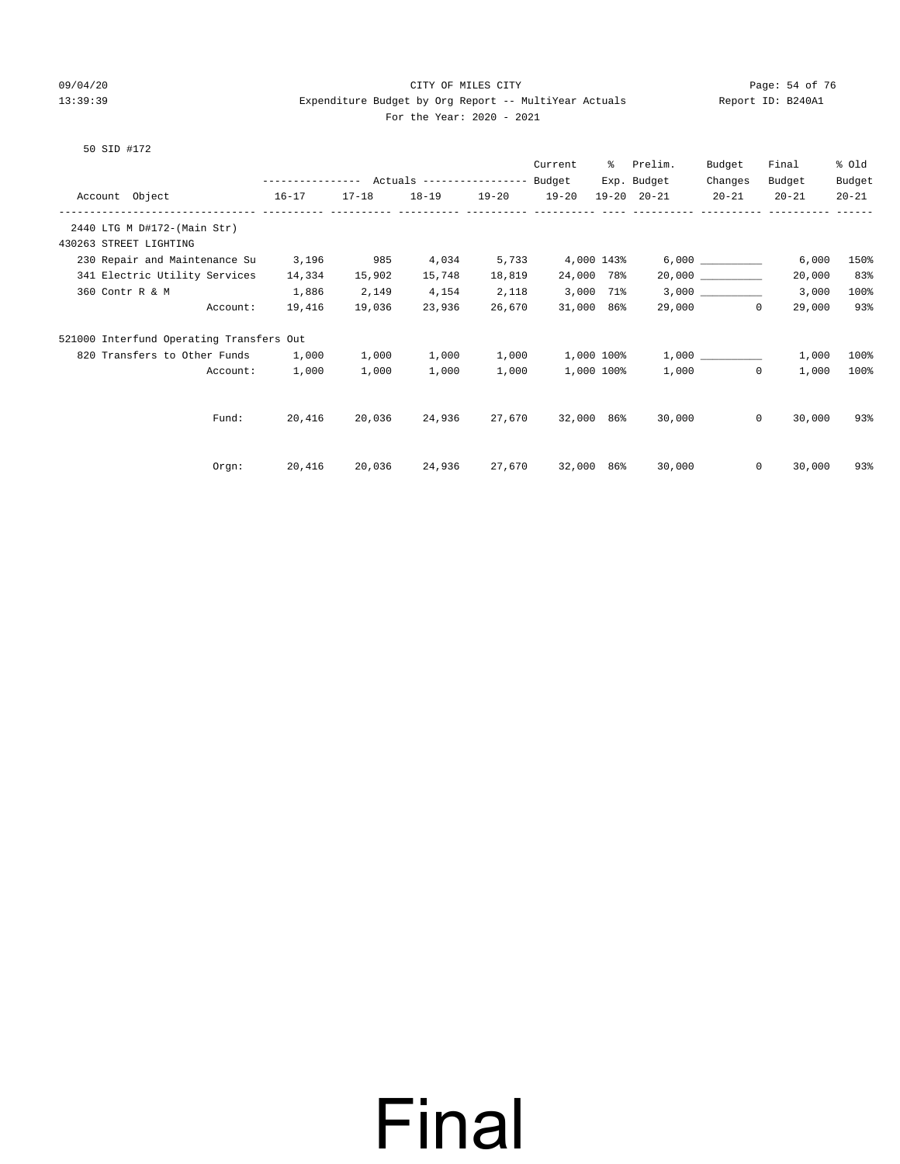#### 09/04/20 Page: 54 of 76 CITY OF MILES CITY CONTROL PAGE: 54 of 76 13:39:39 Expenditure Budget by Org Report -- MultiYear Actuals Report ID: B240A1 For the Year: 2020 - 2021

#### 50 SID #172

|                                          |                                                |           |               |                   | Current           | ႜႜ         | Prelim.                 | Budget               | Final                  | % old     |
|------------------------------------------|------------------------------------------------|-----------|---------------|-------------------|-------------------|------------|-------------------------|----------------------|------------------------|-----------|
|                                          | --------------- Actuals --------------- Budget |           |               |                   |                   |            | Exp. Budget             | Changes              | Budget                 | Budget    |
| Account Object<br>$16 - 17$              | --------- ---------- ----------                | $17 - 18$ |               | 18-19 19-20 19-20 |                   |            | 19-20 20-21             | $20 - 21$            | $20 - 21$              | $20 - 21$ |
| 2440 LTG M D#172-(Main Str)              |                                                |           |               |                   |                   |            |                         |                      |                        |           |
| 430263 STREET LIGHTING                   |                                                |           |               |                   |                   |            |                         |                      |                        |           |
| 230 Repair and Maintenance Su            | 3,196                                          | 985       | 4,034         | 5,733             | 4,000 143%        |            |                         |                      | 6,000                  | 150%      |
| 341 Electric Utility Services            | 14,334                                         | 15,902    | 15,748        | 18,819            | 24,000 78%        |            |                         | 20,000               | 20,000                 | 83%       |
| 360 Contr R & M                          | 1,886                                          | 2,149     | 4,154         | 2,118             | 3,000 71%         |            |                         |                      | 3,000                  | 100%      |
| Account:                                 | 19,416                                         | 19,036    | 23,936        | 26,670            | 31,000 86%        |            |                         | 29,000<br>$\Omega$   | 29,000                 | 93%       |
| 521000 Interfund Operating Transfers Out |                                                |           |               |                   |                   |            |                         |                      |                        |           |
| 820 Transfers to Other Funds             | 1,000                                          | 1,000     | 1,000         | 1,000             |                   |            | $1,000$ $100$ % $1,000$ |                      | 1,000                  | 100%      |
| Account:                                 | 1,000                                          | 1,000     | 1,000         | 1,000             |                   | 1,000 100% |                         | $\mathbf 0$<br>1,000 | 1,000                  | 100%      |
|                                          |                                                |           |               |                   |                   |            |                         |                      |                        |           |
| Fund:                                    | 20,416                                         | 20,036    | 24,936        | 27,670            | 32,000 86%        |            | 30,000                  |                      | $\mathbf{0}$<br>30,000 | 93%       |
|                                          |                                                |           |               |                   |                   |            |                         |                      |                        |           |
| Orgn:                                    | 20,416                                         |           | 20,036 24,936 |                   | 27,670 32,000 86% |            | 30,000                  |                      | $\mathbf{0}$<br>30,000 | 93%       |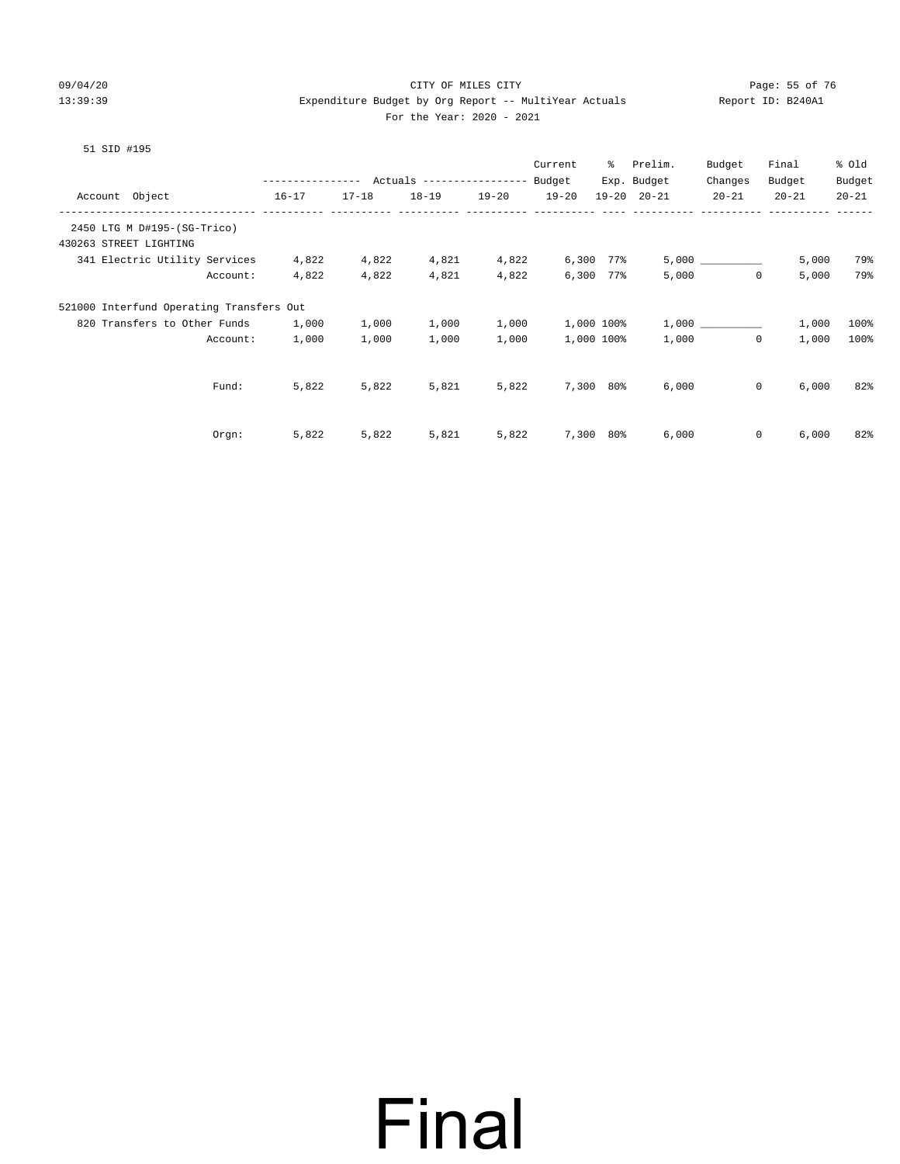#### 09/04/20 Page: 55 of 76 CITY OF MILES CITY CONTROL PAGE: 55 of 76 13:39:39 Expenditure Budget by Org Report -- MultiYear Actuals Report ID: B240A1 For the Year: 2020 - 2021

#### 51 SID #195

|                                                        |                                           |           |           |           | Current   | ႜႜ         | Prelim.             | Budget       | Final     | % Old     |
|--------------------------------------------------------|-------------------------------------------|-----------|-----------|-----------|-----------|------------|---------------------|--------------|-----------|-----------|
|                                                        | --------------- Actuals ----------------- |           |           |           | Budget    |            | Exp. Budget         | Changes      | Budget    | Budget    |
| Account Object                                         | $16 - 17$                                 | $17 - 18$ | $18 - 19$ | $19 - 20$ | $19 - 20$ |            | $19 - 20$ $20 - 21$ | $20 - 21$    | $20 - 21$ | $20 - 21$ |
| -----------------------<br>2450 LTG M D#195-(SG-Trico) |                                           |           |           |           |           |            |                     |              |           |           |
| 430263 STREET LIGHTING                                 |                                           |           |           |           |           |            |                     |              |           |           |
| 341 Electric Utility Services                          | 4,822                                     | 4,822     | 4,821     | 4,822     |           | 6,300 77%  |                     |              | 5,000     | 79%       |
| Account:                                               | 4,822                                     | 4,822     | 4,821     | 4,822     |           | 6,300 77%  | 5,000               | $\mathbf 0$  | 5,000     | 79%       |
| 521000 Interfund Operating Transfers Out               |                                           |           |           |           |           |            |                     |              |           |           |
| 820 Transfers to Other Funds                           | 1,000                                     | 1,000     | 1,000     | 1,000     |           | 1,000 100% |                     | 1,000        | 1,000     | 100%      |
| Account:                                               | 1,000                                     | 1,000     | 1,000     | 1,000     |           | 1,000 100% | 1,000               | $\mathbf{0}$ | 1,000     | 100%      |
|                                                        |                                           |           |           |           |           |            |                     |              |           |           |
| Fund:                                                  | 5,822                                     | 5,822     | 5,821     | 5,822     |           | 7,300 80%  | 6,000               | $\mathsf{O}$ | 6,000     | 82%       |
|                                                        |                                           |           |           |           |           |            |                     |              |           |           |
| Orgn:                                                  | 5,822                                     | 5,822     | 5,821     | 5,822     | 7,300     | 80%        | 6,000               | 0            | 6,000     | 82%       |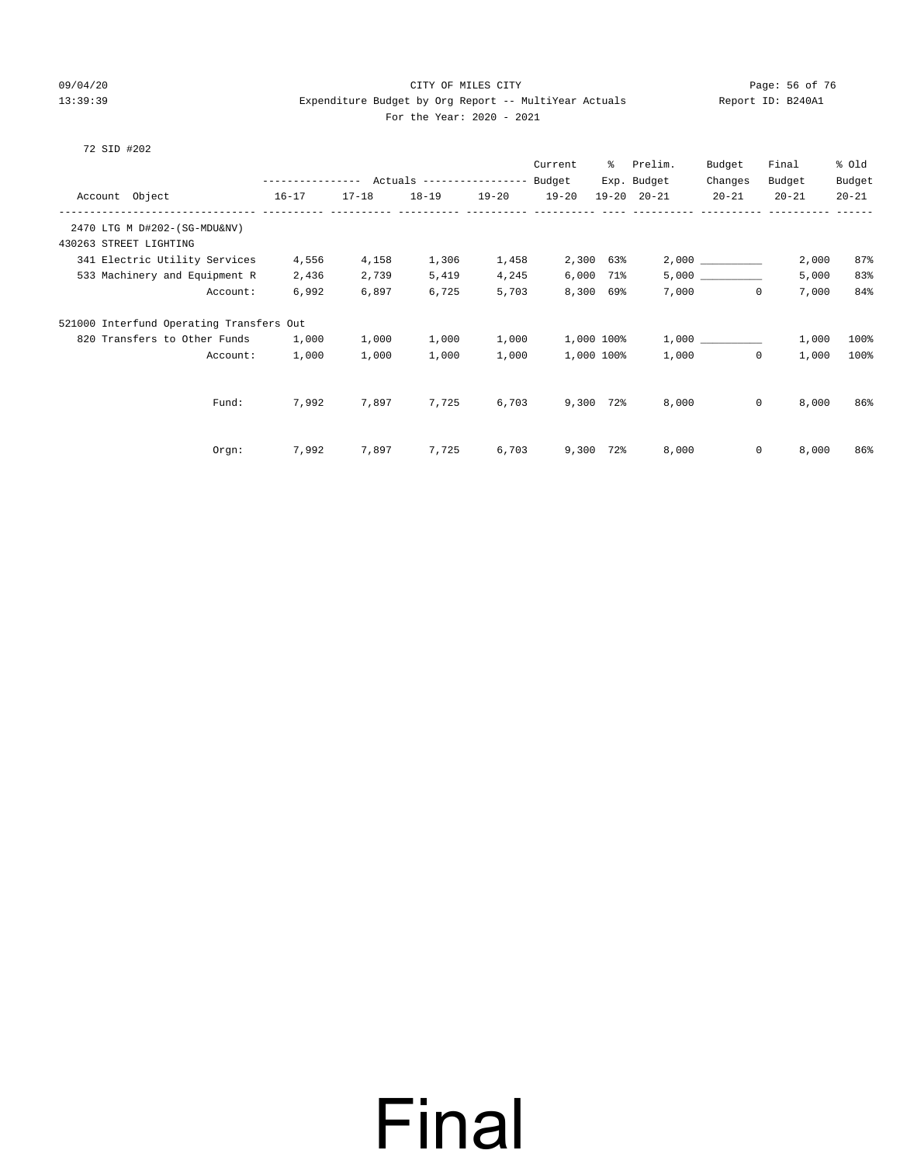#### 09/04/20 Page: 56 of 76 CITY OF MILES CITY CONTROL PAGE: 56 of 76 13:39:39 Expenditure Budget by Org Report -- MultiYear Actuals Report ID: B240A1 For the Year: 2020 - 2021

#### 72 SID #202

|                                          |                                                       |           |           |           | Current   | ႜႜၟ            | Prelim.             | Budget                | Final     | % Old     |
|------------------------------------------|-------------------------------------------------------|-----------|-----------|-----------|-----------|----------------|---------------------|-----------------------|-----------|-----------|
|                                          | ---------------    Actuals ----------------    Budget |           |           |           |           |                | Exp. Budget         | Changes               | Budget    | Budget    |
| Account Object                           | $16 - 17$                                             | $17 - 18$ | $18 - 19$ | $19 - 20$ | $19 - 20$ |                | $19 - 20$ $20 - 21$ | $20 - 21$             | $20 - 21$ | $20 - 21$ |
| ---------------------- --------          |                                                       |           |           |           |           |                |                     |                       |           |           |
| 2470 LTG M D#202-(SG-MDU&NV)             |                                                       |           |           |           |           |                |                     |                       |           |           |
| 430263 STREET LIGHTING                   |                                                       |           |           |           |           |                |                     |                       |           |           |
| 341 Electric Utility Services            | 4,556                                                 | 4,158     | 1,306     | 1,458     |           | 2,300 63%      |                     | 2,000                 | 2,000     | 87%       |
| 533 Machinery and Equipment R            | 2,436                                                 | 2,739     | 5,419     | 4,245     |           | 6,000 71%      |                     |                       | 5,000     | 83%       |
| Account:                                 | 6,992                                                 | 6,897     | 6,725     | 5,703     |           | 8,300 69%      |                     | 7,000<br>$\mathbf{0}$ | 7,000     | 84%       |
| 521000 Interfund Operating Transfers Out |                                                       |           |           |           |           |                |                     |                       |           |           |
| 820 Transfers to Other Funds             | 1,000                                                 | 1,000     | 1,000     | 1,000     |           | 1,000 100%     |                     |                       | 1,000     | 100%      |
| Account:                                 | 1,000                                                 | 1,000     | 1,000     | 1,000     |           | 1,000 100%     | 1,000               | $\Omega$              | 1,000     | 100%      |
|                                          |                                                       |           |           |           |           |                |                     |                       |           |           |
| Fund:                                    | 7,992                                                 | 7,897     | 7,725     | 6,703     |           | 9,300 72%      | 8,000               | $\mathbf{0}$          | 8,000     | 86%       |
|                                          |                                                       |           |           |           |           |                |                     |                       |           |           |
| Orgn:                                    | 7,992                                                 | 7,897     | 7,725     | 6,703     |           | $9,300$ $72\%$ | 8,000               | $\mathbf{0}$          | 8,000     | 86%       |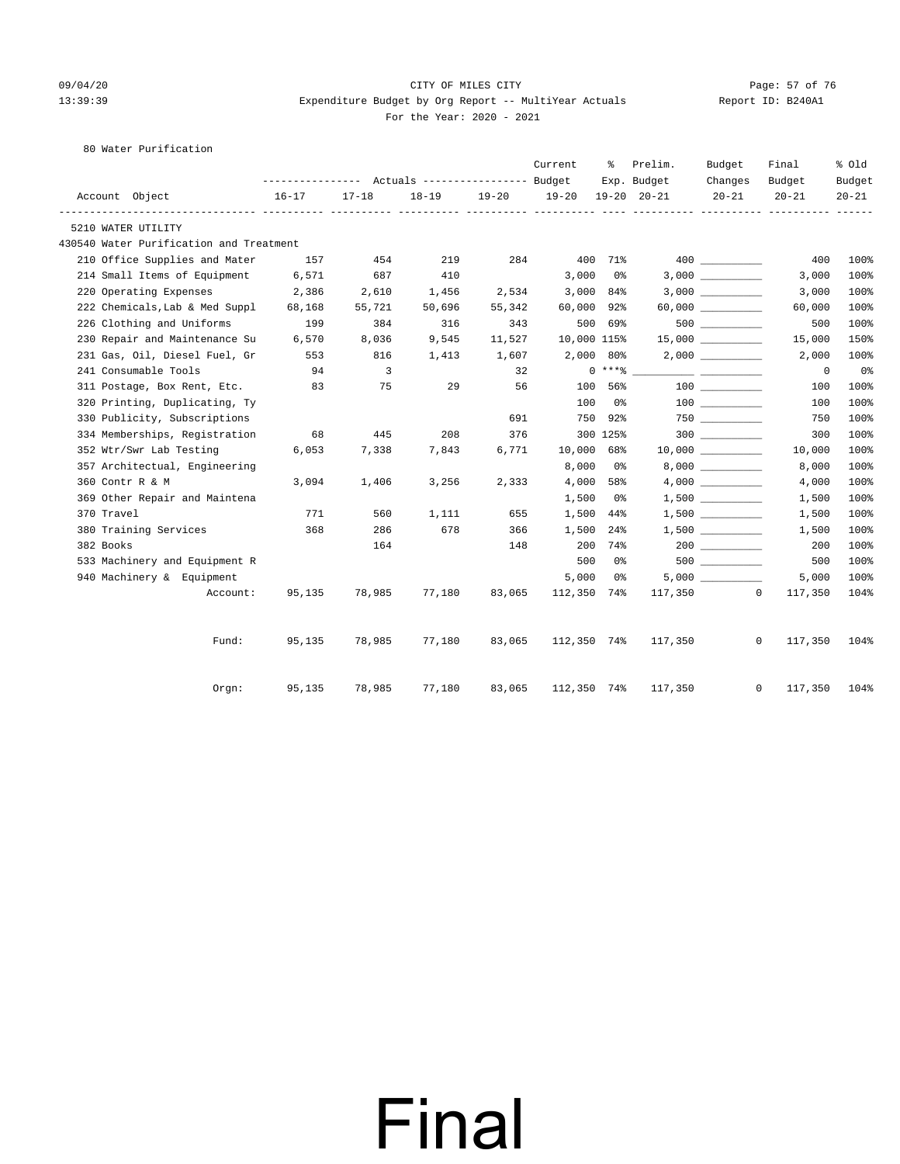#### 09/04/20 Page: 57 of 76 CITY OF MILES CITY CONTROL PAGE: 57 of 76 13:39:39 Expenditure Budget by Org Report -- MultiYear Actuals Report ID: B240A1 For the Year: 2020 - 2021

#### 80 Water Purification

|                         |                                         |           |                |           |        | Current        | ႜ             | Prelim.             | Budget             | Final                   | % Old          |
|-------------------------|-----------------------------------------|-----------|----------------|-----------|--------|----------------|---------------|---------------------|--------------------|-------------------------|----------------|
|                         |                                         |           |                |           |        |                |               | Exp. Budget         | Changes            | Budget                  | Budget         |
| Account Object          |                                         | $16 - 17$ | $17 - 18$      | $18 - 19$ |        | 19-20 19-20    |               | $19 - 20$ $20 - 21$ | $20 - 21$          | $20 - 21$               | $20 - 21$      |
| 5210 WATER UTILITY      |                                         |           |                |           |        |                |               |                     |                    |                         |                |
|                         | 430540 Water Purification and Treatment |           |                |           |        |                |               |                     |                    |                         |                |
|                         | 210 Office Supplies and Mater           | 157       | 454            | 219       | 284    |                | 400 71%       |                     |                    | 400                     | 100%           |
|                         | 214 Small Items of Equipment            | 6,571     | 687            | 410       |        | 3,000          | 0 %           |                     |                    | 3,000                   | 100%           |
|                         | 220 Operating Expenses                  | 2,386     | 2,610          | 1,456     | 2,534  | $3,000$ $84\%$ |               |                     |                    | 3,000                   | 100%           |
|                         | 222 Chemicals, Lab & Med Suppl          | 68,168    | 55,721         | 50,696    | 55,342 | 60,000 92%     |               |                     |                    | 60,000                  | 100%           |
|                         | 226 Clothing and Uniforms               | 199       | 384            | 316       | 343    |                | 500 69%       |                     | $500$ __________   | 500                     | 100%           |
|                         | 230 Repair and Maintenance Su           | 6,570     | 8,036          | 9,545     | 11,527 | 10,000 115%    |               |                     | $15,000$ _________ | 15,000                  | 150%           |
|                         | 231 Gas, Oil, Diesel Fuel, Gr           | 553       | 816            | 1,413     | 1,607  | $2,000$ 80%    |               |                     |                    | 2,000                   | 100%           |
| 241 Consumable Tools    |                                         | 94        | $\overline{3}$ |           | 32     |                | $0***$ $****$ |                     |                    | $\overline{0}$          | 0 <sub>8</sub> |
|                         | 311 Postage, Box Rent, Etc.             | 83        | 75             | 29        | 56     | 100            | 56%           |                     | 100 000            | 100                     | 100%           |
|                         | 320 Printing, Duplicating, Ty           |           |                |           |        | 100            | 0%            |                     |                    | 100                     | 100%           |
|                         | 330 Publicity, Subscriptions            |           |                |           | 691    | 750            | 92%           |                     | $750$ ________     | 750                     | 100%           |
|                         | 334 Memberships, Registration           | 68        | 445            | 208       | 376    |                | 300 125%      |                     | 300                | 300                     | 100%           |
| 352 Wtr/Swr Lab Testing |                                         | 6,053     | 7,338          | 7,843     | 6,771  | 10,000 68%     |               |                     |                    | 10,000                  | 100%           |
|                         | 357 Architectual, Engineering           |           |                |           |        | 8,000          | 0 %           |                     |                    | 8,000                   | 100%           |
| 360 Contr R & M         |                                         | 3,094     | 1,406          | 3,256     | 2,333  | 4,000          | 58%           |                     |                    | 4,000                   | 100%           |
|                         | 369 Other Repair and Maintena           |           |                |           |        | 1,500          | 0 %           |                     |                    | 1,500                   | 100%           |
| 370 Travel              |                                         | 771       | 560            | 1,111     | 655    | 1,500          | 44%           |                     |                    | 1,500                   | 100%           |
| 380 Training Services   |                                         | 368       | 286            | 678       | 366    | 1,500          | $24\%$        |                     |                    | 1,500                   | 100%           |
| 382 Books               |                                         |           | 164            |           | 148    |                | 200 74%       |                     |                    | 200                     | 100%           |
|                         | 533 Machinery and Equipment R           |           |                |           |        | 500            | 0%            |                     | $500$ ________     | 500                     | 100%           |
|                         | 940 Machinery & Equipment               |           |                |           |        | 5,000          | 0%            |                     | 5,000              | 5,000                   | 100%           |
|                         | Account:                                | 95,135    | 78,985         | 77,180    | 83,065 | 112,350 74%    |               |                     | 117,350            | $\circ$<br>117,350      | 104%           |
|                         | Fund:                                   | 95,135    | 78,985         | 77,180    | 83,065 | 112,350 74%    |               | 117,350             |                    | $\mathbf{0}$<br>117,350 | 104%           |
|                         | $0$ rgn:                                | 95,135    | 78,985         | 77,180    | 83,065 | 112,350 74%    |               | 117,350             |                    | 0<br>117,350            | 104%           |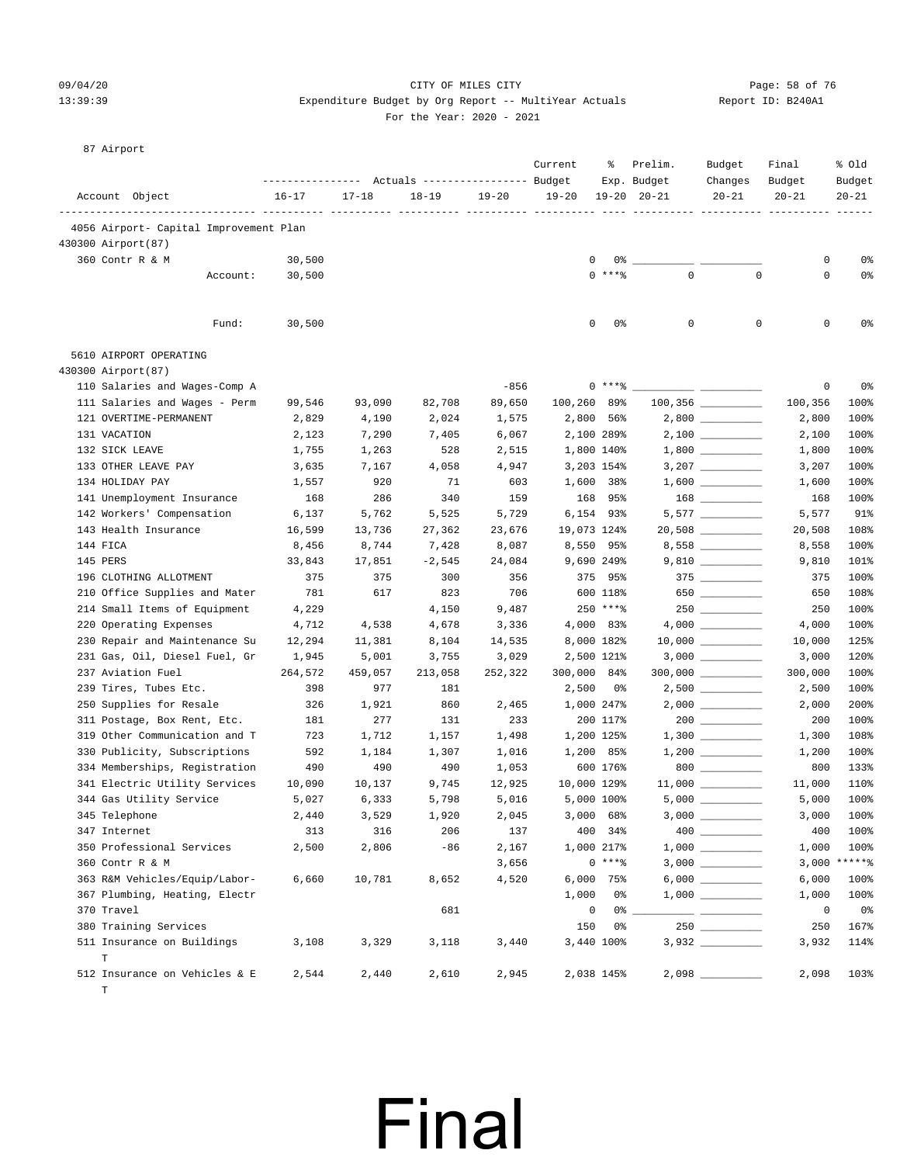#### 09/04/20 Page: 58 of 76 CITY OF MILES CITY CONTROL CONTROL PAGE: 58 of 76 13:39:39 Expenditure Budget by Org Report -- MultiYear Actuals Report ID: B240A1 For the Year: 2020 - 2021

#### 87 Airport

|                                              |          | ---------------- |           | Actuals ----------------- Budget |           | Current     | ႜ             | Prelim.<br>Exp. Budget | Budget<br>Changes   | Final<br>Budget | % old<br>Budget |
|----------------------------------------------|----------|------------------|-----------|----------------------------------|-----------|-------------|---------------|------------------------|---------------------|-----------------|-----------------|
| Account Object                               |          | $16 - 17$        | $17 - 18$ | $18 - 19$                        | $19 - 20$ | $19 - 20$   |               | $19 - 20$ $20 - 21$    | $20 - 21$           | $20 - 21$       | $20 - 21$       |
| 4056 Airport- Capital Improvement Plan       |          |                  |           |                                  |           |             |               |                        |                     |                 |                 |
| 430300 Airport (87)                          |          |                  |           |                                  |           |             |               |                        |                     |                 |                 |
| 360 Contr R & M                              |          | 30,500           |           |                                  |           | 0           | 0%            |                        |                     | 0               | 0 <sup>8</sup>  |
|                                              | Account: | 30,500           |           |                                  |           |             | $0$ ****      | $\mathbf 0$            | $\mathbf 0$         | $\mathbf 0$     | 0 <sup>°</sup>  |
|                                              | Fund:    | 30,500           |           |                                  |           | 0           | 0%            | 0                      | 0                   | 0               | 0%              |
| 5610 AIRPORT OPERATING                       |          |                  |           |                                  |           |             |               |                        |                     |                 |                 |
| 430300 Airport (87)                          |          |                  |           |                                  |           |             |               |                        |                     |                 |                 |
| 110 Salaries and Wages-Comp A                |          |                  |           |                                  | $-856$    |             | $0***8$       |                        |                     | 0               | 0 <sup>°</sup>  |
| 111 Salaries and Wages - Perm                |          | 99,546           | 93,090    | 82,708                           | 89,650    | 100,260 89% |               |                        |                     | 100,356         | 100%            |
| 121 OVERTIME-PERMANENT                       |          | 2,829            | 4,190     | 2,024                            | 1,575     |             | 2,800 56%     |                        |                     | 2,800           | 100%            |
| 131 VACATION                                 |          | 2,123            | 7,290     | 7,405                            | 6,067     |             | 2,100 289%    |                        |                     | 2,100           | 100%            |
| 132 SICK LEAVE                               |          | 1,755            | 1,263     | 528                              | 2,515     |             | 1,800 140%    |                        |                     | 1,800           | 100%            |
| 133 OTHER LEAVE PAY                          |          | 3,635            | 7,167     | 4,058                            | 4,947     |             | 3,203 154%    |                        |                     | 3,207           | 100%            |
| 134 HOLIDAY PAY                              |          | 1,557            | 920       | 71                               | 603       |             | 1,600 38%     |                        |                     | 1,600           | 100%            |
| 141 Unemployment Insurance                   |          | 168              | 286       | 340                              | 159       |             | 168 95%       |                        |                     | 168             | 100%            |
| 142 Workers' Compensation                    |          | 6,137            | 5,762     | 5,525                            | 5,729     |             | 6,154 93%     |                        | $5,577$ _________   | 5,577           | 91%             |
| 143 Health Insurance                         |          | 16,599           | 13,736    | 27,362                           | 23,676    | 19,073 124% |               |                        | $20,508$ __________ | 20,508          | 108%            |
| 144 FICA                                     |          | 8,456            | 8,744     | 7,428                            | 8,087     |             | 8,550 95%     |                        |                     | 8,558           | 100%            |
| 145 PERS                                     |          | 33,843           | 17,851    | $-2,545$                         | 24,084    |             | 9,690 249%    |                        |                     | 9,810           | 101%            |
| 196 CLOTHING ALLOTMENT                       |          | 375              | 375       | 300                              | 356       |             | 375 95%       |                        |                     | 375             | 100%            |
| 210 Office Supplies and Mater                |          | 781              | 617       | 823                              | 706       |             | 600 118%      |                        | 650                 | 650             | 108%            |
| 214 Small Items of Equipment                 |          | 4,229            |           | 4,150                            | 9,487     |             | $250$ *** $8$ |                        | $250$ _________     | 250             | 100%            |
| 220 Operating Expenses                       |          | 4,712            | 4,538     | 4,678                            | 3,336     |             | 4,000 83%     |                        |                     | 4,000           | 100%            |
| 230 Repair and Maintenance Su                |          | 12,294           | 11,381    | 8,104                            | 14,535    |             | 8,000 182%    |                        |                     | 10,000          | 125%            |
| 231 Gas, Oil, Diesel Fuel, Gr                |          | 1,945            | 5,001     | 3,755                            | 3,029     |             | 2,500 121%    |                        |                     | 3,000           | 120%            |
| 237 Aviation Fuel                            |          | 264,572          | 459,057   | 213,058                          | 252,322   | 300,000 84% |               |                        |                     | 300,000         | 100%            |
| 239 Tires, Tubes Etc.                        |          | 398              | 977       | 181                              |           | 2,500       | - 0%          |                        | $2,500$ _________   | 2,500           | 100%            |
| 250 Supplies for Resale                      |          | 326              | 1,921     | 860                              | 2,465     |             | 1,000 247%    |                        |                     | 2,000           | 200%            |
| 311 Postage, Box Rent, Etc.                  |          | 181              | 277       | 131                              | 233       |             | 200 117%      |                        | $200$               | 200             | 100%            |
| 319 Other Communication and T                |          | 723              | 1,712     | 1,157                            | 1,498     |             | 1,200 125%    |                        |                     | 1,300           | 108%            |
| 330 Publicity, Subscriptions                 |          | 592              | 1,184     | 1,307                            | 1,016     |             | 1,200 85%     |                        |                     | 1,200           | 100%            |
| 334 Memberships, Registration                |          | 490              | 490       | 490                              | 1,053     |             | 600 176%      |                        | 800                 | 800             | 133%            |
| 341 Electric Utility Services                |          | 10,090           | 10,137    | 9,745                            | 12,925    | 10,000 129% |               |                        |                     | 11,000          | 110%            |
| 344 Gas Utility Service                      |          | 5,027            | 6,333     | 5,798                            | 5,016     |             | 5,000 100%    |                        |                     | 5,000           | 100%            |
| 345 Telephone                                |          | 2,440            | 3,529     | 1,920                            | 2,045     |             | $3,000$ 68%   | $3,000$ $\_\_$         |                     | 3,000           | 100%            |
| 347 Internet                                 |          | 313              | 316       | 206                              | 137       |             | 400 34%       |                        |                     | 400             | 100%            |
| 350 Professional Services                    |          | 2,500            | 2,806     | $-86$                            | 2,167     |             | 1,000 217%    |                        |                     | 1,000           | 100%            |
| 360 Contr R & M                              |          |                  |           |                                  | 3,656     |             | $0***8$       |                        |                     |                 | $3,000$ *****%  |
| 363 R&M Vehicles/Equip/Labor-                |          | 6,660            | 10,781    | 8,652                            | 4,520     |             | 6,000 75%     |                        | $6,000$             | 6,000           | 100%            |
| 367 Plumbing, Heating, Electr                |          |                  |           |                                  |           | 1,000       | 0%            |                        |                     | 1,000           | 100%            |
| 370 Travel                                   |          |                  |           | 681                              |           | $\mathbf 0$ |               | $0\%$ __               |                     | 0               | 0%              |
| 380 Training Services                        |          |                  |           |                                  |           | 150         | 0%            |                        |                     | 250             | 167%            |
| 511 Insurance on Buildings<br>T              |          | 3,108            | 3,329     | 3,118                            | 3,440     |             | 3,440 100%    |                        |                     | 3,932           | 114%            |
| 512 Insurance on Vehicles & E<br>$\mathbb T$ |          | 2,544            | 2,440     | 2,610                            | 2,945     |             | 2,038 145%    |                        |                     | 2,098           | 103%            |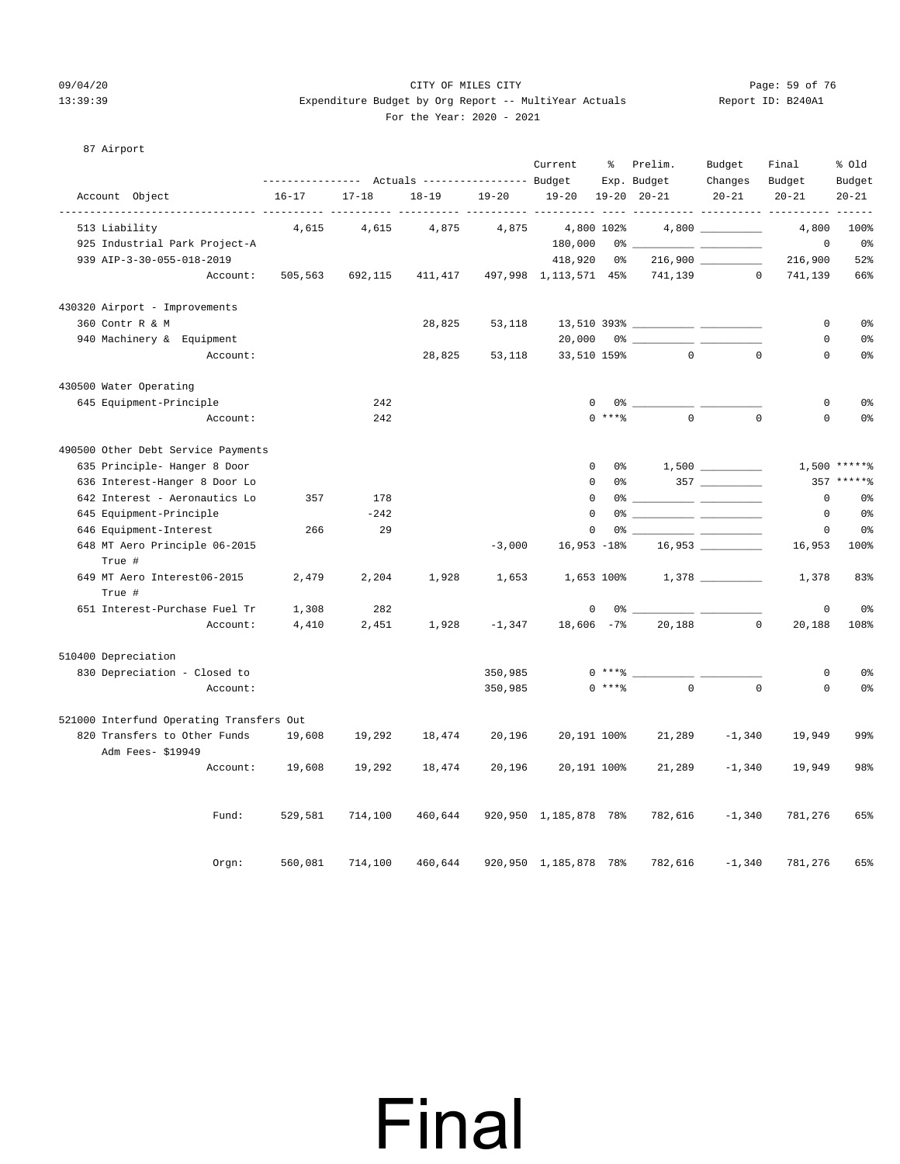#### 09/04/20 Page: 59 of 76 CITY OF MILES CITY CONTROL CONTROL PAGE: 59 of 76 13:39:39 Expenditure Budget by Org Report -- MultiYear Actuals Report ID: B240A1 For the Year: 2020 - 2021

#### 87 Airport

|                                          |           |           | --------------- Actuals ---------------- Budget |           | Current               | ి                  | Prelim.<br>Exp. Budget         | Budget<br>Changes | Final<br>Budget | % Old<br>Budget    |
|------------------------------------------|-----------|-----------|-------------------------------------------------|-----------|-----------------------|--------------------|--------------------------------|-------------------|-----------------|--------------------|
| Account Object                           | $16 - 17$ | $17 - 18$ | $18 - 19$                                       | $19 - 20$ | $19 - 20$             |                    | $19 - 20$ $20 - 21$            | $20 - 21$         | $20 - 21$       | $20 - 21$<br>----- |
| 513 Liability                            | 4,615     | 4,615     | 4,875                                           | 4,875     |                       | 4,800 102%         |                                |                   | 4,800           | 100%               |
| 925 Industrial Park Project-A            |           |           |                                                 |           | 180,000               |                    |                                |                   | 0               | 0%                 |
| 939 AIP-3-30-055-018-2019                |           |           |                                                 |           | 418,920               | 0%                 |                                |                   | 216,900         | 52%                |
| Account:                                 | 505,563   | 692,115   | 411,417                                         |           | 497,998 1,113,571 45% |                    | 741,139                        | $\circ$           | 741,139         | 66%                |
| 430320 Airport - Improvements            |           |           |                                                 |           |                       |                    |                                |                   |                 |                    |
| 360 Contr R & M                          |           |           | 28,825                                          | 53,118    |                       |                    |                                |                   | 0               | 0 <sup>8</sup>     |
| 940 Machinery & Equipment                |           |           |                                                 |           | 20,000                |                    |                                |                   | $\mathbf 0$     | 0 <sup>°</sup>     |
| Account:                                 |           |           | 28,825                                          | 53,118    | 33,510 159%           |                    | $\Omega$                       | $\Omega$          | $\mathbf 0$     | 0 <sup>8</sup>     |
| 430500 Water Operating                   |           |           |                                                 |           |                       |                    |                                |                   |                 |                    |
| 645 Equipment-Principle                  |           | 242       |                                                 |           | $\mathbf 0$           |                    |                                |                   | $\mathbf 0$     | 0 <sup>°</sup>     |
| Account:                                 |           | 242       |                                                 |           |                       | $0$ *** $%$        | $\Omega$                       | $\Omega$          | $\circ$         | 0 <sup>°</sup>     |
| 490500 Other Debt Service Payments       |           |           |                                                 |           |                       |                    |                                |                   |                 |                    |
| 635 Principle- Hanger 8 Door             |           |           |                                                 |           |                       | $\mathbf 0$<br>0 응 |                                |                   |                 | $1,500$ *****%     |
| 636 Interest-Hanger 8 Door Lo            |           |           |                                                 |           | $\mathbf 0$           | 0%                 |                                |                   |                 | 357 ******         |
| 642 Interest - Aeronautics Lo            | 357       | 178       |                                                 |           | $\mathbf 0$           |                    |                                |                   | 0               | 0 <sup>8</sup>     |
| 645 Equipment-Principle                  |           | $-242$    |                                                 |           | $\mathbf 0$           |                    |                                |                   | 0               | 0 <sup>8</sup>     |
| 646 Equipment-Interest                   | 266       | 29        |                                                 |           | $\mathbf 0$           |                    |                                |                   | 0               | 0 <sup>8</sup>     |
| 648 MT Aero Principle 06-2015            |           |           |                                                 | $-3,000$  | $16,953 - 18%$        |                    |                                |                   | 16,953          | 100%               |
| True #                                   |           |           |                                                 |           |                       |                    |                                |                   |                 |                    |
| 649 MT Aero Interest06-2015<br>True #    | 2,479     | 2,204     | 1,928                                           | 1,653     |                       |                    | $1,653$ 100% $1,378$ _________ |                   | 1,378           | 83%                |
| 651 Interest-Purchase Fuel Tr            | 1,308     | 282       |                                                 |           | $\mathsf 0$           | 0 %                |                                |                   | $\mathbf 0$     | 0 <sup>8</sup>     |
| Account:                                 | 4,410     | 2,451     | 1,928                                           | $-1,347$  | $18,606 -7%$          |                    | 20,188                         | $\overline{0}$    | 20,188          | 108%               |
| 510400 Depreciation                      |           |           |                                                 |           |                       |                    |                                |                   |                 |                    |
| 830 Depreciation - Closed to             |           |           |                                                 | 350,985   |                       |                    | $0***$                         |                   | 0               | 0 <sup>°</sup>     |
| Account:                                 |           |           |                                                 | 350,985   |                       | $0$ ****           | $\Omega$                       | $\Omega$          | $\Omega$        | 0 <sup>°</sup>     |
| 521000 Interfund Operating Transfers Out |           |           |                                                 |           |                       |                    |                                |                   |                 |                    |
| 820 Transfers to Other Funds             | 19,608    | 19,292    | 18,474                                          | 20,196    | 20,191 100%           |                    | 21,289                         | $-1,340$          | 19,949          | 99%                |
| Adm Fees- \$19949                        |           |           |                                                 |           |                       |                    |                                |                   |                 |                    |
| Account:                                 | 19,608    | 19,292    | 18,474                                          | 20,196    | 20,191 100%           |                    | 21,289                         | $-1,340$          | 19,949          | 98%                |
| Fund:                                    | 529,581   | 714,100   | 460,644                                         |           | 920,950 1,185,878 78% |                    | 782,616                        | $-1,340$          | 781,276         | 65%                |
| Orgn:                                    | 560,081   | 714,100   | 460,644                                         |           | 920,950 1,185,878 78% |                    | 782,616                        | $-1,340$          | 781,276         | 65%                |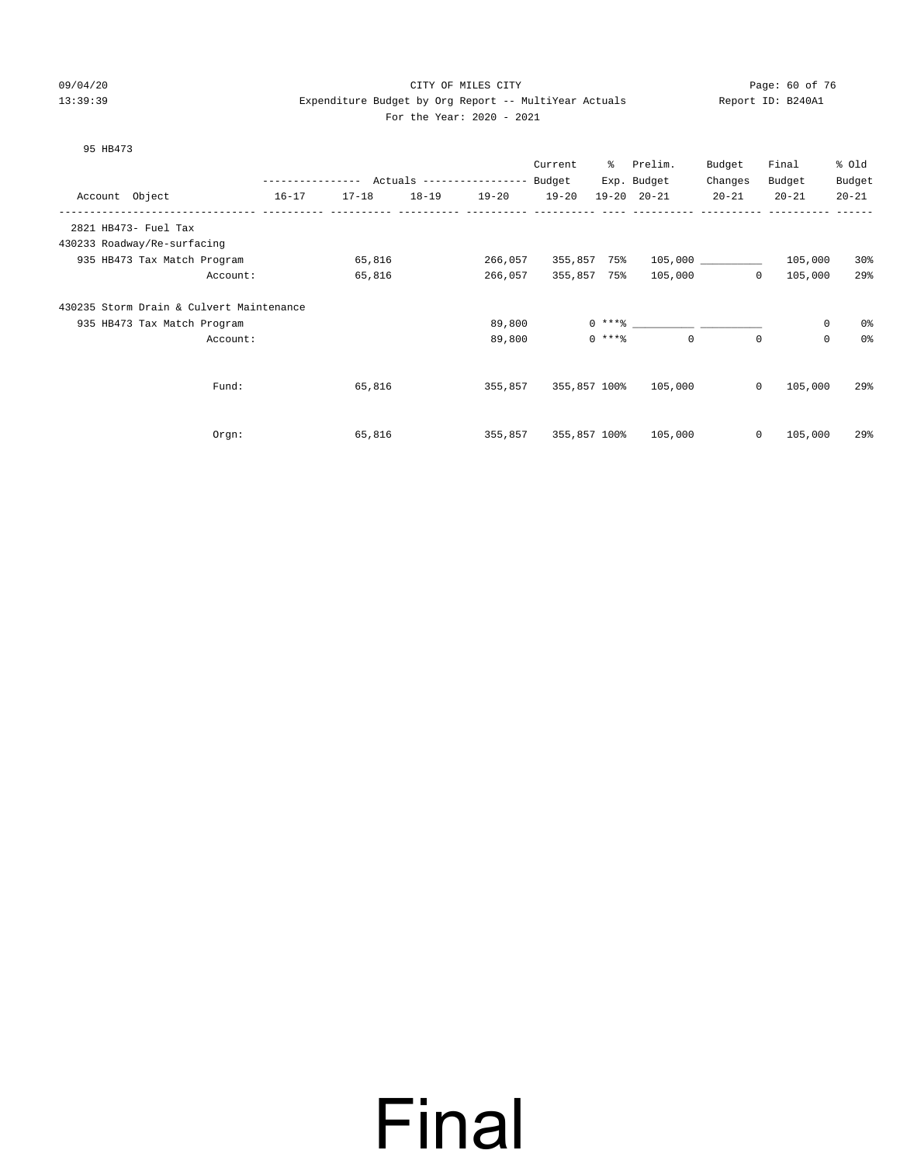95 HB473

#### 09/04/20 Page: 60 of 76 CITY OF MILES CITY CONTROL CONTROL PAGE: 60 of 76 13:39:39 Expenditure Budget by Org Report -- MultiYear Actuals Report ID: B240A1 For the Year: 2020 - 2021

Prelim. Budget Final % Old

|  |                                        | Current | - 옹         |
|--|----------------------------------------|---------|-------------|
|  | $P_{11}$ $\Delta \sim +$<br>$R$ atuala |         | <b>Darw</b> |

|         |                                          | ---------------- |           |           | Actuals ------------------ | Budget    |              | Exp. Budget                   | Changes      | Budget      | Budget            |
|---------|------------------------------------------|------------------|-----------|-----------|----------------------------|-----------|--------------|-------------------------------|--------------|-------------|-------------------|
| Account | Object                                   | $16 - 17$        | $17 - 18$ | $18 - 19$ | $19 - 20$                  | $19 - 20$ |              | $19 - 20$ $20 - 21$           | $20 - 21$    | $20 - 21$   | $20 - 21$         |
|         | 2821 HB473- Fuel Tax                     |                  |           |           |                            |           |              |                               |              |             |                   |
|         | 430233 Roadway/Re-surfacing              |                  |           |           |                            |           |              |                               |              |             |                   |
|         | 935 HB473 Tax Match Program              |                  | 65,816    |           | 266,057                    |           | 355,857 75%  |                               | 105,000      | 105,000     | 30 <sup>8</sup>   |
|         | Account:                                 |                  | 65,816    |           | 266,057                    |           | 355,857 75%  | 105,000                       | $\mathbf{0}$ | 105,000     | 29%               |
|         | 430235 Storm Drain & Culvert Maintenance |                  |           |           |                            |           |              |                               |              |             |                   |
|         | 935 HB473 Tax Match Program              |                  |           |           | 89,800                     |           |              | $0***$ $\qquad \qquad \qquad$ |              | $\mathbf 0$ | 0%                |
|         | Account:                                 |                  |           |           | 89,800                     |           | $0$ ****     | $\mathbf{0}$                  | $\mathbf{0}$ | 0           | 0%                |
|         |                                          |                  |           |           |                            |           |              |                               |              |             |                   |
|         | Fund:                                    |                  | 65,816    |           | 355,857                    |           | 355,857 100% | 105,000                       | $\mathbf{0}$ | 105,000     | $29$ <sup>2</sup> |
|         |                                          |                  |           |           |                            |           |              |                               |              |             |                   |
|         | Orgn:                                    |                  | 65,816    |           | 355,857                    |           | 355,857 100% | 105,000                       | $\mathbf{0}$ | 105,000     | 29%               |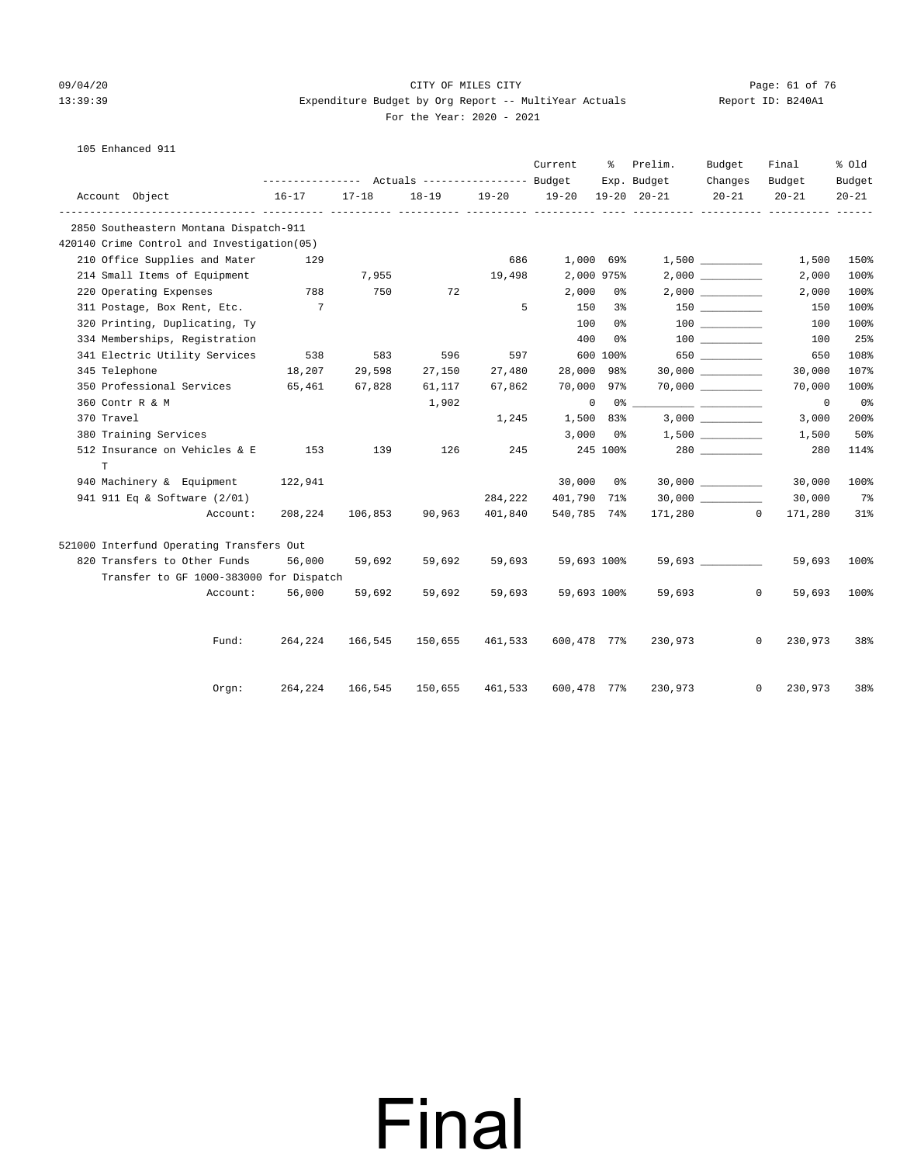#### 09/04/20 Page: 61 of 76<br>
Report 11:39:39 Report Sudget by Org Report -- MultiVear Actuals 13:39:39 Expenditure Budget by Org Report -- MultiYear Actuals Report ID: B240A1 For the Year: 2020 - 2021

|  | Report |
|--|--------|
|  |        |

105 Enhanced 911

|                                            |          |                                             |           |          |         | Current           | ႜ        | Prelim.     | Budget    | Final                   | % Old     |
|--------------------------------------------|----------|---------------------------------------------|-----------|----------|---------|-------------------|----------|-------------|-----------|-------------------------|-----------|
|                                            |          |                                             |           |          |         |                   |          | Exp. Budget | Changes   | Budget                  | Budget    |
| Account Object                             |          | $16 - 17$<br>------------ ---------- ------ | $17 - 18$ | ---- --- |         | 18-19 19-20 19-20 |          | 19-20 20-21 | $20 - 21$ | $20 - 21$               | $20 - 21$ |
| 2850 Southeastern Montana Dispatch-911     |          |                                             |           |          |         |                   |          |             |           |                         |           |
| 420140 Crime Control and Investigation(05) |          |                                             |           |          |         |                   |          |             |           |                         |           |
| 210 Office Supplies and Mater              |          | 129                                         |           |          | 686     | 1,000 69%         |          |             |           | 1,500                   | 150%      |
| 214 Small Items of Equipment               |          |                                             | 7,955     |          | 19,498  | 2,000 975%        |          |             |           | 2,000                   | 100%      |
| 220 Operating Expenses                     |          | 788                                         | 750       | 72       |         | 2,000             | 0%       |             |           | 2,000                   | 100%      |
| 311 Postage, Box Rent, Etc.                |          | 7                                           |           |          | 5       | 150               | 3%       |             |           | 150                     | 100%      |
| 320 Printing, Duplicating, Ty              |          |                                             |           |          |         | 100               | 0%       |             |           | 100                     | 100%      |
| 334 Memberships, Registration              |          |                                             |           |          |         | 400               | 0%       |             | 100 000   | 100                     | 25%       |
| 341 Electric Utility Services              |          | 538                                         | 583       | 596      | 597     |                   | 600 100% |             | 650       | 650                     | 108%      |
| 345 Telephone                              |          | 18,207                                      | 29,598    | 27,150   | 27,480  | 28,000 98%        |          |             |           | 30,000                  | 107%      |
| 350 Professional Services 65,461           |          |                                             | 67,828    | 61,117   | 67,862  | 70,000            | 97%      |             |           | 70,000                  | 100%      |
| 360 Contr R & M                            |          |                                             |           | 1,902    |         | $\circ$           |          |             |           | 0                       | 0%        |
| 370 Travel                                 |          |                                             |           |          | 1,245   | 1,500             | 83%      |             | 3,000     | 3,000                   | 200%      |
| 380 Training Services                      |          |                                             |           |          |         | 3,000             | 0 %      |             |           | 1,500                   | 50%       |
| 512 Insurance on Vehicles & E              |          | 153                                         | 139       | 126      | 245     |                   | 245 100% |             |           | 280                     | 114%      |
| $\mathbf T$                                |          |                                             |           |          |         |                   |          |             |           |                         |           |
| 940 Machinery & Equipment                  |          | 122,941                                     |           |          |         | 30,000 0%         |          |             |           | 30,000                  | 100%      |
| 941 911 Eq & Software (2/01)               |          |                                             |           |          | 284,222 | 401,790 71%       |          |             |           | 30,000                  | $7\%$     |
|                                            | Account: | 208,224                                     | 106,853   | 90,963   | 401,840 | 540,785 74%       |          |             | 171,280 0 | 171,280                 | 31%       |
| 521000 Interfund Operating Transfers Out   |          |                                             |           |          |         |                   |          |             |           |                         |           |
| 820 Transfers to Other Funds               |          | 56,000                                      | 59,692    | 59,692   | 59,693  | 59,693 100%       |          |             |           | 59,693                  | 100%      |
| Transfer to GF 1000-383000 for Dispatch    |          |                                             |           |          |         |                   |          |             |           |                         |           |
|                                            | Account: | 56,000                                      | 59,692    | 59,692   | 59,693  | 59,693 100%       |          | 59,693      |           | $\mathbf{0}$<br>59,693  | 100%      |
|                                            |          |                                             |           |          |         |                   |          |             |           |                         |           |
|                                            | Fund:    | 264,224                                     | 166,545   | 150,655  | 461,533 | 600,478 77%       |          | 230,973     |           | $\mathbf{0}$<br>230,973 | 38%       |
|                                            | Orgn:    | 264,224                                     | 166,545   | 150,655  | 461,533 | 600,478 77%       |          | 230,973     |           | $\mathbf{0}$<br>230,973 | 38%       |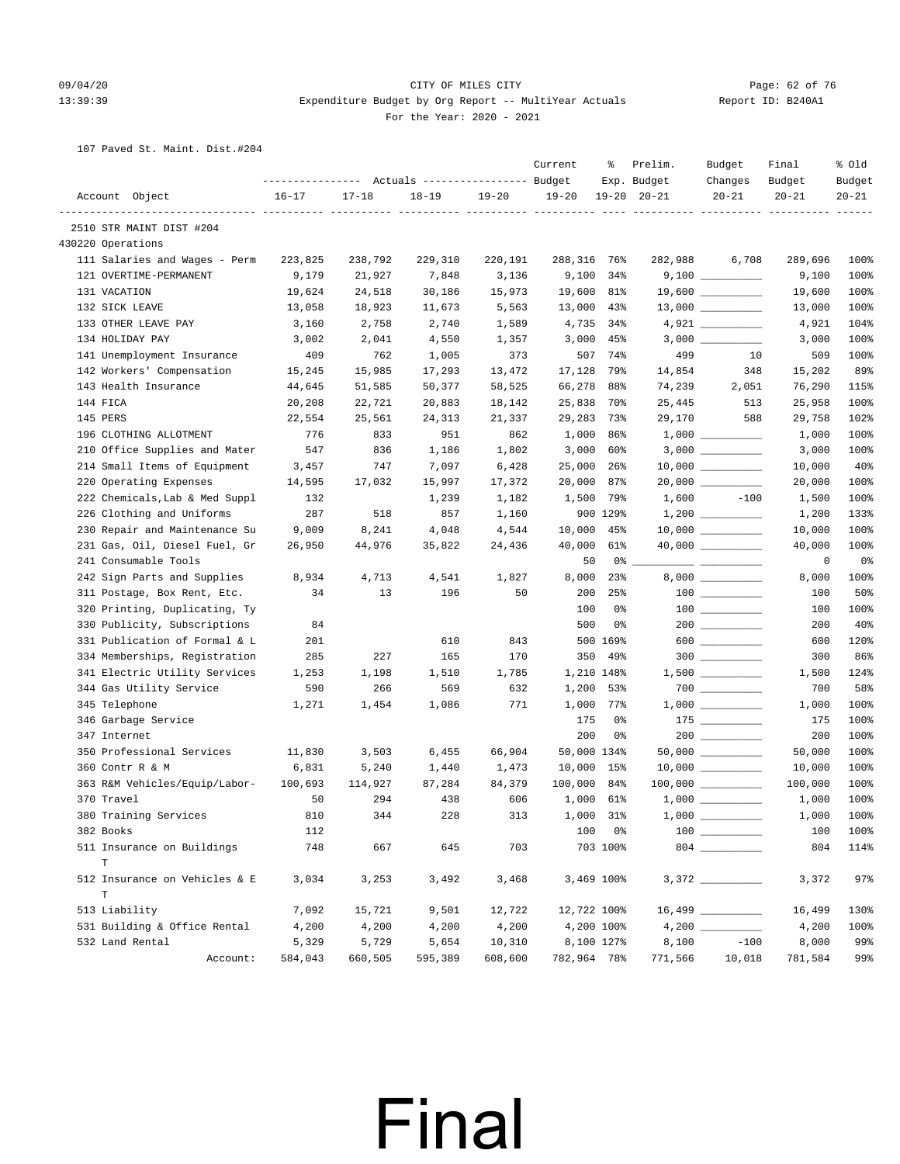#### 09/04/20 Page: 62 of 76 CITY OF MILES CITY CONTROL CONTROL PAGE: 62 of 76 13:39:39 Expenditure Budget by Org Report -- MultiYear Actuals Report ID: B240A1 For the Year: 2020 - 2021

107 Paved St. Maint. Dist.#204

|                                | ---------------- |           | Actuals ----------------- Budget |           | Current     | ႜ           | Prelim.<br>Exp. Budget | Budget<br>Changes                                                                                                                                                                                                                                                                                                                                                           | Final<br>Budget | % old<br>Budget |
|--------------------------------|------------------|-----------|----------------------------------|-----------|-------------|-------------|------------------------|-----------------------------------------------------------------------------------------------------------------------------------------------------------------------------------------------------------------------------------------------------------------------------------------------------------------------------------------------------------------------------|-----------------|-----------------|
| Account Object                 | $16 - 17$        | $17 - 18$ | $18 - 19$                        | $19 - 20$ | $19 - 20$   |             | $19 - 20$ $20 - 21$    | $20 - 21$                                                                                                                                                                                                                                                                                                                                                                   | $20 - 21$       | $20 - 21$       |
| 2510 STR MAINT DIST #204       |                  |           |                                  |           |             |             |                        |                                                                                                                                                                                                                                                                                                                                                                             |                 |                 |
| 430220 Operations              |                  |           |                                  |           |             |             |                        |                                                                                                                                                                                                                                                                                                                                                                             |                 |                 |
| 111 Salaries and Wages - Perm  | 223,825          | 238,792   | 229,310                          | 220,191   | 288,316 76% |             | 282,988                | 6,708                                                                                                                                                                                                                                                                                                                                                                       | 289,696         | 100%            |
| 121 OVERTIME-PERMANENT         | 9,179            | 21,927    | 7,848                            | 3,136     | 9,100       | 34%         |                        |                                                                                                                                                                                                                                                                                                                                                                             | 9,100           | 100%            |
| 131 VACATION                   | 19,624           | 24,518    | 30,186                           | 15,973    | 19,600      | 81%         |                        |                                                                                                                                                                                                                                                                                                                                                                             | 19,600          | 100%            |
| 132 SICK LEAVE                 | 13,058           | 18,923    | 11,673                           | 5,563     | 13,000      | 43%         |                        |                                                                                                                                                                                                                                                                                                                                                                             | 13,000          | 100%            |
| 133 OTHER LEAVE PAY            | 3,160            | 2,758     | 2,740                            | 1,589     | 4,735       | 34%         |                        | 4,921 _________                                                                                                                                                                                                                                                                                                                                                             | 4,921           | 104%            |
| 134 HOLIDAY PAY                | 3,002            | 2,041     | 4,550                            | 1,357     |             | $3,000$ 45% |                        |                                                                                                                                                                                                                                                                                                                                                                             | 3,000           | 100%            |
| 141 Unemployment Insurance     | 409              | 762       | 1,005                            | 373       | 507         | 74%         | 499                    | 10                                                                                                                                                                                                                                                                                                                                                                          | 509             | 100%            |
| 142 Workers' Compensation      | 15,245           | 15,985    | 17,293                           | 13,472    | 17,128      | 79%         | 14,854                 | 348                                                                                                                                                                                                                                                                                                                                                                         | 15,202          | 89%             |
| 143 Health Insurance           | 44,645           | 51,585    | 50,377                           | 58,525    | 66,278      | 88%         | 74,239                 | 2,051                                                                                                                                                                                                                                                                                                                                                                       | 76,290          | 115%            |
| 144 FICA                       | 20,208           | 22,721    | 20,883                           | 18,142    | 25,838      | 70%         | 25,445                 | 513                                                                                                                                                                                                                                                                                                                                                                         | 25,958          | 100%            |
| 145 PERS                       | 22,554           | 25,561    | 24,313                           | 21,337    | 29,283      | 73%         | 29,170                 | 588                                                                                                                                                                                                                                                                                                                                                                         | 29,758          | 102%            |
| 196 CLOTHING ALLOTMENT         | 776              | 833       | 951                              | 862       | 1,000       | 86%         |                        |                                                                                                                                                                                                                                                                                                                                                                             | 1,000           | 100%            |
| 210 Office Supplies and Mater  | 547              | 836       | 1,186                            | 1,802     | 3,000       | 60%         |                        |                                                                                                                                                                                                                                                                                                                                                                             | 3,000           | 100%            |
| 214 Small Items of Equipment   | 3,457            | 747       | 7,097                            | 6,428     | 25,000      | 26%         |                        |                                                                                                                                                                                                                                                                                                                                                                             | 10,000          | 40%             |
| 220 Operating Expenses         | 14,595           | 17,032    | 15,997                           | 17,372    | 20,000      | 87%         |                        | 20,000 __________                                                                                                                                                                                                                                                                                                                                                           | 20,000          | 100%            |
| 222 Chemicals, Lab & Med Suppl | 132              |           | 1,239                            | 1,182     | 1,500       | 79%         | 1,600                  | $-100$                                                                                                                                                                                                                                                                                                                                                                      | 1,500           | 100%            |
| 226 Clothing and Uniforms      | 287              | 518       | 857                              | 1,160     |             | 900 129%    |                        |                                                                                                                                                                                                                                                                                                                                                                             | 1,200           | 133%            |
| 230 Repair and Maintenance Su  | 9,009            | 8,241     | 4,048                            | 4,544     | 10,000      | 45%         |                        |                                                                                                                                                                                                                                                                                                                                                                             | 10,000          | 100%            |
| 231 Gas, Oil, Diesel Fuel, Gr  | 26,950           | 44,976    | 35,822                           | 24,436    | 40,000      | 61%         |                        |                                                                                                                                                                                                                                                                                                                                                                             | 40,000          | 100%            |
| 241 Consumable Tools           |                  |           |                                  |           | 50          |             |                        |                                                                                                                                                                                                                                                                                                                                                                             | 0               | 0%              |
| 242 Sign Parts and Supplies    | 8,934            | 4,713     | 4,541                            | 1,827     | 8,000       | 23%         |                        |                                                                                                                                                                                                                                                                                                                                                                             | 8,000           | 100%            |
| 311 Postage, Box Rent, Etc.    | 34               | 13        | 196                              | 50        | 200         | 25%         |                        |                                                                                                                                                                                                                                                                                                                                                                             | 100             | 50%             |
| 320 Printing, Duplicating, Ty  |                  |           |                                  |           | 100         | 0%          |                        |                                                                                                                                                                                                                                                                                                                                                                             | 100             | 100%            |
| 330 Publicity, Subscriptions   | 84               |           |                                  |           | 500         | 0%          |                        |                                                                                                                                                                                                                                                                                                                                                                             | 200             | 40%             |
| 331 Publication of Formal & L  | 201              |           | 610                              | 843       |             | 500 169%    |                        | $\begin{picture}(0,0) \put(0,0){\vector(0,0){100}} \put(1,0){\vector(0,0){100}} \put(1,0){\vector(0,0){100}} \put(1,0){\vector(0,0){100}} \put(1,0){\vector(0,0){100}} \put(1,0){\vector(0,0){100}} \put(1,0){\vector(0,0){100}} \put(1,0){\vector(0,0){100}} \put(1,0){\vector(0,0){100}} \put(1,0){\vector(0,0){100}} \put(1,0){\vector(0,0){100}} \put(1,0){\vector(0,0$ | 600             | 120%            |
| 334 Memberships, Registration  | 285              | 227       | 165                              | 170       | 350         | 49%         |                        | $300$                                                                                                                                                                                                                                                                                                                                                                       | 300             | 86%             |
| 341 Electric Utility Services  | 1,253            | 1,198     | 1,510                            | 1,785     |             | 1,210 148%  |                        |                                                                                                                                                                                                                                                                                                                                                                             | 1,500           | 124%            |
| 344 Gas Utility Service        | 590              | 266       | 569                              | 632       | 1,200       | 53%         |                        |                                                                                                                                                                                                                                                                                                                                                                             | 700             | 58%             |
| 345 Telephone                  | 1,271            | 1,454     | 1,086                            | 771       | 1,000       | 77%         |                        |                                                                                                                                                                                                                                                                                                                                                                             | 1,000           | 100%            |
| 346 Garbage Service            |                  |           |                                  |           | 175         | 0%          |                        | $175$                                                                                                                                                                                                                                                                                                                                                                       | 175             | 100%            |
| 347 Internet                   |                  |           |                                  |           | 200         | 0%          |                        |                                                                                                                                                                                                                                                                                                                                                                             | 200             | 100%            |
| 350 Professional Services      | 11,830           | 3,503     | 6,455                            | 66,904    | 50,000 134% |             |                        | $50,000$ __________                                                                                                                                                                                                                                                                                                                                                         | 50,000          | 100%            |
| 360 Contr R & M                | 6,831            | 5,240     | 1,440                            | 1,473     | 10,000      | 15%         |                        | $10,000$ _________                                                                                                                                                                                                                                                                                                                                                          | 10,000          | 100%            |
| 363 R&M Vehicles/Equip/Labor-  | 100,693          | 114,927   | 87,284                           | 84,379    | 100,000     | 84%         |                        | $100,000$ _________                                                                                                                                                                                                                                                                                                                                                         | 100,000         | 100%            |
| 370 Travel                     | 50               | 294       | 438                              | 606       |             | 1,000 61%   |                        |                                                                                                                                                                                                                                                                                                                                                                             | 1,000           | 100%            |
| 380 Training Services          | 810              | 344       | 228                              | 313       |             | 1,000 31%   |                        |                                                                                                                                                                                                                                                                                                                                                                             | 1,000           | 100%            |
| 382 Books                      | 112              |           |                                  |           |             | 100 0%      |                        |                                                                                                                                                                                                                                                                                                                                                                             | 100             | 100%            |
| 511 Insurance on Buildings     | 748              | 667       | 645                              | 703       |             | 703 100%    |                        |                                                                                                                                                                                                                                                                                                                                                                             | 804             | 114%            |
| $\mathbf T$                    |                  |           |                                  |           |             |             |                        |                                                                                                                                                                                                                                                                                                                                                                             |                 |                 |
| 512 Insurance on Vehicles & E  | 3,034            | 3,253     | 3,492                            | 3,468     |             | 3,469 100%  |                        |                                                                                                                                                                                                                                                                                                                                                                             | 3,372           | 97%             |
| $\mathbf T$                    |                  |           |                                  |           |             |             |                        |                                                                                                                                                                                                                                                                                                                                                                             |                 |                 |
| 513 Liability                  | 7,092            | 15,721    | 9,501                            | 12,722    | 12,722 100% |             |                        |                                                                                                                                                                                                                                                                                                                                                                             | 16,499          | 130%            |
| 531 Building & Office Rental   | 4,200            | 4,200     | 4,200                            | 4,200     |             | 4,200 100%  |                        |                                                                                                                                                                                                                                                                                                                                                                             | 4,200           | 100%            |
| 532 Land Rental                | 5,329            | 5,729     | 5,654                            | 10,310    |             | 8,100 127%  | 8,100                  | $-100$                                                                                                                                                                                                                                                                                                                                                                      | 8,000           | 99%             |
| Account:                       | 584,043          | 660,505   | 595,389                          | 608,600   | 782,964 78% |             | 771,566                | 10,018                                                                                                                                                                                                                                                                                                                                                                      | 781,584         | 99%             |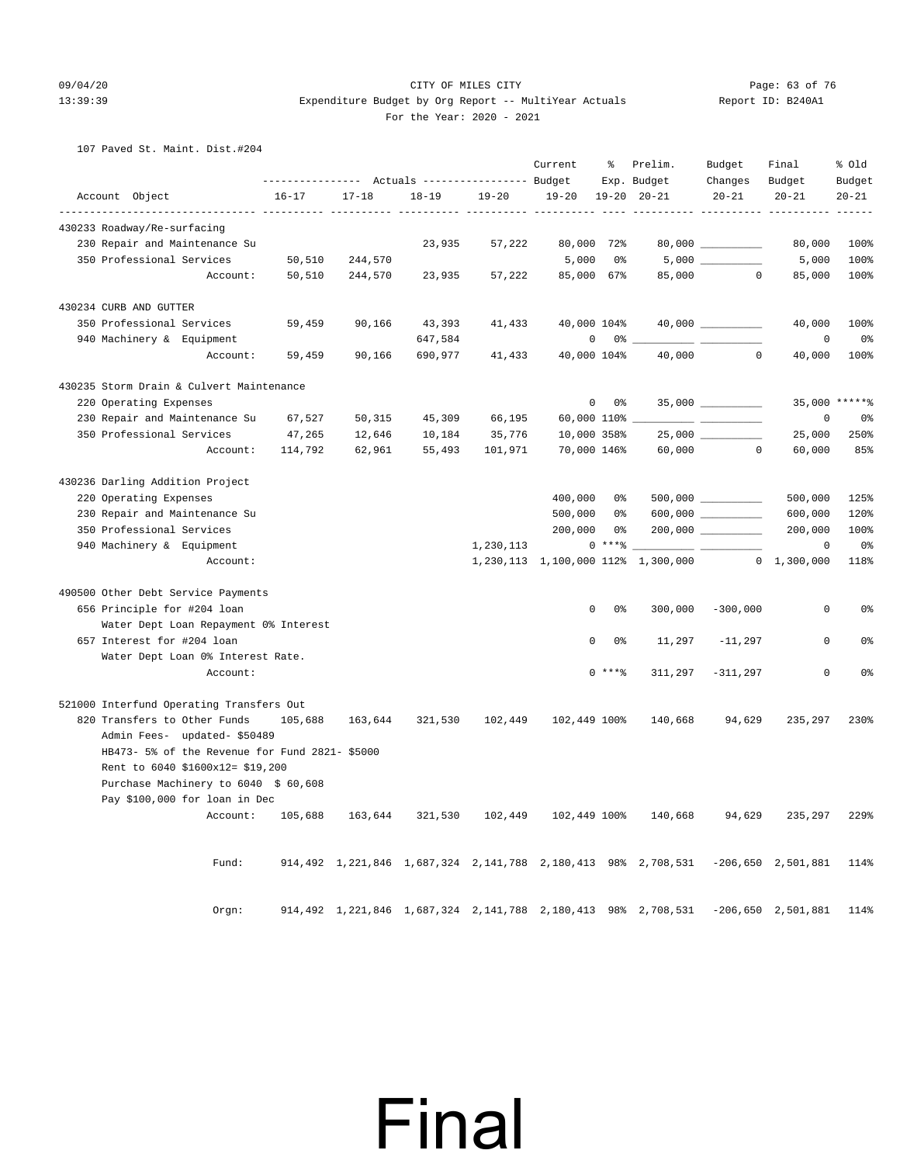#### 09/04/20 Page: 63 of 76 CITY OF MILES CITY CONTROL CONTROL PAGE: 63 of 76 13:39:39 Expenditure Budget by Org Report -- MultiYear Actuals Report ID: B240A1 For the Year: 2020 - 2021

107 Paved St. Maint. Dist.#204

|                                                |           |                                                     |           |           | Current            | ိစ                            | Prelim.<br>Exp. Budget                                                           | Budget<br>Changes    | Final<br>Budget      | % old<br>Budget |
|------------------------------------------------|-----------|-----------------------------------------------------|-----------|-----------|--------------------|-------------------------------|----------------------------------------------------------------------------------|----------------------|----------------------|-----------------|
| Account Object                                 | $16 - 17$ | $17 - 18$                                           | $18 - 19$ | $19 - 20$ | $19 - 20$          |                               | $19 - 20$ $20 - 21$                                                              | $20 - 21$            | $20 - 21$            | $20 - 21$       |
| 430233 Roadway/Re-surfacing                    |           |                                                     |           |           | $- - - - -$        |                               |                                                                                  |                      | ______ __________    | $- - - - -$     |
| 230 Repair and Maintenance Su                  |           |                                                     | 23,935    | 57,222    | 80,000             | 72%                           |                                                                                  | 80,000               | 80,000               | 100%            |
| 350 Professional Services                      | 50,510    | 244,570                                             |           |           | 5,000              | 0%                            |                                                                                  |                      | 5,000                | 100%            |
| Account:                                       | 50,510    | 244,570                                             | 23,935    | 57,222    | 85,000 67%         |                               | 85,000                                                                           | $\Omega$             | 85,000               | 100%            |
| 430234 CURB AND GUTTER                         |           |                                                     |           |           |                    |                               |                                                                                  |                      |                      |                 |
| 350 Professional Services                      | 59,459    | 90,166                                              | 43,393    | 41,433    | 40,000 104%        |                               |                                                                                  | $40,000$ __________  | 40,000               | 100%            |
| 940 Machinery & Equipment                      |           |                                                     | 647,584   |           |                    | 0<br>$0\degree$ $-$           |                                                                                  |                      | 0                    | 0 <sup>°</sup>  |
| Account:                                       | 59,459    | 90,166                                              | 690,977   | 41,433    |                    | 40,000 104%                   | 40,000                                                                           | $\circ$              | 40,000               | 100%            |
| 430235 Storm Drain & Culvert Maintenance       |           |                                                     |           |           |                    |                               |                                                                                  |                      |                      |                 |
| 220 Operating Expenses                         |           |                                                     |           |           |                    | 0<br>0%                       |                                                                                  | $35,000$ _________   |                      | 35,000 ******   |
| 230 Repair and Maintenance Su                  | 67,527    | 50,315                                              | 45,309    | 66,195    | $60,000$ 110% $\_$ |                               |                                                                                  | $ -$                 | 0                    | 0 <sup>8</sup>  |
| 350 Professional Services                      | 47,265    | 12,646                                              | 10,184    | 35,776    | 10,000 358%        |                               |                                                                                  | 25,000 __________    | 25,000               | 250%            |
| Account:                                       | 114,792   | 62,961                                              | 55,493    | 101,971   | 70,000 146%        |                               | 60,000                                                                           | $\Omega$             | 60,000               | 85%             |
| 430236 Darling Addition Project                |           |                                                     |           |           |                    |                               |                                                                                  |                      |                      |                 |
| 220 Operating Expenses                         |           |                                                     |           |           | 400,000            | 0%                            |                                                                                  |                      | 500,000              | 125%            |
| 230 Repair and Maintenance Su                  |           |                                                     |           |           | 500,000            | 0 %                           |                                                                                  |                      | 600,000              | 120%            |
| 350 Professional Services                      |           |                                                     |           |           | 200,000            | 0%                            |                                                                                  | $200,000$ __________ | 200,000              | 100%            |
| 940 Machinery & Equipment                      |           |                                                     |           | 1,230,113 |                    | $0***8$                       |                                                                                  |                      | 0                    | 0%              |
| Account:                                       |           |                                                     |           |           |                    |                               | 1,230,113 1,100,000 112% 1,300,000                                               |                      | $0 \quad 1,300,000$  | 118%            |
| 490500 Other Debt Service Payments             |           |                                                     |           |           |                    |                               |                                                                                  |                      |                      |                 |
| 656 Principle for #204 loan                    |           |                                                     |           |           |                    | 0<br>0%                       | 300,000                                                                          | $-300,000$           | 0                    | 0%              |
| Water Dept Loan Repayment 0% Interest          |           |                                                     |           |           |                    |                               |                                                                                  |                      |                      |                 |
| 657 Interest for #204 loan                     |           |                                                     |           |           |                    | $\mathbf 0$<br>0 <sup>°</sup> | 11,297                                                                           | $-11,297$            | $\mathbf 0$          | 0 <sup>°</sup>  |
| Water Dept Loan 0% Interest Rate.              |           |                                                     |           |           |                    |                               |                                                                                  |                      |                      |                 |
| Account:                                       |           |                                                     |           |           |                    | $0***8$                       | 311,297                                                                          | $-311,297$           | 0                    | 0%              |
| 521000 Interfund Operating Transfers Out       |           |                                                     |           |           |                    |                               |                                                                                  |                      |                      |                 |
| 820 Transfers to Other Funds                   | 105,688   | 163,644                                             | 321,530   | 102,449   | 102,449 100%       |                               | 140,668                                                                          | 94,629               | 235,297              | 230%            |
| Admin Fees- updated- \$50489                   |           |                                                     |           |           |                    |                               |                                                                                  |                      |                      |                 |
| HB473- 5% of the Revenue for Fund 2821- \$5000 |           |                                                     |           |           |                    |                               |                                                                                  |                      |                      |                 |
| Rent to 6040 \$1600x12= \$19,200               |           |                                                     |           |           |                    |                               |                                                                                  |                      |                      |                 |
| Purchase Machinery to 6040 \$ 60,608           |           |                                                     |           |           |                    |                               |                                                                                  |                      |                      |                 |
| Pay \$100,000 for loan in Dec                  |           |                                                     |           |           |                    |                               |                                                                                  |                      |                      |                 |
| Account:                                       | 105,688   | 163,644                                             | 321,530   | 102,449   | 102,449 100%       |                               | 140,668                                                                          | 94,629               | 235,297              | 229%            |
|                                                |           |                                                     |           |           |                    |                               |                                                                                  |                      |                      |                 |
| Fund:                                          |           |                                                     |           |           |                    |                               | 914,492 1,221,846 1,687,324 2,141,788 2,180,413 98% 2,708,531 -206,650 2,501,881 |                      |                      | 114%            |
|                                                |           |                                                     |           |           |                    |                               |                                                                                  |                      |                      |                 |
| Orgn:                                          |           | 914,492 1,221,846 1,687,324 2,141,788 2,180,413 98% |           |           |                    |                               | 2,708,531                                                                        |                      | $-206,650$ 2,501,881 | 114%            |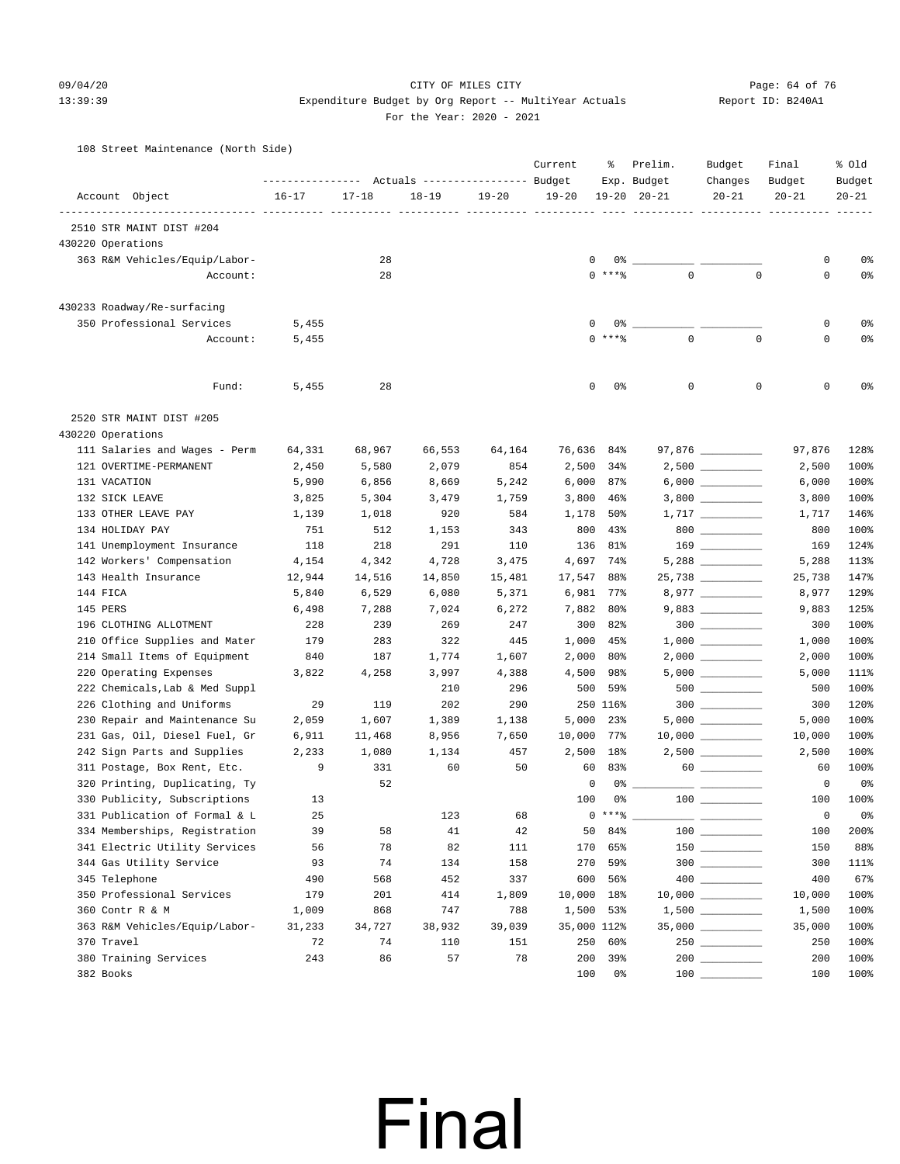#### 09/04/20 Page: 64 of 76 CITY OF MILES CITY CONTROL CONTROL PAGE: 64 of 76

### 13:39:39 Expenditure Budget by Org Report -- MultiYear Actuals Report ID: B240A1 For the Year: 2020 - 2021

108 Street Maintenance (North Side)

|                     |                                |           |           | Actuals ----------------- Budget |           | Current     | ႜ         | Prelim.<br>Exp. Budget | Budget<br>Changes                                                                                               | Final<br>Budget | % old<br>Budget |
|---------------------|--------------------------------|-----------|-----------|----------------------------------|-----------|-------------|-----------|------------------------|-----------------------------------------------------------------------------------------------------------------|-----------------|-----------------|
| Account Object      |                                | $16 - 17$ | $17 - 18$ | $18 - 19$                        | $19 - 20$ | $19 - 20$   |           | $19 - 20$ $20 - 21$    | $20 - 21$                                                                                                       | $20 - 21$       | $20 - 21$       |
|                     | 2510 STR MAINT DIST #204       |           |           |                                  |           |             |           |                        |                                                                                                                 |                 |                 |
| 430220 Operations   |                                |           |           |                                  |           |             |           |                        |                                                                                                                 |                 |                 |
|                     | 363 R&M Vehicles/Equip/Labor-  |           | 28        |                                  |           | 0           | 0%        |                        |                                                                                                                 | 0               | 0%              |
|                     | Account:                       |           | 28        |                                  |           |             | $0$ ****  | $\Omega$               | $\Omega$                                                                                                        | 0               | 0%              |
|                     | 430233 Roadway/Re-surfacing    |           |           |                                  |           |             |           |                        |                                                                                                                 |                 |                 |
|                     | 350 Professional Services      | 5,455     |           |                                  |           | 0           | 0%        |                        |                                                                                                                 | 0               | 0%              |
|                     | Account:                       | 5,455     |           |                                  |           |             | $0$ ****  | $\mathbf 0$            | $\mathbf 0$                                                                                                     | $\mathbf 0$     | 0%              |
|                     | Fund:                          | 5,455     | 28        |                                  |           | 0           | 0%        | 0                      | 0                                                                                                               | 0               | 0%              |
|                     | 2520 STR MAINT DIST #205       |           |           |                                  |           |             |           |                        |                                                                                                                 |                 |                 |
| 430220 Operations   |                                |           |           |                                  |           |             |           |                        |                                                                                                                 |                 |                 |
|                     | 111 Salaries and Wages - Perm  | 64,331    | 68,967    | 66,553                           | 64,164    | 76,636 84%  |           |                        | 97,876 __________                                                                                               | 97,876          | 128%            |
|                     | 121 OVERTIME-PERMANENT         | 2,450     | 5,580     | 2,079                            | 854       | 2,500       | 34%       |                        |                                                                                                                 | 2,500           | 100%            |
| 131 VACATION        |                                | 5,990     | 6,856     | 8,669                            | 5,242     | 6,000       | 87%       |                        |                                                                                                                 | 6,000           | 100%            |
| 132 SICK LEAVE      |                                | 3,825     | 5,304     | 3,479                            | 1,759     | 3,800       | 46%       |                        |                                                                                                                 | 3,800           | 100%            |
| 133 OTHER LEAVE PAY |                                | 1,139     | 1,018     | 920                              | 584       | 1,178       | 50%       |                        |                                                                                                                 | 1,717           | 146%            |
| 134 HOLIDAY PAY     |                                | 751       | 512       | 1,153                            | 343       | 800         | 43%       |                        | $800$                                                                                                           | 800             | 100%            |
|                     | 141 Unemployment Insurance     | 118       | 218       | 291                              | 110       | 136         | 81%       |                        |                                                                                                                 | 169             | 124%            |
|                     | 142 Workers' Compensation      | 4,154     | 4,342     | 4,728                            | 3,475     | 4,697       | 74%       |                        |                                                                                                                 | 5,288           | 113%            |
|                     | 143 Health Insurance           | 12,944    | 14,516    | 14,850                           | 15,481    | 17,547      | 88%       |                        | 25,738                                                                                                          | 25,738          | 147%            |
| 144 FICA            |                                | 5,840     | 6,529     | 6,080                            | 5,371     |             | 6,981 77% |                        | 8,977 _________                                                                                                 | 8,977           | 129%            |
| 145 PERS            |                                | 6,498     | 7,288     | 7,024                            | 6,272     | 7,882       | 80%       |                        | 9,883 ___________                                                                                               | 9,883           | 125%            |
|                     | 196 CLOTHING ALLOTMENT         | 228       | 239       | 269                              | 247       | 300         | 82%       |                        |                                                                                                                 | 300             | 100%            |
|                     | 210 Office Supplies and Mater  | 179       | 283       | 322                              | 445       | 1,000       | 45%       |                        |                                                                                                                 | 1,000           | 100%            |
|                     | 214 Small Items of Equipment   | 840       | 187       | 1,774                            | 1,607     | 2,000       | 80%       |                        | $2,000$ _________                                                                                               | 2,000           | 100%            |
|                     | 220 Operating Expenses         | 3,822     | 4,258     | 3,997                            | 4,388     | 4,500       | 98%       |                        |                                                                                                                 | 5,000           | 111%            |
|                     | 222 Chemicals, Lab & Med Suppl |           |           | 210                              | 296       | 500         | 59%       |                        | $500$ __________                                                                                                | 500             | 100%            |
|                     | 226 Clothing and Uniforms      | 29        | 119       | 202                              | 290       |             | 250 116%  |                        |                                                                                                                 | 300             | 120%            |
|                     | 230 Repair and Maintenance Su  | 2,059     | 1,607     | 1,389                            | 1,138     | 5,000       | 23%       |                        | $5,000$                                                                                                         | 5,000           | 100%            |
|                     | 231 Gas, Oil, Diesel Fuel, Gr  | 6,911     | 11,468    | 8,956                            | 7,650     | 10,000      | 77%       |                        |                                                                                                                 | 10,000          | 100%            |
|                     | 242 Sign Parts and Supplies    | 2,233     | 1,080     | 1,134                            | 457       | 2,500       | 18%       |                        |                                                                                                                 | 2,500           | 100%            |
|                     | 311 Postage, Box Rent, Etc.    | 9         | 331       | 60                               | 50        | 60          | 83%       |                        |                                                                                                                 | 60              | 100%            |
|                     | 320 Printing, Duplicating, Ty  |           | 52        |                                  |           | 0           | 0%        |                        | <u> Listo de la contenentación de la contenentación de la contenentación de la contenentación de la contene</u> | 0               | 0%              |
|                     | 330 Publicity, Subscriptions   | 13        |           |                                  |           | 100         | 0%        |                        |                                                                                                                 | 100             | 100%            |
|                     | 331 Publication of Formal & L  | 25        |           | 123                              | 68        |             | 0 ****    |                        |                                                                                                                 | 0               | 0 %             |
|                     | 334 Memberships, Registration  | 39        | 58        | 41                               | 42        | 50          | 84%       |                        | $\begin{array}{c} 100 \\ - \end{array}$                                                                         | 100             | 200%            |
|                     | 341 Electric Utility Services  | 56        | 78        | 82                               | 111       | 170         | 65%       |                        | $\begin{tabular}{c} 150 \end{tabular}$                                                                          | 150             | 88%             |
|                     | 344 Gas Utility Service        | 93        | 74        | 134                              | 158       | 270         | 59%       |                        | $300$                                                                                                           | 300             | 111%            |
| 345 Telephone       |                                | 490       | 568       | 452                              | 337       | 600         | 56%       |                        |                                                                                                                 | 400             | 67%             |
|                     | 350 Professional Services      | 179       | 201       | 414                              | 1,809     | 10,000      | 18%       |                        | $10,000$ _________                                                                                              | 10,000          | 100%            |
| 360 Contr R & M     |                                | 1,009     | 868       | 747                              | 788       |             | 1,500 53% |                        |                                                                                                                 | 1,500           | 100%            |
|                     | 363 R&M Vehicles/Equip/Labor-  | 31,233    | 34,727    | 38,932                           | 39,039    | 35,000 112% |           |                        | 35,000 _________                                                                                                | 35,000          | 100%            |
| 370 Travel          |                                | 72        | 74        | 110                              | 151       | 250         | 60%       |                        |                                                                                                                 | 250             | 100%            |
|                     | 380 Training Services          | 243       | 86        | 57                               | 78        | 200         | 39%       |                        |                                                                                                                 | 200             | 100%            |
| 382 Books           |                                |           |           |                                  |           | 100         | 0%        |                        |                                                                                                                 | 100             | 100%            |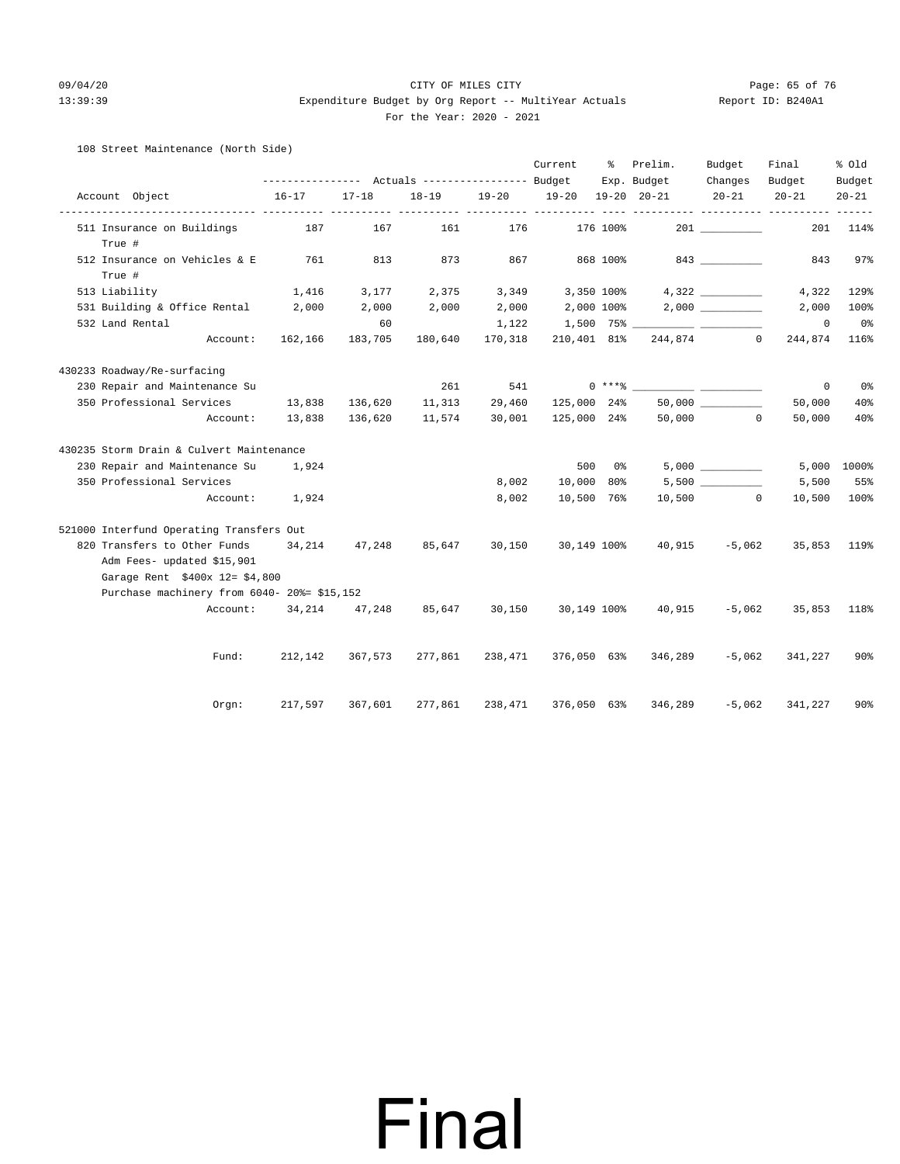#### 09/04/20 Page: 65 of 76 CITY OF MILES CITY CONTROL CONTROL PAGE: 65 of 76 13:39:39 Expenditure Budget by Org Report -- MultiYear Actuals Report ID: B240A1 For the Year: 2020 - 2021

#### 108 Street Maintenance (North Side)

|                                             |           |           |         |                 | Current                       | ိ        | Prelim.             | Budget                 | Final      | % Old           |
|---------------------------------------------|-----------|-----------|---------|-----------------|-------------------------------|----------|---------------------|------------------------|------------|-----------------|
|                                             |           |           |         |                 |                               |          | Exp. Budget         | Changes                | Budget     | Budget          |
| Account Object                              | $16 - 17$ | $17 - 18$ |         |                 | 18-19 19-20 19-20 19-20 20-21 |          |                     | $20 - 21$              | $20 - 21$  | $20 - 21$       |
| 511 Insurance on Buildings                  | 187       | 167       | 161     | 176             |                               | 176 100% |                     |                        | 201        | 114%            |
| True #                                      |           |           |         |                 |                               |          |                     |                        |            |                 |
| 512 Insurance on Vehicles & E               | 761       | 813       | 873     | 867             |                               | 868 100% |                     | 843                    | 843        | 97%             |
| True #                                      |           |           |         |                 |                               |          |                     |                        |            |                 |
| 513 Liability                               | 1,416     | 3,177     | 2,375   | 3,349           | 3,350 100%                    |          |                     | 4,322                  | 4,322      | 129%            |
| 531 Building & Office Rental 2,000          |           | 2,000     | 2,000   | 2,000           | 2,000 100%                    |          |                     |                        | 2,000      | 100%            |
| 532 Land Rental                             |           | 60        |         | 1,122           |                               |          |                     |                        | $^{\circ}$ | $0\,$ s         |
| Account:                                    | 162,166   | 183,705   | 180,640 | 170,318         |                               |          | 210,401 81% 244,874 | $\circ$                | 244,874    | 116%            |
| 430233 Roadway/Re-surfacing                 |           |           |         |                 |                               |          |                     |                        |            |                 |
| 230 Repair and Maintenance Su               |           |           | 261     | 541             |                               |          |                     |                        | $\circ$    | 0%              |
| 350 Professional Services                   | 13,838    | 136,620   | 11,313  | 29,460          | 125,000 24%                   |          |                     | $50,000$ __________    | 50,000     | 40%             |
| Account:                                    | 13,838    | 136,620   | 11,574  | 30,001          | 125,000 24%                   |          |                     | 50,000 0               | 50,000     | 40%             |
| 430235 Storm Drain & Culvert Maintenance    |           |           |         |                 |                               |          |                     |                        |            |                 |
| 230 Repair and Maintenance Su               | 1,924     |           |         |                 | 500                           | 0%       |                     | 5,000                  |            | 5,000 1000%     |
| 350 Professional Services                   |           |           |         | 8,002           | 10,000                        | $80\%$   |                     | 5,500                  | 5,500      | 55%             |
| Account:                                    | 1,924     |           |         | 8,002           | 10,500 76%                    |          |                     | 10,500<br>$\mathbf{0}$ | 10,500     | 100%            |
| 521000 Interfund Operating Transfers Out    |           |           |         |                 |                               |          |                     |                        |            |                 |
| 820 Transfers to Other Funds 34,214         |           | 47,248    | 85,647  | 30,150          | 30,149 100%                   |          | 40,915              | $-5,062$               | 35,853     | 119%            |
| Adm Fees- updated \$15,901                  |           |           |         |                 |                               |          |                     |                        |            |                 |
| Garage Rent \$400x 12= \$4,800              |           |           |         |                 |                               |          |                     |                        |            |                 |
| Purchase machinery from 6040- 20%= \$15,152 |           |           |         |                 |                               |          |                     |                        |            |                 |
| Account:                                    | 34,214    | 47,248    | 85,647  | 30,150          | 30,149 100%                   |          | 40,915              | $-5,062$               | 35,853     | 118%            |
|                                             |           |           |         |                 |                               |          |                     |                        |            |                 |
| Fund:                                       | 212,142   | 367,573   |         | 277,861 238,471 | 376,050 63%                   |          | 346,289             | $-5,062$               | 341,227    | $90\%$          |
| Orgn:                                       | 217,597   | 367,601   | 277,861 | 238,471         | 376,050 63%                   |          | 346,289             | $-5,062$               | 341,227    | 90 <sup>8</sup> |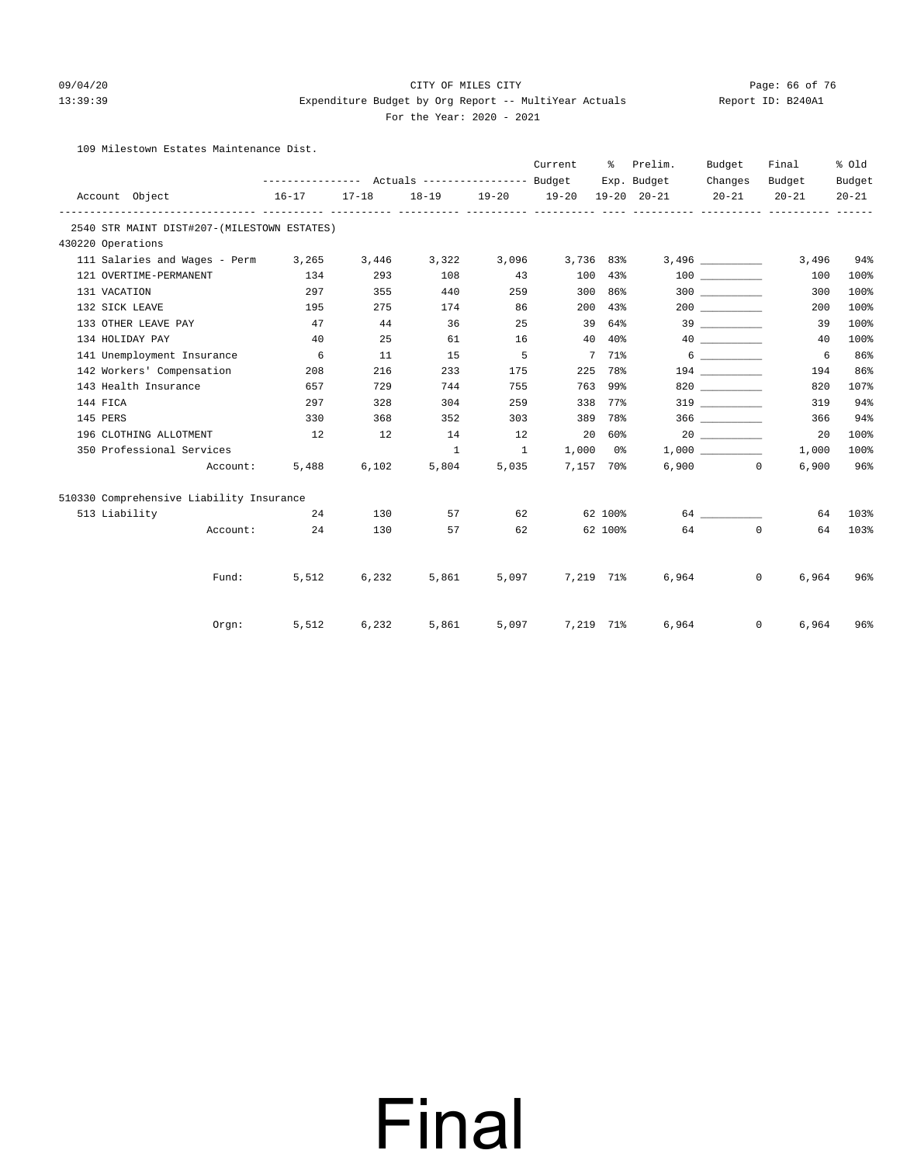### 09/04/20 Page: 66 of 76 CITY OF MILES CITY

13:39:39 Expenditure Budget by Org Report -- MultiYear Actuals Report ID: B240A1

### For the Year: 2020 - 2021

109 Milestown Estates Maintenance Dist.

|                                             |                   |           |                |              | Current                       | ႜႜၟ     | Prelim.     | Budget          | Final                      | % Old     |
|---------------------------------------------|-------------------|-----------|----------------|--------------|-------------------------------|---------|-------------|-----------------|----------------------------|-----------|
|                                             |                   |           |                |              |                               |         | Exp. Budget | Changes         | Budget                     | Budget    |
| Account Object                              | $16 - 17$         | $17 - 18$ |                |              | 18-19 19-20 19-20 19-20 20-21 |         |             | $20 - 21$       | $20 - 21$                  | $20 - 21$ |
| 2540 STR MAINT DIST#207-(MILESTOWN ESTATES) |                   |           |                |              |                               |         |             |                 |                            |           |
| 430220 Operations                           |                   |           |                |              |                               |         |             |                 |                            |           |
| 111 Salaries and Wages - Perm 3,265         |                   |           | 3,446 3,322    |              | $3,096$ $3,736$ $83\%$        |         |             |                 | 3,496                      | 94%       |
| 121 OVERTIME-PERMANENT                      | 134               | 293       | 108            | 43           |                               | 100 43% |             | 100 000         | 100                        | 100%      |
| 131 VACATION                                | 297               | 355       | 440            | 259          |                               | 300 86% |             |                 | 300                        | 100%      |
| 132 SICK LEAVE                              | 195               | 275       | 174            | 86           |                               | 200 43% |             |                 | 200                        | 100%      |
| 133 OTHER LEAVE PAY                         | 47                | 44        | 36             | 25           |                               | 39 64%  |             |                 | 39                         | 100%      |
| 134 HOLIDAY PAY                             | 40                | 25        | 61             | 16           |                               | 40 40%  |             | 40              | 40                         | 100%      |
| 141 Unemployment Insurance                  | 6                 | 11        | 15             | $5^{\circ}$  |                               | 7 71%   |             | $6\overline{6}$ | 6                          | 86%       |
| 142 Workers' Compensation                   | 208               | 216       | 233            | 175          |                               | 225 78% |             |                 | 194                        | 86%       |
| 143 Health Insurance                        | 657               | 729       | 744            | 755          |                               | 763 99% |             | 820 320         | 820                        | 107%      |
| 144 FICA                                    | 297               | 328       | 304            | 259          |                               | 338 77% |             | 319             | 319                        | 94%       |
| 145 PERS                                    | 330               | 368       | 352            | 303          |                               | 389 78% |             |                 | 366                        | 94%       |
| 196 CLOTHING ALLOTMENT                      | 12                | 12        | 14             | 12           | 20 60%                        |         |             |                 | 20                         | 100%      |
| 350 Professional Services                   |                   |           | $\overline{1}$ | $\sim$ 1     | $1,000$ $0\%$                 |         |             | 1,000           | 1,000                      | 100%      |
|                                             | Account:<br>5,488 | 6,102     | 5,804          | 5,035        | 7.157 70%                     |         |             | $6.900$ 0       | 6,900                      | 96%       |
| 510330 Comprehensive Liability Insurance    |                   |           |                |              |                               |         |             |                 |                            |           |
| 513 Liability                               | 24                | 130       |                | 57 8         | 62 6                          | 62 100% |             | 64 64 64 65     | 64                         | 103%      |
| Account:                                    | 24                | 130       |                | 62<br>57 — 1 |                               |         | 62 100%     | 64 0            | 64                         | 103%      |
|                                             |                   |           |                |              |                               |         |             |                 |                            |           |
| Fund:                                       | 5,512             | 6,232     | 5,861          |              | 5,097 7,219 71%               |         | 6,964       |                 | $\overline{0}$<br>6,964    | 96%       |
| Orqn:                                       | 5,512             | 6,232     | 5,861          |              | 5,097 7,219 71%               |         |             | 6,964           | $0 \qquad \qquad$<br>6,964 | 96%       |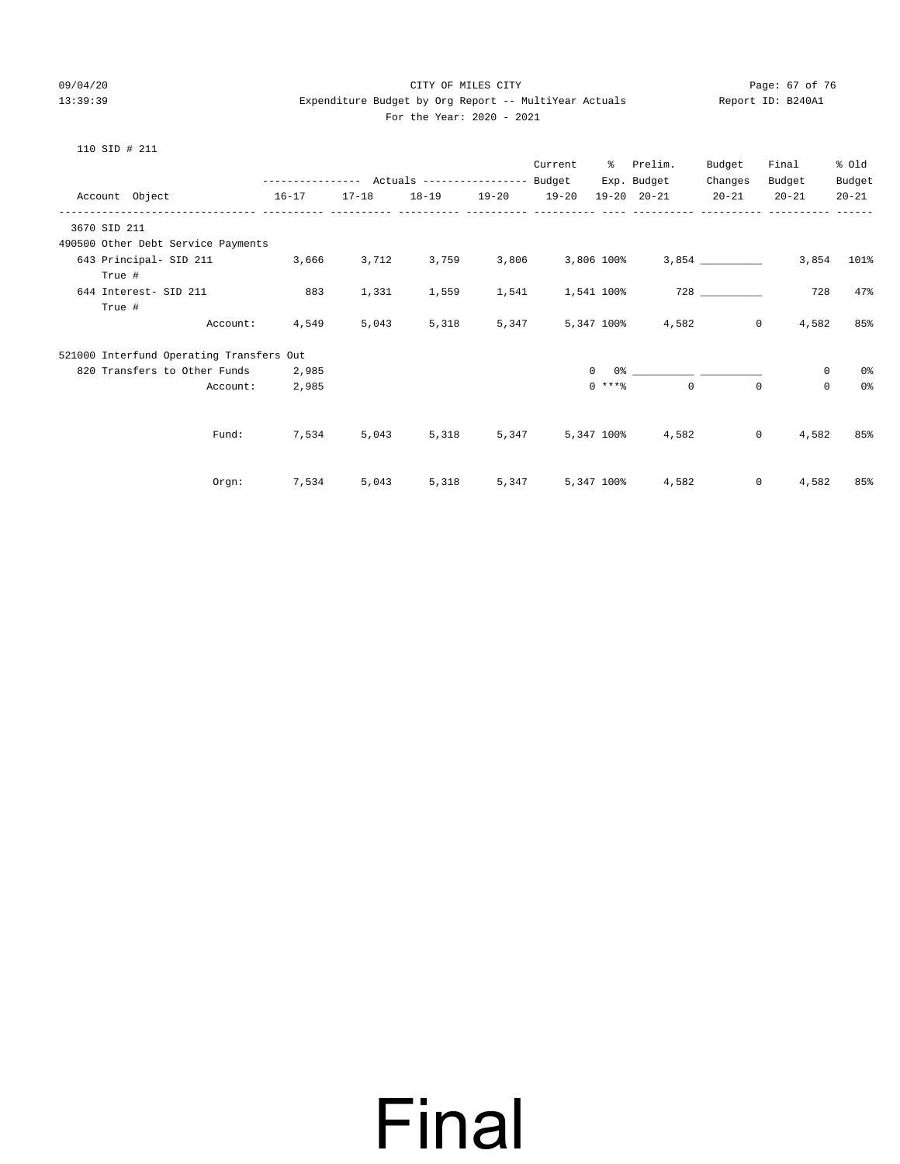#### 09/04/20 Page: 67 of 76 CITY OF MILES CITY CONTROL CITY PAGE: 67 of 76 13:39:39 Expenditure Budget by Org Report -- MultiYear Actuals Report ID: B240A1 For the Year: 2020 - 2021

| 110<br>STD |  | 211 |
|------------|--|-----|
|------------|--|-----|

|                       |                                          |       |           | ---------------    Actuals ----------------    Budget |                   | Current |              | % Prelim.<br>Exp. Budget | Budget<br>Changes | Final<br>Budget | % old<br>Budget |
|-----------------------|------------------------------------------|-------|-----------|-------------------------------------------------------|-------------------|---------|--------------|--------------------------|-------------------|-----------------|-----------------|
|                       | Account Object 16-17                     |       | $17 - 18$ |                                                       | 18-19 19-20 19-20 |         |              | 19-20 20-21 20-21        |                   | $20 - 21$       | $20 - 21$       |
| 3670 SID 211          |                                          |       |           |                                                       |                   |         |              |                          |                   |                 |                 |
|                       | 490500 Other Debt Service Payments       |       |           |                                                       |                   |         |              |                          |                   |                 |                 |
|                       | 643 Principal- SID 211 3,666 3,712       |       |           | 3,759                                                 | 3,806             |         |              |                          |                   | 3,854           | 101%            |
| True #                |                                          |       |           |                                                       |                   |         |              |                          |                   |                 |                 |
| 644 Interest- SID 211 |                                          | 883   | 1,331     | 1,559                                                 | 1,541             |         | 1,541 100%   |                          | 728 — 120         | 728             | 47%             |
| True #                |                                          |       |           |                                                       |                   |         |              |                          |                   |                 |                 |
|                       | Account:                                 | 4,549 | 5,043     | 5,318                                                 | 5,347             |         |              | 5,347 100% 4,582         | $\overline{0}$    | 4,582           | 85%             |
|                       | 521000 Interfund Operating Transfers Out |       |           |                                                       |                   |         |              |                          |                   |                 |                 |
|                       | 820 Transfers to Other Funds 2,985       |       |           |                                                       |                   |         | $\mathbf{0}$ |                          |                   | $\mathbf 0$     | 0 %             |
|                       | Account:                                 | 2,985 |           |                                                       |                   |         | $0$ ****     | $\circ$                  | $\circ$           | $\mathbf 0$     | 0%              |
|                       |                                          |       |           |                                                       |                   |         |              |                          |                   |                 |                 |
|                       | Fund:                                    | 7,534 | 5,043     | 5,318                                                 | 5,347             |         | 5,347 100%   |                          | 4,582<br>$\circ$  | 4,582           | 85%             |
|                       |                                          |       |           |                                                       |                   |         |              |                          |                   |                 |                 |
|                       | Orem:                                    | 7,534 | 5,043     | 5,318                                                 | 5,347             |         |              | 5,347 100% 4,582         | $\circ$           | 4,582           | 85%             |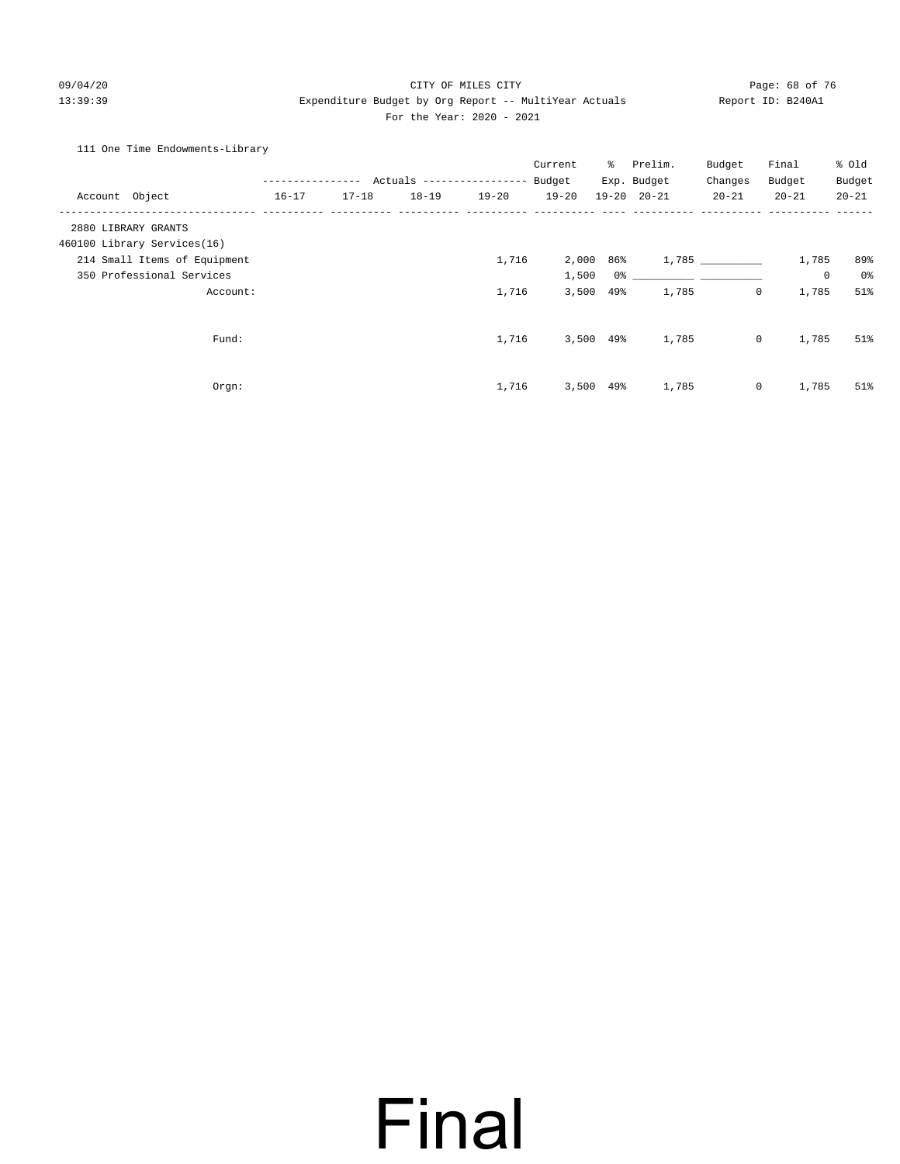#### 09/04/20 Page: 68 of 76 CITY OF MILES CITY 13:39:39 Expenditure Budget by Org Report -- MultiYear Actuals Report ID: B240A1 For the Year: 2020 - 2021

#### 111 One Time Endowments-Library

|                              |                  |           |           |                                  | Current   | ိ           | Prelim.             | Budget      | Final                 | % Old     |
|------------------------------|------------------|-----------|-----------|----------------------------------|-----------|-------------|---------------------|-------------|-----------------------|-----------|
|                              | ---------------- |           |           | Actuals ----------------- Budget |           |             | Exp. Budget         | Changes     | Budget                | Budget    |
| Account Object               | $16 - 17$        | $17 - 18$ | $18 - 19$ | $19 - 20$                        | $19 - 20$ |             | $19 - 20$ $20 - 21$ | $20 - 21$   | $20 - 21$             | $20 - 21$ |
| 2880 LIBRARY GRANTS          |                  |           |           |                                  |           |             |                     |             |                       |           |
| 460100 Library Services(16)  |                  |           |           |                                  |           |             |                     |             |                       |           |
| 214 Small Items of Equipment |                  |           |           | 1,716                            |           | 2,000 86%   |                     | 1,785       | 1,785                 | 89%       |
| 350 Professional Services    |                  |           |           |                                  | 1,500     | 0%          |                     |             | 0                     | 0%        |
| Account:                     |                  |           |           | 1,716                            | 3,500     | 49%         | 1,785               | $\mathbf 0$ | 1,785                 | 51%       |
| Fund:                        |                  |           |           | 1,716                            |           | $3,500$ 49% | 1,785               |             | $\circ$<br>1,785      | 51%       |
|                              |                  |           |           |                                  |           |             |                     |             |                       |           |
| Orgn:                        |                  |           |           | 1,716                            |           | $3,500$ 49% | 1,785               |             | $\mathsf{O}$<br>1,785 | 51%       |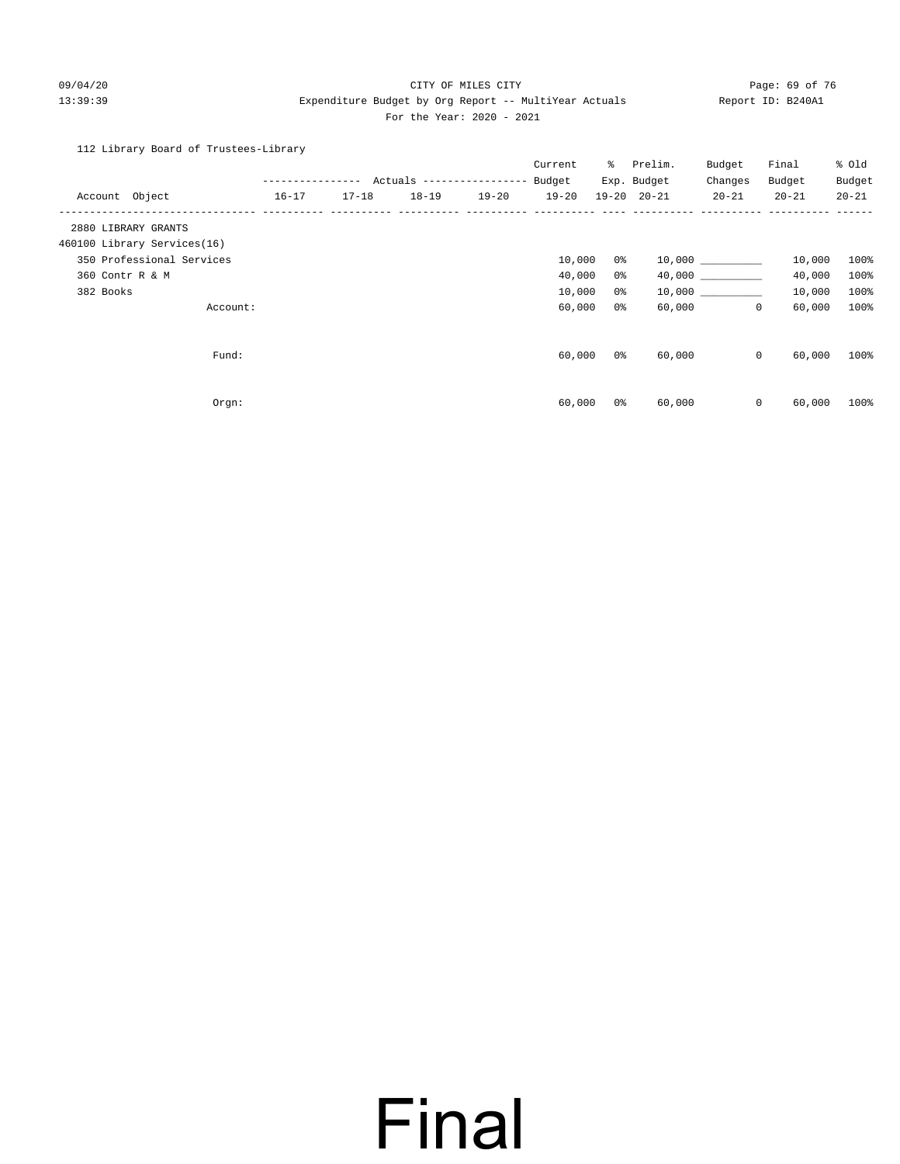#### 09/04/20 Page: 69 of 76 CITY OF MILES CITY CONTROL CONTROL PAGE: 69 of 76 13:39:39 Expenditure Budget by Org Report -- MultiYear Actuals Report ID: B240A1 For the Year: 2020 - 2021

112 Library Board of Trustees-Library

| Account Object              |          | $16 - 17$ | $17 - 18$ | --------------- Actuals -----------------<br>$18 - 19$ | $19 - 20$ | Current<br>Budget<br>$19 - 20$ | ိ              | Prelim.<br>Exp. Budget<br>$19 - 20$ $20 - 21$ | Budget<br>Changes<br>$20 - 21$ | Final<br>Budget<br>$20 - 21$ | % Old<br>Budget<br>$20 - 21$ |
|-----------------------------|----------|-----------|-----------|--------------------------------------------------------|-----------|--------------------------------|----------------|-----------------------------------------------|--------------------------------|------------------------------|------------------------------|
| 2880 LIBRARY GRANTS         |          |           |           |                                                        |           |                                |                |                                               |                                |                              |                              |
| 460100 Library Services(16) |          |           |           |                                                        |           |                                |                |                                               |                                |                              |                              |
| 350 Professional Services   |          |           |           |                                                        |           | 10,000                         | 0 %            |                                               | 10,000 000                     | 10,000                       | 100%                         |
| 360 Contr R & M             |          |           |           |                                                        |           | 40,000                         | 0%             |                                               | 40,000                         | 40,000                       | 100%                         |
| 382 Books                   |          |           |           |                                                        |           | 10,000                         | 0%             |                                               | 10,000                         | 10,000                       | 100%                         |
|                             | Account: |           |           |                                                        |           | 60,000                         | 0 <sup>°</sup> | 60,000                                        | $\mathbf{0}$                   | 60,000                       | 100%                         |
|                             | Fund:    |           |           |                                                        |           | 60,000                         | 0 %            | 60,000                                        | $\circ$                        | 60,000                       | 100%                         |
|                             | Orgn:    |           |           |                                                        |           | 60,000                         | 0 <sup>°</sup> | 60,000                                        | $\mathsf{O}$                   | 60,000                       | 100%                         |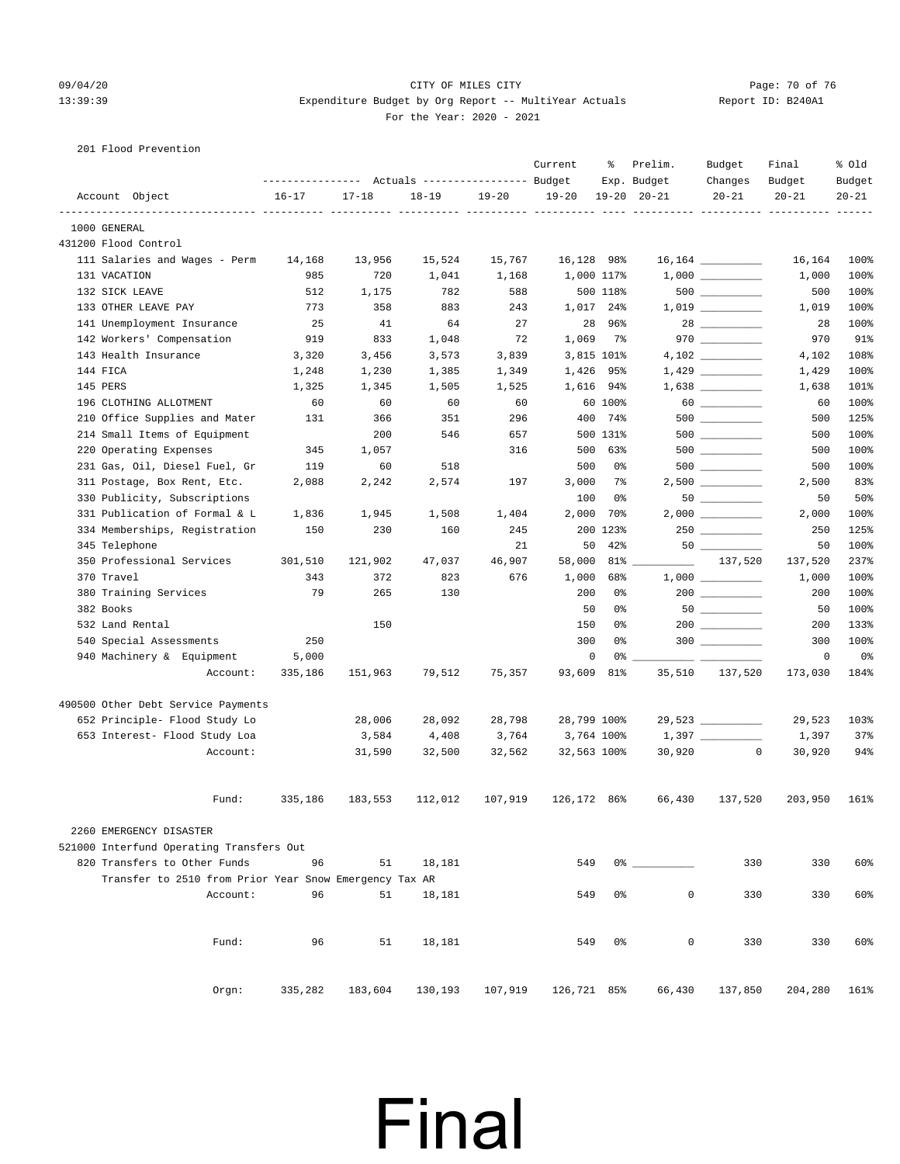#### 09/04/20 Page: 70 of 76 CITY OF MILES CITY CONTROL PAGE: 70 of 76 13:39:39 Expenditure Budget by Org Report -- MultiYear Actuals Report ID: B240A1 For the Year: 2020 - 2021

| 201 Flood Prevention                                   |                                                 |           |           |           |             |            |                                    |                    |                     |           |
|--------------------------------------------------------|-------------------------------------------------|-----------|-----------|-----------|-------------|------------|------------------------------------|--------------------|---------------------|-----------|
|                                                        |                                                 |           |           |           | Current     | ႜႜ         | Prelim.                            | Budget             | Final               | % Old     |
|                                                        | --------------- Actuals ---------------- Budget |           |           |           | $19 - 20$   |            | Exp. Budget<br>$19 - 20$ $20 - 21$ | Changes            | Budget<br>$20 - 21$ | Budget    |
| Account Object<br>------------                         | $16 - 17$                                       | $17 - 18$ | $18 - 19$ | $19 - 20$ |             |            |                                    | $20 - 21$          |                     | $20 - 21$ |
| 1000 GENERAL                                           |                                                 |           |           |           |             |            |                                    |                    |                     |           |
| 431200 Flood Control                                   |                                                 |           |           |           |             |            |                                    |                    |                     |           |
| 111 Salaries and Wages - Perm                          | 14,168                                          | 13,956    | 15,524    | 15,767    | 16,128 98%  |            |                                    |                    | 16,164              | 100%      |
| 131 VACATION                                           | 985                                             | 720       | 1,041     | 1,168     |             | 1,000 117% |                                    |                    | 1,000               | 100%      |
| 132 SICK LEAVE                                         | 512                                             | 1,175     | 782       | 588       |             | 500 118%   |                                    | $500$              | 500                 | 100%      |
| 133 OTHER LEAVE PAY                                    | 773                                             | 358       | 883       | 243       |             | 1,017 24%  |                                    |                    | 1,019               | 100%      |
| 141 Unemployment Insurance                             | 25                                              | 41        | 64        | 27        |             | 28 96%     |                                    |                    | 28                  | 100%      |
| 142 Workers' Compensation                              | 919                                             | 833       | 1,048     | 72        |             | 1,069 7%   |                                    |                    | 970                 | 91%       |
| 143 Health Insurance                                   | 3,320                                           | 3,456     | 3,573     | 3,839     |             | 3,815 101% |                                    |                    | 4,102               | 108%      |
| 144 FICA                                               | 1,248                                           | 1,230     | 1,385     | 1,349     |             | 1,426 95%  |                                    |                    | 1,429               | 100%      |
| 145 PERS                                               | 1,325                                           | 1,345     | 1,505     | 1,525     |             | 1,616 94%  |                                    |                    | 1,638               | 101%      |
| 196 CLOTHING ALLOTMENT                                 | 60                                              | 60        | 60        | 60        |             | 60 100%    |                                    |                    | 60                  | 100%      |
| 210 Office Supplies and Mater                          | 131                                             | 366       | 351       | 296       |             | 400 74%    |                                    |                    | 500                 | 125%      |
| 214 Small Items of Equipment                           |                                                 | 200       | 546       | 657       |             | 500 131%   |                                    |                    | 500                 | 100%      |
| 220 Operating Expenses                                 | 345                                             | 1,057     |           | 316       |             | 500 63%    |                                    | $500$              | 500                 | 100%      |
| 231 Gas, Oil, Diesel Fuel, Gr                          | 119                                             | 60        | 518       |           | 500         | 0%         |                                    | $500$ ________     | 500                 | 100%      |
| 311 Postage, Box Rent, Etc.                            | 2,088                                           | 2,242     | 2,574     | 197       | 3,000       | 7%         |                                    | $2,500$ __________ | 2,500               | 83%       |
| 330 Publicity, Subscriptions                           |                                                 |           |           |           | 100         | 0%         |                                    | $50$ __________    | 50                  | 50%       |
| 331 Publication of Formal & L                          | 1,836                                           | 1,945     | 1,508     | 1,404     |             | 2,000 70%  |                                    |                    | 2,000               | 100%      |
| 334 Memberships, Registration                          | 150                                             | 230       | 160       | 245       |             | 200 123%   |                                    | $250$              | 250                 | 125%      |
| 345 Telephone                                          |                                                 |           |           | 21        | 50          | 42%        |                                    |                    | 50                  | 100%      |
| 350 Professional Services                              | 301,510                                         | 121,902   | 47,037    | 46,907    | 58,000      | 81%        |                                    | 137,520            | 137,520             | 237%      |
| 370 Travel                                             | 343                                             | 372       | 823       | 676       | 1,000       | 68%        |                                    |                    | 1,000               | 100%      |
| 380 Training Services                                  | 79                                              | 265       | 130       |           | 200         | 0%         |                                    |                    | 200                 | 100%      |
| 382 Books                                              |                                                 |           |           |           | 50          | 0%         |                                    |                    | 50                  | 100%      |
| 532 Land Rental                                        |                                                 | 150       |           |           | 150         | 0%         |                                    |                    | 200                 | 133%      |
| 540 Special Assessments                                | 250                                             |           |           |           | 300         | 0%         |                                    | $300$ ________     | 300                 | 100%      |
| 940 Machinery & Equipment                              | 5,000                                           |           |           |           | 0           | 0%         |                                    |                    | $\mathbf 0$         | 0%        |
| Account:                                               | 335,186                                         | 151,963   | 79,512    | 75,357    | 93,609      | 81%        | 35,510                             | 137,520            | 173,030             | 184%      |
| 490500 Other Debt Service Payments                     |                                                 |           |           |           |             |            |                                    |                    |                     |           |
| 652 Principle- Flood Study Lo                          |                                                 | 28,006    | 28,092    | 28,798    | 28,799 100% |            |                                    | 29,523 _________   | 29,523              | 103%      |
| 653 Interest- Flood Study Loa                          |                                                 | 3,584     | 4,408     | 3,764     | 3,764 100%  |            |                                    |                    | 1,397               | 37%       |
| Account:                                               |                                                 | 31,590    | 32,500    | 32,562    | 32,563 100% |            | 30,920                             | $\sim$ 0           | 30,920              | 94%       |
|                                                        |                                                 |           |           |           |             |            |                                    |                    |                     |           |
| Fund:                                                  | 335,186                                         | 183,553   | 112,012   | 107,919   | 126,172 86% |            | 66,430                             | 137,520            | 203,950 161%        |           |
| 2260 EMERGENCY DISASTER                                |                                                 |           |           |           |             |            |                                    |                    |                     |           |
| 521000 Interfund Operating Transfers Out               |                                                 |           |           |           |             |            |                                    |                    |                     |           |
| 820 Transfers to Other Funds                           | 96                                              | 51        | 18,181    |           | 549         |            | $0$ 왕 아이에게 아이에 있어요.                | 330                | 330                 | 60%       |
| Transfer to 2510 from Prior Year Snow Emergency Tax AR |                                                 |           |           |           |             |            |                                    |                    |                     |           |
| Account:                                               | 96                                              | 51        | 18,181    |           | 549         | 0%         | $\mathbf 0$                        | 330                | 330                 | 60%       |
|                                                        |                                                 |           |           |           |             |            |                                    |                    |                     |           |
| Fund:                                                  | 96                                              | 51        | 18,181    |           | 549         | 0%         | 0                                  | 330                | 330                 | 60%       |
|                                                        |                                                 |           |           |           |             |            |                                    |                    |                     |           |
| $0$ rgn:                                               | 335,282                                         | 183,604   | 130,193   | 107,919   | 126,721 85% |            | 66,430                             | 137,850            | 204,280             | 161%      |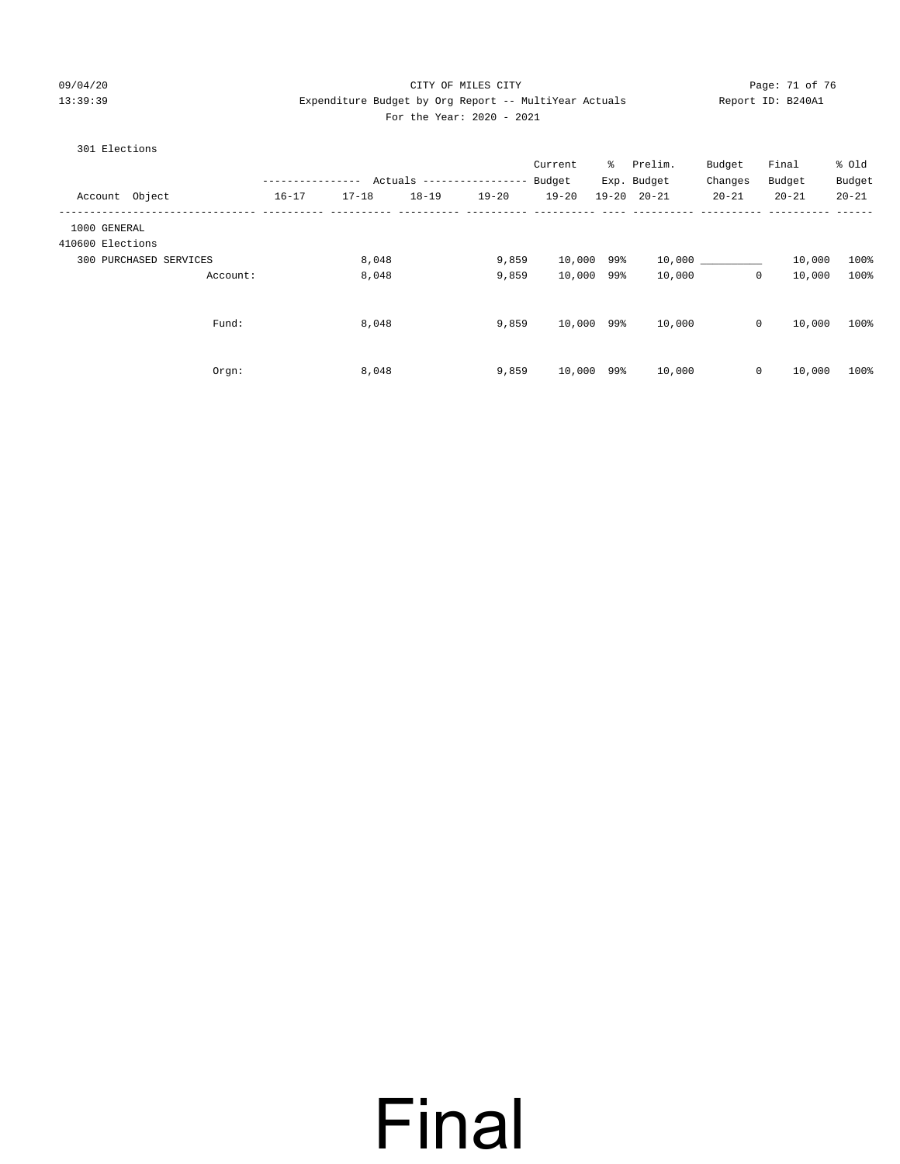#### 09/04/20 Page: 71 of 76 CITY OF MILES CITY CONTROL PAGE: 71 of 76 13:39:39 Expenditure Budget by Org Report -- MultiYear Actuals Report ID: B240A1 For the Year: 2020 - 2021

| 301 Elections          |          |                  |           |           |                           |            |   |                     |            |                        |           |
|------------------------|----------|------------------|-----------|-----------|---------------------------|------------|---|---------------------|------------|------------------------|-----------|
|                        |          |                  |           |           |                           | Current    | ိ | Prelim.             | Budget     | Final                  | % Old     |
|                        |          | ---------------- |           |           | Actuals ----------------- | Budget     |   | Exp. Budget         | Changes    | Budget                 | Budget    |
| Account Object         |          | $16 - 17$        | $17 - 18$ | $18 - 19$ | $19 - 20$                 | $19 - 20$  |   | $19 - 20$ $20 - 21$ | $20 - 21$  | $20 - 21$              | $20 - 21$ |
| 1000 GENERAL           |          |                  |           |           |                           |            |   |                     |            |                        |           |
| 410600 Elections       |          |                  |           |           |                           |            |   |                     |            |                        |           |
| 300 PURCHASED SERVICES |          |                  | 8,048     |           | 9,859                     | 10,000 99% |   |                     | 10,000 000 | 10,000                 | 100%      |
|                        | Account: |                  | 8,048     |           | 9,859                     | 10,000 99% |   | 10,000              |            | $\circ$<br>10,000      | 100%      |
|                        | Fund:    |                  | 8,048     |           | 9,859                     | 10,000 99% |   | 10,000              |            | $\circ$<br>10,000      | 100%      |
|                        |          |                  |           |           |                           |            |   |                     |            |                        |           |
|                        | Orgn:    |                  | 8,048     |           | 9,859                     | 10,000 99% |   | 10,000              |            | $\mathsf{O}$<br>10,000 | 100%      |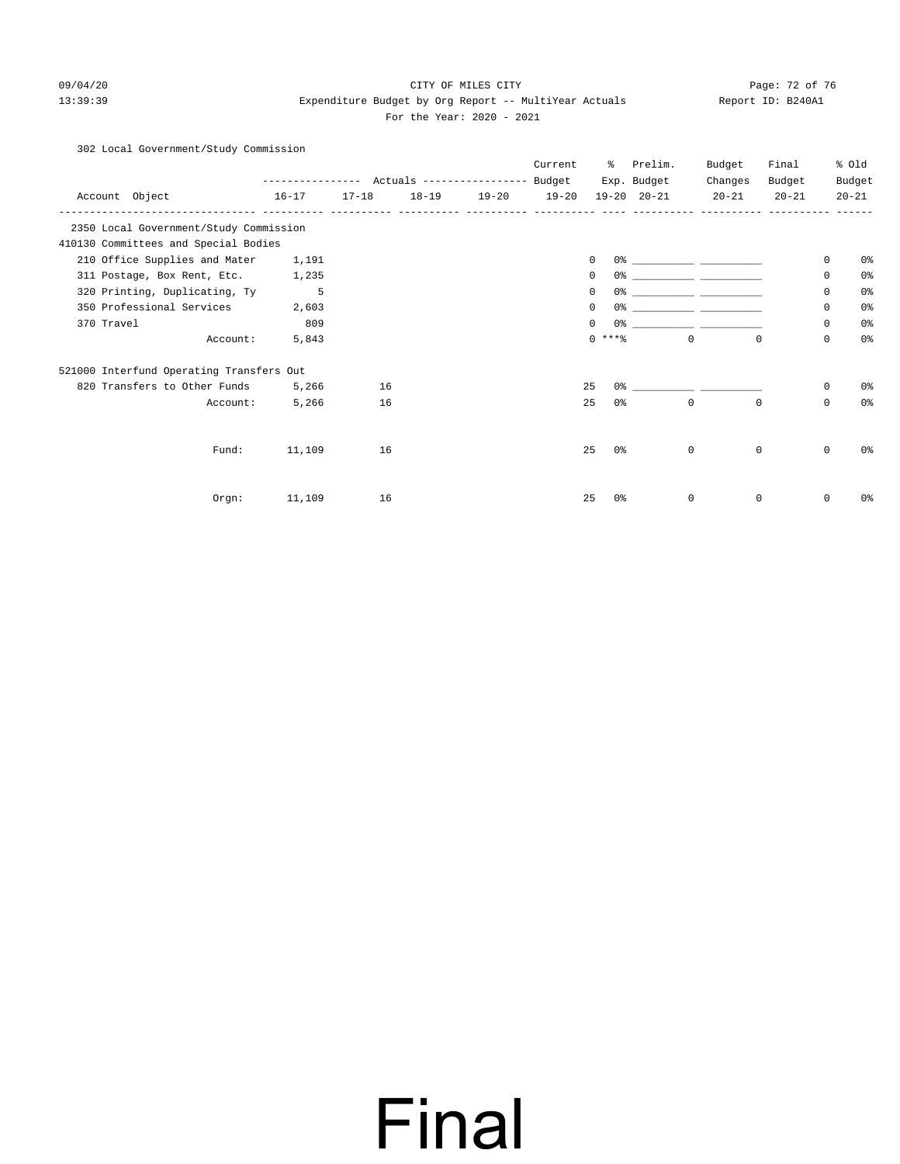#### 09/04/20 Page: 72 of 76 CITY OF MILES CITY CONTROL PAGE: 72 of 76 13:39:39 Expenditure Budget by Org Report -- MultiYear Actuals Report ID: B240A1 For the Year: 2020 - 2021

#### 302 Local Government/Study Commission

|            |                                          |           |                                |  |           | Current | ႜႜ                                 | Prelim.                                                                                                                                                                                                                       | Budget                                                                                                                | Final        |                     | % old          |
|------------|------------------------------------------|-----------|--------------------------------|--|-----------|---------|------------------------------------|-------------------------------------------------------------------------------------------------------------------------------------------------------------------------------------------------------------------------------|-----------------------------------------------------------------------------------------------------------------------|--------------|---------------------|----------------|
|            |                                          |           |                                |  |           |         | Exp. Budget<br>$19 - 20$ $20 - 21$ | Changes<br>$20 - 21$                                                                                                                                                                                                          | Budget                                                                                                                |              | Budget<br>$20 - 21$ |                |
|            | Account Object                           | $16 - 17$ | 18-19 19-20 19-20<br>$17 - 18$ |  | $20 - 21$ |         |                                    |                                                                                                                                                                                                                               |                                                                                                                       |              |                     |                |
|            | 2350 Local Government/Study Commission   |           |                                |  |           |         |                                    |                                                                                                                                                                                                                               |                                                                                                                       |              |                     |                |
|            | 410130 Committees and Special Bodies     |           |                                |  |           |         |                                    |                                                                                                                                                                                                                               |                                                                                                                       |              |                     |                |
|            | 210 Office Supplies and Mater            | 1,191     |                                |  |           |         | 0                                  |                                                                                                                                                                                                                               |                                                                                                                       |              | 0                   | 0%             |
|            | 311 Postage, Box Rent, Etc. 1,235        |           |                                |  |           |         | 0                                  |                                                                                                                                                                                                                               |                                                                                                                       |              | 0                   | 0%             |
|            | 320 Printing, Duplicating, Ty            | 5         |                                |  |           |         | 0                                  |                                                                                                                                                                                                                               |                                                                                                                       |              | 0                   | 0 <sup>°</sup> |
|            | 350 Professional Services                | 2,603     |                                |  |           |         | 0<br>0%                            |                                                                                                                                                                                                                               | <u> 1990 - John Harry Harry Harry Harry Harry Harry Harry Harry Harry Harry Harry Harry Harry Harry Harry Harry H</u> |              | 0                   | 0%             |
| 370 Travel |                                          | 809       |                                |  |           |         | $\Omega$                           | 0% ______________ _____                                                                                                                                                                                                       |                                                                                                                       |              | 0                   | 0%             |
|            | Account:                                 | 5,843     |                                |  |           |         | $0$ ****                           |                                                                                                                                                                                                                               | $\Omega$                                                                                                              | $\Omega$     | 0                   | 0%             |
|            | 521000 Interfund Operating Transfers Out |           |                                |  |           |         |                                    |                                                                                                                                                                                                                               |                                                                                                                       |              |                     |                |
|            | 820 Transfers to Other Funds             | 5,266     | 16                             |  |           |         | 25                                 | 0.3 - 0.3 - 0.3 - 0.3 - 0.3 - 0.3 - 0.3 - 0.3 - 0.3 - 0.3 - 0.3 - 0.3 - 0.3 - 0.3 - 0.3 - 0.3 - 0.3 - 0.3 - 0.3 - 0.3 - 0.3 - 0.3 - 0.3 - 0.3 - 0.3 - 0.3 - 0.3 - 0.3 - 0.3 - 0.3 - 0.3 - 0.3 - 0.3 - 0.3 - 0.3 - 0.3 - 0.3 - |                                                                                                                       |              | $\mathbf{0}$        | 0 <sup>o</sup> |
|            | Account:                                 | 5,266     | 16                             |  |           |         | 25<br>0 <sup>o</sup>               |                                                                                                                                                                                                                               | $\mathbf 0$                                                                                                           | $\mathbf 0$  | 0                   | 0 <sup>°</sup> |
|            |                                          |           |                                |  |           |         |                                    |                                                                                                                                                                                                                               |                                                                                                                       |              |                     |                |
|            | Fund:                                    | 11,109    | 16                             |  |           |         | 25<br>0 %                          |                                                                                                                                                                                                                               | $\mathbf{0}$                                                                                                          | $\mathbf 0$  | $\mathbf 0$         | 0%             |
|            |                                          |           |                                |  |           |         |                                    |                                                                                                                                                                                                                               |                                                                                                                       |              |                     |                |
|            | Orgn:                                    | 11,109    | 16                             |  |           |         | 25<br>0 <sup>o</sup>               |                                                                                                                                                                                                                               | $\mathbf 0$                                                                                                           | $\mathbf{0}$ | 0                   | 0%             |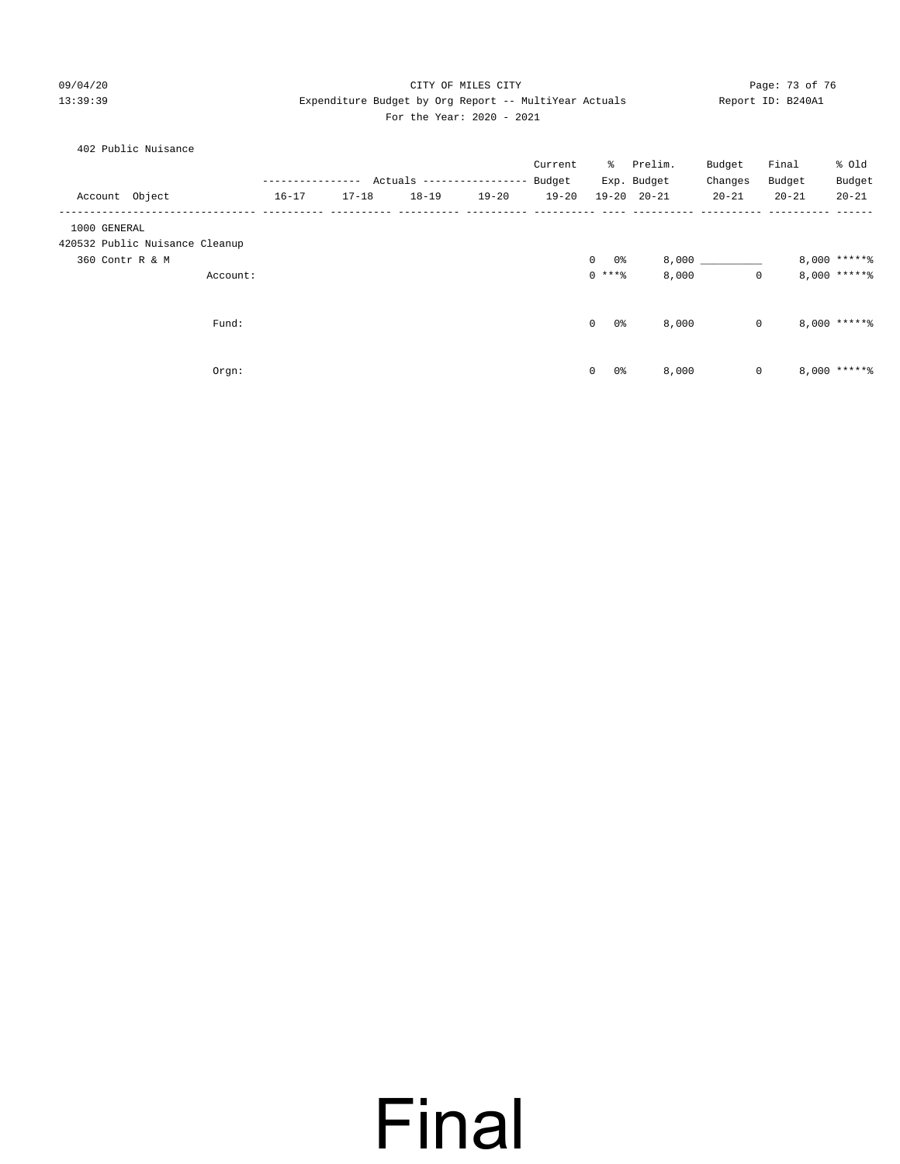### 09/04/20 Page: 73 of 76 CITY OF MILES CITY CONTROL PAGE: 73 of 76 13:39:39 Expenditure Budget by Org Report -- MultiYear Actuals Report ID: B240A1 For the Year: 2020 - 2021

|  |  | 402 Public Nuisance |
|--|--|---------------------|
|--|--|---------------------|

|                |                                |          |           |           |                           |           | Current   | ိ                    | Prelim.             | Budget      | Final     | % Old            |
|----------------|--------------------------------|----------|-----------|-----------|---------------------------|-----------|-----------|----------------------|---------------------|-------------|-----------|------------------|
|                |                                |          |           |           | Actuals ----------------- |           | Budget    |                      | Exp. Budget         | Changes     | Budget    | Budget           |
| Account Object |                                |          | $16 - 17$ | $17 - 18$ | $18 - 19$                 | $19 - 20$ | $19 - 20$ |                      | $19 - 20$ $20 - 21$ | $20 - 21$   | $20 - 21$ | $20 - 21$        |
| 1000 GENERAL   | 420532 Public Nuisance Cleanup |          |           |           |                           |           |           |                      |                     |             |           |                  |
|                | 360 Contr R & M                |          |           |           |                           |           |           | $\overline{0}$<br>0% |                     | 8,000       |           | 8,000 ******     |
|                |                                | Account: |           |           |                           |           |           | $0***8$              | 8,000               | $\mathbf 0$ |           | $8,000$ ***** %  |
|                |                                |          |           |           |                           |           |           |                      |                     |             |           |                  |
|                |                                | Fund:    |           |           |                           |           |           | 0%<br>$\mathbf{0}$   | 8,000               | $\mathbf 0$ |           | $8,000$ ***** \$ |
|                |                                |          |           |           |                           |           |           |                      |                     |             |           |                  |
|                |                                | Orgn:    |           |           |                           |           |           | $\circ$<br>0%        | 8,000               | 0           |           | $8,000$ ***** \$ |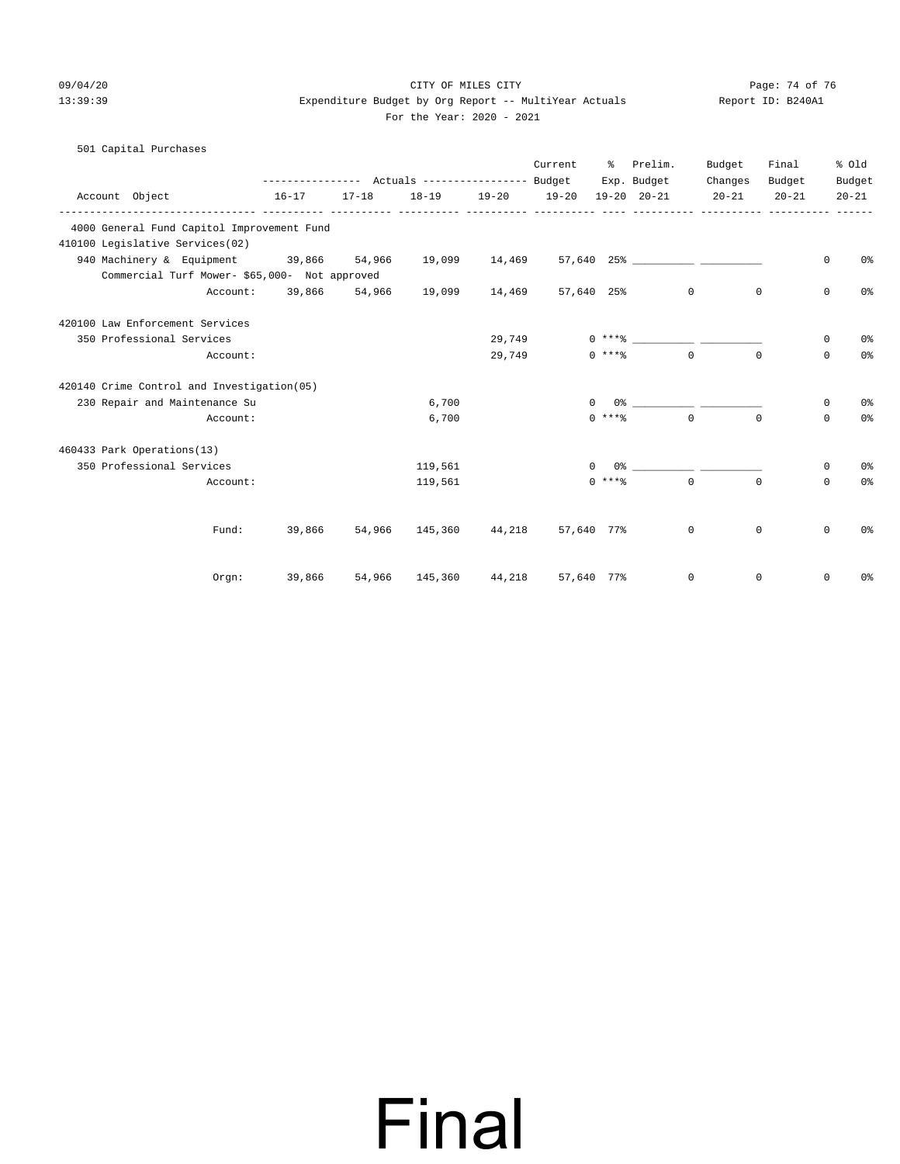## 09/04/20 Page: 74 of 76 CITY OF MILES CITY 13:39:39 Expenditure Budget by Org Report -- MultiYear Actuals Report ID: B240A1

|  |  |  |                           | ---------- |
|--|--|--|---------------------------|------------|
|  |  |  | For the Year: 2020 - 2021 |            |

| 501 Capital Purchases                         |          |           |           |                                                 |             |            |            |                                                                                                                                                                                                                                                                                                                        |                     |           |          |                |
|-----------------------------------------------|----------|-----------|-----------|-------------------------------------------------|-------------|------------|------------|------------------------------------------------------------------------------------------------------------------------------------------------------------------------------------------------------------------------------------------------------------------------------------------------------------------------|---------------------|-----------|----------|----------------|
|                                               |          |           |           |                                                 |             | Current    |            | % Prelim.                                                                                                                                                                                                                                                                                                              | Budget              | Final     |          | % old          |
|                                               |          |           |           |                                                 |             |            |            |                                                                                                                                                                                                                                                                                                                        | Exp. Budget Changes | Budget    |          | Budget         |
| Account Object                                |          | $16 - 17$ | $17 - 18$ | $18 - 19$                                       | 19-20 19-20 |            |            | 19-20 20-21                                                                                                                                                                                                                                                                                                            | $20 - 21$           | $20 - 21$ |          | $20 - 21$      |
| 4000 General Fund Capitol Improvement Fund    |          |           |           |                                                 |             |            |            |                                                                                                                                                                                                                                                                                                                        |                     |           |          |                |
| 410100 Legislative Services(02)               |          |           |           |                                                 |             |            |            |                                                                                                                                                                                                                                                                                                                        |                     |           |          |                |
| 940 Machinery & Equipment 39,866 54,966       |          |           |           |                                                 |             |            |            |                                                                                                                                                                                                                                                                                                                        |                     |           | $\Omega$ | 0 <sup>°</sup> |
| Commercial Turf Mower- \$65,000- Not approved |          |           |           |                                                 |             |            |            |                                                                                                                                                                                                                                                                                                                        |                     |           |          |                |
|                                               |          |           |           | Account: 39,866 54,966 19,099 14,469 57,640 25% |             |            |            |                                                                                                                                                                                                                                                                                                                        | $\overline{0}$      | $\circ$   | 0        | 0%             |
| 420100 Law Enforcement Services               |          |           |           |                                                 |             |            |            |                                                                                                                                                                                                                                                                                                                        |                     |           |          |                |
| 350 Professional Services                     |          |           |           |                                                 | 29,749      |            |            |                                                                                                                                                                                                                                                                                                                        |                     |           | 0        | 0%             |
|                                               | Account: |           |           |                                                 | 29,749      |            | $0***$ $*$ |                                                                                                                                                                                                                                                                                                                        | $\cap$              | $\cap$    | $\Omega$ | 0%             |
| 420140 Crime Control and Investigation(05)    |          |           |           |                                                 |             |            |            |                                                                                                                                                                                                                                                                                                                        |                     |           |          |                |
| 230 Repair and Maintenance Su                 |          |           |           | 6,700                                           |             |            | $\Omega$   | $0$ $\frac{1}{2}$ $\frac{1}{2}$ $\frac{1}{2}$ $\frac{1}{2}$ $\frac{1}{2}$ $\frac{1}{2}$ $\frac{1}{2}$ $\frac{1}{2}$ $\frac{1}{2}$ $\frac{1}{2}$ $\frac{1}{2}$ $\frac{1}{2}$ $\frac{1}{2}$ $\frac{1}{2}$ $\frac{1}{2}$ $\frac{1}{2}$ $\frac{1}{2}$ $\frac{1}{2}$ $\frac{1}{2}$ $\frac{1}{2}$ $\frac{1}{2}$ $\frac{1}{2$ |                     |           | $\Omega$ | 0%             |
|                                               | Account: |           |           | 6,700                                           |             |            | $0$ ****   |                                                                                                                                                                                                                                                                                                                        | $\Omega$            | $\Omega$  | $\Omega$ | 0 <sup>°</sup> |
| 460433 Park Operations(13)                    |          |           |           |                                                 |             |            |            |                                                                                                                                                                                                                                                                                                                        |                     |           |          |                |
| 350 Professional Services                     |          |           |           | 119,561                                         |             |            | $^{\circ}$ | $0$ 왕 아이에게 아이들은 아이들의 사람들을 지키고 있다.                                                                                                                                                                                                                                                                                      |                     |           | 0        | 0 <sup>°</sup> |
|                                               | Account: |           |           | 119,561                                         |             |            | $0$ ****   |                                                                                                                                                                                                                                                                                                                        | $\overline{0}$      | $\Omega$  | $\Omega$ | 0%             |
|                                               |          |           |           |                                                 |             |            |            |                                                                                                                                                                                                                                                                                                                        |                     |           |          |                |
|                                               | Fund:    |           |           | 39,866 54,966 145,360 44,218 57,640 77%         |             |            |            |                                                                                                                                                                                                                                                                                                                        | $\overline{0}$      | 0         | 0        | 0 <sup>°</sup> |
|                                               | Orgn:    | 39,866    |           | 54,966 145,360 44,218                           |             | 57,640 77% |            |                                                                                                                                                                                                                                                                                                                        | 0                   | 0         | 0        | 0%             |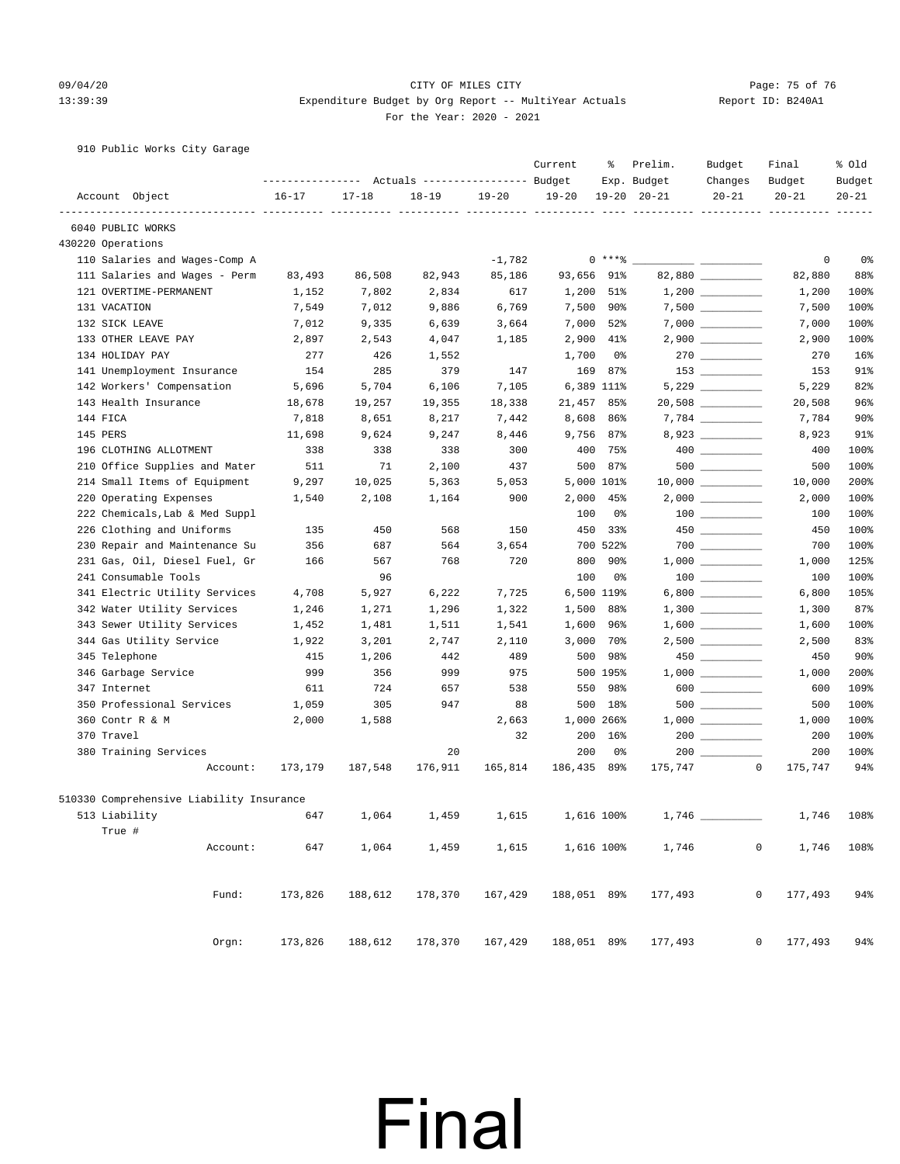### 09/04/20 Page: 75 of 76 CITY OF MILES CITY CONTROL PAGE: 75 of 76 Page: 75 of 76 13:39:39 Expenditure Budget by Org Report -- MultiYear Actuals Report ID: B240A1 For the Year: 2020 - 2021

910 Public Works City Garage

|                                          |                  |           |                                  |           | Current     | ႜ          | Prelim.             | Budget                                                                                                                                                                                                                                                                                                                                              | Final                | % old      |
|------------------------------------------|------------------|-----------|----------------------------------|-----------|-------------|------------|---------------------|-----------------------------------------------------------------------------------------------------------------------------------------------------------------------------------------------------------------------------------------------------------------------------------------------------------------------------------------------------|----------------------|------------|
|                                          | ---------------- |           | Actuals ----------------- Budget |           |             |            | Exp. Budget         | Changes                                                                                                                                                                                                                                                                                                                                             | Budget               | Budget     |
| Account Object                           | $16 - 17$        | $17 - 18$ | $18 - 19$                        | $19 - 20$ | $19 - 20$   |            | $19 - 20$ $20 - 21$ | $20 - 21$                                                                                                                                                                                                                                                                                                                                           | $20 - 21$            | $20 - 21$  |
| 6040 PUBLIC WORKS                        |                  |           |                                  |           |             |            |                     |                                                                                                                                                                                                                                                                                                                                                     |                      |            |
| 430220 Operations                        |                  |           |                                  |           |             |            |                     |                                                                                                                                                                                                                                                                                                                                                     |                      |            |
| 110 Salaries and Wages-Comp A            |                  |           |                                  | $-1,782$  |             | 0 ****     |                     | <u>and the company of the company of the company of the company of the company of the company of the company of the company of the company of the company of the company of the company of the company of the company of the com</u>                                                                                                                | 0                    | 0%         |
| 111 Salaries and Wages - Perm            | 83,493           | 86,508    | 82,943                           | 85,186    | 93,656      | 91%        |                     | 82,880                                                                                                                                                                                                                                                                                                                                              | 82,880               | 88%        |
| 121 OVERTIME-PERMANENT                   | 1,152            | 7,802     | 2,834                            | 617       | 1,200       | 51%        |                     |                                                                                                                                                                                                                                                                                                                                                     | 1,200                | 100%       |
| 131 VACATION                             | 7,549            | 7,012     | 9,886                            | 6,769     |             | 7,500 90%  |                     |                                                                                                                                                                                                                                                                                                                                                     | 7,500                | 100%       |
| 132 SICK LEAVE                           | 7,012            | 9,335     | 6,639                            | 3,664     | 7,000       | 52%        |                     |                                                                                                                                                                                                                                                                                                                                                     | 7,000                | 100%       |
| 133 OTHER LEAVE PAY                      | 2,897            | 2,543     | 4,047                            | 1,185     | 2,900       | 41%        |                     | $2,900$ _________                                                                                                                                                                                                                                                                                                                                   | 2,900                | 100%       |
| 134 HOLIDAY PAY                          | 277              | 426       | 1,552                            |           | 1,700       | 0%         |                     |                                                                                                                                                                                                                                                                                                                                                     | 270                  | 16%        |
| 141 Unemployment Insurance               | 154              | 285       | 379                              | 147       | 169         | 87%        |                     |                                                                                                                                                                                                                                                                                                                                                     | 153                  | 91%        |
| 142 Workers' Compensation                | 5,696            | 5,704     | 6,106                            | 7,105     |             | 6,389 111% |                     |                                                                                                                                                                                                                                                                                                                                                     | 5,229                | 82%        |
| 143 Health Insurance                     | 18,678           | 19,257    | 19,355                           | 18,338    | 21,457      | 85%        |                     | $20,508$ __________                                                                                                                                                                                                                                                                                                                                 | 20,508               | 96%        |
| 144 FICA                                 | 7,818            | 8,651     | 8,217                            | 7,442     | 8,608       | 86%        |                     |                                                                                                                                                                                                                                                                                                                                                     | 7,784                | 90%        |
| 145 PERS                                 | 11,698           | 9,624     | 9,247                            | 8,446     |             | 9,756 87%  |                     | 8,923                                                                                                                                                                                                                                                                                                                                               | 8,923                | 91%        |
| 196 CLOTHING ALLOTMENT                   | 338              | 338       | 338                              | 300       | 400         | 75%        |                     | $400$ __________                                                                                                                                                                                                                                                                                                                                    | 400                  | 100%       |
| 210 Office Supplies and Mater            | 511              | 71        | 2,100                            | 437       | 500         | 87%        |                     |                                                                                                                                                                                                                                                                                                                                                     | 500                  | 100%       |
| 214 Small Items of Equipment             | 9,297            | 10,025    | 5,363                            | 5,053     |             | 5,000 101% |                     |                                                                                                                                                                                                                                                                                                                                                     | 10,000               | 200%       |
| 220 Operating Expenses                   | 1,540            | 2,108     | 1,164                            | 900       | 2,000       | 45%        |                     | $2,000$ __________                                                                                                                                                                                                                                                                                                                                  | 2,000                | 100%       |
| 222 Chemicals, Lab & Med Suppl           |                  |           |                                  |           | 100         | 0%         |                     |                                                                                                                                                                                                                                                                                                                                                     | 100                  | 100%       |
| 226 Clothing and Uniforms                | 135              | 450       | 568                              | 150       | 450         | 33%        |                     |                                                                                                                                                                                                                                                                                                                                                     | 450                  | 100%       |
| 230 Repair and Maintenance Su            | 356              | 687       | 564                              | 3,654     |             | 700 522%   |                     |                                                                                                                                                                                                                                                                                                                                                     | 700                  | 100%       |
| 231 Gas, Oil, Diesel Fuel, Gr            | 166              | 567       | 768                              | 720       | 800         | 90%        |                     |                                                                                                                                                                                                                                                                                                                                                     | 1,000                | 125%       |
| 241 Consumable Tools                     |                  | 96        |                                  |           | 100         | 0%         |                     | $100$ _______                                                                                                                                                                                                                                                                                                                                       | 100                  | 100%       |
| 341 Electric Utility Services            | 4,708            | 5,927     | 6,222                            | 7,725     |             | 6,500 119% |                     |                                                                                                                                                                                                                                                                                                                                                     | 6,800                | 105%       |
| 342 Water Utility Services               | 1,246            | 1,271     | 1,296                            | 1,322     | 1,500       | 88%        |                     |                                                                                                                                                                                                                                                                                                                                                     | 1,300                | 87%        |
| 343 Sewer Utility Services               | 1,452            | 1,481     | 1,511                            | 1,541     | 1,600       | 96%        |                     |                                                                                                                                                                                                                                                                                                                                                     | 1,600                | 100%       |
| 344 Gas Utility Service                  | 1,922            | 3,201     | 2,747                            | 2,110     | 3,000       | 70%        |                     |                                                                                                                                                                                                                                                                                                                                                     | 2,500                | 83%        |
| 345 Telephone                            | 415              | 1,206     | 442                              | 489       | 500         | 98%        |                     | $450$ _________                                                                                                                                                                                                                                                                                                                                     | 450                  | 90%        |
| 346 Garbage Service                      | 999              | 356       | 999                              | 975       |             | 500 195%   |                     |                                                                                                                                                                                                                                                                                                                                                     | 1,000                | 200%       |
| 347 Internet                             | 611              | 724       | 657                              | 538       |             | 550 98%    |                     | $\begin{picture}(10,10) \put(0,0){\line(1,0){10}} \put(15,0){\line(1,0){10}} \put(15,0){\line(1,0){10}} \put(15,0){\line(1,0){10}} \put(15,0){\line(1,0){10}} \put(15,0){\line(1,0){10}} \put(15,0){\line(1,0){10}} \put(15,0){\line(1,0){10}} \put(15,0){\line(1,0){10}} \put(15,0){\line(1,0){10}} \put(15,0){\line(1,0){10}} \put(15,0){\line(1$ | 600                  | 109%       |
| 350 Professional Services                | 1,059            | 305       | 947                              | 88        | 500         | 18%        |                     |                                                                                                                                                                                                                                                                                                                                                     | 500                  | 100%       |
| 360 Contr R & M                          | 2,000            | 1,588     |                                  | 2,663     | 1,000 266%  |            |                     |                                                                                                                                                                                                                                                                                                                                                     | 1,000                | 100%       |
| 370 Travel                               |                  |           |                                  | 32        | 200         | 16%        |                     |                                                                                                                                                                                                                                                                                                                                                     | 200                  | 100%       |
| 380 Training Services                    |                  |           | 20                               |           | 200         | 0%         |                     |                                                                                                                                                                                                                                                                                                                                                     | 200                  | 100%       |
| Account:                                 | 173,179          | 187,548   | 176,911                          | 165,814   | 186,435 89% |            | 175,747             | $\circ$                                                                                                                                                                                                                                                                                                                                             | 175,747              | 94%        |
| 510330 Comprehensive Liability Insurance |                  |           |                                  |           |             |            |                     |                                                                                                                                                                                                                                                                                                                                                     |                      |            |
| 513 Liability                            | 647              | 1,064     | 1,459                            | 1,615     | 1,616 100%  |            | $1,746$ $\_$        |                                                                                                                                                                                                                                                                                                                                                     |                      | 1,746 108% |
| True #                                   |                  |           |                                  |           |             |            |                     |                                                                                                                                                                                                                                                                                                                                                     |                      |            |
| Account:                                 | 647              | 1,064     | 1,459                            | 1,615     | 1,616 100%  |            | 1,746               |                                                                                                                                                                                                                                                                                                                                                     | $\mathbf 0$<br>1,746 | 108%       |
| Fund:                                    | 173,826          | 188,612   | 178,370                          | 167,429   | 188,051 89% |            | 177,493             |                                                                                                                                                                                                                                                                                                                                                     | $\circ$<br>177,493   | 94%        |
| $0$ rqn:                                 | 173,826          | 188,612   | 178,370                          | 167,429   | 188,051 89% |            | 177,493             |                                                                                                                                                                                                                                                                                                                                                     | 177,493<br>0         | 94%        |